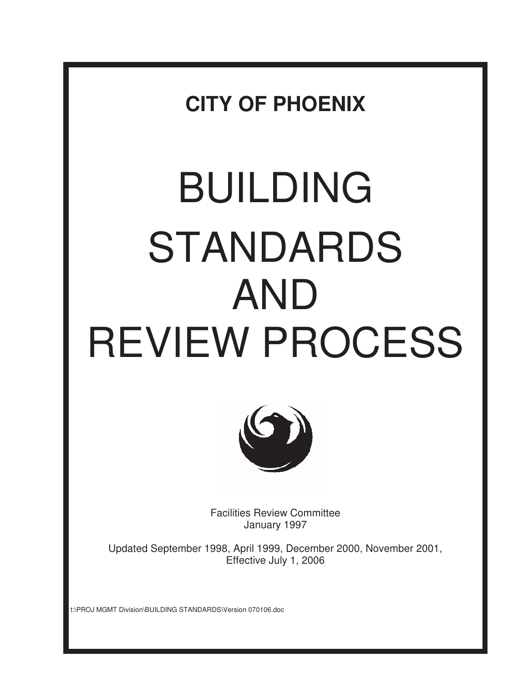**CITY OF PHOENIX** 

# BUILDING STANDARDS AND REVIEW PROCESS



Facilities Review Committee January 1997

Updated September 1998, April 1999, December 2000, November 2001, Effective July 1, 2006

t:\PROJ MGMT Division\BUILDING STANDARDS\Version 070106.doc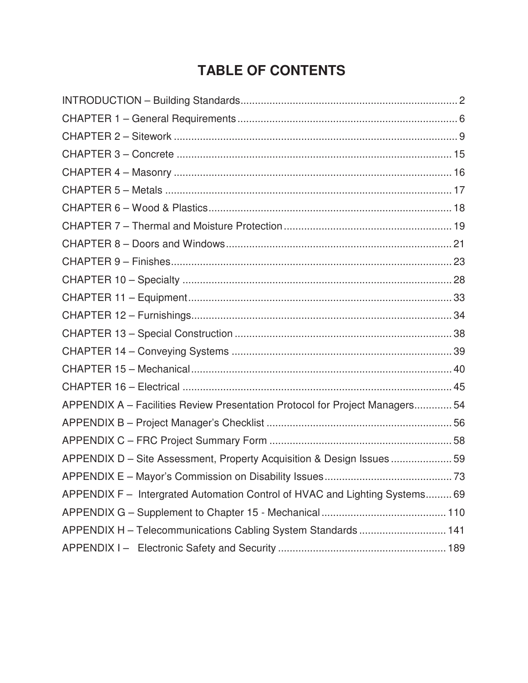# **TABLE OF CONTENTS**

| APPENDIX A - Facilities Review Presentation Protocol for Project Managers 54 |  |
|------------------------------------------------------------------------------|--|
|                                                                              |  |
|                                                                              |  |
| APPENDIX D - Site Assessment, Property Acquisition & Design Issues  59       |  |
|                                                                              |  |
| APPENDIX F - Intergrated Automation Control of HVAC and Lighting Systems 69  |  |
|                                                                              |  |
| APPENDIX H - Telecommunications Cabling System Standards  141                |  |
|                                                                              |  |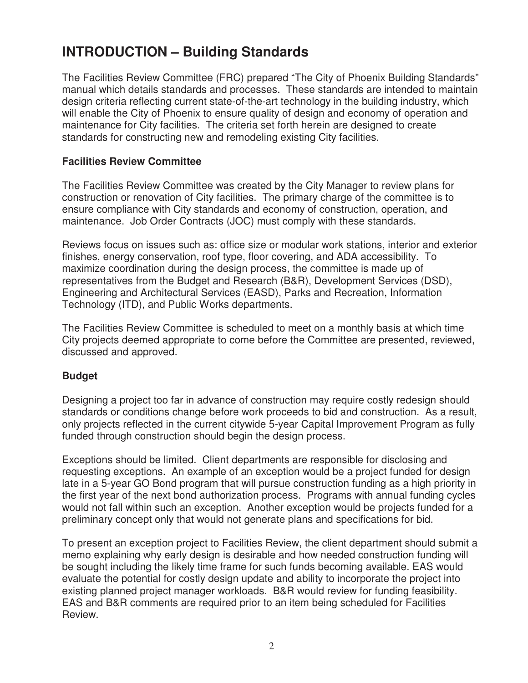# **INTRODUCTION – Building Standards**

The Facilities Review Committee (FRC) prepared "The City of Phoenix Building Standards" manual which details standards and processes. These standards are intended to maintain design criteria reflecting current state-of-the-art technology in the building industry, which will enable the City of Phoenix to ensure quality of design and economy of operation and maintenance for City facilities. The criteria set forth herein are designed to create standards for constructing new and remodeling existing City facilities.

# **Facilities Review Committee**

The Facilities Review Committee was created by the City Manager to review plans for construction or renovation of City facilities. The primary charge of the committee is to ensure compliance with City standards and economy of construction, operation, and maintenance. Job Order Contracts (JOC) must comply with these standards.

Reviews focus on issues such as: office size or modular work stations, interior and exterior finishes, energy conservation, roof type, floor covering, and ADA accessibility. To maximize coordination during the design process, the committee is made up of representatives from the Budget and Research (B&R), Development Services (DSD), Engineering and Architectural Services (EASD), Parks and Recreation, Information Technology (ITD), and Public Works departments.

The Facilities Review Committee is scheduled to meet on a monthly basis at which time City projects deemed appropriate to come before the Committee are presented, reviewed, discussed and approved.

# **Budget**

Designing a project too far in advance of construction may require costly redesign should standards or conditions change before work proceeds to bid and construction. As a result, only projects reflected in the current citywide 5-year Capital Improvement Program as fully funded through construction should begin the design process.

Exceptions should be limited. Client departments are responsible for disclosing and requesting exceptions. An example of an exception would be a project funded for design late in a 5-year GO Bond program that will pursue construction funding as a high priority in the first year of the next bond authorization process. Programs with annual funding cycles would not fall within such an exception. Another exception would be projects funded for a preliminary concept only that would not generate plans and specifications for bid.

To present an exception project to Facilities Review, the client department should submit a memo explaining why early design is desirable and how needed construction funding will be sought including the likely time frame for such funds becoming available. EAS would evaluate the potential for costly design update and ability to incorporate the project into existing planned project manager workloads. B&R would review for funding feasibility. EAS and B&R comments are required prior to an item being scheduled for Facilities Review.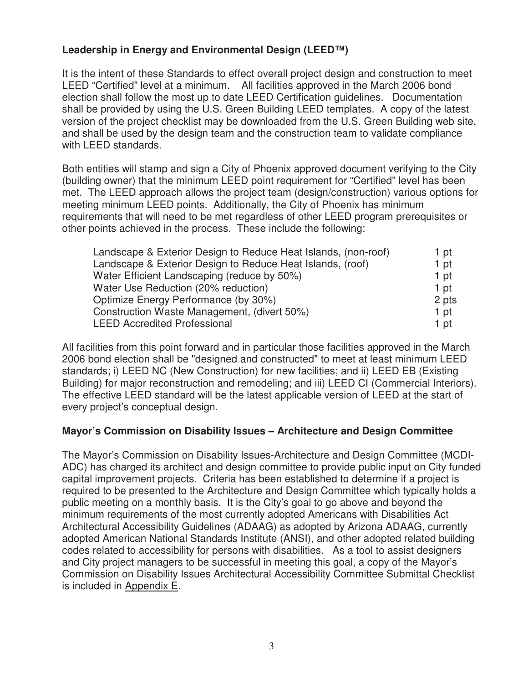# **Leadership in Energy and Environmental Design (LEED™)**

It is the intent of these Standards to effect overall project design and construction to meet LEED "Certified" level at a minimum. All facilities approved in the March 2006 bond election shall follow the most up to date LEED Certification guidelines. Documentation shall be provided by using the U.S. Green Building LEED templates. A copy of the latest version of the project checklist may be downloaded from the U.S. Green Building web site, and shall be used by the design team and the construction team to validate compliance with LEED standards.

Both entities will stamp and sign a City of Phoenix approved document verifying to the City (building owner) that the minimum LEED point requirement for "Certified" level has been met. The LEED approach allows the project team (design/construction) various options for meeting minimum LEED points. Additionally, the City of Phoenix has minimum requirements that will need to be met regardless of other LEED program prerequisites or other points achieved in the process. These include the following:

| Landscape & Exterior Design to Reduce Heat Islands, (non-roof) | 1 pt  |
|----------------------------------------------------------------|-------|
| Landscape & Exterior Design to Reduce Heat Islands, (roof)     | 1 pt  |
| Water Efficient Landscaping (reduce by 50%)                    | 1 pt  |
| Water Use Reduction (20% reduction)                            | 1 pt  |
| Optimize Energy Performance (by 30%)                           | 2 pts |
| Construction Waste Management, (divert 50%)                    | 1 pt  |
| <b>LEED Accredited Professional</b>                            | 1 pt  |

All facilities from this point forward and in particular those facilities approved in the March 2006 bond election shall be "designed and constructed" to meet at least minimum LEED standards; i) LEED NC (New Construction) for new facilities; and ii) LEED EB (Existing Building) for major reconstruction and remodeling; and iii) LEED CI (Commercial Interiors). The effective LEED standard will be the latest applicable version of LEED at the start of every project's conceptual design.

# **Mayor's Commission on Disability Issues – Architecture and Design Committee**

The Mayor's Commission on Disability Issues-Architecture and Design Committee (MCDI-ADC) has charged its architect and design committee to provide public input on City funded capital improvement projects. Criteria has been established to determine if a project is required to be presented to the Architecture and Design Committee which typically holds a public meeting on a monthly basis. It is the City's goal to go above and beyond the minimum requirements of the most currently adopted Americans with Disabilities Act Architectural Accessibility Guidelines (ADAAG) as adopted by Arizona ADAAG, currently adopted American National Standards Institute (ANSI), and other adopted related building codes related to accessibility for persons with disabilities. As a tool to assist designers and City project managers to be successful in meeting this goal, a copy of the Mayor's Commission on Disability Issues Architectural Accessibility Committee Submittal Checklist is included in Appendix E.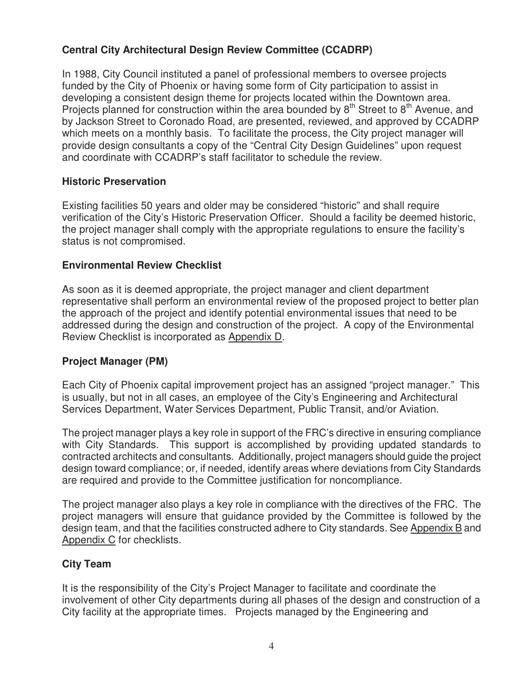# **Central City Architectural Design Review Committee (CCADRP)**

In 1988, City Council instituted a panel of professional members to oversee projects funded by the City of Phoenix or having some form of City participation to assist in developing a consistent design theme for projects located within the Downtown area. Projects planned for construction within the area bounded by  $8<sup>th</sup>$  Street to  $8<sup>th</sup>$  Avenue, and by Jackson Street to Coronado Road, are presented, reviewed, and approved by CCADRP which meets on a monthly basis. To facilitate the process, the City project manager will provide design consultants a copy of the "Central City Design Guidelines" upon request and coordinate with CCADRP's staff facilitator to schedule the review.

# **Historic Preservation**

Existing facilities 50 years and older may be considered "historic" and shall require verification of the City's Historic Preservation Officer. Should a facility be deemed historic, the project manager shall comply with the appropriate regulations to ensure the facility's status is not compromised.

# **Environmental Review Checklist**

As soon as it is deemed appropriate, the project manager and client department representative shall perform an environmental review of the proposed project to better plan the approach of the project and identify potential environmental issues that need to be addressed during the design and construction of the project. A copy of the Environmental Review Checklist is incorporated as Appendix D.

# **Project Manager (PM)**

Each City of Phoenix capital improvement project has an assigned "project manager." This is usually, but not in all cases, an employee of the City's Engineering and Architectural Services Department, Water Services Department, Public Transit, and/or Aviation.

The project manager plays a key role in support of the FRC's directive in ensuring compliance with City Standards. This support is accomplished by providing updated standards to contracted architects and consultants. Additionally, project managers should guide the project design toward compliance; or, if needed, identify areas where deviations from City Standards are required and provide to the Committee justification for noncompliance.

The project manager also plays a key role in compliance with the directives of the FRC. The project managers will ensure that guidance provided by the Committee is followed by the design team, and that the facilities constructed adhere to City standards. See Appendix B and Appendix C for checklists.

# **City Team**

It is the responsibility of the City's Project Manager to facilitate and coordinate the involvement of other City departments during all phases of the design and construction of a City facility at the appropriate times. Projects managed by the Engineering and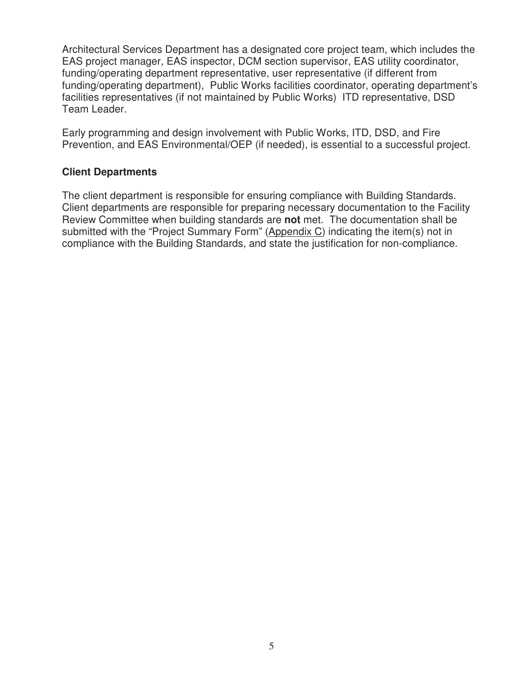Architectural Services Department has a designated core project team, which includes the EAS project manager, EAS inspector, DCM section supervisor, EAS utility coordinator, funding/operating department representative, user representative (if different from funding/operating department), Public Works facilities coordinator, operating department's facilities representatives (if not maintained by Public Works) ITD representative, DSD Team Leader.

Early programming and design involvement with Public Works, ITD, DSD, and Fire Prevention, and EAS Environmental/OEP (if needed), is essential to a successful project.

## **Client Departments**

The client department is responsible for ensuring compliance with Building Standards. Client departments are responsible for preparing necessary documentation to the Facility Review Committee when building standards are **not** met. The documentation shall be submitted with the "Project Summary Form" (Appendix C) indicating the item(s) not in compliance with the Building Standards, and state the justification for non-compliance.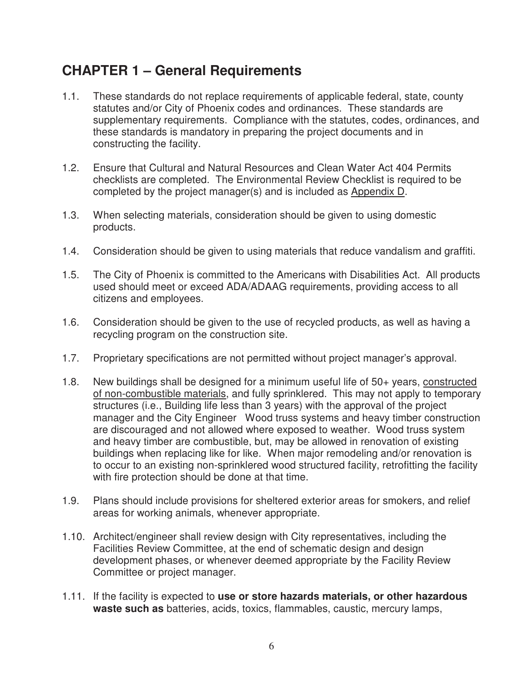# **CHAPTER 1 – General Requirements**

- 1.1. These standards do not replace requirements of applicable federal, state, county statutes and/or City of Phoenix codes and ordinances. These standards are supplementary requirements. Compliance with the statutes, codes, ordinances, and these standards is mandatory in preparing the project documents and in constructing the facility.
- 1.2. Ensure that Cultural and Natural Resources and Clean Water Act 404 Permits checklists are completed. The Environmental Review Checklist is required to be completed by the project manager(s) and is included as Appendix D.
- 1.3. When selecting materials, consideration should be given to using domestic products.
- 1.4. Consideration should be given to using materials that reduce vandalism and graffiti.
- 1.5. The City of Phoenix is committed to the Americans with Disabilities Act. All products used should meet or exceed ADA/ADAAG requirements, providing access to all citizens and employees.
- 1.6. Consideration should be given to the use of recycled products, as well as having a recycling program on the construction site.
- 1.7. Proprietary specifications are not permitted without project manager's approval.
- 1.8. New buildings shall be designed for a minimum useful life of 50+ years, constructed of non-combustible materials, and fully sprinklered. This may not apply to temporary structures (i.e., Building life less than 3 years) with the approval of the project manager and the City Engineer Wood truss systems and heavy timber construction are discouraged and not allowed where exposed to weather. Wood truss system and heavy timber are combustible, but, may be allowed in renovation of existing buildings when replacing like for like. When major remodeling and/or renovation is to occur to an existing non-sprinklered wood structured facility, retrofitting the facility with fire protection should be done at that time.
- 1.9. Plans should include provisions for sheltered exterior areas for smokers, and relief areas for working animals, whenever appropriate.
- 1.10. Architect/engineer shall review design with City representatives, including the Facilities Review Committee, at the end of schematic design and design development phases, or whenever deemed appropriate by the Facility Review Committee or project manager.
- 1.11. If the facility is expected to **use or store hazards materials, or other hazardous waste such as** batteries, acids, toxics, flammables, caustic, mercury lamps,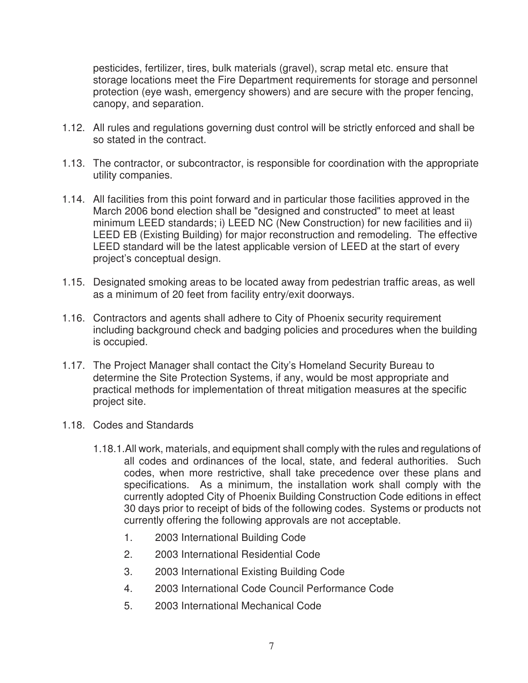pesticides, fertilizer, tires, bulk materials (gravel), scrap metal etc. ensure that storage locations meet the Fire Department requirements for storage and personnel protection (eye wash, emergency showers) and are secure with the proper fencing, canopy, and separation.

- 1.12. All rules and regulations governing dust control will be strictly enforced and shall be so stated in the contract.
- 1.13. The contractor, or subcontractor, is responsible for coordination with the appropriate utility companies.
- 1.14. All facilities from this point forward and in particular those facilities approved in the March 2006 bond election shall be "designed and constructed" to meet at least minimum LEED standards; i) LEED NC (New Construction) for new facilities and ii) LEED EB (Existing Building) for major reconstruction and remodeling. The effective LEED standard will be the latest applicable version of LEED at the start of every project's conceptual design.
- 1.15. Designated smoking areas to be located away from pedestrian traffic areas, as well as a minimum of 20 feet from facility entry/exit doorways.
- 1.16. Contractors and agents shall adhere to City of Phoenix security requirement including background check and badging policies and procedures when the building is occupied.
- 1.17. The Project Manager shall contact the City's Homeland Security Bureau to determine the Site Protection Systems, if any, would be most appropriate and practical methods for implementation of threat mitigation measures at the specific project site.
- 1.18. Codes and Standards
	- 1.18.1.All work, materials, and equipment shall comply with the rules and regulations of all codes and ordinances of the local, state, and federal authorities. Such codes, when more restrictive, shall take precedence over these plans and specifications. As a minimum, the installation work shall comply with the currently adopted City of Phoenix Building Construction Code editions in effect 30 days prior to receipt of bids of the following codes. Systems or products not currently offering the following approvals are not acceptable.
		- 1. 2003 International Building Code
		- 2. 2003 International Residential Code
		- 3. 2003 International Existing Building Code
		- 4. 2003 International Code Council Performance Code
		- 5. 2003 International Mechanical Code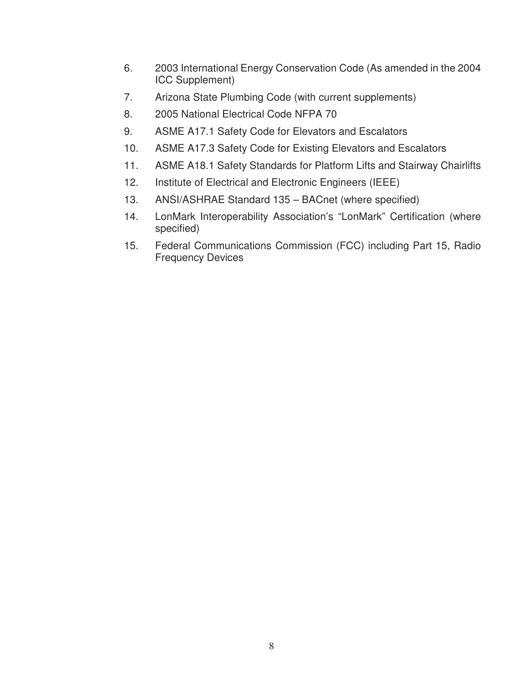- 6. 2003 International Energy Conservation Code (As amended in the 2004 ICC Supplement)
- 7. Arizona State Plumbing Code (with current supplements)
- 8. 2005 National Electrical Code NFPA 70
- 9. ASME A17.1 Safety Code for Elevators and Escalators
- 10. ASME A17.3 Safety Code for Existing Elevators and Escalators
- 11. ASME A18.1 Safety Standards for Platform Lifts and Stairway Chairlifts
- 12. Institute of Electrical and Electronic Engineers (IEEE)
- 13. ANSI/ASHRAE Standard 135 BACnet (where specified)
- 14. LonMark Interoperability Association's "LonMark" Certification (where specified)
- 15. Federal Communications Commission (FCC) including Part 15, Radio Frequency Devices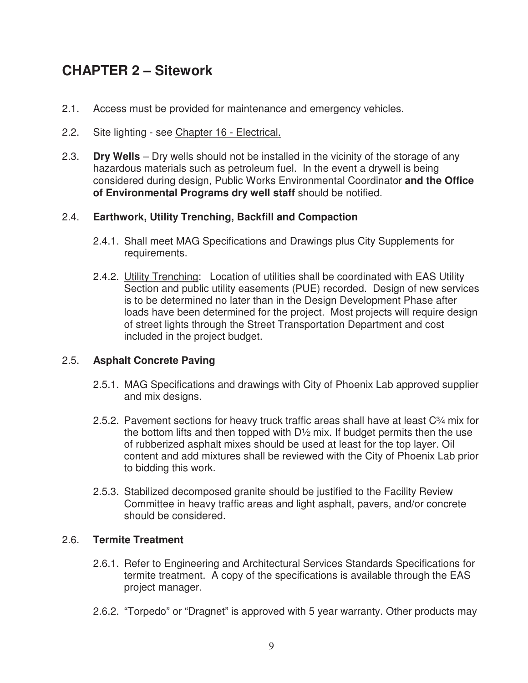# **CHAPTER 2 – Sitework**

- 2.1. Access must be provided for maintenance and emergency vehicles.
- 2.2. Site lighting see Chapter 16 Electrical.
- 2.3. **Dry Wells** Dry wells should not be installed in the vicinity of the storage of any hazardous materials such as petroleum fuel. In the event a drywell is being considered during design, Public Works Environmental Coordinator **and the Office of Environmental Programs dry well staff** should be notified.

# 2.4. **Earthwork, Utility Trenching, Backfill and Compaction**

- 2.4.1. Shall meet MAG Specifications and Drawings plus City Supplements for requirements.
- 2.4.2. Utility Trenching: Location of utilities shall be coordinated with EAS Utility Section and public utility easements (PUE) recorded. Design of new services is to be determined no later than in the Design Development Phase after loads have been determined for the project. Most projects will require design of street lights through the Street Transportation Department and cost included in the project budget.

# 2.5. **Asphalt Concrete Paving**

- 2.5.1. MAG Specifications and drawings with City of Phoenix Lab approved supplier and mix designs.
- 2.5.2. Pavement sections for heavy truck traffic areas shall have at least C¾ mix for the bottom lifts and then topped with  $D\frac{1}{2}$  mix. If budget permits then the use of rubberized asphalt mixes should be used at least for the top layer. Oil content and add mixtures shall be reviewed with the City of Phoenix Lab prior to bidding this work.
- 2.5.3. Stabilized decomposed granite should be justified to the Facility Review Committee in heavy traffic areas and light asphalt, pavers, and/or concrete should be considered.

# 2.6. **Termite Treatment**

- 2.6.1. Refer to Engineering and Architectural Services Standards Specifications for termite treatment. A copy of the specifications is available through the EAS project manager.
- 2.6.2. "Torpedo" or "Dragnet" is approved with 5 year warranty. Other products may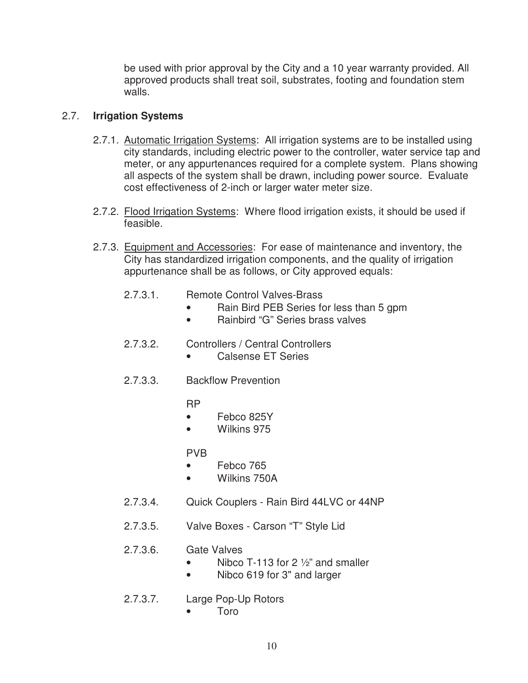be used with prior approval by the City and a 10 year warranty provided. All approved products shall treat soil, substrates, footing and foundation stem walls.

# 2.7. **Irrigation Systems**

- 2.7.1. Automatic Irrigation Systems: All irrigation systems are to be installed using city standards, including electric power to the controller, water service tap and meter, or any appurtenances required for a complete system. Plans showing all aspects of the system shall be drawn, including power source. Evaluate cost effectiveness of 2-inch or larger water meter size.
- 2.7.2. Flood Irrigation Systems: Where flood irrigation exists, it should be used if feasible.
- 2.7.3. Equipment and Accessories: For ease of maintenance and inventory, the City has standardized irrigation components, and the quality of irrigation appurtenance shall be as follows, or City approved equals:
	- 2.7.3.1. Remote Control Valves-Brass
		- Rain Bird PEB Series for less than 5 gpm
		- Rainbird "G" Series brass valves
	- 2.7.3.2. Controllers / Central Controllers
		- Calsense ET Series
	- 2.7.3.3. Backflow Prevention

RP

- Febco 825Y
- Wilkins 975

PVB

- Febco 765
- Wilkins 750A
- 2.7.3.4. Quick Couplers Rain Bird 44LVC or 44NP
- 2.7.3.5. Valve Boxes Carson "T" Style Lid

# 2.7.3.6. Gate Valves

- Nibco T-113 for 2  $\frac{1}{2}$  and smaller
- Nibco 619 for 3" and larger
- 2.7.3.7. Large Pop-Up Rotors
	- Toro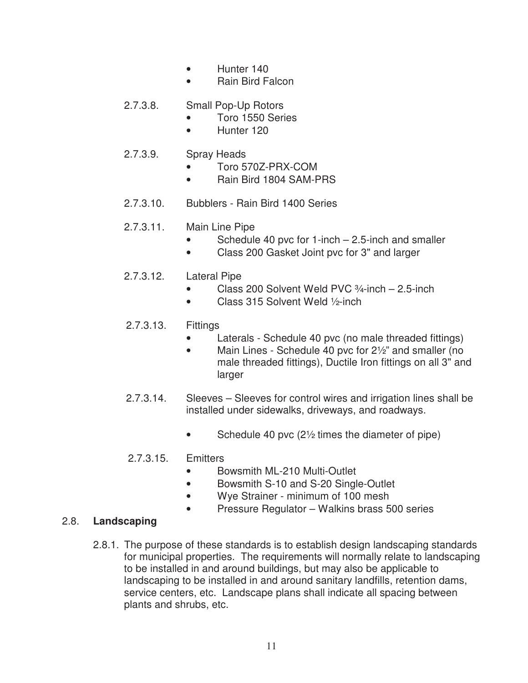- Hunter 140
- Rain Bird Falcon

# 2.7.3.8. Small Pop-Up Rotors

- Toro 1550 Series
- Hunter 120

# 2.7.3.9. Spray Heads

- Toro 570Z-PRX-COM
- Rain Bird 1804 SAM-PRS
- 2.7.3.10. Bubblers Rain Bird 1400 Series

# 2.7.3.11. Main Line Pipe

- Schedule 40 pvc for  $1$ -inch  $-$  2.5-inch and smaller
- Class 200 Gasket Joint pvc for 3" and larger

# 2.7.3.12. Lateral Pipe

- Class 200 Solvent Weld PVC 3/4-inch 2.5-inch
- Class 315 Solvent Weld 1/2-inch

# 2.7.3.13. Fittings

- Laterals Schedule 40 pvc (no male threaded fittings)
- Main Lines Schedule 40 pvc for 2<sup>1</sup>/<sub>2</sub>" and smaller (no male threaded fittings), Ductile Iron fittings on all 3" and larger
- 2.7.3.14. Sleeves Sleeves for control wires and irrigation lines shall be installed under sidewalks, driveways, and roadways.
	- Schedule 40 pvc  $(2\frac{1}{2})$  times the diameter of pipe)

# 2.7.3.15. Emitters

- Bowsmith ML-210 Multi-Outlet
- Bowsmith S-10 and S-20 Single-Outlet
- Wye Strainer minimum of 100 mesh
- Pressure Regulator Walkins brass 500 series

# 2.8. **Landscaping**

 2.8.1. The purpose of these standards is to establish design landscaping standards for municipal properties. The requirements will normally relate to landscaping to be installed in and around buildings, but may also be applicable to landscaping to be installed in and around sanitary landfills, retention dams, service centers, etc. Landscape plans shall indicate all spacing between plants and shrubs, etc.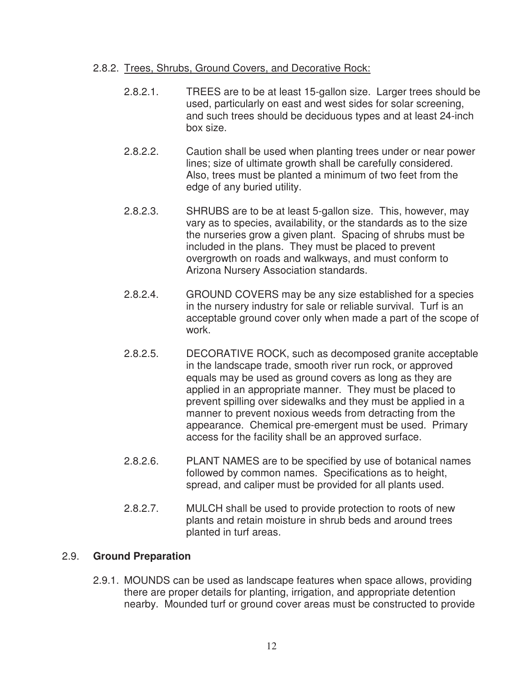#### 2.8.2. Trees, Shrubs, Ground Covers, and Decorative Rock:

- 2.8.2.1. TREES are to be at least 15-gallon size. Larger trees should be used, particularly on east and west sides for solar screening, and such trees should be deciduous types and at least 24-inch box size.
- 2.8.2.2. Caution shall be used when planting trees under or near power lines; size of ultimate growth shall be carefully considered. Also, trees must be planted a minimum of two feet from the edge of any buried utility.
- 2.8.2.3. SHRUBS are to be at least 5-gallon size. This, however, may vary as to species, availability, or the standards as to the size the nurseries grow a given plant. Spacing of shrubs must be included in the plans. They must be placed to prevent overgrowth on roads and walkways, and must conform to Arizona Nursery Association standards.
- 2.8.2.4. GROUND COVERS may be any size established for a species in the nursery industry for sale or reliable survival. Turf is an acceptable ground cover only when made a part of the scope of work.
- 2.8.2.5. DECORATIVE ROCK, such as decomposed granite acceptable in the landscape trade, smooth river run rock, or approved equals may be used as ground covers as long as they are applied in an appropriate manner. They must be placed to prevent spilling over sidewalks and they must be applied in a manner to prevent noxious weeds from detracting from the appearance. Chemical pre-emergent must be used. Primary access for the facility shall be an approved surface.
- 2.8.2.6. PLANT NAMES are to be specified by use of botanical names followed by common names. Specifications as to height, spread, and caliper must be provided for all plants used.
- 2.8.2.7. MULCH shall be used to provide protection to roots of new plants and retain moisture in shrub beds and around trees planted in turf areas.

# 2.9. **Ground Preparation**

2.9.1. MOUNDS can be used as landscape features when space allows, providing there are proper details for planting, irrigation, and appropriate detention nearby. Mounded turf or ground cover areas must be constructed to provide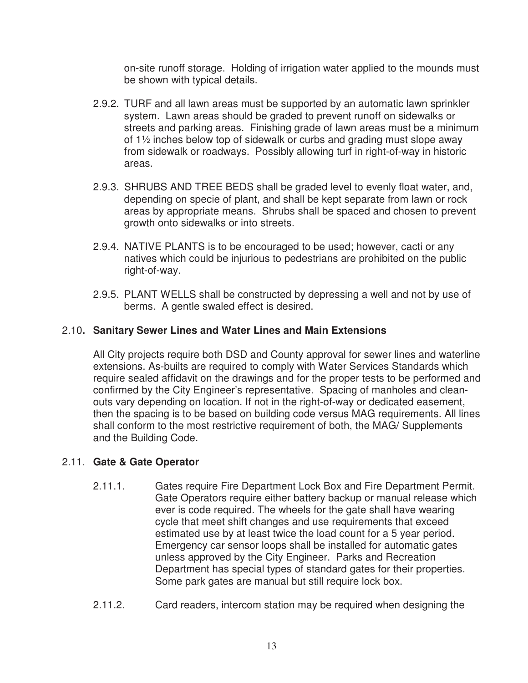on-site runoff storage. Holding of irrigation water applied to the mounds must be shown with typical details.

- 2.9.2. TURF and all lawn areas must be supported by an automatic lawn sprinkler system. Lawn areas should be graded to prevent runoff on sidewalks or streets and parking areas. Finishing grade of lawn areas must be a minimum of 1½ inches below top of sidewalk or curbs and grading must slope away from sidewalk or roadways. Possibly allowing turf in right-of-way in historic areas.
- 2.9.3. SHRUBS AND TREE BEDS shall be graded level to evenly float water, and, depending on specie of plant, and shall be kept separate from lawn or rock areas by appropriate means. Shrubs shall be spaced and chosen to prevent growth onto sidewalks or into streets.
- 2.9.4. NATIVE PLANTS is to be encouraged to be used; however, cacti or any natives which could be injurious to pedestrians are prohibited on the public right-of-way.
- 2.9.5. PLANT WELLS shall be constructed by depressing a well and not by use of berms. A gentle swaled effect is desired.

# 2.10**. Sanitary Sewer Lines and Water Lines and Main Extensions**

All City projects require both DSD and County approval for sewer lines and waterline extensions. As-builts are required to comply with Water Services Standards which require sealed affidavit on the drawings and for the proper tests to be performed and confirmed by the City Engineer's representative. Spacing of manholes and cleanouts vary depending on location. If not in the right-of-way or dedicated easement, then the spacing is to be based on building code versus MAG requirements. All lines shall conform to the most restrictive requirement of both, the MAG/ Supplements and the Building Code.

# 2.11. **Gate & Gate Operator**

- 2.11.1. Gates require Fire Department Lock Box and Fire Department Permit. Gate Operators require either battery backup or manual release which ever is code required. The wheels for the gate shall have wearing cycle that meet shift changes and use requirements that exceed estimated use by at least twice the load count for a 5 year period. Emergency car sensor loops shall be installed for automatic gates unless approved by the City Engineer. Parks and Recreation Department has special types of standard gates for their properties. Some park gates are manual but still require lock box.
- 2.11.2. Card readers, intercom station may be required when designing the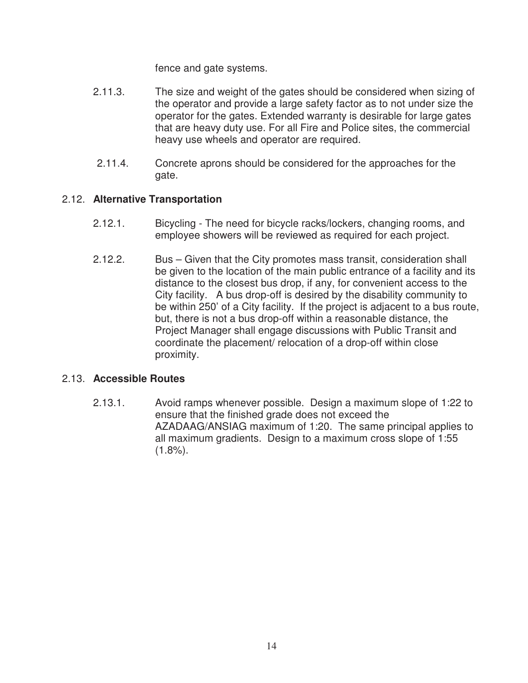fence and gate systems.

- 2.11.3. The size and weight of the gates should be considered when sizing of the operator and provide a large safety factor as to not under size the operator for the gates. Extended warranty is desirable for large gates that are heavy duty use. For all Fire and Police sites, the commercial heavy use wheels and operator are required.
- 2.11.4. Concrete aprons should be considered for the approaches for the gate.

## 2.12. **Alternative Transportation**

- 2.12.1. Bicycling The need for bicycle racks/lockers, changing rooms, and employee showers will be reviewed as required for each project.
- 2.12.2. Bus Given that the City promotes mass transit, consideration shall be given to the location of the main public entrance of a facility and its distance to the closest bus drop, if any, for convenient access to the City facility. A bus drop-off is desired by the disability community to be within 250' of a City facility. If the project is adjacent to a bus route, but, there is not a bus drop-off within a reasonable distance, the Project Manager shall engage discussions with Public Transit and coordinate the placement/ relocation of a drop-off within close proximity.

## 2.13. **Accessible Routes**

 2.13.1. Avoid ramps whenever possible. Design a maximum slope of 1:22 to ensure that the finished grade does not exceed the AZADAAG/ANSIAG maximum of 1:20. The same principal applies to all maximum gradients. Design to a maximum cross slope of 1:55  $(1.8\%)$ .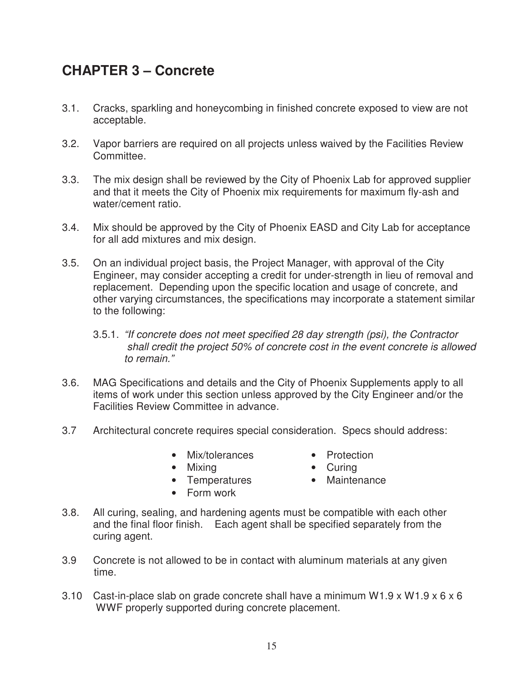# **CHAPTER 3 – Concrete**

- 3.1. Cracks, sparkling and honeycombing in finished concrete exposed to view are not acceptable.
- 3.2. Vapor barriers are required on all projects unless waived by the Facilities Review Committee.
- 3.3. The mix design shall be reviewed by the City of Phoenix Lab for approved supplier and that it meets the City of Phoenix mix requirements for maximum fly-ash and water/cement ratio.
- 3.4. Mix should be approved by the City of Phoenix EASD and City Lab for acceptance for all add mixtures and mix design.
- 3.5. On an individual project basis, the Project Manager, with approval of the City Engineer, may consider accepting a credit for under-strength in lieu of removal and replacement. Depending upon the specific location and usage of concrete, and other varying circumstances, the specifications may incorporate a statement similar to the following:
	- 3.5.1. "If concrete does not meet specified 28 day strength (psi), the Contractor shall credit the project 50% of concrete cost in the event concrete is allowed to remain."
- 3.6. MAG Specifications and details and the City of Phoenix Supplements apply to all items of work under this section unless approved by the City Engineer and/or the Facilities Review Committee in advance.
- 3.7 Architectural concrete requires special consideration. Specs should address:
	- Mix/tolerances Protection
		-
	- Mixing Curing
	- Temperatures Maintenance
	- Form work
- 3.8. All curing, sealing, and hardening agents must be compatible with each other and the final floor finish. Each agent shall be specified separately from the curing agent.
- 3.9 Concrete is not allowed to be in contact with aluminum materials at any given time.
- 3.10 Cast-in-place slab on grade concrete shall have a minimum W1.9 x W1.9 x 6 x 6 WWF properly supported during concrete placement.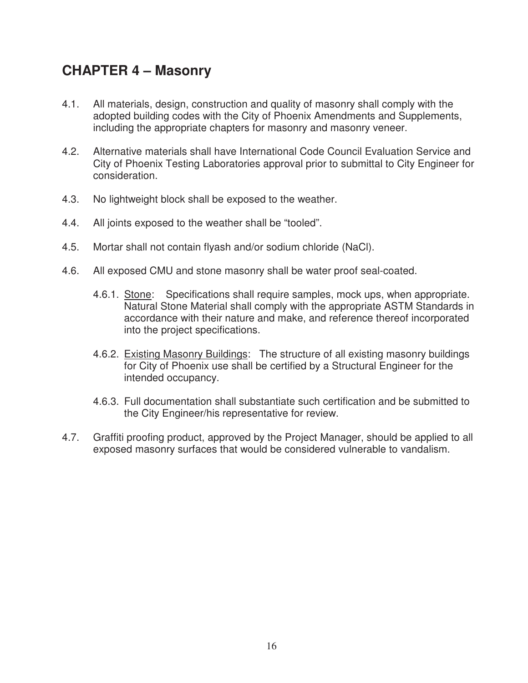# **CHAPTER 4 – Masonry**

- 4.1. All materials, design, construction and quality of masonry shall comply with the adopted building codes with the City of Phoenix Amendments and Supplements, including the appropriate chapters for masonry and masonry veneer.
- 4.2. Alternative materials shall have International Code Council Evaluation Service and City of Phoenix Testing Laboratories approval prior to submittal to City Engineer for consideration.
- 4.3. No lightweight block shall be exposed to the weather.
- 4.4. All joints exposed to the weather shall be "tooled".
- 4.5. Mortar shall not contain flyash and/or sodium chloride (NaCl).
- 4.6. All exposed CMU and stone masonry shall be water proof seal-coated.
	- 4.6.1. Stone: Specifications shall require samples, mock ups, when appropriate. Natural Stone Material shall comply with the appropriate ASTM Standards in accordance with their nature and make, and reference thereof incorporated into the project specifications.
	- 4.6.2. Existing Masonry Buildings: The structure of all existing masonry buildings for City of Phoenix use shall be certified by a Structural Engineer for the intended occupancy.
	- 4.6.3. Full documentation shall substantiate such certification and be submitted to the City Engineer/his representative for review.
- 4.7. Graffiti proofing product, approved by the Project Manager, should be applied to all exposed masonry surfaces that would be considered vulnerable to vandalism.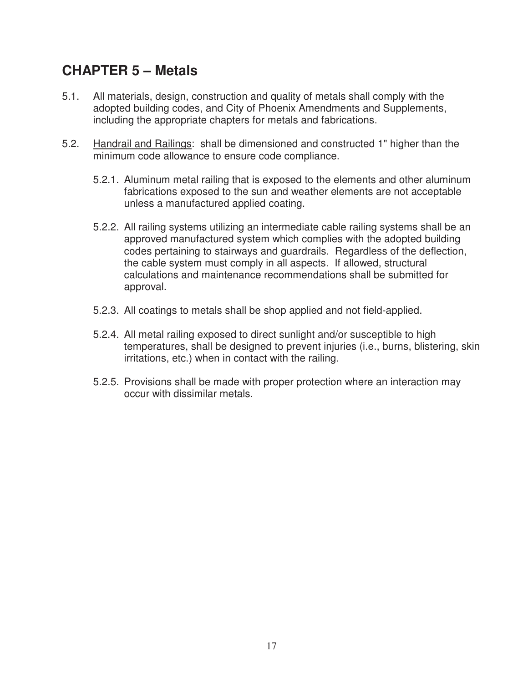# **CHAPTER 5 – Metals**

- 5.1. All materials, design, construction and quality of metals shall comply with the adopted building codes, and City of Phoenix Amendments and Supplements, including the appropriate chapters for metals and fabrications.
- 5.2. Handrail and Railings: shall be dimensioned and constructed 1" higher than the minimum code allowance to ensure code compliance.
	- 5.2.1. Aluminum metal railing that is exposed to the elements and other aluminum fabrications exposed to the sun and weather elements are not acceptable unless a manufactured applied coating.
	- 5.2.2. All railing systems utilizing an intermediate cable railing systems shall be an approved manufactured system which complies with the adopted building codes pertaining to stairways and guardrails. Regardless of the deflection, the cable system must comply in all aspects. If allowed, structural calculations and maintenance recommendations shall be submitted for approval.
	- 5.2.3. All coatings to metals shall be shop applied and not field-applied.
	- 5.2.4. All metal railing exposed to direct sunlight and/or susceptible to high temperatures, shall be designed to prevent injuries (i.e., burns, blistering, skin irritations, etc.) when in contact with the railing.
	- 5.2.5. Provisions shall be made with proper protection where an interaction may occur with dissimilar metals.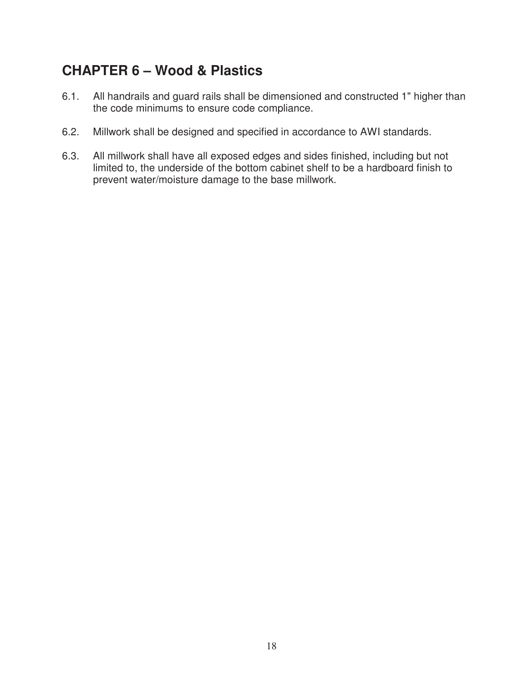# **CHAPTER 6 – Wood & Plastics**

- 6.1. All handrails and guard rails shall be dimensioned and constructed 1" higher than the code minimums to ensure code compliance.
- 6.2. Millwork shall be designed and specified in accordance to AWI standards.
- 6.3. All millwork shall have all exposed edges and sides finished, including but not limited to, the underside of the bottom cabinet shelf to be a hardboard finish to prevent water/moisture damage to the base millwork.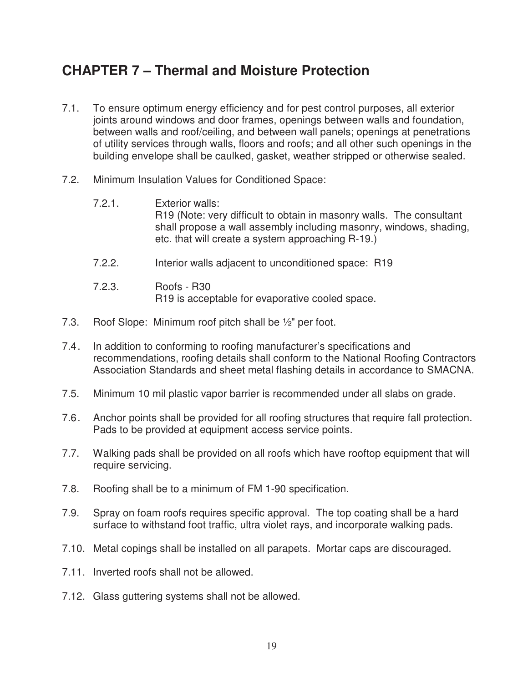# **CHAPTER 7 – Thermal and Moisture Protection**

- 7.1. To ensure optimum energy efficiency and for pest control purposes, all exterior joints around windows and door frames, openings between walls and foundation, between walls and roof/ceiling, and between wall panels; openings at penetrations of utility services through walls, floors and roofs; and all other such openings in the building envelope shall be caulked, gasket, weather stripped or otherwise sealed.
- 7.2. Minimum Insulation Values for Conditioned Space:
	- 7.2.1. Exterior walls: R19 (Note: very difficult to obtain in masonry walls. The consultant shall propose a wall assembly including masonry, windows, shading, etc. that will create a system approaching R-19.)
	- 7.2.2. Interior walls adjacent to unconditioned space: R19
	- 7.2.3. Roofs R30 R19 is acceptable for evaporative cooled space.
- 7.3. Roof Slope: Minimum roof pitch shall be ½" per foot.
- 7.4 . In addition to conforming to roofing manufacturer's specifications and recommendations, roofing details shall conform to the National Roofing Contractors Association Standards and sheet metal flashing details in accordance to SMACNA.
- 7.5. Minimum 10 mil plastic vapor barrier is recommended under all slabs on grade.
- 7.6 . Anchor points shall be provided for all roofing structures that require fall protection. Pads to be provided at equipment access service points.
- 7.7. Walking pads shall be provided on all roofs which have rooftop equipment that will require servicing.
- 7.8. Roofing shall be to a minimum of FM 1-90 specification.
- 7.9. Spray on foam roofs requires specific approval. The top coating shall be a hard surface to withstand foot traffic, ultra violet rays, and incorporate walking pads.
- 7.10. Metal copings shall be installed on all parapets. Mortar caps are discouraged.
- 7.11. Inverted roofs shall not be allowed.
- 7.12. Glass guttering systems shall not be allowed.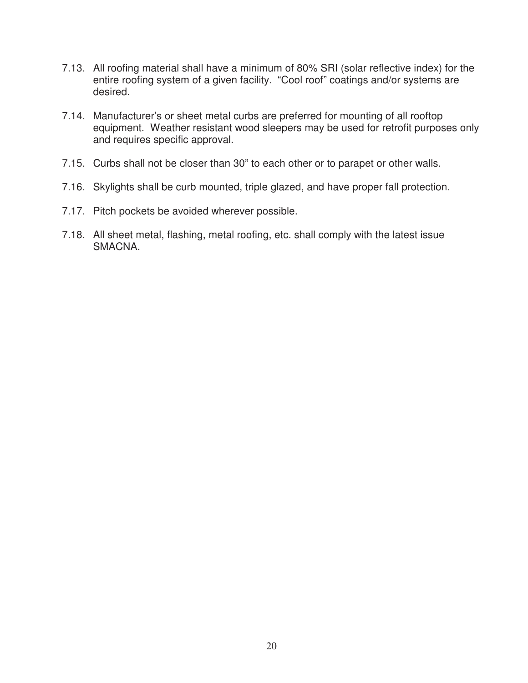- 7.13. All roofing material shall have a minimum of 80% SRI (solar reflective index) for the entire roofing system of a given facility. "Cool roof" coatings and/or systems are desired.
- 7.14. Manufacturer's or sheet metal curbs are preferred for mounting of all rooftop equipment. Weather resistant wood sleepers may be used for retrofit purposes only and requires specific approval.
- 7.15. Curbs shall not be closer than 30" to each other or to parapet or other walls.
- 7.16. Skylights shall be curb mounted, triple glazed, and have proper fall protection.
- 7.17. Pitch pockets be avoided wherever possible.
- 7.18. All sheet metal, flashing, metal roofing, etc. shall comply with the latest issue SMACNA.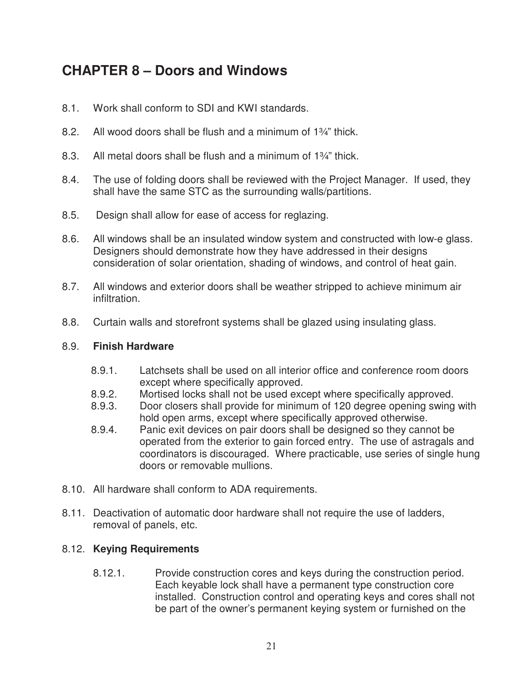# **CHAPTER 8 – Doors and Windows**

- 8.1. Work shall conform to SDI and KWI standards.
- 8.2. All wood doors shall be flush and a minimum of 1¾" thick.
- 8.3. All metal doors shall be flush and a minimum of 1<sup>3</sup>/<sub>4</sub>" thick.
- 8.4. The use of folding doors shall be reviewed with the Project Manager. If used, they shall have the same STC as the surrounding walls/partitions.
- 8.5. Design shall allow for ease of access for reglazing.
- 8.6. All windows shall be an insulated window system and constructed with low-e glass. Designers should demonstrate how they have addressed in their designs consideration of solar orientation, shading of windows, and control of heat gain.
- 8.7. All windows and exterior doors shall be weather stripped to achieve minimum air infiltration.
- 8.8. Curtain walls and storefront systems shall be glazed using insulating glass.

## 8.9. **Finish Hardware**

- 8.9.1. Latchsets shall be used on all interior office and conference room doors except where specifically approved.
- 8.9.2. Mortised locks shall not be used except where specifically approved.
- 8.9.3. Door closers shall provide for minimum of 120 degree opening swing with hold open arms, except where specifically approved otherwise.
- 8.9.4. Panic exit devices on pair doors shall be designed so they cannot be operated from the exterior to gain forced entry. The use of astragals and coordinators is discouraged. Where practicable, use series of single hung doors or removable mullions.
- 8.10. All hardware shall conform to ADA requirements.
- 8.11. Deactivation of automatic door hardware shall not require the use of ladders, removal of panels, etc.

# 8.12. **Keying Requirements**

 8.12.1. Provide construction cores and keys during the construction period. Each keyable lock shall have a permanent type construction core installed. Construction control and operating keys and cores shall not be part of the owner's permanent keying system or furnished on the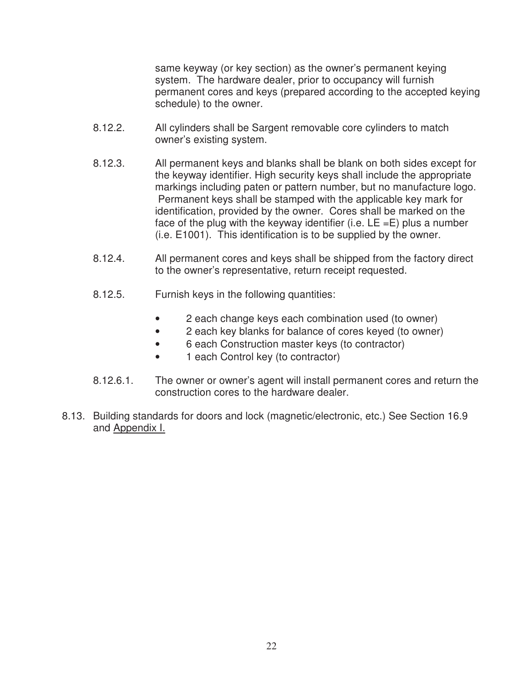same keyway (or key section) as the owner's permanent keying system. The hardware dealer, prior to occupancy will furnish permanent cores and keys (prepared according to the accepted keying schedule) to the owner.

- 8.12.2. All cylinders shall be Sargent removable core cylinders to match owner's existing system.
- 8.12.3. All permanent keys and blanks shall be blank on both sides except for the keyway identifier. High security keys shall include the appropriate markings including paten or pattern number, but no manufacture logo. Permanent keys shall be stamped with the applicable key mark for identification, provided by the owner. Cores shall be marked on the face of the plug with the keyway identifier (i.e.  $LE = E$ ) plus a number (i.e. E1001). This identification is to be supplied by the owner.
- 8.12.4. All permanent cores and keys shall be shipped from the factory direct to the owner's representative, return receipt requested.
- 8.12.5. Furnish keys in the following quantities:
	- 2 each change keys each combination used (to owner)
	- 2 each key blanks for balance of cores keyed (to owner)
	- 6 each Construction master keys (to contractor)
	- 1 each Control key (to contractor)
- 8.12.6.1. The owner or owner's agent will install permanent cores and return the construction cores to the hardware dealer.
- 8.13. Building standards for doors and lock (magnetic/electronic, etc.) See Section 16.9 and Appendix I.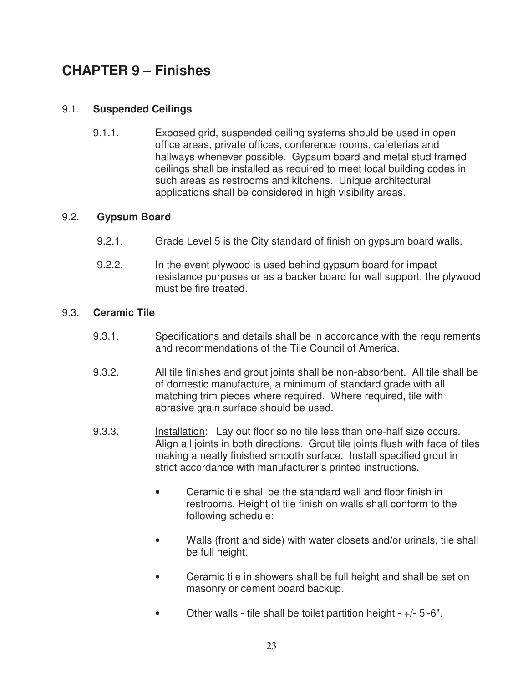# **CHAPTER 9 – Finishes**

# 9.1. **Suspended Ceilings**

9.1.1. Exposed grid, suspended ceiling systems should be used in open office areas, private offices, conference rooms, cafeterias and hallways whenever possible. Gypsum board and metal stud framed ceilings shall be installed as required to meet local building codes in such areas as restrooms and kitchens. Unique architectural applications shall be considered in high visibility areas.

## 9.2. **Gypsum Board**

- 9.2.1. Grade Level 5 is the City standard of finish on gypsum board walls.
- 9.2.2. In the event plywood is used behind gypsum board for impact resistance purposes or as a backer board for wall support, the plywood must be fire treated.

## 9.3. **Ceramic Tile**

- 9.3.1. Specifications and details shall be in accordance with the requirements and recommendations of the Tile Council of America.
- 9.3.2. All tile finishes and grout joints shall be non-absorbent. All tile shall be of domestic manufacture, a minimum of standard grade with all matching trim pieces where required. Where required, tile with abrasive grain surface should be used.
- 9.3.3. Installation: Lay out floor so no tile less than one-half size occurs. Align all joints in both directions. Grout tile joints flush with face of tiles making a neatly finished smooth surface. Install specified grout in strict accordance with manufacturer's printed instructions.
	- Ceramic tile shall be the standard wall and floor finish in restrooms. Height of tile finish on walls shall conform to the following schedule:
	- Walls (front and side) with water closets and/or urinals, tile shall be full height.
	- Ceramic tile in showers shall be full height and shall be set on masonry or cement board backup.
	- Other walls tile shall be toilet partition height  $+/-5$ '-6".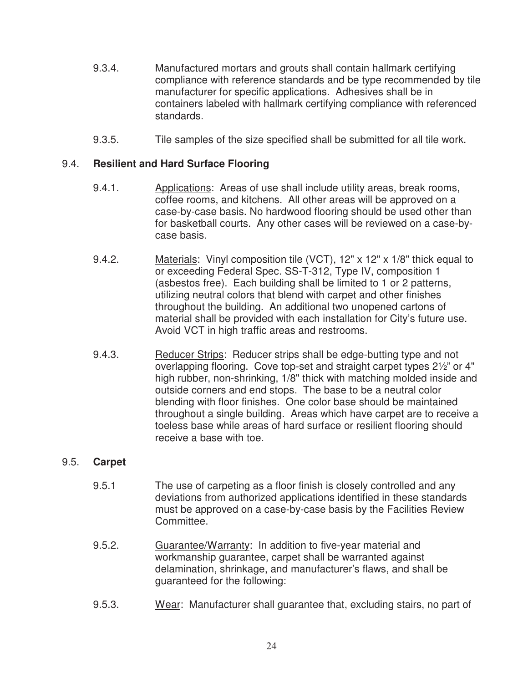- 9.3.4. Manufactured mortars and grouts shall contain hallmark certifying compliance with reference standards and be type recommended by tile manufacturer for specific applications. Adhesives shall be in containers labeled with hallmark certifying compliance with referenced standards.
- 9.3.5. Tile samples of the size specified shall be submitted for all tile work.

## 9.4. **Resilient and Hard Surface Flooring**

- 9.4.1. Applications: Areas of use shall include utility areas, break rooms, coffee rooms, and kitchens. All other areas will be approved on a case-by-case basis. No hardwood flooring should be used other than for basketball courts. Any other cases will be reviewed on a case-bycase basis.
- 9.4.2. Materials: Vinyl composition tile (VCT), 12" x 12" x 1/8" thick equal to or exceeding Federal Spec. SS-T-312, Type IV, composition 1 (asbestos free). Each building shall be limited to 1 or 2 patterns, utilizing neutral colors that blend with carpet and other finishes throughout the building. An additional two unopened cartons of material shall be provided with each installation for City's future use. Avoid VCT in high traffic areas and restrooms.
- 9.4.3. Reducer Strips: Reducer strips shall be edge-butting type and not overlapping flooring. Cove top-set and straight carpet types 2½" or 4" high rubber, non-shrinking, 1/8" thick with matching molded inside and outside corners and end stops. The base to be a neutral color blending with floor finishes. One color base should be maintained throughout a single building. Areas which have carpet are to receive a toeless base while areas of hard surface or resilient flooring should receive a base with toe.

## 9.5. **Carpet**

- 9.5.1 The use of carpeting as a floor finish is closely controlled and any deviations from authorized applications identified in these standards must be approved on a case-by-case basis by the Facilities Review Committee.
- 9.5.2. Guarantee/Warranty: In addition to five-year material and workmanship guarantee, carpet shall be warranted against delamination, shrinkage, and manufacturer's flaws, and shall be guaranteed for the following:
- 9.5.3. Wear: Manufacturer shall guarantee that, excluding stairs, no part of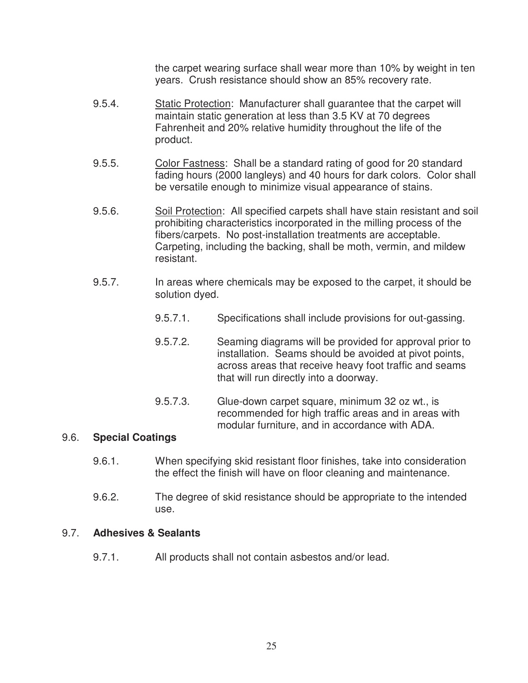the carpet wearing surface shall wear more than 10% by weight in ten years. Crush resistance should show an 85% recovery rate.

- 9.5.4. Static Protection: Manufacturer shall guarantee that the carpet will maintain static generation at less than 3.5 KV at 70 degrees Fahrenheit and 20% relative humidity throughout the life of the product.
- 9.5.5. Color Fastness: Shall be a standard rating of good for 20 standard fading hours (2000 langleys) and 40 hours for dark colors. Color shall be versatile enough to minimize visual appearance of stains.
- 9.5.6. Soil Protection: All specified carpets shall have stain resistant and soil prohibiting characteristics incorporated in the milling process of the fibers/carpets. No post-installation treatments are acceptable. Carpeting, including the backing, shall be moth, vermin, and mildew resistant.
- 9.5.7. In areas where chemicals may be exposed to the carpet, it should be solution dyed.
	- 9.5.7.1. Specifications shall include provisions for out-gassing.
	- 9.5.7.2. Seaming diagrams will be provided for approval prior to installation. Seams should be avoided at pivot points, across areas that receive heavy foot traffic and seams that will run directly into a doorway.
	- 9.5.7.3. Glue-down carpet square, minimum 32 oz wt., is recommended for high traffic areas and in areas with modular furniture, and in accordance with ADA.

## 9.6. **Special Coatings**

- 9.6.1. When specifying skid resistant floor finishes, take into consideration the effect the finish will have on floor cleaning and maintenance.
- 9.6.2. The degree of skid resistance should be appropriate to the intended use.

#### 9.7. **Adhesives & Sealants**

9.7.1. All products shall not contain asbestos and/or lead.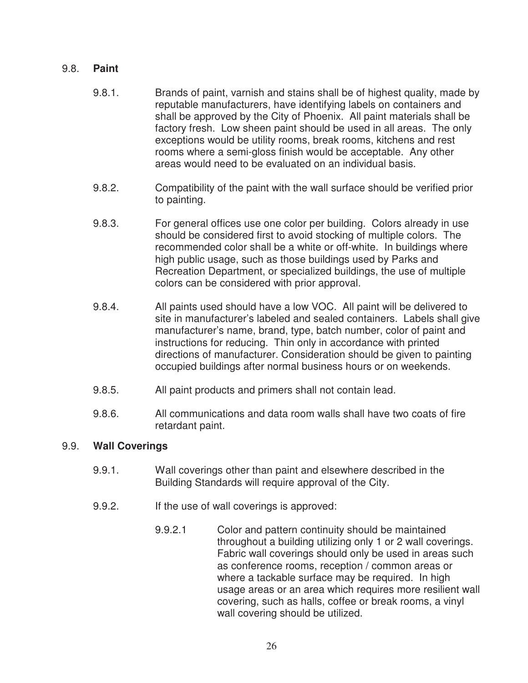## 9.8. **Paint**

- 9.8.1. Brands of paint, varnish and stains shall be of highest quality, made by reputable manufacturers, have identifying labels on containers and shall be approved by the City of Phoenix. All paint materials shall be factory fresh. Low sheen paint should be used in all areas. The only exceptions would be utility rooms, break rooms, kitchens and rest rooms where a semi-gloss finish would be acceptable. Any other areas would need to be evaluated on an individual basis.
- 9.8.2. Compatibility of the paint with the wall surface should be verified prior to painting.
- 9.8.3. For general offices use one color per building. Colors already in use should be considered first to avoid stocking of multiple colors. The recommended color shall be a white or off-white. In buildings where high public usage, such as those buildings used by Parks and Recreation Department, or specialized buildings, the use of multiple colors can be considered with prior approval.
- 9.8.4. All paints used should have a low VOC. All paint will be delivered to site in manufacturer's labeled and sealed containers. Labels shall give manufacturer's name, brand, type, batch number, color of paint and instructions for reducing. Thin only in accordance with printed directions of manufacturer. Consideration should be given to painting occupied buildings after normal business hours or on weekends.
- 9.8.5. All paint products and primers shall not contain lead.
- 9.8.6. All communications and data room walls shall have two coats of fire retardant paint.

## 9.9. **Wall Coverings**

- 9.9.1. Wall coverings other than paint and elsewhere described in the Building Standards will require approval of the City.
- 9.9.2. If the use of wall coverings is approved:
	- 9.9.2.1 Color and pattern continuity should be maintained throughout a building utilizing only 1 or 2 wall coverings. Fabric wall coverings should only be used in areas such as conference rooms, reception / common areas or where a tackable surface may be required. In high usage areas or an area which requires more resilient wall covering, such as halls, coffee or break rooms, a vinyl wall covering should be utilized.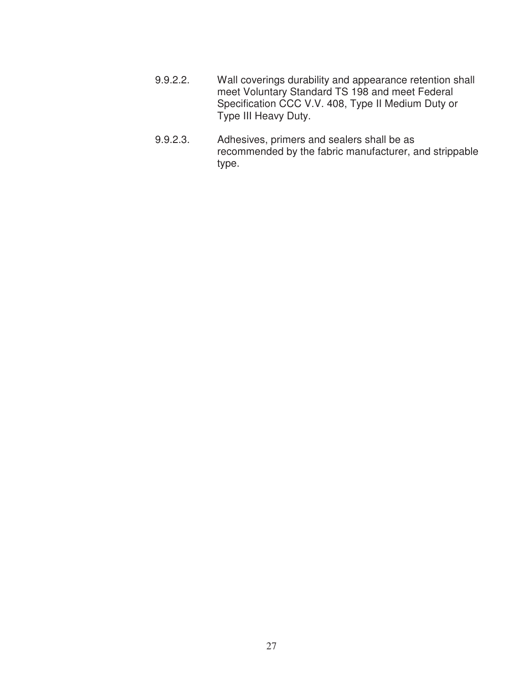- 9.9.2.2. Wall coverings durability and appearance retention shall meet Voluntary Standard TS 198 and meet Federal Specification CCC V.V. 408, Type II Medium Duty or Type III Heavy Duty.
- 9.9.2.3. Adhesives, primers and sealers shall be as recommended by the fabric manufacturer, and strippable type.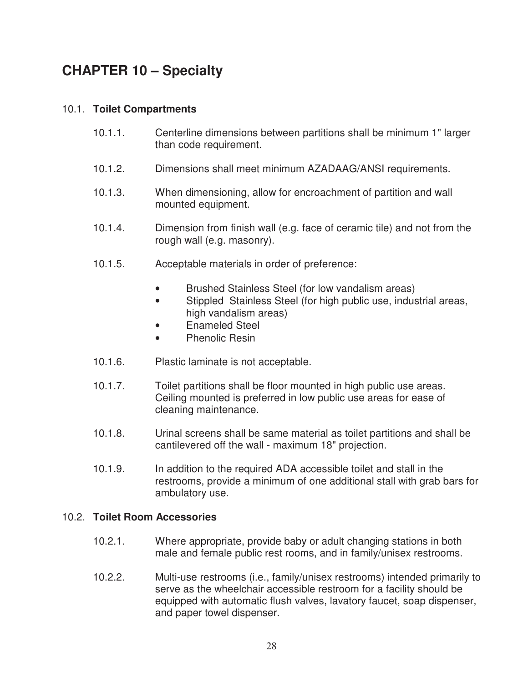# **CHAPTER 10 – Specialty**

# 10.1. **Toilet Compartments**

- 10.1.1. Centerline dimensions between partitions shall be minimum 1" larger than code requirement.
- 10.1.2. Dimensions shall meet minimum AZADAAG/ANSI requirements.
- 10.1.3. When dimensioning, allow for encroachment of partition and wall mounted equipment.
- 10.1.4. Dimension from finish wall (e.g. face of ceramic tile) and not from the rough wall (e.g. masonry).
- 10.1.5. Acceptable materials in order of preference:
	- Brushed Stainless Steel (for low vandalism areas)
	- Stippled Stainless Steel (for high public use, industrial areas, high vandalism areas)
	- Enameled Steel
	- Phenolic Resin
- 10.1.6. Plastic laminate is not acceptable.
- 10.1.7. Toilet partitions shall be floor mounted in high public use areas. Ceiling mounted is preferred in low public use areas for ease of cleaning maintenance.
- 10.1.8. Urinal screens shall be same material as toilet partitions and shall be cantilevered off the wall - maximum 18" projection.
- 10.1.9. In addition to the required ADA accessible toilet and stall in the restrooms, provide a minimum of one additional stall with grab bars for ambulatory use.

## 10.2. **Toilet Room Accessories**

- 10.2.1. Where appropriate, provide baby or adult changing stations in both male and female public rest rooms, and in family/unisex restrooms.
- 10.2.2. Multi-use restrooms (i.e., family/unisex restrooms) intended primarily to serve as the wheelchair accessible restroom for a facility should be equipped with automatic flush valves, lavatory faucet, soap dispenser, and paper towel dispenser.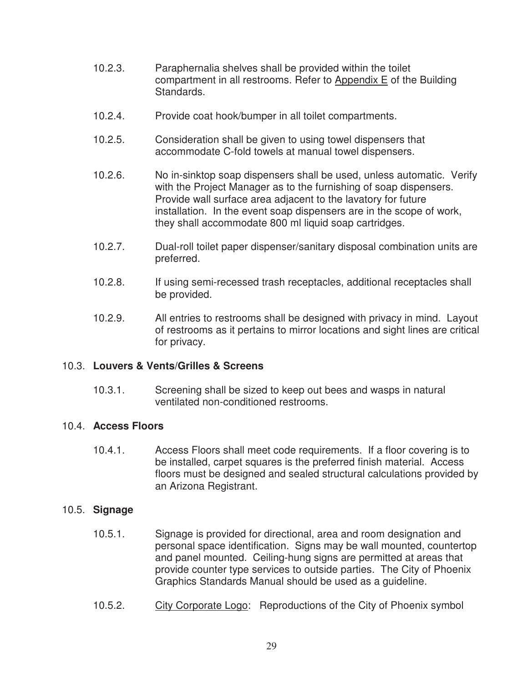- 10.2.3. Paraphernalia shelves shall be provided within the toilet compartment in all restrooms. Refer to Appendix E of the Building Standards.
- 10.2.4. Provide coat hook/bumper in all toilet compartments.
- 10.2.5. Consideration shall be given to using towel dispensers that accommodate C-fold towels at manual towel dispensers.
- 10.2.6. No in-sinktop soap dispensers shall be used, unless automatic. Verify with the Project Manager as to the furnishing of soap dispensers. Provide wall surface area adjacent to the lavatory for future installation. In the event soap dispensers are in the scope of work, they shall accommodate 800 ml liquid soap cartridges.
- 10.2.7. Dual-roll toilet paper dispenser/sanitary disposal combination units are preferred.
- 10.2.8. If using semi-recessed trash receptacles, additional receptacles shall be provided.
- 10.2.9. All entries to restrooms shall be designed with privacy in mind. Layout of restrooms as it pertains to mirror locations and sight lines are critical for privacy.

# 10.3. **Louvers & Vents/Grilles & Screens**

 10.3.1. Screening shall be sized to keep out bees and wasps in natural ventilated non-conditioned restrooms.

## 10.4. **Access Floors**

 10.4.1. Access Floors shall meet code requirements. If a floor covering is to be installed, carpet squares is the preferred finish material. Access floors must be designed and sealed structural calculations provided by an Arizona Registrant.

## 10.5. **Signage**

- 10.5.1. Signage is provided for directional, area and room designation and personal space identification. Signs may be wall mounted, countertop and panel mounted. Ceiling-hung signs are permitted at areas that provide counter type services to outside parties. The City of Phoenix Graphics Standards Manual should be used as a guideline.
- 10.5.2. City Corporate Logo: Reproductions of the City of Phoenix symbol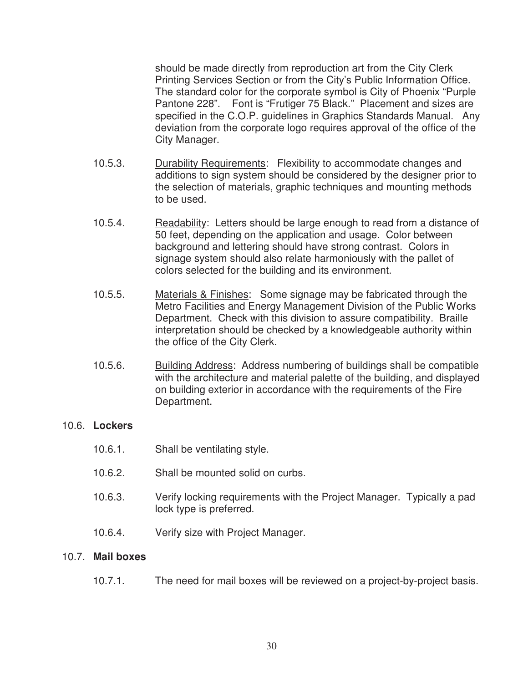should be made directly from reproduction art from the City Clerk Printing Services Section or from the City's Public Information Office. The standard color for the corporate symbol is City of Phoenix "Purple Pantone 228". Font is "Frutiger 75 Black." Placement and sizes are specified in the C.O.P. guidelines in Graphics Standards Manual. Any deviation from the corporate logo requires approval of the office of the City Manager.

- 10.5.3. Durability Requirements: Flexibility to accommodate changes and additions to sign system should be considered by the designer prior to the selection of materials, graphic techniques and mounting methods to be used.
- 10.5.4. Readability: Letters should be large enough to read from a distance of 50 feet, depending on the application and usage. Color between background and lettering should have strong contrast. Colors in signage system should also relate harmoniously with the pallet of colors selected for the building and its environment.
- 10.5.5. Materials & Finishes: Some signage may be fabricated through the Metro Facilities and Energy Management Division of the Public Works Department. Check with this division to assure compatibility. Braille interpretation should be checked by a knowledgeable authority within the office of the City Clerk.
- 10.5.6. Building Address: Address numbering of buildings shall be compatible with the architecture and material palette of the building, and displayed on building exterior in accordance with the requirements of the Fire Department.

## 10.6. **Lockers**

- 10.6.1. Shall be ventilating style.
- 10.6.2. Shall be mounted solid on curbs.
- 10.6.3. Verify locking requirements with the Project Manager. Typically a pad lock type is preferred.
- 10.6.4. Verify size with Project Manager.

## 10.7. **Mail boxes**

10.7.1. The need for mail boxes will be reviewed on a project-by-project basis.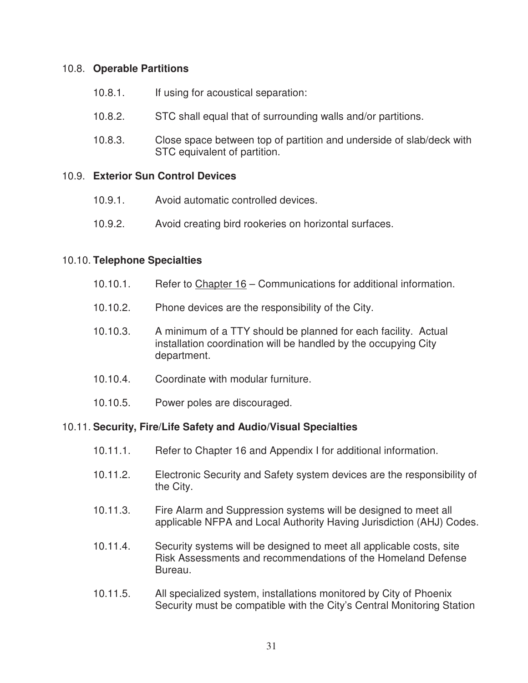## 10.8. **Operable Partitions**

- 10.8.1. If using for acoustical separation:
- 10.8.2. STC shall equal that of surrounding walls and/or partitions.
- 10.8.3. Close space between top of partition and underside of slab/deck with STC equivalent of partition.

## 10.9. **Exterior Sun Control Devices**

- 10.9.1. Avoid automatic controlled devices.
- 10.9.2. Avoid creating bird rookeries on horizontal surfaces.

## 10.10. **Telephone Specialties**

- 10.10.1. Refer to Chapter 16 Communications for additional information.
- 10.10.2. Phone devices are the responsibility of the City.
- 10.10.3. A minimum of a TTY should be planned for each facility. Actual installation coordination will be handled by the occupying City department.
- 10.10.4. Coordinate with modular furniture.
- 10.10.5. Power poles are discouraged.

# 10.11. **Security, Fire/Life Safety and Audio/Visual Specialties**

- 10.11.1. Refer to Chapter 16 and Appendix I for additional information.
- 10.11.2. Electronic Security and Safety system devices are the responsibility of the City.
- 10.11.3. Fire Alarm and Suppression systems will be designed to meet all applicable NFPA and Local Authority Having Jurisdiction (AHJ) Codes.
- 10.11.4. Security systems will be designed to meet all applicable costs, site Risk Assessments and recommendations of the Homeland Defense Bureau.
- 10.11.5. All specialized system, installations monitored by City of Phoenix Security must be compatible with the City's Central Monitoring Station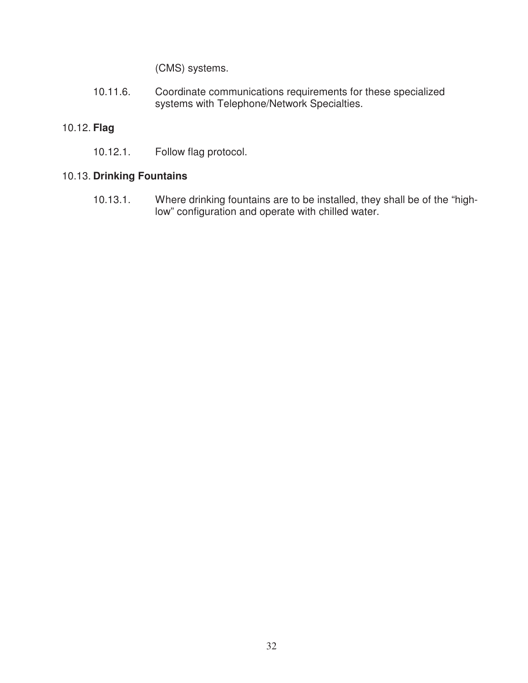(CMS) systems.

10.11.6. Coordinate communications requirements for these specialized systems with Telephone/Network Specialties.

# 10.12. **Flag**

10.12.1. Follow flag protocol.

# 10.13. **Drinking Fountains**

10.13.1. Where drinking fountains are to be installed, they shall be of the "highlow" configuration and operate with chilled water.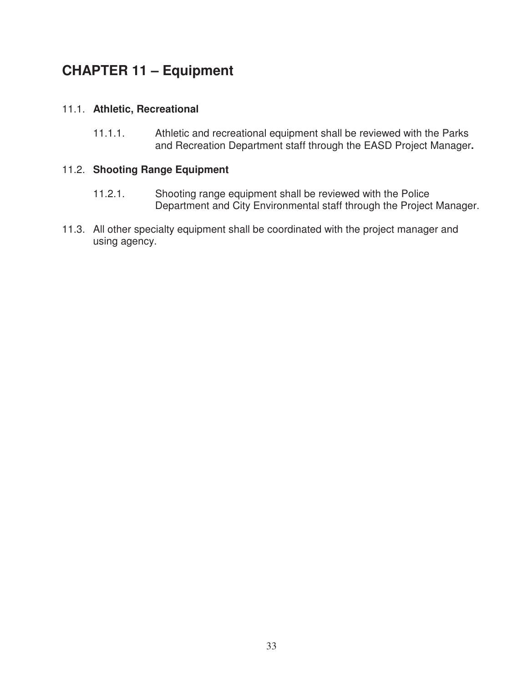# **CHAPTER 11 – Equipment**

# 11.1. **Athletic, Recreational**

 11.1.1. Athletic and recreational equipment shall be reviewed with the Parks and Recreation Department staff through the EASD Project Manager**.**

## 11.2. **Shooting Range Equipment**

- 11.2.1. Shooting range equipment shall be reviewed with the Police Department and City Environmental staff through the Project Manager.
- 11.3. All other specialty equipment shall be coordinated with the project manager and using agency.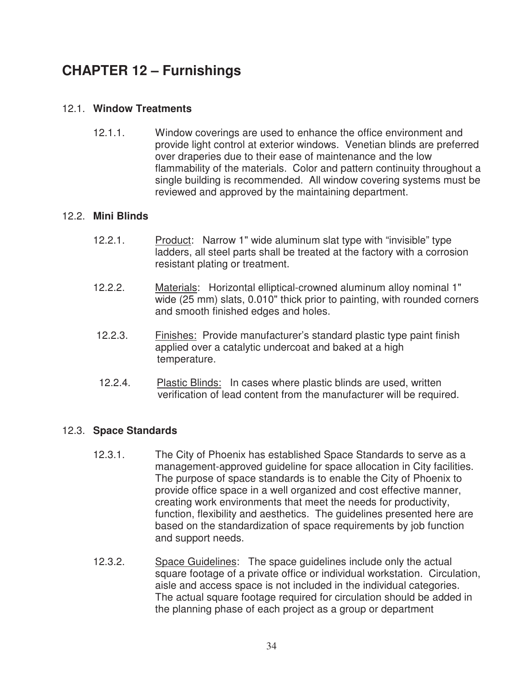# **CHAPTER 12 – Furnishings**

# 12.1. **Window Treatments**

 12.1.1. Window coverings are used to enhance the office environment and provide light control at exterior windows. Venetian blinds are preferred over draperies due to their ease of maintenance and the low flammability of the materials. Color and pattern continuity throughout a single building is recommended. All window covering systems must be reviewed and approved by the maintaining department.

## 12.2. **Mini Blinds**

- 12.2.1. Product: Narrow 1" wide aluminum slat type with "invisible" type ladders, all steel parts shall be treated at the factory with a corrosion resistant plating or treatment.
- 12.2.2. Materials: Horizontal elliptical-crowned aluminum alloy nominal 1" wide (25 mm) slats, 0.010" thick prior to painting, with rounded corners and smooth finished edges and holes.
- 12.2.3. Finishes: Provide manufacturer's standard plastic type paint finish applied over a catalytic undercoat and baked at a high temperature.
- 12.2.4. Plastic Blinds: In cases where plastic blinds are used, written verification of lead content from the manufacturer will be required.

# 12.3. **Space Standards**

- 12.3.1. The City of Phoenix has established Space Standards to serve as a management-approved guideline for space allocation in City facilities. The purpose of space standards is to enable the City of Phoenix to provide office space in a well organized and cost effective manner, creating work environments that meet the needs for productivity, function, flexibility and aesthetics. The guidelines presented here are based on the standardization of space requirements by job function and support needs.
- 12.3.2. Space Guidelines: The space guidelines include only the actual square footage of a private office or individual workstation. Circulation, aisle and access space is not included in the individual categories. The actual square footage required for circulation should be added in the planning phase of each project as a group or department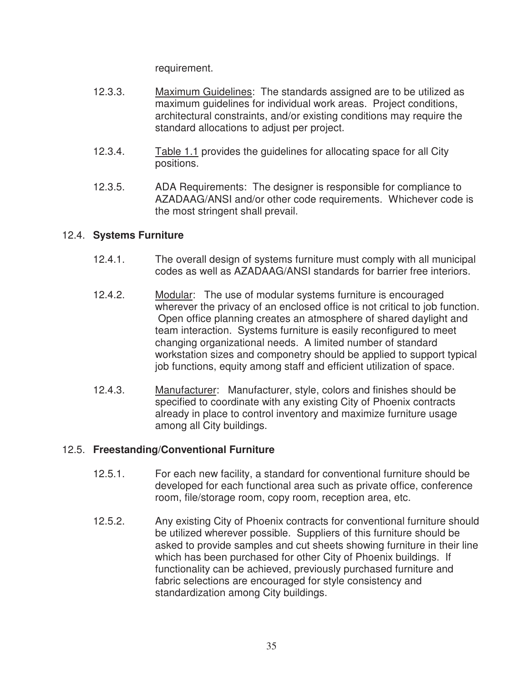requirement.

- 12.3.3. Maximum Guidelines: The standards assigned are to be utilized as maximum guidelines for individual work areas. Project conditions, architectural constraints, and/or existing conditions may require the standard allocations to adjust per project.
- 12.3.4. Table 1.1 provides the guidelines for allocating space for all City positions.
- 12.3.5. ADA Requirements: The designer is responsible for compliance to AZADAAG/ANSI and/or other code requirements. Whichever code is the most stringent shall prevail.

# 12.4. **Systems Furniture**

- 12.4.1. The overall design of systems furniture must comply with all municipal codes as well as AZADAAG/ANSI standards for barrier free interiors.
- 12.4.2. Modular: The use of modular systems furniture is encouraged wherever the privacy of an enclosed office is not critical to job function. Open office planning creates an atmosphere of shared daylight and team interaction. Systems furniture is easily reconfigured to meet changing organizational needs. A limited number of standard workstation sizes and componetry should be applied to support typical job functions, equity among staff and efficient utilization of space.
- 12.4.3. Manufacturer: Manufacturer, style, colors and finishes should be specified to coordinate with any existing City of Phoenix contracts already in place to control inventory and maximize furniture usage among all City buildings.

# 12.5. **Freestanding/Conventional Furniture**

- 12.5.1. For each new facility, a standard for conventional furniture should be developed for each functional area such as private office, conference room, file/storage room, copy room, reception area, etc.
- 12.5.2. Any existing City of Phoenix contracts for conventional furniture should be utilized wherever possible. Suppliers of this furniture should be asked to provide samples and cut sheets showing furniture in their line which has been purchased for other City of Phoenix buildings. If functionality can be achieved, previously purchased furniture and fabric selections are encouraged for style consistency and standardization among City buildings.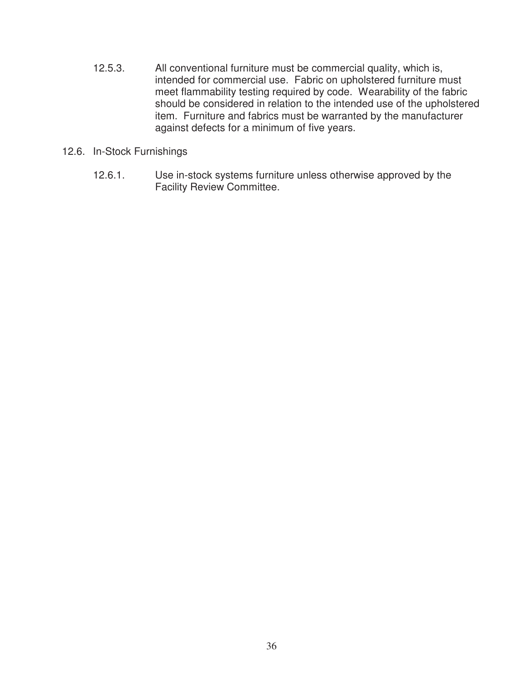- 12.5.3. All conventional furniture must be commercial quality, which is, intended for commercial use. Fabric on upholstered furniture must meet flammability testing required by code. Wearability of the fabric should be considered in relation to the intended use of the upholstered item. Furniture and fabrics must be warranted by the manufacturer against defects for a minimum of five years.
- 12.6. In-Stock Furnishings
	- 12.6.1. Use in-stock systems furniture unless otherwise approved by the Facility Review Committee.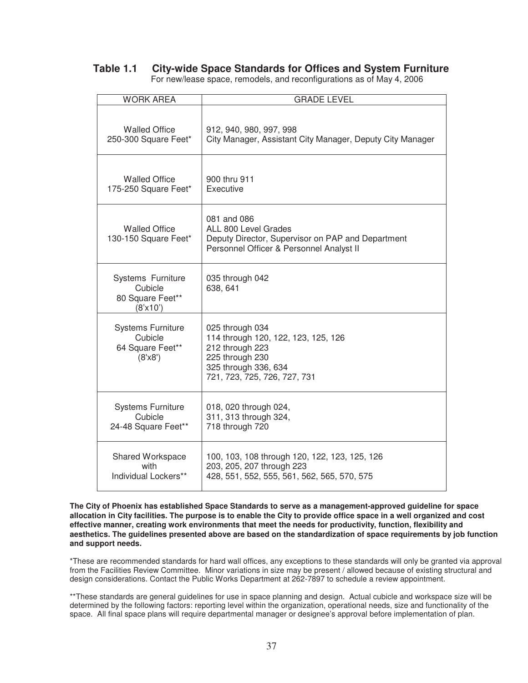# **Table 1.1 City-wide Space Standards for Offices and System Furniture**

| <b>WORK AREA</b>                                                   | <b>GRADE LEVEL</b>                                                                                                                                   |
|--------------------------------------------------------------------|------------------------------------------------------------------------------------------------------------------------------------------------------|
| <b>Walled Office</b>                                               | 912, 940, 980, 997, 998                                                                                                                              |
| 250-300 Square Feet*                                               | City Manager, Assistant City Manager, Deputy City Manager                                                                                            |
| <b>Walled Office</b>                                               | 900 thru 911                                                                                                                                         |
| 175-250 Square Feet*                                               | Executive                                                                                                                                            |
| <b>Walled Office</b><br>130-150 Square Feet*                       | 081 and 086<br>ALL 800 Level Grades<br>Deputy Director, Supervisor on PAP and Department<br>Personnel Officer & Personnel Analyst II                 |
| Systems Furniture<br>Cubicle<br>80 Square Feet**<br>(8'x10')       | 035 through 042<br>638, 641                                                                                                                          |
| <b>Systems Furniture</b><br>Cubicle<br>64 Square Feet**<br>(8'x8') | 025 through 034<br>114 through 120, 122, 123, 125, 126<br>212 through 223<br>225 through 230<br>325 through 336, 634<br>721, 723, 725, 726, 727, 731 |
| <b>Systems Furniture</b>                                           | 018, 020 through 024,                                                                                                                                |
| Cubicle                                                            | 311, 313 through 324,                                                                                                                                |
| 24-48 Square Feet**                                                | 718 through 720                                                                                                                                      |
| Shared Workspace                                                   | 100, 103, 108 through 120, 122, 123, 125, 126                                                                                                        |
| with                                                               | 203, 205, 207 through 223                                                                                                                            |
| Individual Lockers**                                               | 428, 551, 552, 555, 561, 562, 565, 570, 575                                                                                                          |

For new/lease space, remodels, and reconfigurations as of May 4, 2006

**The City of Phoenix has established Space Standards to serve as a management-approved guideline for space allocation in City facilities. The purpose is to enable the City to provide office space in a well organized and cost effective manner, creating work environments that meet the needs for productivity, function, flexibility and aesthetics. The guidelines presented above are based on the standardization of space requirements by job function and support needs.** 

\*These are recommended standards for hard wall offices, any exceptions to these standards will only be granted via approval from the Facilities Review Committee. Minor variations in size may be present / allowed because of existing structural and design considerations. Contact the Public Works Department at 262-7897 to schedule a review appointment.

\*\*These standards are general guidelines for use in space planning and design. Actual cubicle and workspace size will be determined by the following factors: reporting level within the organization, operational needs, size and functionality of the space. All final space plans will require departmental manager or designee's approval before implementation of plan.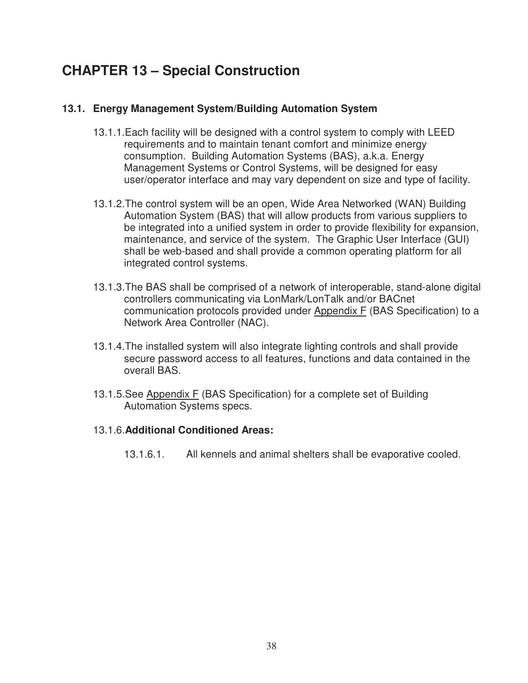# **CHAPTER 13 – Special Construction**

## **13.1. Energy Management System/Building Automation System**

- 13.1.1.Each facility will be designed with a control system to comply with LEED requirements and to maintain tenant comfort and minimize energy consumption. Building Automation Systems (BAS), a.k.a. Energy Management Systems or Control Systems, will be designed for easy user/operator interface and may vary dependent on size and type of facility.
- 13.1.2.The control system will be an open, Wide Area Networked (WAN) Building Automation System (BAS) that will allow products from various suppliers to be integrated into a unified system in order to provide flexibility for expansion, maintenance, and service of the system. The Graphic User Interface (GUI) shall be web-based and shall provide a common operating platform for all integrated control systems.
- 13.1.3.The BAS shall be comprised of a network of interoperable, stand-alone digital controllers communicating via LonMark/LonTalk and/or BACnet communication protocols provided under Appendix F (BAS Specification) to a Network Area Controller (NAC).
- 13.1.4.The installed system will also integrate lighting controls and shall provide secure password access to all features, functions and data contained in the overall BAS.
- 13.1.5.See Appendix F (BAS Specification) for a complete set of Building Automation Systems specs.

## 13.1.6.**Additional Conditioned Areas:**

13.1.6.1. All kennels and animal shelters shall be evaporative cooled.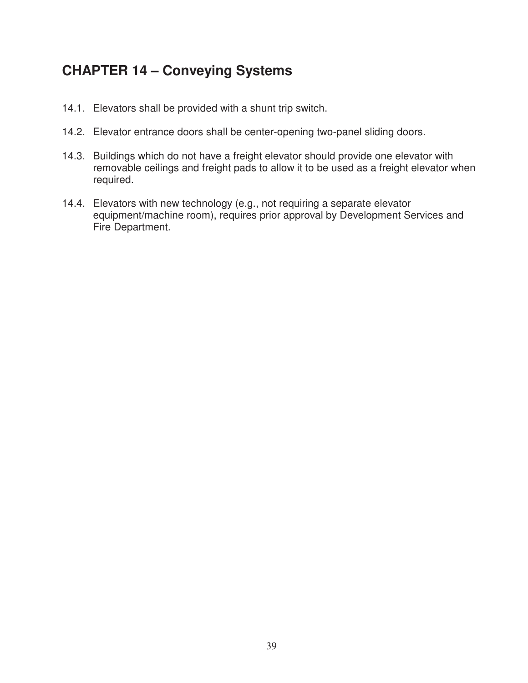# **CHAPTER 14 – Conveying Systems**

- 14.1. Elevators shall be provided with a shunt trip switch.
- 14.2. Elevator entrance doors shall be center-opening two-panel sliding doors.
- 14.3. Buildings which do not have a freight elevator should provide one elevator with removable ceilings and freight pads to allow it to be used as a freight elevator when required.
- 14.4. Elevators with new technology (e.g., not requiring a separate elevator equipment/machine room), requires prior approval by Development Services and Fire Department.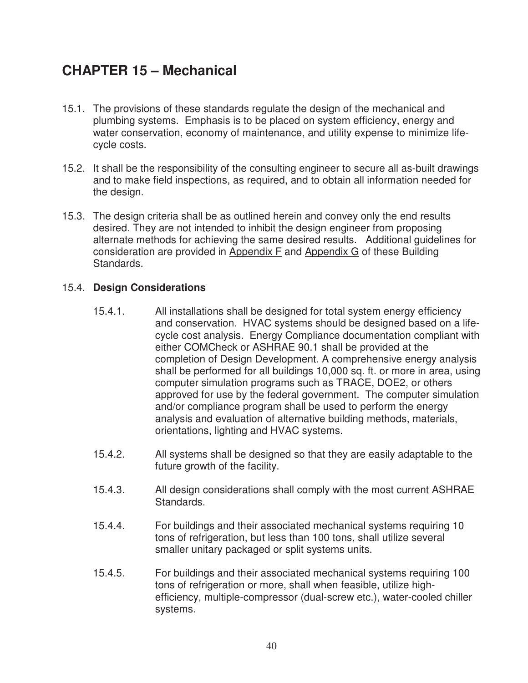## **CHAPTER 15 – Mechanical**

- 15.1. The provisions of these standards regulate the design of the mechanical and plumbing systems. Emphasis is to be placed on system efficiency, energy and water conservation, economy of maintenance, and utility expense to minimize lifecycle costs.
- 15.2. It shall be the responsibility of the consulting engineer to secure all as-built drawings and to make field inspections, as required, and to obtain all information needed for the design.
- 15.3. The design criteria shall be as outlined herein and convey only the end results desired. They are not intended to inhibit the design engineer from proposing alternate methods for achieving the same desired results. Additional guidelines for consideration are provided in Appendix F and Appendix G of these Building Standards.

## 15.4. **Design Considerations**

- 15.4.1. All installations shall be designed for total system energy efficiency and conservation. HVAC systems should be designed based on a lifecycle cost analysis. Energy Compliance documentation compliant with either COMCheck or ASHRAE 90.1 shall be provided at the completion of Design Development. A comprehensive energy analysis shall be performed for all buildings 10,000 sq. ft. or more in area, using computer simulation programs such as TRACE, DOE2, or others approved for use by the federal government. The computer simulation and/or compliance program shall be used to perform the energy analysis and evaluation of alternative building methods, materials, orientations, lighting and HVAC systems.
- 15.4.2. All systems shall be designed so that they are easily adaptable to the future growth of the facility.
- 15.4.3. All design considerations shall comply with the most current ASHRAE Standards.
- 15.4.4. For buildings and their associated mechanical systems requiring 10 tons of refrigeration, but less than 100 tons, shall utilize several smaller unitary packaged or split systems units.
- 15.4.5. For buildings and their associated mechanical systems requiring 100 tons of refrigeration or more, shall when feasible, utilize highefficiency, multiple-compressor (dual-screw etc.), water-cooled chiller systems.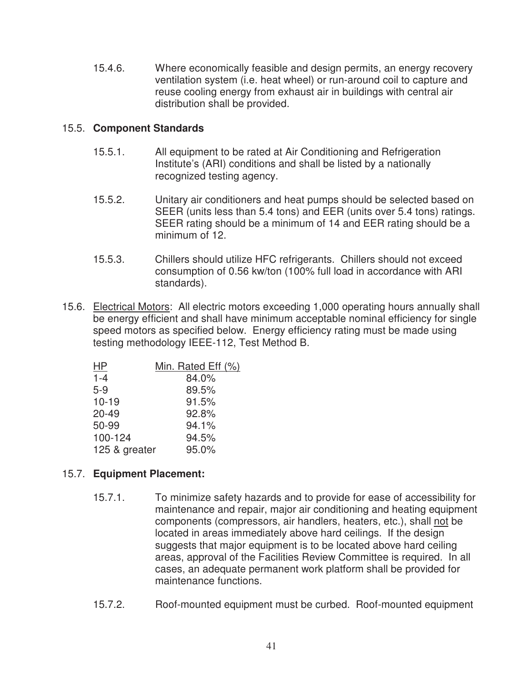15.4.6. Where economically feasible and design permits, an energy recovery ventilation system (i.e. heat wheel) or run-around coil to capture and reuse cooling energy from exhaust air in buildings with central air distribution shall be provided.

## 15.5. **Component Standards**

- 15.5.1. All equipment to be rated at Air Conditioning and Refrigeration Institute's (ARI) conditions and shall be listed by a nationally recognized testing agency.
- 15.5.2. Unitary air conditioners and heat pumps should be selected based on SEER (units less than 5.4 tons) and EER (units over 5.4 tons) ratings. SEER rating should be a minimum of 14 and EER rating should be a minimum of 12.
- 15.5.3. Chillers should utilize HFC refrigerants. Chillers should not exceed consumption of 0.56 kw/ton (100% full load in accordance with ARI standards).
- 15.6. Electrical Motors: All electric motors exceeding 1,000 operating hours annually shall be energy efficient and shall have minimum acceptable nominal efficiency for single speed motors as specified below. Energy efficiency rating must be made using testing methodology IEEE-112, Test Method B.

| ΗP            | Min. Rated Eff (%) |
|---------------|--------------------|
| $1 - 4$       | 84.0%              |
| $5-9$         | 89.5%              |
| $10 - 19$     | 91.5%              |
| $20 - 49$     | 92.8%              |
| 50-99         | 94.1%              |
| 100-124       | 94.5%              |
| 125 & greater | 95.0%              |
|               |                    |

## 15.7. **Equipment Placement:**

- 15.7.1. To minimize safety hazards and to provide for ease of accessibility for maintenance and repair, major air conditioning and heating equipment components (compressors, air handlers, heaters, etc.), shall not be located in areas immediately above hard ceilings. If the design suggests that major equipment is to be located above hard ceiling areas, approval of the Facilities Review Committee is required. In all cases, an adequate permanent work platform shall be provided for maintenance functions.
- 15.7.2. Roof-mounted equipment must be curbed. Roof-mounted equipment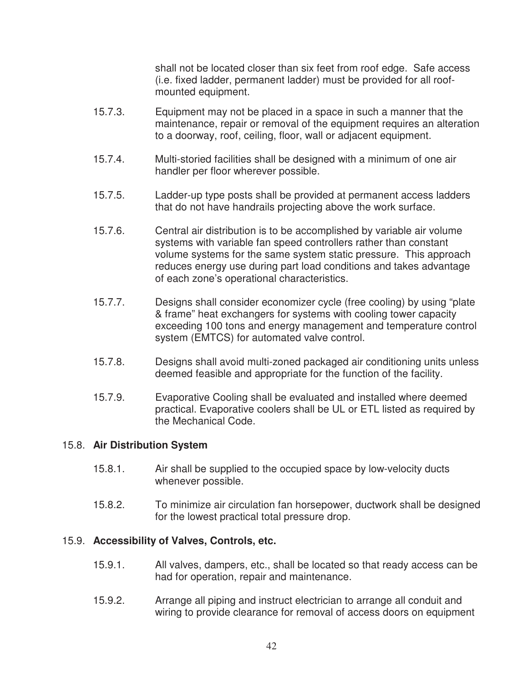shall not be located closer than six feet from roof edge. Safe access (i.e. fixed ladder, permanent ladder) must be provided for all roofmounted equipment.

- 15.7.3. Equipment may not be placed in a space in such a manner that the maintenance, repair or removal of the equipment requires an alteration to a doorway, roof, ceiling, floor, wall or adjacent equipment.
- 15.7.4. Multi-storied facilities shall be designed with a minimum of one air handler per floor wherever possible.
- 15.7.5. Ladder-up type posts shall be provided at permanent access ladders that do not have handrails projecting above the work surface.
- 15.7.6. Central air distribution is to be accomplished by variable air volume systems with variable fan speed controllers rather than constant volume systems for the same system static pressure. This approach reduces energy use during part load conditions and takes advantage of each zone's operational characteristics.
- 15.7.7. Designs shall consider economizer cycle (free cooling) by using "plate & frame" heat exchangers for systems with cooling tower capacity exceeding 100 tons and energy management and temperature control system (EMTCS) for automated valve control.
- 15.7.8. Designs shall avoid multi-zoned packaged air conditioning units unless deemed feasible and appropriate for the function of the facility.
- 15.7.9. Evaporative Cooling shall be evaluated and installed where deemed practical. Evaporative coolers shall be UL or ETL listed as required by the Mechanical Code.

## 15.8. **Air Distribution System**

- 15.8.1. Air shall be supplied to the occupied space by low-velocity ducts whenever possible.
- 15.8.2. To minimize air circulation fan horsepower, ductwork shall be designed for the lowest practical total pressure drop.

## 15.9. **Accessibility of Valves, Controls, etc.**

- 15.9.1. All valves, dampers, etc., shall be located so that ready access can be had for operation, repair and maintenance.
- 15.9.2. Arrange all piping and instruct electrician to arrange all conduit and wiring to provide clearance for removal of access doors on equipment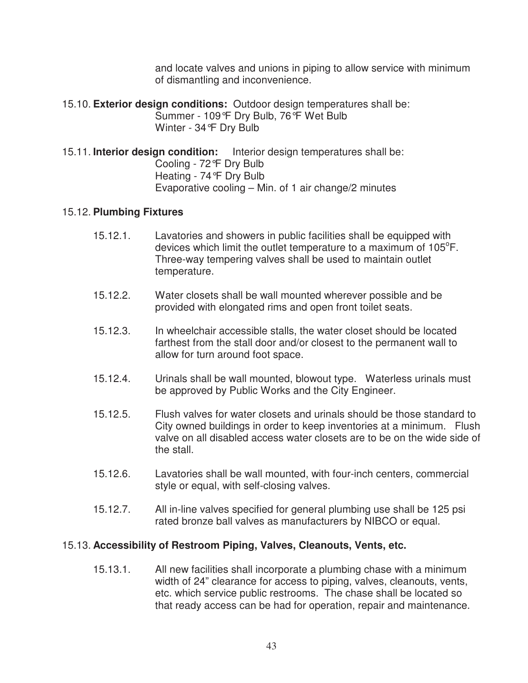and locate valves and unions in piping to allow service with minimum of dismantling and inconvenience.

- 15.10. **Exterior design conditions:** Outdoor design temperatures shall be: Summer - 109°F Dry Bulb, 76°F Wet Bulb Winter - 34°F Dry Bulb
- 15.11. **Interior design condition:** Interior design temperatures shall be: Cooling - 72°F Dry Bulb Heating - 74°F Dry Bulb Evaporative cooling – Min. of 1 air change/2 minutes

## 15.12. **Plumbing Fixtures**

- 15.12.1. Lavatories and showers in public facilities shall be equipped with devices which limit the outlet temperature to a maximum of  $105^{\circ}$ F. Three-way tempering valves shall be used to maintain outlet temperature.
- 15.12.2. Water closets shall be wall mounted wherever possible and be provided with elongated rims and open front toilet seats.
- 15.12.3. In wheelchair accessible stalls, the water closet should be located farthest from the stall door and/or closest to the permanent wall to allow for turn around foot space.
- 15.12.4. Urinals shall be wall mounted, blowout type. Waterless urinals must be approved by Public Works and the City Engineer.
- 15.12.5. Flush valves for water closets and urinals should be those standard to City owned buildings in order to keep inventories at a minimum. Flush valve on all disabled access water closets are to be on the wide side of the stall.
- 15.12.6. Lavatories shall be wall mounted, with four-inch centers, commercial style or equal, with self-closing valves.
- 15.12.7. All in-line valves specified for general plumbing use shall be 125 psi rated bronze ball valves as manufacturers by NIBCO or equal.

## 15.13. **Accessibility of Restroom Piping, Valves, Cleanouts, Vents, etc.**

 15.13.1. All new facilities shall incorporate a plumbing chase with a minimum width of 24" clearance for access to piping, valves, cleanouts, vents, etc. which service public restrooms. The chase shall be located so that ready access can be had for operation, repair and maintenance.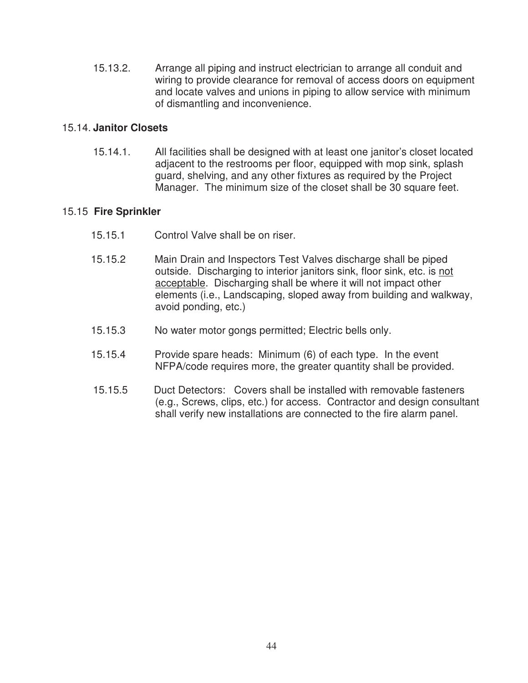15.13.2. Arrange all piping and instruct electrician to arrange all conduit and wiring to provide clearance for removal of access doors on equipment and locate valves and unions in piping to allow service with minimum of dismantling and inconvenience.

## 15.14. **Janitor Closets**

15.14.1. All facilities shall be designed with at least one janitor's closet located adjacent to the restrooms per floor, equipped with mop sink, splash guard, shelving, and any other fixtures as required by the Project Manager. The minimum size of the closet shall be 30 square feet.

## 15.15 **Fire Sprinkler**

- 15.15.1 Control Valve shall be on riser.
- 15.15.2 Main Drain and Inspectors Test Valves discharge shall be piped outside. Discharging to interior janitors sink, floor sink, etc. is not acceptable. Discharging shall be where it will not impact other elements (i.e., Landscaping, sloped away from building and walkway, avoid ponding, etc.)
- 15.15.3 No water motor gongs permitted; Electric bells only.
- 15.15.4 Provide spare heads: Minimum (6) of each type. In the event NFPA/code requires more, the greater quantity shall be provided.
- 15.15.5 Duct Detectors: Covers shall be installed with removable fasteners (e.g., Screws, clips, etc.) for access. Contractor and design consultant shall verify new installations are connected to the fire alarm panel.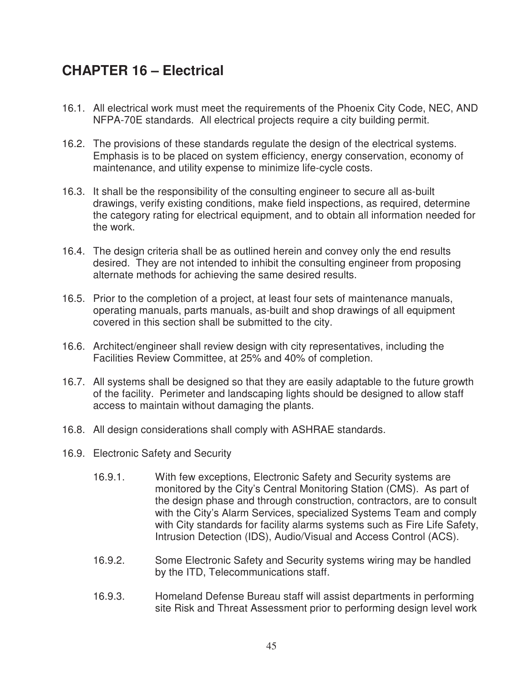# **CHAPTER 16 – Electrical**

- 16.1. All electrical work must meet the requirements of the Phoenix City Code, NEC, AND NFPA-70E standards. All electrical projects require a city building permit.
- 16.2. The provisions of these standards regulate the design of the electrical systems. Emphasis is to be placed on system efficiency, energy conservation, economy of maintenance, and utility expense to minimize life-cycle costs.
- 16.3. It shall be the responsibility of the consulting engineer to secure all as-built drawings, verify existing conditions, make field inspections, as required, determine the category rating for electrical equipment, and to obtain all information needed for the work.
- 16.4. The design criteria shall be as outlined herein and convey only the end results desired. They are not intended to inhibit the consulting engineer from proposing alternate methods for achieving the same desired results.
- 16.5. Prior to the completion of a project, at least four sets of maintenance manuals, operating manuals, parts manuals, as-built and shop drawings of all equipment covered in this section shall be submitted to the city.
- 16.6. Architect/engineer shall review design with city representatives, including the Facilities Review Committee, at 25% and 40% of completion.
- 16.7. All systems shall be designed so that they are easily adaptable to the future growth of the facility. Perimeter and landscaping lights should be designed to allow staff access to maintain without damaging the plants.
- 16.8. All design considerations shall comply with ASHRAE standards.
- 16.9. Electronic Safety and Security
	- 16.9.1. With few exceptions, Electronic Safety and Security systems are monitored by the City's Central Monitoring Station (CMS). As part of the design phase and through construction, contractors, are to consult with the City's Alarm Services, specialized Systems Team and comply with City standards for facility alarms systems such as Fire Life Safety, Intrusion Detection (IDS), Audio/Visual and Access Control (ACS).
	- 16.9.2. Some Electronic Safety and Security systems wiring may be handled by the ITD, Telecommunications staff.
	- 16.9.3. Homeland Defense Bureau staff will assist departments in performing site Risk and Threat Assessment prior to performing design level work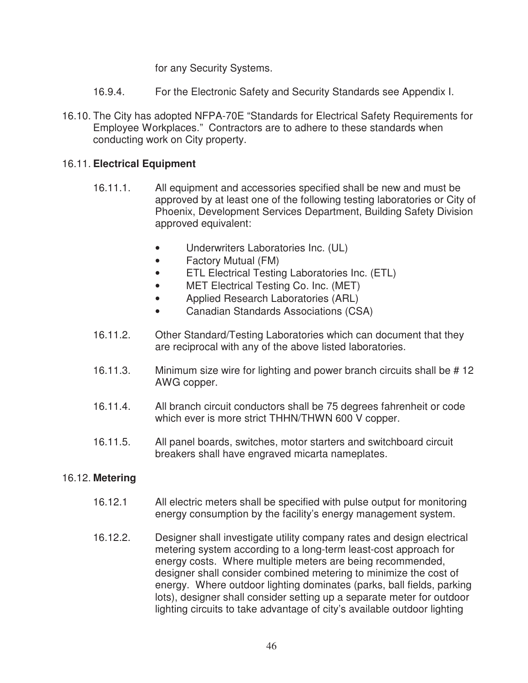for any Security Systems.

- 16.9.4. For the Electronic Safety and Security Standards see Appendix I.
- 16.10. The City has adopted NFPA-70E "Standards for Electrical Safety Requirements for Employee Workplaces." Contractors are to adhere to these standards when conducting work on City property.

## 16.11. **Electrical Equipment**

- 16.11.1. All equipment and accessories specified shall be new and must be approved by at least one of the following testing laboratories or City of Phoenix, Development Services Department, Building Safety Division approved equivalent:
	- Underwriters Laboratories Inc. (UL)
	- Factory Mutual (FM)
	- ETL Electrical Testing Laboratories Inc. (ETL)
	- MET Electrical Testing Co. Inc. (MET)
	- Applied Research Laboratories (ARL)
	- Canadian Standards Associations (CSA)
- 16.11.2. Other Standard/Testing Laboratories which can document that they are reciprocal with any of the above listed laboratories.
- 16.11.3. Minimum size wire for lighting and power branch circuits shall be # 12 AWG copper.
- 16.11.4. All branch circuit conductors shall be 75 degrees fahrenheit or code which ever is more strict THHN/THWN 600 V copper.
- 16.11.5. All panel boards, switches, motor starters and switchboard circuit breakers shall have engraved micarta nameplates.

## 16.12. **Metering**

- 16.12.1 All electric meters shall be specified with pulse output for monitoring energy consumption by the facility's energy management system.
- 16.12.2. Designer shall investigate utility company rates and design electrical metering system according to a long-term least-cost approach for energy costs. Where multiple meters are being recommended, designer shall consider combined metering to minimize the cost of energy. Where outdoor lighting dominates (parks, ball fields, parking lots), designer shall consider setting up a separate meter for outdoor lighting circuits to take advantage of city's available outdoor lighting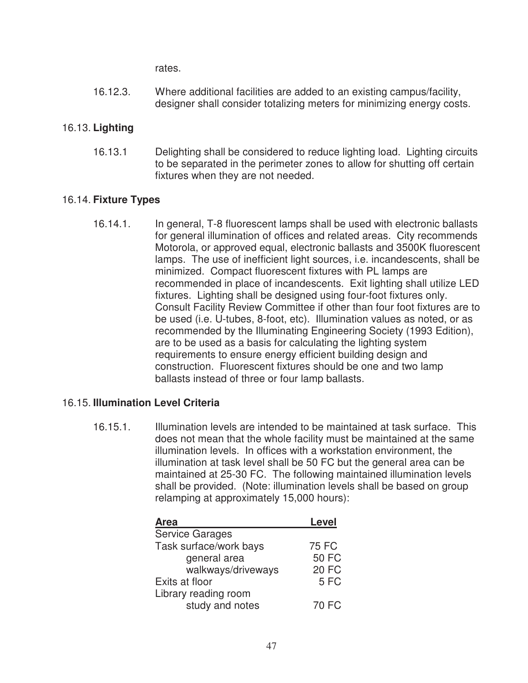rates.

 16.12.3. Where additional facilities are added to an existing campus/facility, designer shall consider totalizing meters for minimizing energy costs.

## 16.13. **Lighting**

 16.13.1 Delighting shall be considered to reduce lighting load. Lighting circuits to be separated in the perimeter zones to allow for shutting off certain fixtures when they are not needed.

## 16.14. **Fixture Types**

 16.14.1. In general, T-8 fluorescent lamps shall be used with electronic ballasts for general illumination of offices and related areas. City recommends Motorola, or approved equal, electronic ballasts and 3500K fluorescent lamps. The use of inefficient light sources, i.e. incandescents, shall be minimized. Compact fluorescent fixtures with PL lamps are recommended in place of incandescents. Exit lighting shall utilize LED fixtures. Lighting shall be designed using four-foot fixtures only. Consult Facility Review Committee if other than four foot fixtures are to be used (i.e. U-tubes, 8-foot, etc). Illumination values as noted, or as recommended by the Illuminating Engineering Society (1993 Edition), are to be used as a basis for calculating the lighting system requirements to ensure energy efficient building design and construction. Fluorescent fixtures should be one and two lamp ballasts instead of three or four lamp ballasts.

## 16.15. **Illumination Level Criteria**

 16.15.1. Illumination levels are intended to be maintained at task surface. This does not mean that the whole facility must be maintained at the same illumination levels. In offices with a workstation environment, the illumination at task level shall be 50 FC but the general area can be maintained at 25-30 FC. The following maintained illumination levels shall be provided. (Note: illumination levels shall be based on group relamping at approximately 15,000 hours):

| Area                   | Level        |
|------------------------|--------------|
| <b>Service Garages</b> |              |
| Task surface/work bays | 75 FC        |
| general area           | <b>50 FC</b> |
| walkways/driveways     | <b>20 FC</b> |
| Exits at floor         | 5FC          |
| Library reading room   |              |
| study and notes        | 70 FC        |
|                        |              |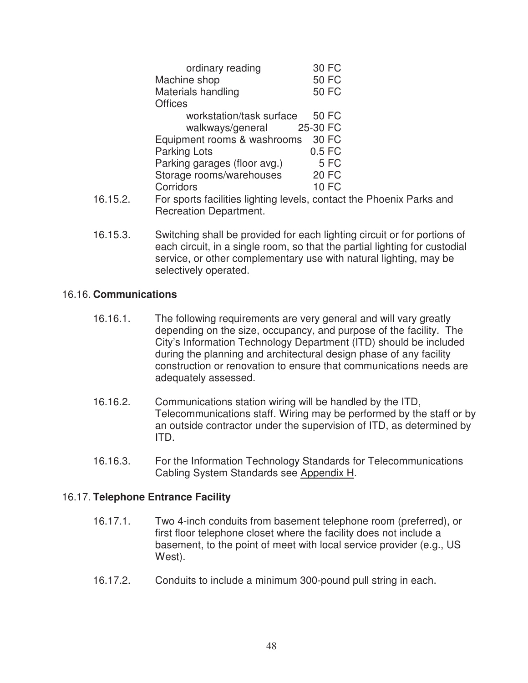|           | ordinary reading                                          | 30 FC        |
|-----------|-----------------------------------------------------------|--------------|
|           | Machine shop                                              | <b>50 FC</b> |
|           | Materials handling                                        | <b>50 FC</b> |
|           | <b>Offices</b>                                            |              |
|           | workstation/task surface                                  | 50 FC        |
|           | walkways/general 25-30 FC                                 |              |
|           | Equipment rooms & washrooms                               | 30 FC        |
|           | <b>Parking Lots</b>                                       | $0.5$ FC     |
|           | Parking garages (floor avg.)                              | 5FC          |
|           | Storage rooms/warehouses                                  | <b>20 FC</b> |
|           | Corridors                                                 | <b>10 FC</b> |
| 1 Q 1 E O | $\Gamma$ ar anarta faoilitica lighting lavale, contact th |              |

- 16.15.2. For sports facilities lighting levels, contact the Phoenix Parks and Recreation Department.
- 16.15.3. Switching shall be provided for each lighting circuit or for portions of each circuit, in a single room, so that the partial lighting for custodial service, or other complementary use with natural lighting, may be selectively operated.

## 16.16. **Communications**

- 16.16.1. The following requirements are very general and will vary greatly depending on the size, occupancy, and purpose of the facility. The City's Information Technology Department (ITD) should be included during the planning and architectural design phase of any facility construction or renovation to ensure that communications needs are adequately assessed.
- 16.16.2. Communications station wiring will be handled by the ITD, Telecommunications staff. Wiring may be performed by the staff or by an outside contractor under the supervision of ITD, as determined by ITD.
- 16.16.3. For the Information Technology Standards for Telecommunications Cabling System Standards see Appendix H.

## 16.17. **Telephone Entrance Facility**

- 16.17.1. Two 4-inch conduits from basement telephone room (preferred), or first floor telephone closet where the facility does not include a basement, to the point of meet with local service provider (e.g., US West).
- 16.17.2. Conduits to include a minimum 300-pound pull string in each.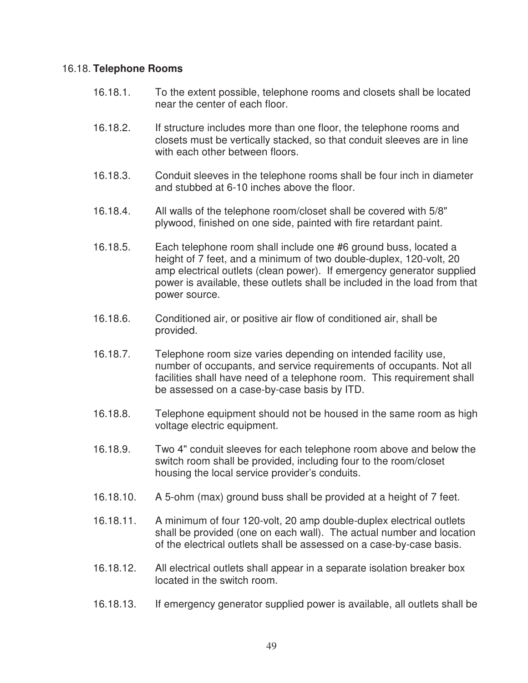#### 16.18. **Telephone Rooms**

- 16.18.1. To the extent possible, telephone rooms and closets shall be located near the center of each floor.
- 16.18.2. If structure includes more than one floor, the telephone rooms and closets must be vertically stacked, so that conduit sleeves are in line with each other between floors.
- 16.18.3. Conduit sleeves in the telephone rooms shall be four inch in diameter and stubbed at 6-10 inches above the floor.
- 16.18.4. All walls of the telephone room/closet shall be covered with 5/8" plywood, finished on one side, painted with fire retardant paint.
- 16.18.5. Each telephone room shall include one #6 ground buss, located a height of 7 feet, and a minimum of two double-duplex, 120-volt, 20 amp electrical outlets (clean power). If emergency generator supplied power is available, these outlets shall be included in the load from that power source.
- 16.18.6. Conditioned air, or positive air flow of conditioned air, shall be provided.
- 16.18.7. Telephone room size varies depending on intended facility use, number of occupants, and service requirements of occupants. Not all facilities shall have need of a telephone room. This requirement shall be assessed on a case-by-case basis by ITD.
- 16.18.8. Telephone equipment should not be housed in the same room as high voltage electric equipment.
- 16.18.9. Two 4" conduit sleeves for each telephone room above and below the switch room shall be provided, including four to the room/closet housing the local service provider's conduits.
- 16.18.10. A 5-ohm (max) ground buss shall be provided at a height of 7 feet.
- 16.18.11. A minimum of four 120-volt, 20 amp double-duplex electrical outlets shall be provided (one on each wall). The actual number and location of the electrical outlets shall be assessed on a case-by-case basis.
- 16.18.12. All electrical outlets shall appear in a separate isolation breaker box located in the switch room.
- 16.18.13. If emergency generator supplied power is available, all outlets shall be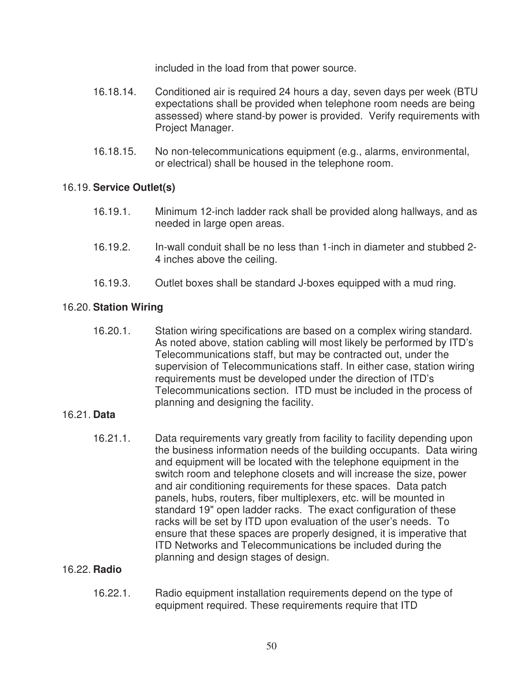included in the load from that power source.

- 16.18.14. Conditioned air is required 24 hours a day, seven days per week (BTU expectations shall be provided when telephone room needs are being assessed) where stand-by power is provided. Verify requirements with Project Manager.
- 16.18.15. No non-telecommunications equipment (e.g., alarms, environmental, or electrical) shall be housed in the telephone room.

## 16.19. **Service Outlet(s)**

- 16.19.1. Minimum 12-inch ladder rack shall be provided along hallways, and as needed in large open areas.
- 16.19.2. In-wall conduit shall be no less than 1-inch in diameter and stubbed 2- 4 inches above the ceiling.
- 16.19.3. Outlet boxes shall be standard J-boxes equipped with a mud ring.

## 16.20. **Station Wiring**

 16.20.1. Station wiring specifications are based on a complex wiring standard. As noted above, station cabling will most likely be performed by ITD's Telecommunications staff, but may be contracted out, under the supervision of Telecommunications staff. In either case, station wiring requirements must be developed under the direction of ITD's Telecommunications section. ITD must be included in the process of planning and designing the facility.

## 16.21. **Data**

 16.21.1. Data requirements vary greatly from facility to facility depending upon the business information needs of the building occupants. Data wiring and equipment will be located with the telephone equipment in the switch room and telephone closets and will increase the size, power and air conditioning requirements for these spaces. Data patch panels, hubs, routers, fiber multiplexers, etc. will be mounted in standard 19" open ladder racks. The exact configuration of these racks will be set by ITD upon evaluation of the user's needs. To ensure that these spaces are properly designed, it is imperative that ITD Networks and Telecommunications be included during the planning and design stages of design.

## 16.22. **Radio**

 16.22.1. Radio equipment installation requirements depend on the type of equipment required. These requirements require that ITD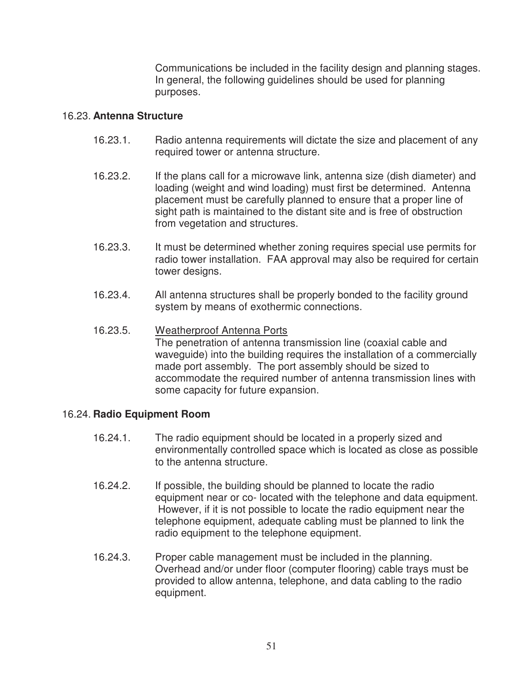Communications be included in the facility design and planning stages. In general, the following guidelines should be used for planning purposes.

## 16.23. **Antenna Structure**

- 16.23.1. Radio antenna requirements will dictate the size and placement of any required tower or antenna structure.
- 16.23.2. If the plans call for a microwave link, antenna size (dish diameter) and loading (weight and wind loading) must first be determined. Antenna placement must be carefully planned to ensure that a proper line of sight path is maintained to the distant site and is free of obstruction from vegetation and structures.
- 16.23.3. It must be determined whether zoning requires special use permits for radio tower installation. FAA approval may also be required for certain tower designs.
- 16.23.4. All antenna structures shall be properly bonded to the facility ground system by means of exothermic connections.
- 16.23.5. Weatherproof Antenna Ports The penetration of antenna transmission line (coaxial cable and waveguide) into the building requires the installation of a commercially made port assembly. The port assembly should be sized to accommodate the required number of antenna transmission lines with some capacity for future expansion.

## 16.24. **Radio Equipment Room**

- 16.24.1. The radio equipment should be located in a properly sized and environmentally controlled space which is located as close as possible to the antenna structure.
- 16.24.2. If possible, the building should be planned to locate the radio equipment near or co- located with the telephone and data equipment. However, if it is not possible to locate the radio equipment near the telephone equipment, adequate cabling must be planned to link the radio equipment to the telephone equipment.
- 16.24.3. Proper cable management must be included in the planning. Overhead and/or under floor (computer flooring) cable trays must be provided to allow antenna, telephone, and data cabling to the radio equipment.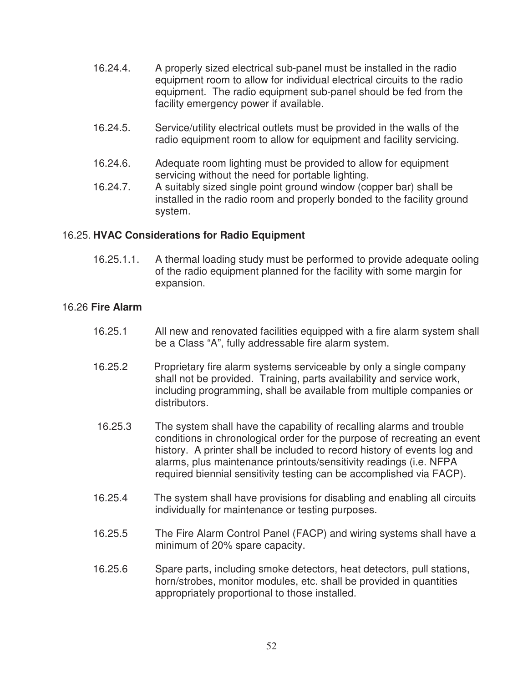- 16.24.4. A properly sized electrical sub-panel must be installed in the radio equipment room to allow for individual electrical circuits to the radio equipment. The radio equipment sub-panel should be fed from the facility emergency power if available.
- 16.24.5. Service/utility electrical outlets must be provided in the walls of the radio equipment room to allow for equipment and facility servicing.
- 16.24.6. Adequate room lighting must be provided to allow for equipment servicing without the need for portable lighting.
- 16.24.7. A suitably sized single point ground window (copper bar) shall be installed in the radio room and properly bonded to the facility ground system.

## 16.25. **HVAC Considerations for Radio Equipment**

16.25.1.1. A thermal loading study must be performed to provide adequate ooling of the radio equipment planned for the facility with some margin for expansion.

## 16.26 **Fire Alarm**

- 16.25.1 All new and renovated facilities equipped with a fire alarm system shall be a Class "A", fully addressable fire alarm system.
- 16.25.2 Proprietary fire alarm systems serviceable by only a single company shall not be provided. Training, parts availability and service work, including programming, shall be available from multiple companies or distributors.
- 16.25.3 The system shall have the capability of recalling alarms and trouble conditions in chronological order for the purpose of recreating an event history. A printer shall be included to record history of events log and alarms, plus maintenance printouts/sensitivity readings (i.e. NFPA required biennial sensitivity testing can be accomplished via FACP).
- 16.25.4 The system shall have provisions for disabling and enabling all circuits individually for maintenance or testing purposes.
- 16.25.5 The Fire Alarm Control Panel (FACP) and wiring systems shall have a minimum of 20% spare capacity.
- 16.25.6 Spare parts, including smoke detectors, heat detectors, pull stations, horn/strobes, monitor modules, etc. shall be provided in quantities appropriately proportional to those installed.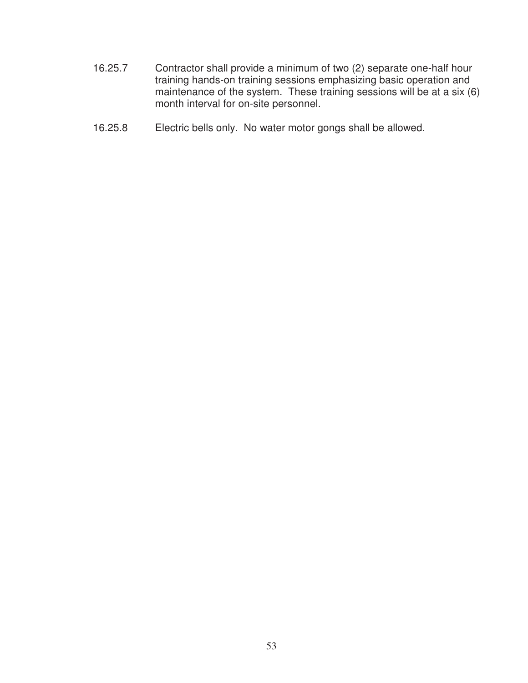- 16.25.7 Contractor shall provide a minimum of two (2) separate one-half hour training hands-on training sessions emphasizing basic operation and maintenance of the system. These training sessions will be at a six (6) month interval for on-site personnel.
- 16.25.8 Electric bells only. No water motor gongs shall be allowed.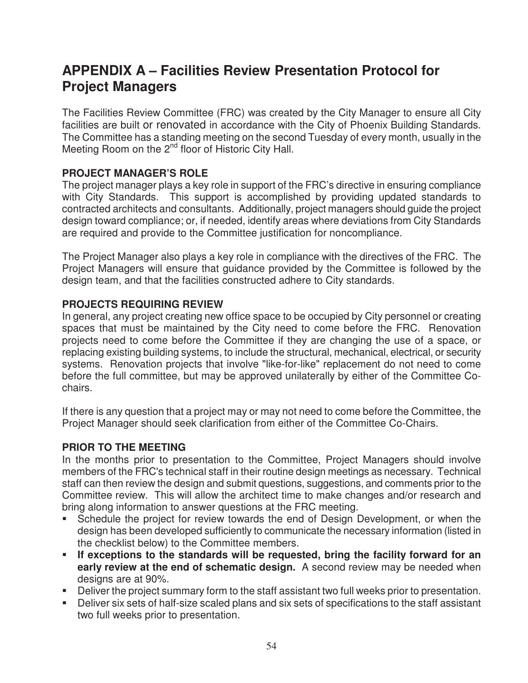# **APPENDIX A – Facilities Review Presentation Protocol for Project Managers**

The Facilities Review Committee (FRC) was created by the City Manager to ensure all City facilities are built or renovated in accordance with the City of Phoenix Building Standards. The Committee has a standing meeting on the second Tuesday of every month, usually in the Meeting Room on the 2<sup>nd</sup> floor of Historic City Hall.

## **PROJECT MANAGER'S ROLE**

The project manager plays a key role in support of the FRC's directive in ensuring compliance with City Standards. This support is accomplished by providing updated standards to contracted architects and consultants. Additionally, project managers should guide the project design toward compliance; or, if needed, identify areas where deviations from City Standards are required and provide to the Committee justification for noncompliance.

The Project Manager also plays a key role in compliance with the directives of the FRC. The Project Managers will ensure that guidance provided by the Committee is followed by the design team, and that the facilities constructed adhere to City standards.

## **PROJECTS REQUIRING REVIEW**

In general, any project creating new office space to be occupied by City personnel or creating spaces that must be maintained by the City need to come before the FRC. Renovation projects need to come before the Committee if they are changing the use of a space, or replacing existing building systems, to include the structural, mechanical, electrical, or security systems. Renovation projects that involve "like-for-like" replacement do not need to come before the full committee, but may be approved unilaterally by either of the Committee Cochairs.

If there is any question that a project may or may not need to come before the Committee, the Project Manager should seek clarification from either of the Committee Co-Chairs.

## **PRIOR TO THE MEETING**

In the months prior to presentation to the Committee, Project Managers should involve members of the FRC's technical staff in their routine design meetings as necessary. Technical staff can then review the design and submit questions, suggestions, and comments prior to the Committee review. This will allow the architect time to make changes and/or research and bring along information to answer questions at the FRC meeting.

- Schedule the project for review towards the end of Design Development, or when the design has been developed sufficiently to communicate the necessary information (listed in the checklist below) to the Committee members.
- **If exceptions to the standards will be requested, bring the facility forward for an early review at the end of schematic design.** A second review may be needed when designs are at 90%.
- Deliver the project summary form to the staff assistant two full weeks prior to presentation.
- Deliver six sets of half-size scaled plans and six sets of specifications to the staff assistant two full weeks prior to presentation.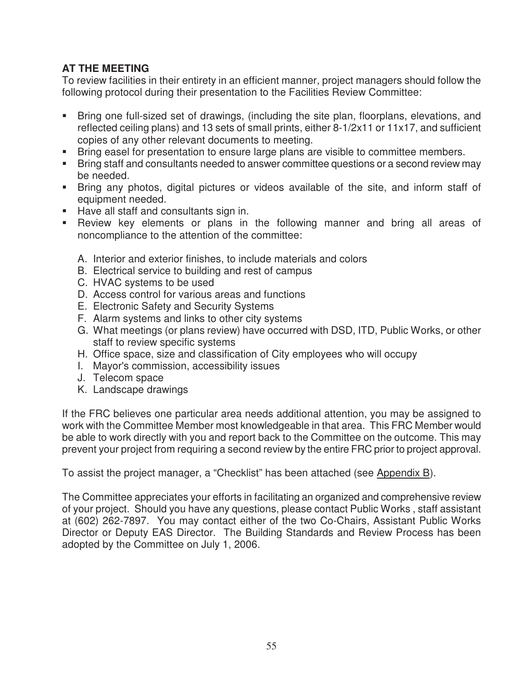## **AT THE MEETING**

To review facilities in their entirety in an efficient manner, project managers should follow the following protocol during their presentation to the Facilities Review Committee:

- Bring one full-sized set of drawings, (including the site plan, floorplans, elevations, and reflected ceiling plans) and 13 sets of small prints, either 8-1/2x11 or 11x17, and sufficient copies of any other relevant documents to meeting.
- **Bring easel for presentation to ensure large plans are visible to committee members.**
- **Bring staff and consultants needed to answer committee questions or a second review may** be needed.
- Bring any photos, digital pictures or videos available of the site, and inform staff of equipment needed.
- Have all staff and consultants sign in.
- Review key elements or plans in the following manner and bring all areas of noncompliance to the attention of the committee:
	- A. Interior and exterior finishes, to include materials and colors
	- B. Electrical service to building and rest of campus
	- C. HVAC systems to be used
	- D. Access control for various areas and functions
	- E. Electronic Safety and Security Systems
	- F. Alarm systems and links to other city systems
	- G. What meetings (or plans review) have occurred with DSD, ITD, Public Works, or other staff to review specific systems
	- H. Office space, size and classification of City employees who will occupy
	- I. Mayor's commission, accessibility issues
	- J. Telecom space
	- K. Landscape drawings

If the FRC believes one particular area needs additional attention, you may be assigned to work with the Committee Member most knowledgeable in that area. This FRC Member would be able to work directly with you and report back to the Committee on the outcome. This may prevent your project from requiring a second review by the entire FRC prior to project approval.

To assist the project manager, a "Checklist" has been attached (see Appendix B).

The Committee appreciates your efforts in facilitating an organized and comprehensive review of your project. Should you have any questions, please contact Public Works , staff assistant at (602) 262-7897. You may contact either of the two Co-Chairs, Assistant Public Works Director or Deputy EAS Director. The Building Standards and Review Process has been adopted by the Committee on July 1, 2006.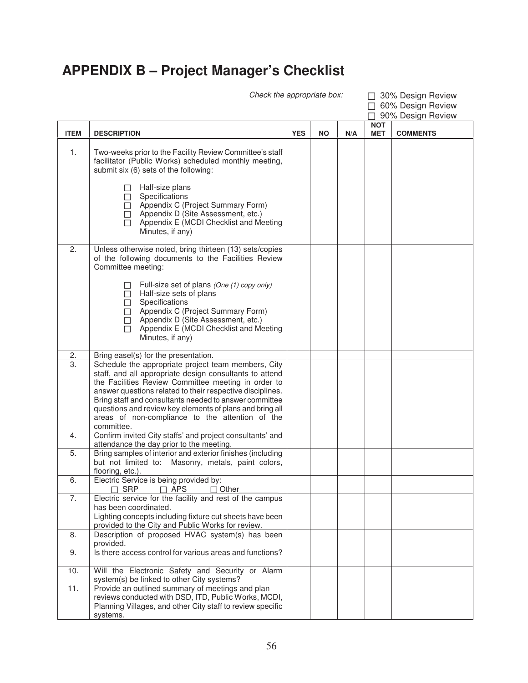# **APPENDIX B – Project Manager's Checklist**

Check the appropriate box:  $\Box$  30% Design Review  $\overline{\Box}$  60% Design Review

|             |                                                                                                                                                                                                                                                                                                                                                                                                                           |            |           |     |                          | 90% Design Review |
|-------------|---------------------------------------------------------------------------------------------------------------------------------------------------------------------------------------------------------------------------------------------------------------------------------------------------------------------------------------------------------------------------------------------------------------------------|------------|-----------|-----|--------------------------|-------------------|
| <b>ITEM</b> | <b>DESCRIPTION</b>                                                                                                                                                                                                                                                                                                                                                                                                        | <b>YES</b> | <b>NO</b> | N/A | <b>NOT</b><br><b>MET</b> | <b>COMMENTS</b>   |
| 1.          | Two-weeks prior to the Facility Review Committee's staff<br>facilitator (Public Works) scheduled monthly meeting,<br>submit six (6) sets of the following:                                                                                                                                                                                                                                                                |            |           |     |                          |                   |
|             | Half-size plans<br>Specifications<br>$\mathsf{L}$<br>Appendix C (Project Summary Form)<br>Appendix D (Site Assessment, etc.)<br>П<br>Appendix E (MCDI Checklist and Meeting<br>П<br>Minutes, if any)                                                                                                                                                                                                                      |            |           |     |                          |                   |
| 2.          | Unless otherwise noted, bring thirteen (13) sets/copies<br>of the following documents to the Facilities Review<br>Committee meeting:                                                                                                                                                                                                                                                                                      |            |           |     |                          |                   |
|             | Full-size set of plans (One (1) copy only)<br>Half-size sets of plans<br>Specifications<br>Appendix C (Project Summary Form)<br>Appendix D (Site Assessment, etc.)<br>Appendix E (MCDI Checklist and Meeting<br>П<br>Minutes, if any)                                                                                                                                                                                     |            |           |     |                          |                   |
| 2.          | Bring easel(s) for the presentation.                                                                                                                                                                                                                                                                                                                                                                                      |            |           |     |                          |                   |
| 3.          | Schedule the appropriate project team members, City<br>staff, and all appropriate design consultants to attend<br>the Facilities Review Committee meeting in order to<br>answer questions related to their respective disciplines.<br>Bring staff and consultants needed to answer committee<br>questions and review key elements of plans and bring all<br>areas of non-compliance to the attention of the<br>committee. |            |           |     |                          |                   |
| 4.          | Confirm invited City staffs' and project consultants' and<br>attendance the day prior to the meeting.                                                                                                                                                                                                                                                                                                                     |            |           |     |                          |                   |
| 5.          | Bring samples of interior and exterior finishes (including<br>but not limited to: Masonry, metals, paint colors,<br>flooring, etc.).                                                                                                                                                                                                                                                                                      |            |           |     |                          |                   |
| 6.          | Electric Service is being provided by:<br>$\Box$ SRP<br>$\Box$ APS<br>$\Box$ Other                                                                                                                                                                                                                                                                                                                                        |            |           |     |                          |                   |
| 7.          | Electric service for the facility and rest of the campus<br>has been coordinated.                                                                                                                                                                                                                                                                                                                                         |            |           |     |                          |                   |
|             | Lighting concepts including fixture cut sheets have been<br>provided to the City and Public Works for review.                                                                                                                                                                                                                                                                                                             |            |           |     |                          |                   |
| 8.          | Description of proposed HVAC system(s) has been<br>provided.                                                                                                                                                                                                                                                                                                                                                              |            |           |     |                          |                   |
| 9.          | Is there access control for various areas and functions?                                                                                                                                                                                                                                                                                                                                                                  |            |           |     |                          |                   |
| 10.         | Will the Electronic Safety and Security or Alarm<br>system(s) be linked to other City systems?                                                                                                                                                                                                                                                                                                                            |            |           |     |                          |                   |
| 11.         | Provide an outlined summary of meetings and plan<br>reviews conducted with DSD, ITD, Public Works, MCDI,<br>Planning Villages, and other City staff to review specific<br>systems.                                                                                                                                                                                                                                        |            |           |     |                          |                   |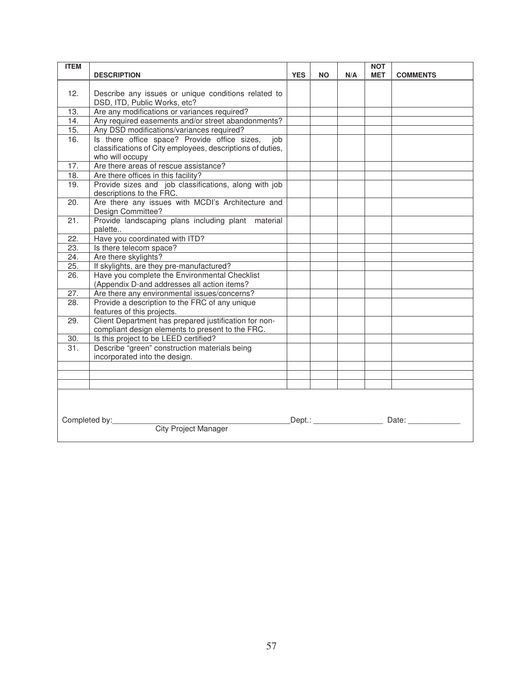| <b>ITEM</b>                                       | <b>DESCRIPTION</b>                                                                | <b>YES</b> | <b>NO</b> | N/A | <b>NOT</b><br><b>MET</b> | <b>COMMENTS</b> |
|---------------------------------------------------|-----------------------------------------------------------------------------------|------------|-----------|-----|--------------------------|-----------------|
|                                                   |                                                                                   |            |           |     |                          |                 |
| 12.                                               | Describe any issues or unique conditions related to                               |            |           |     |                          |                 |
|                                                   | DSD, ITD, Public Works, etc?                                                      |            |           |     |                          |                 |
| 13.                                               | Are any modifications or variances required?                                      |            |           |     |                          |                 |
| 14.                                               | Any required easements and/or street abandonments?                                |            |           |     |                          |                 |
| 15.                                               | Any DSD modifications/variances required?                                         |            |           |     |                          |                 |
| 16.                                               | Is there office space? Provide office sizes,<br>iob                               |            |           |     |                          |                 |
|                                                   | classifications of City employees, descriptions of duties,                        |            |           |     |                          |                 |
|                                                   | who will occupy                                                                   |            |           |     |                          |                 |
| 17.                                               | Are there areas of rescue assistance?                                             |            |           |     |                          |                 |
| $\overline{18}$ .                                 | Are there offices in this facility?                                               |            |           |     |                          |                 |
| 19.                                               | Provide sizes and job classifications, along with job<br>descriptions to the FRC. |            |           |     |                          |                 |
| 20.                                               | Are there any issues with MCDI's Architecture and                                 |            |           |     |                          |                 |
|                                                   | Design Committee?                                                                 |            |           |     |                          |                 |
| 21.                                               | Provide landscaping plans including plant material                                |            |           |     |                          |                 |
|                                                   | palette                                                                           |            |           |     |                          |                 |
| $\overline{22}$ .                                 | Have you coordinated with ITD?                                                    |            |           |     |                          |                 |
| $\overline{23}$ .                                 | Is there telecom space?                                                           |            |           |     |                          |                 |
| 24.                                               | Are there skylights?                                                              |            |           |     |                          |                 |
| 25.                                               | If skylights, are they pre-manufactured?                                          |            |           |     |                          |                 |
| $\overline{26}$ .                                 | Have you complete the Environmental Checklist                                     |            |           |     |                          |                 |
|                                                   | (Appendix D-and addresses all action items?                                       |            |           |     |                          |                 |
| 27.                                               | Are there any environmental issues/concerns?                                      |            |           |     |                          |                 |
| 28.                                               | Provide a description to the FRC of any unique                                    |            |           |     |                          |                 |
|                                                   | features of this projects.                                                        |            |           |     |                          |                 |
| 29.                                               | Client Department has prepared justification for non-                             |            |           |     |                          |                 |
|                                                   | compliant design elements to present to the FRC.                                  |            |           |     |                          |                 |
| 30.                                               | Is this project to be LEED certified?                                             |            |           |     |                          |                 |
| 31.                                               | Describe "green" construction materials being                                     |            |           |     |                          |                 |
|                                                   | incorporated into the design.                                                     |            |           |     |                          |                 |
|                                                   |                                                                                   |            |           |     |                          |                 |
|                                                   |                                                                                   |            |           |     |                          |                 |
|                                                   |                                                                                   |            |           |     |                          |                 |
|                                                   |                                                                                   |            |           |     |                          |                 |
|                                                   |                                                                                   |            |           |     |                          |                 |
| _Dept.: _______________<br>Completed by:<br>Date: |                                                                                   |            |           |     |                          |                 |
|                                                   | <b>City Project Manager</b>                                                       |            |           |     |                          |                 |
|                                                   |                                                                                   |            |           |     |                          |                 |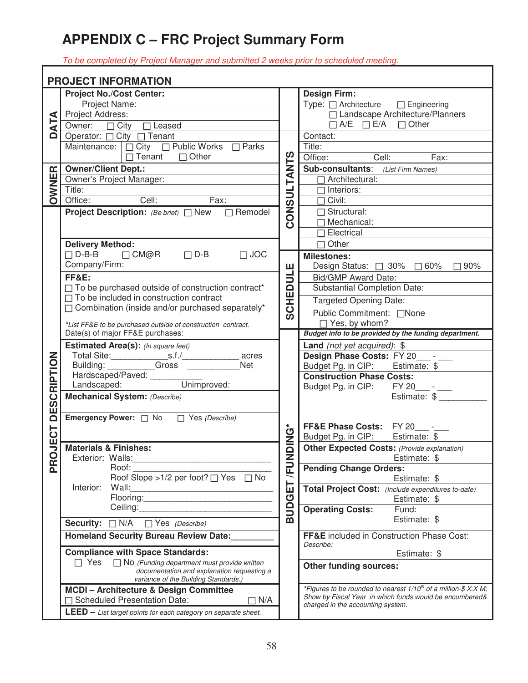# **APPENDIX C – FRC Project Summary Form**

To be completed by Project Manager and submitted 2 weeks prior to scheduled meeting.

|                      | <b>PROJECT INFORMATION</b>                                                                  |               |                                                                      |
|----------------------|---------------------------------------------------------------------------------------------|---------------|----------------------------------------------------------------------|
|                      | <b>Project No./Cost Center:</b>                                                             |               | <b>Design Firm:</b>                                                  |
|                      | Project Name:                                                                               |               | Type: □ Architecture □ Engineering                                   |
| $\blacktriangleleft$ | Project Address:                                                                            |               | □ Landscape Architecture/Planners                                    |
| $\mathbf{z}$         | Owner: □ City □ Leased                                                                      |               | $\Box$ A/E $\Box$ E/A $\Box$ Other                                   |
| 0                    | Operator: □ City □ Tenant                                                                   |               | Contact:                                                             |
|                      | Maintenance:   $\Box$ City $\Box$ Public Works $\Box$ Parks                                 |               | Title:                                                               |
|                      | $\Box$ Tenant $\Box$ Other                                                                  | <b>TANTS</b>  | Office: Cell:<br>Fax:                                                |
|                      | <b>Owner/Client Dept.:</b>                                                                  |               | <b>Sub-consultants:</b> (List Firm Names)                            |
| OWNER                | Owner's Project Manager:<br>Owner's Project Manager:                                        |               | $\Box$ Architectural:                                                |
|                      | Title:                                                                                      |               | $\Box$ Interiors:                                                    |
|                      | <b>Cell:</b><br>Fax:<br>Office:                                                             | <b>CONSUL</b> | $\Box$ Civil:                                                        |
|                      | <b>Project Description:</b> (Be brief) □ New □ Remodel                                      |               | $\Box$ Structural:                                                   |
|                      |                                                                                             |               | $\Box$ Mechanical:                                                   |
|                      |                                                                                             |               | $\overline{\Box}$ Electrical                                         |
|                      | <b>Delivery Method:</b>                                                                     |               | $\Box$ Other                                                         |
|                      | $\Box$ D-B-B $\Box$ CM@R<br>$\Box$ D-B<br>$\Box$ JOC                                        |               | <b>Milestones:</b>                                                   |
|                      | Company/Firm:                                                                               |               | Design Status: $\Box$ 30% $\Box$ 60%<br>$\Box$ 90%                   |
|                      | <b>FF&amp;E:</b>                                                                            | <b>ATIC</b>   | <b>Bid/GMP Award Date:</b>                                           |
|                      | $\Box$ To be purchased outside of construction contract*                                    |               | <b>Substantial Completion Date:</b>                                  |
|                      | $\Box$ To be included in construction contract                                              | SCHED         | <b>Targeted Opening Date:</b>                                        |
|                      | □ Combination (inside and/or purchased separately*                                          |               | Public Commitment: □None                                             |
|                      | *List FF&E to be purchased outside of construction contract.                                |               | □ Yes, by whom?                                                      |
|                      | Date(s) of major FF&E purchases:                                                            |               | Budget info to be provided by the funding department.                |
|                      | Estimated Area(s): (In square feet)                                                         |               | Land (not yet acquired): \$                                          |
|                      | acres                                                                                       |               | Design Phase Costs: FY 20_____-                                      |
|                      | Building: Gross<br>Net                                                                      |               | Budget Pg. in CIP: Estimate: \$                                      |
|                      | Hardscaped/Paved: Unimproved:<br>Landscaped: Unimproved:                                    |               | <b>Construction Phase Costs:</b>                                     |
|                      |                                                                                             |               | Budget Pg. in CIP: FY 20___-                                         |
| <b>DESCRIPTION</b>   | Mechanical System: (Describe)                                                               |               | Estimate: \$                                                         |
|                      |                                                                                             |               |                                                                      |
|                      |                                                                                             |               | FF&E Phase Costs: FY 20 -                                            |
|                      |                                                                                             |               | Budget Pg. in CIP: Estimate: \$                                      |
| JECT                 | <b>Materials &amp; Finishes:</b>                                                            | <b>SONIC</b>  | <b>Other Expected Costs: (Provide explanation)</b>                   |
|                      | Exterior: Walls:                                                                            |               | Estimate: \$                                                         |
| Ř                    | Roof:                                                                                       | <b>NOW</b>    | <b>Pending Change Orders:</b>                                        |
|                      | Roof Slope $\geq$ 1/2 per foot? $\Box$ Yes $\Box$ No                                        |               | Estimate: \$                                                         |
|                      | Wall:<br>Interior:                                                                          |               | Total Project Cost: (Include expenditures to-date)                   |
|                      | Flooring: <b>Example 2018</b>                                                               | <b>BUDGET</b> | Estimate: \$                                                         |
|                      |                                                                                             |               | <b>Operating Costs:</b><br>Fund:                                     |
|                      | Security: $\Box$ N/A<br>□ Yes (Describe)                                                    |               | Estimate: \$                                                         |
|                      | <b>Homeland Security Bureau Review Date:</b>                                                |               | FF&E included in Construction Phase Cost:<br>Describe:               |
|                      | <b>Compliance with Space Standards:</b>                                                     |               | Estimate: \$                                                         |
|                      | $\Box$ Yes<br>$\Box$ No (Funding department must provide written                            |               | <b>Other funding sources:</b>                                        |
|                      | documentation and explanation requesting a                                                  |               |                                                                      |
|                      | variance of the Building Standards.)                                                        |               | *Figures to be rounded to nearest $1/10^{th}$ of a million-\$ X.X M; |
|                      | MCDI - Architecture & Design Committee<br><b>Scheduled Presentation Date:</b><br>$\Box$ N/A |               | Show by Fiscal Year in which funds would be encumbered&              |
|                      |                                                                                             |               | charged in the accounting system.                                    |
|                      | <b>LEED</b> - List target points for each category on separate sheet.                       |               |                                                                      |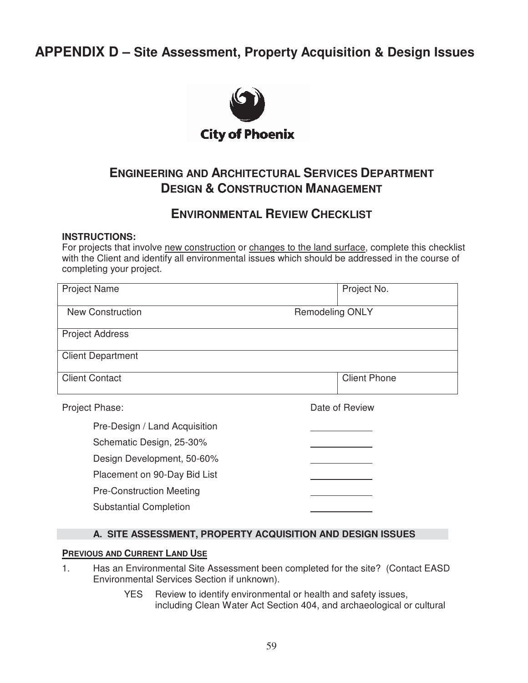## **APPENDIX D – Site Assessment, Property Acquisition & Design Issues**



## **ENGINEERING AND ARCHITECTURAL SERVICES DEPARTMENT DESIGN & CONSTRUCTION MANAGEMENT**

## **ENVIRONMENTAL REVIEW CHECKLIST**

#### **INSTRUCTIONS:**

For projects that involve new construction or changes to the land surface, complete this checklist with the Client and identify all environmental issues which should be addressed in the course of completing your project.

| <b>Project Name</b>             | Project No.            |
|---------------------------------|------------------------|
| <b>New Construction</b>         | <b>Remodeling ONLY</b> |
| <b>Project Address</b>          |                        |
| <b>Client Department</b>        |                        |
| <b>Client Contact</b>           | <b>Client Phone</b>    |
| Project Phase:                  | Date of Review         |
| Pre-Design / Land Acquisition   |                        |
| Schematic Design, 25-30%        |                        |
| Design Development, 50-60%      |                        |
| Placement on 90-Day Bid List    |                        |
| <b>Pre-Construction Meeting</b> |                        |
| <b>Substantial Completion</b>   |                        |

#### **A. SITE ASSESSMENT, PROPERTY ACQUISITION AND DESIGN ISSUES**

#### **PREVIOUS AND CURRENT LAND USE**

- 1. Has an Environmental Site Assessment been completed for the site? (Contact EASD Environmental Services Section if unknown).
	- YES Review to identify environmental or health and safety issues, including Clean Water Act Section 404, and archaeological or cultural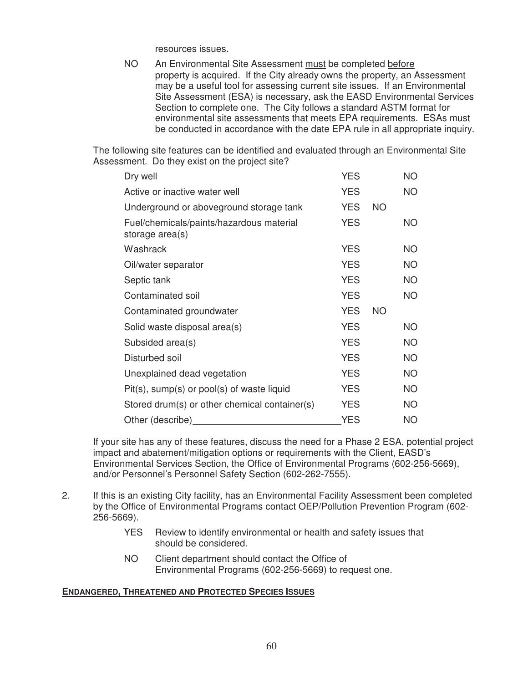resources issues.

NO An Environmental Site Assessment must be completed before property is acquired. If the City already owns the property, an Assessment may be a useful tool for assessing current site issues. If an Environmental Site Assessment (ESA) is necessary, ask the EASD Environmental Services Section to complete one. The City follows a standard ASTM format for environmental site assessments that meets EPA requirements. ESAs must be conducted in accordance with the date EPA rule in all appropriate inquiry.

The following site features can be identified and evaluated through an Environmental Site Assessment. Do they exist on the project site?

| Dry well                                                    | <b>YES</b> |           | NO.       |
|-------------------------------------------------------------|------------|-----------|-----------|
| Active or inactive water well                               | <b>YES</b> |           | <b>NO</b> |
| Underground or aboveground storage tank                     | <b>YES</b> | <b>NO</b> |           |
| Fuel/chemicals/paints/hazardous material<br>storage area(s) | <b>YES</b> |           | NO.       |
| Washrack                                                    | <b>YES</b> |           | NO.       |
| Oil/water separator                                         | <b>YES</b> |           | NO.       |
| Septic tank                                                 | <b>YES</b> |           | NO.       |
| Contaminated soil                                           | <b>YES</b> |           | <b>NO</b> |
| Contaminated groundwater                                    | <b>YES</b> | <b>NO</b> |           |
| Solid waste disposal area(s)                                | <b>YES</b> |           | <b>NO</b> |
| Subsided area(s)                                            | <b>YES</b> |           | <b>NO</b> |
| Disturbed soil                                              | <b>YES</b> |           | NO.       |
| Unexplained dead vegetation                                 | <b>YES</b> |           | NO.       |
| $Pit(s)$ , sump(s) or pool(s) of waste liquid               | <b>YES</b> |           | NO.       |
| Stored drum(s) or other chemical container(s)               | <b>YES</b> |           | NO.       |
| Other (describe)                                            | <b>YES</b> |           | <b>NO</b> |

If your site has any of these features, discuss the need for a Phase 2 ESA, potential project impact and abatement/mitigation options or requirements with the Client, EASD's Environmental Services Section, the Office of Environmental Programs (602-256-5669), and/or Personnel's Personnel Safety Section (602-262-7555).

- 2. If this is an existing City facility, has an Environmental Facility Assessment been completed by the Office of Environmental Programs contact OEP/Pollution Prevention Program (602- 256-5669).
	- YES Review to identify environmental or health and safety issues that should be considered.
	- NO Client department should contact the Office of Environmental Programs (602-256-5669) to request one.

#### **ENDANGERED, THREATENED AND PROTECTED SPECIES ISSUES**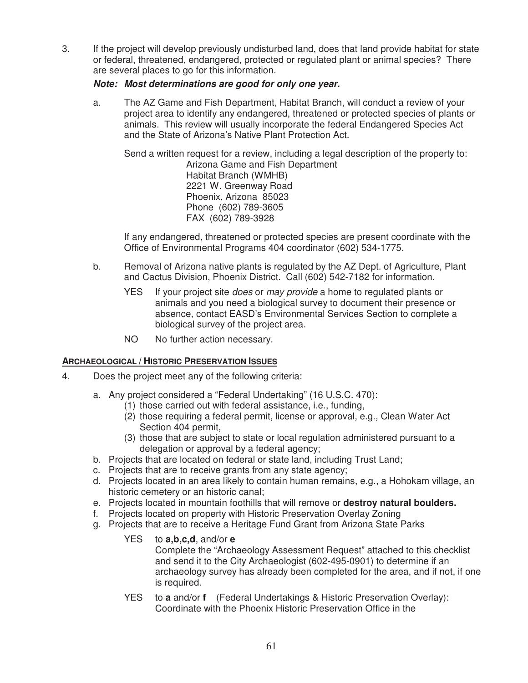3. If the project will develop previously undisturbed land, does that land provide habitat for state or federal, threatened, endangered, protected or regulated plant or animal species? There are several places to go for this information.

#### *Note: Most determinations are good for only one year.*

a. The AZ Game and Fish Department, Habitat Branch, will conduct a review of your project area to identify any endangered, threatened or protected species of plants or animals. This review will usually incorporate the federal Endangered Species Act and the State of Arizona's Native Plant Protection Act.

Send a written request for a review, including a legal description of the property to: Arizona Game and Fish Department Habitat Branch (WMHB) 2221 W. Greenway Road Phoenix, Arizona 85023 Phone (602) 789-3605 FAX (602) 789-3928

If any endangered, threatened or protected species are present coordinate with the Office of Environmental Programs 404 coordinator (602) 534-1775.

- b. Removal of Arizona native plants is regulated by the AZ Dept. of Agriculture, Plant and Cactus Division, Phoenix District. Call (602) 542-7182 for information.
	- YES If your project site *does* or *may provide* a home to regulated plants or animals and you need a biological survey to document their presence or absence, contact EASD's Environmental Services Section to complete a biological survey of the project area.
	- NO No further action necessary.

#### **ARCHAEOLOGICAL / HISTORIC PRESERVATION ISSUES**

- 4. Does the project meet any of the following criteria:
	- a. Any project considered a "Federal Undertaking" (16 U.S.C. 470):
		- (1) those carried out with federal assistance, i.e., funding,
			- (2) those requiring a federal permit, license or approval, e.g., Clean Water Act Section 404 permit,
		- (3) those that are subject to state or local regulation administered pursuant to a delegation or approval by a federal agency;
	- b. Projects that are located on federal or state land, including Trust Land;
	- c. Projects that are to receive grants from any state agency;
	- d. Projects located in an area likely to contain human remains, e.g., a Hohokam village, an historic cemetery or an historic canal;
	- e. Projects located in mountain foothills that will remove or **destroy natural boulders.**
	- f. Projects located on property with Historic Preservation Overlay Zoning
	- g. Projects that are to receive a Heritage Fund Grant from Arizona State Parks
		- YES to **a,b,c,d**, and/or **e** Complete the "Archaeology Assessment Request" attached to this checklist and send it to the City Archaeologist (602-495-0901) to determine if an archaeology survey has already been completed for the area, and if not, if one is required.
		- YES to **a** and/or **f** (Federal Undertakings & Historic Preservation Overlay): Coordinate with the Phoenix Historic Preservation Office in the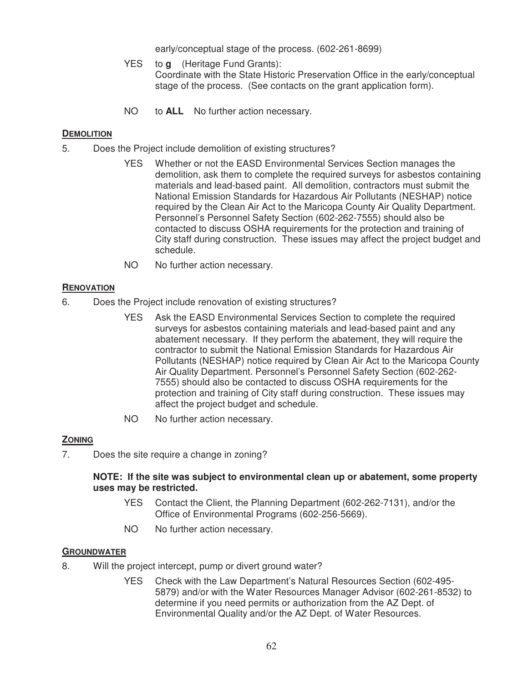early/conceptual stage of the process. (602-261-8699)

- YES to **g** (Heritage Fund Grants): Coordinate with the State Historic Preservation Office in the early/conceptual stage of the process. (See contacts on the grant application form).
- NO to **ALL** No further action necessary.

#### **DEMOLITION**

- 5. Does the Project include demolition of existing structures?
	- YES Whether or not the EASD Environmental Services Section manages the demolition, ask them to complete the required surveys for asbestos containing materials and lead-based paint. All demolition, contractors must submit the National Emission Standards for Hazardous Air Pollutants (NESHAP) notice required by the Clean Air Act to the Maricopa County Air Quality Department. Personnel's Personnel Safety Section (602-262-7555) should also be contacted to discuss OSHA requirements for the protection and training of City staff during construction. These issues may affect the project budget and schedule.
	- NO No further action necessary.

#### **RENOVATION**

- 6. Does the Project include renovation of existing structures?
	- YES Ask the EASD Environmental Services Section to complete the required surveys for asbestos containing materials and lead-based paint and any abatement necessary. If they perform the abatement, they will require the contractor to submit the National Emission Standards for Hazardous Air Pollutants (NESHAP) notice required by Clean Air Act to the Maricopa County Air Quality Department. Personnel's Personnel Safety Section (602-262- 7555) should also be contacted to discuss OSHA requirements for the protection and training of City staff during construction. These issues may affect the project budget and schedule.
	- NO No further action necessary.

#### **ZONING**

7. Does the site require a change in zoning?

#### **NOTE: If the site was subject to environmental clean up or abatement, some property uses may be restricted.**

- YES Contact the Client, the Planning Department (602-262-7131), and/or the Office of Environmental Programs (602-256-5669).
- NO No further action necessary.

#### **GROUNDWATER**

- 8. Will the project intercept, pump or divert ground water?
	- YES Check with the Law Department's Natural Resources Section (602-495- 5879) and/or with the Water Resources Manager Advisor (602-261-8532) to determine if you need permits or authorization from the AZ Dept. of Environmental Quality and/or the AZ Dept. of Water Resources.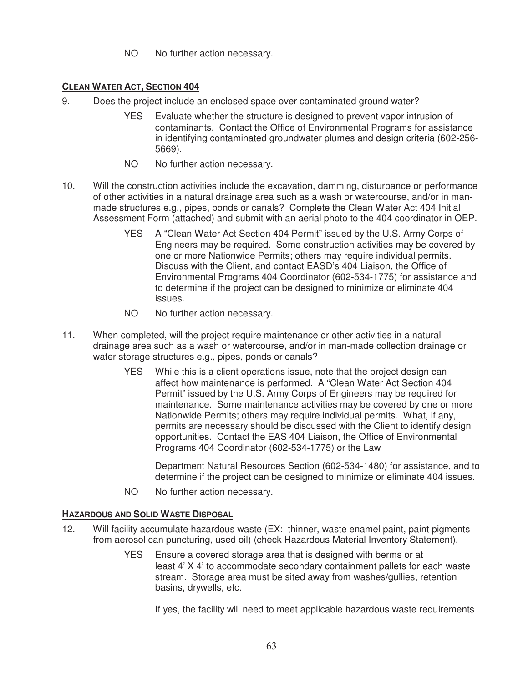NO No further action necessary.

#### **CLEAN WATER ACT, SECTION 404**

- 9. Does the project include an enclosed space over contaminated ground water?
	- YES Evaluate whether the structure is designed to prevent vapor intrusion of contaminants. Contact the Office of Environmental Programs for assistance in identifying contaminated groundwater plumes and design criteria (602-256- 5669).
	- NO No further action necessary.
- 10. Will the construction activities include the excavation, damming, disturbance or performance of other activities in a natural drainage area such as a wash or watercourse, and/or in manmade structures e.g., pipes, ponds or canals? Complete the Clean Water Act 404 Initial Assessment Form (attached) and submit with an aerial photo to the 404 coordinator in OEP.
	- YES A "Clean Water Act Section 404 Permit" issued by the U.S. Army Corps of Engineers may be required. Some construction activities may be covered by one or more Nationwide Permits; others may require individual permits. Discuss with the Client, and contact EASD's 404 Liaison, the Office of Environmental Programs 404 Coordinator (602-534-1775) for assistance and to determine if the project can be designed to minimize or eliminate 404 issues.
	- NO No further action necessary.
- 11. When completed, will the project require maintenance or other activities in a natural drainage area such as a wash or watercourse, and/or in man-made collection drainage or water storage structures e.g., pipes, ponds or canals?
	- YES While this is a client operations issue, note that the project design can affect how maintenance is performed. A "Clean Water Act Section 404 Permit" issued by the U.S. Army Corps of Engineers may be required for maintenance. Some maintenance activities may be covered by one or more Nationwide Permits; others may require individual permits. What, if any, permits are necessary should be discussed with the Client to identify design opportunities. Contact the EAS 404 Liaison, the Office of Environmental Programs 404 Coordinator (602-534-1775) or the Law

Department Natural Resources Section (602-534-1480) for assistance, and to determine if the project can be designed to minimize or eliminate 404 issues.

NO No further action necessary.

#### **HAZARDOUS AND SOLID WASTE DISPOSAL**

- 12. Will facility accumulate hazardous waste (EX: thinner, waste enamel paint, paint pigments from aerosol can puncturing, used oil) (check Hazardous Material Inventory Statement).
	- YES Ensure a covered storage area that is designed with berms or at least 4' X 4' to accommodate secondary containment pallets for each waste stream. Storage area must be sited away from washes/gullies, retention basins, drywells, etc.

If yes, the facility will need to meet applicable hazardous waste requirements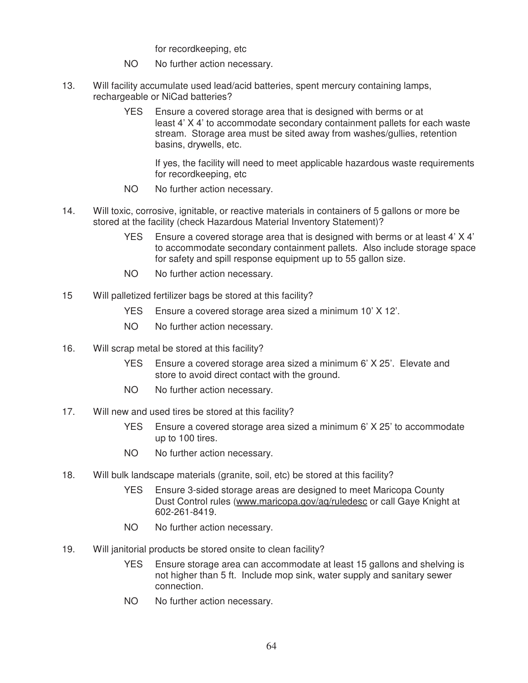for recordkeeping, etc

- NO No further action necessary.
- 13. Will facility accumulate used lead/acid batteries, spent mercury containing lamps, rechargeable or NiCad batteries?
	- YES Ensure a covered storage area that is designed with berms or at least 4' X 4' to accommodate secondary containment pallets for each waste stream. Storage area must be sited away from washes/gullies, retention basins, drywells, etc.

If yes, the facility will need to meet applicable hazardous waste requirements for recordkeeping, etc

- NO No further action necessary.
- 14. Will toxic, corrosive, ignitable, or reactive materials in containers of 5 gallons or more be stored at the facility (check Hazardous Material Inventory Statement)?
	- YES Ensure a covered storage area that is designed with berms or at least 4' X 4' to accommodate secondary containment pallets. Also include storage space for safety and spill response equipment up to 55 gallon size.
	- NO No further action necessary.
- 15 Will palletized fertilizer bags be stored at this facility?
	- YES Ensure a covered storage area sized a minimum 10' X 12'.
	- NO No further action necessary.
- 16. Will scrap metal be stored at this facility?
	- YES Ensure a covered storage area sized a minimum 6' X 25'. Elevate and store to avoid direct contact with the ground.
	- NO No further action necessary.
- 17. Will new and used tires be stored at this facility?
	- YES Ensure a covered storage area sized a minimum 6' X 25' to accommodate up to 100 tires.
	- NO No further action necessary.
- 18. Will bulk landscape materials (granite, soil, etc) be stored at this facility?
	- YES Ensure 3-sided storage areas are designed to meet Maricopa County Dust Control rules (www.maricopa.gov/aq/ruledesc or call Gaye Knight at 602-261-8419.
	- NO No further action necessary.
- 19. Will janitorial products be stored onsite to clean facility?
	- YES Ensure storage area can accommodate at least 15 gallons and shelving is not higher than 5 ft. Include mop sink, water supply and sanitary sewer connection.
	- NO No further action necessary.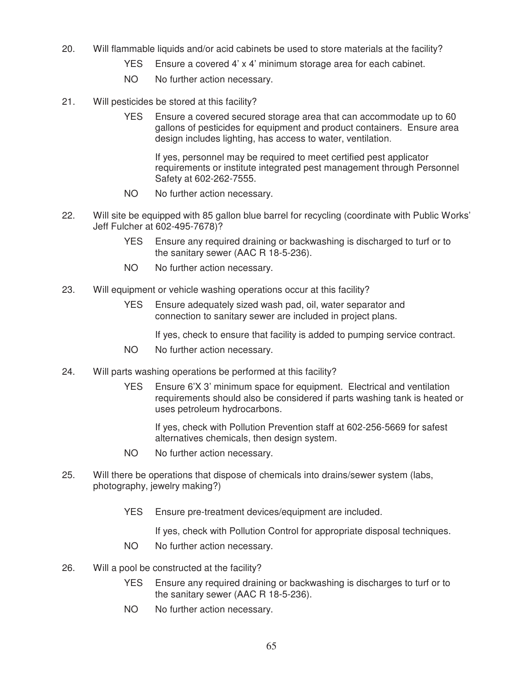- 20. Will flammable liquids and/or acid cabinets be used to store materials at the facility?
	- YES Ensure a covered 4' x 4' minimum storage area for each cabinet.
	- NO No further action necessary.
- 21. Will pesticides be stored at this facility?
	- YES Ensure a covered secured storage area that can accommodate up to 60 gallons of pesticides for equipment and product containers. Ensure area design includes lighting, has access to water, ventilation.

If yes, personnel may be required to meet certified pest applicator requirements or institute integrated pest management through Personnel Safety at 602-262-7555.

- NO No further action necessary.
- 22. Will site be equipped with 85 gallon blue barrel for recycling (coordinate with Public Works' Jeff Fulcher at 602-495-7678)?
	- YES Ensure any required draining or backwashing is discharged to turf or to the sanitary sewer (AAC R 18-5-236).
	- NO No further action necessary.
- 23. Will equipment or vehicle washing operations occur at this facility?
	- YES Ensure adequately sized wash pad, oil, water separator and connection to sanitary sewer are included in project plans.

If yes, check to ensure that facility is added to pumping service contract.

- NO No further action necessary.
- 24. Will parts washing operations be performed at this facility?
	- YES Ensure 6'X 3' minimum space for equipment. Electrical and ventilation requirements should also be considered if parts washing tank is heated or uses petroleum hydrocarbons.

If yes, check with Pollution Prevention staff at 602-256-5669 for safest alternatives chemicals, then design system.

- NO No further action necessary.
- 25. Will there be operations that dispose of chemicals into drains/sewer system (labs, photography, jewelry making?)
	- YES Ensure pre-treatment devices/equipment are included.

If yes, check with Pollution Control for appropriate disposal techniques.

- NO No further action necessary.
- 26. Will a pool be constructed at the facility?
	- YES Ensure any required draining or backwashing is discharges to turf or to the sanitary sewer (AAC R 18-5-236).
	- NO No further action necessary.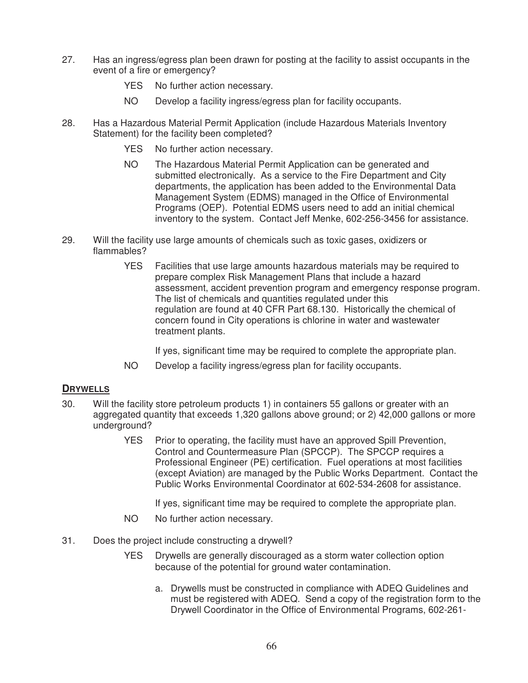- 27. Has an ingress/egress plan been drawn for posting at the facility to assist occupants in the event of a fire or emergency?
	- YES No further action necessary.
	- NO Develop a facility ingress/egress plan for facility occupants.
- 28. Has a Hazardous Material Permit Application (include Hazardous Materials Inventory Statement) for the facility been completed?
	- YES No further action necessary.
	- NO The Hazardous Material Permit Application can be generated and submitted electronically. As a service to the Fire Department and City departments, the application has been added to the Environmental Data Management System (EDMS) managed in the Office of Environmental Programs (OEP). Potential EDMS users need to add an initial chemical inventory to the system. Contact Jeff Menke, 602-256-3456 for assistance.
- 29. Will the facility use large amounts of chemicals such as toxic gases, oxidizers or flammables?
	- YES Facilities that use large amounts hazardous materials may be required to prepare complex Risk Management Plans that include a hazard assessment, accident prevention program and emergency response program. The list of chemicals and quantities regulated under this regulation are found at 40 CFR Part 68.130. Historically the chemical of concern found in City operations is chlorine in water and wastewater treatment plants.

If yes, significant time may be required to complete the appropriate plan.

NO Develop a facility ingress/egress plan for facility occupants.

#### **DRYWELLS**

- 30. Will the facility store petroleum products 1) in containers 55 gallons or greater with an aggregated quantity that exceeds 1,320 gallons above ground; or 2) 42,000 gallons or more underground?
	- YES Prior to operating, the facility must have an approved Spill Prevention, Control and Countermeasure Plan (SPCCP). The SPCCP requires a Professional Engineer (PE) certification. Fuel operations at most facilities (except Aviation) are managed by the Public Works Department. Contact the Public Works Environmental Coordinator at 602-534-2608 for assistance.

If yes, significant time may be required to complete the appropriate plan.

- NO No further action necessary.
- 31. Does the project include constructing a drywell?
	- YES Drywells are generally discouraged as a storm water collection option because of the potential for ground water contamination.
		- a. Drywells must be constructed in compliance with ADEQ Guidelines and must be registered with ADEQ. Send a copy of the registration form to the Drywell Coordinator in the Office of Environmental Programs, 602-261-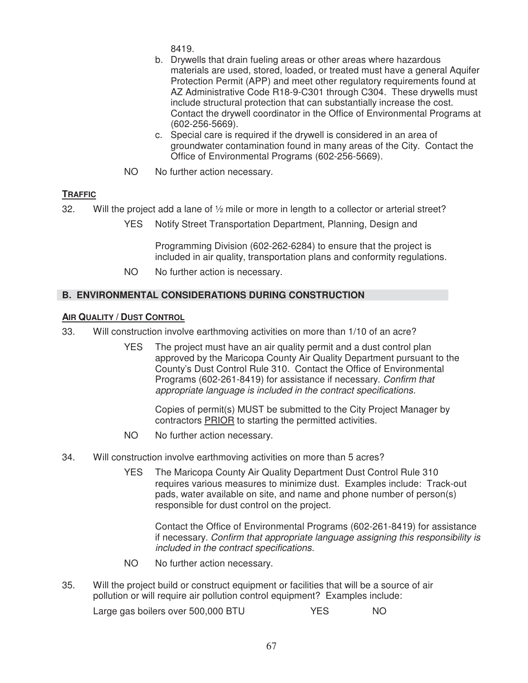8419.

- b. Drywells that drain fueling areas or other areas where hazardous materials are used, stored, loaded, or treated must have a general Aquifer Protection Permit (APP) and meet other regulatory requirements found at AZ Administrative Code R18-9-C301 through C304. These drywells must include structural protection that can substantially increase the cost. Contact the drywell coordinator in the Office of Environmental Programs at (602-256-5669).
- c. Special care is required if the drywell is considered in an area of groundwater contamination found in many areas of the City. Contact the Office of Environmental Programs (602-256-5669).
- NO No further action necessary.

## **TRAFFIC**

- 32. Will the project add a lane of ½ mile or more in length to a collector or arterial street?
	- YES Notify Street Transportation Department, Planning, Design and

Programming Division (602-262-6284) to ensure that the project is included in air quality, transportation plans and conformity regulations.

NO No further action is necessary.

## **B. ENVIRONMENTAL CONSIDERATIONS DURING CONSTRUCTION**

#### **AIR QUALITY / DUST CONTROL**

- 33. Will construction involve earthmoving activities on more than 1/10 of an acre?
	- YES The project must have an air quality permit and a dust control plan approved by the Maricopa County Air Quality Department pursuant to the County's Dust Control Rule 310. Contact the Office of Environmental Programs (602-261-8419) for assistance if necessary. Confirm that appropriate language is included in the contract specifications.

Copies of permit(s) MUST be submitted to the City Project Manager by contractors PRIOR to starting the permitted activities.

- NO No further action necessary.
- 34. Will construction involve earthmoving activities on more than 5 acres?
	- YES The Maricopa County Air Quality Department Dust Control Rule 310 requires various measures to minimize dust. Examples include: Track-out pads, water available on site, and name and phone number of person(s) responsible for dust control on the project.

Contact the Office of Environmental Programs (602-261-8419) for assistance if necessary. Confirm that appropriate language assigning this responsibility is included in the contract specifications.

- NO No further action necessary.
- 35. Will the project build or construct equipment or facilities that will be a source of air pollution or will require air pollution control equipment? Examples include:

Large gas boilers over 500,000 BTU YES NO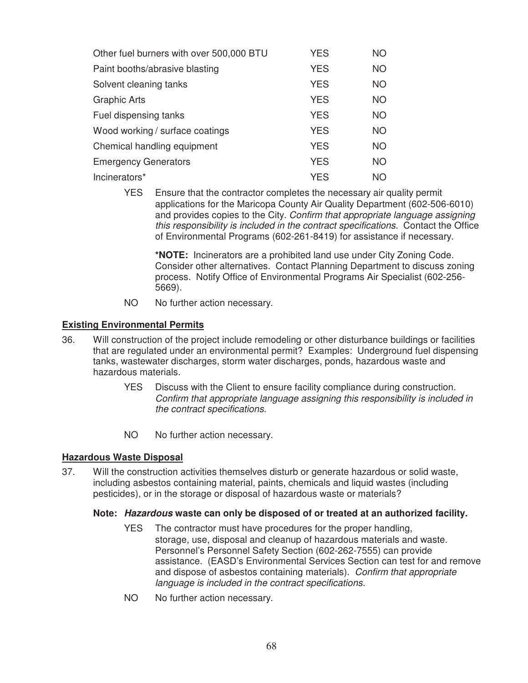| Other fuel burners with over 500,000 BTU | <b>YES</b> | <b>NO</b> |
|------------------------------------------|------------|-----------|
| Paint booths/abrasive blasting           | <b>YES</b> | <b>NO</b> |
| Solvent cleaning tanks                   | <b>YES</b> | <b>NO</b> |
| <b>Graphic Arts</b>                      | <b>YES</b> | <b>NO</b> |
| Fuel dispensing tanks                    | <b>YES</b> | <b>NO</b> |
| Wood working / surface coatings          | <b>YES</b> | <b>NO</b> |
| Chemical handling equipment              | <b>YES</b> | <b>NO</b> |
| <b>Emergency Generators</b>              | <b>YES</b> | <b>NO</b> |
| Incinerators*                            | <b>YES</b> | NΟ        |

 YES Ensure that the contractor completes the necessary air quality permit applications for the Maricopa County Air Quality Department (602-506-6010) and provides copies to the City. Confirm that appropriate language assigning this responsibility is included in the contract specifications. Contact the Office of Environmental Programs (602-261-8419) for assistance if necessary.

**\*NOTE:** Incinerators are a prohibited land use under City Zoning Code. Consider other alternatives. Contact Planning Department to discuss zoning process. Notify Office of Environmental Programs Air Specialist (602-256- 5669).

NO No further action necessary.

#### **Existing Environmental Permits**

- 36. Will construction of the project include remodeling or other disturbance buildings or facilities that are regulated under an environmental permit? Examples: Underground fuel dispensing tanks, wastewater discharges, storm water discharges, ponds, hazardous waste and hazardous materials.
	- YES Discuss with the Client to ensure facility compliance during construction. Confirm that appropriate language assigning this responsibility is included in the contract specifications.
	- NO No further action necessary.

#### **Hazardous Waste Disposal**

37. Will the construction activities themselves disturb or generate hazardous or solid waste, including asbestos containing material, paints, chemicals and liquid wastes (including pesticides), or in the storage or disposal of hazardous waste or materials?

#### **Note:** *Hazardous* **waste can only be disposed of or treated at an authorized facility***.*

- YES The contractor must have procedures for the proper handling, storage, use, disposal and cleanup of hazardous materials and waste. Personnel's Personnel Safety Section (602-262-7555) can provide assistance. (EASD's Environmental Services Section can test for and remove and dispose of asbestos containing materials). Confirm that appropriate language is included in the contract specifications.
- NO No further action necessary.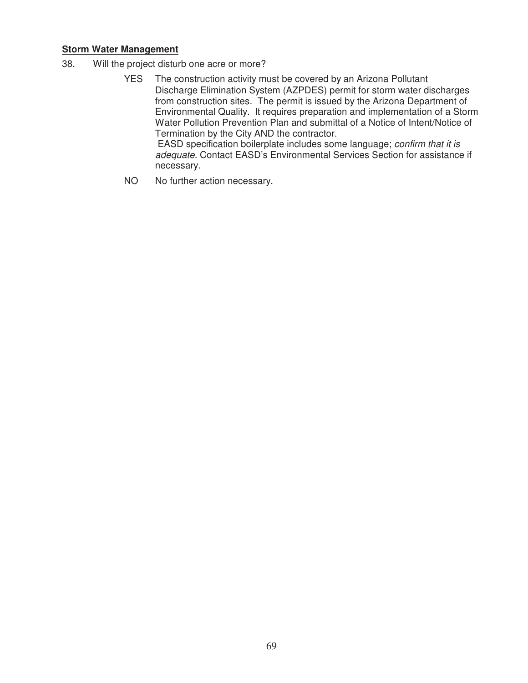#### **Storm Water Management**

- 38. Will the project disturb one acre or more?
	- YES The construction activity must be covered by an Arizona Pollutant Discharge Elimination System (AZPDES) permit for storm water discharges from construction sites. The permit is issued by the Arizona Department of Environmental Quality. It requires preparation and implementation of a Storm Water Pollution Prevention Plan and submittal of a Notice of Intent/Notice of Termination by the City AND the contractor. EASD specification boilerplate includes some language; confirm that it is adequate. Contact EASD's Environmental Services Section for assistance if necessary.
	- NO No further action necessary.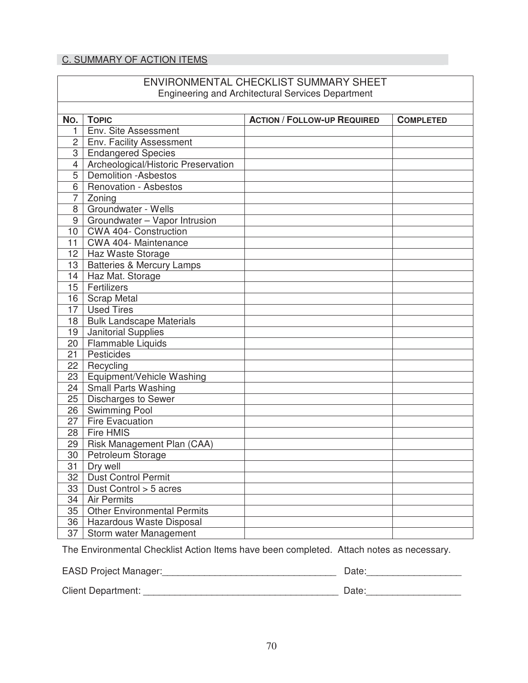## C. SUMMARY OF ACTION ITEMS

|                  |                                      | ENVIRONMENTAL CHECKLIST SUMMARY SHEET<br><b>Engineering and Architectural Services Department</b> |                  |
|------------------|--------------------------------------|---------------------------------------------------------------------------------------------------|------------------|
|                  |                                      |                                                                                                   |                  |
| No.              | <b>TOPIC</b>                         | <b>ACTION / FOLLOW-UP REQUIRED</b>                                                                | <b>COMPLETED</b> |
| 1                | Env. Site Assessment                 |                                                                                                   |                  |
| $\overline{2}$   | Env. Facility Assessment             |                                                                                                   |                  |
| 3                | <b>Endangered Species</b>            |                                                                                                   |                  |
| $\overline{4}$   | Archeological/Historic Preservation  |                                                                                                   |                  |
| 5                | <b>Demolition -Asbestos</b>          |                                                                                                   |                  |
| 6                | <b>Renovation - Asbestos</b>         |                                                                                                   |                  |
| 7                | Zoning                               |                                                                                                   |                  |
| 8                | Groundwater - Wells                  |                                                                                                   |                  |
| 9                | Groundwater - Vapor Intrusion        |                                                                                                   |                  |
| 10               | <b>CWA 404- Construction</b>         |                                                                                                   |                  |
| 11               | CWA 404- Maintenance                 |                                                                                                   |                  |
|                  | 12   Haz Waste Storage               |                                                                                                   |                  |
| 13 <sup>13</sup> | <b>Batteries &amp; Mercury Lamps</b> |                                                                                                   |                  |
| 14               | Haz Mat. Storage                     |                                                                                                   |                  |
| 15 <sup>1</sup>  | Fertilizers                          |                                                                                                   |                  |
| 16               | <b>Scrap Metal</b>                   |                                                                                                   |                  |
| 17               | <b>Used Tires</b>                    |                                                                                                   |                  |
| 18               | <b>Bulk Landscape Materials</b>      |                                                                                                   |                  |
| 19               | Janitorial Supplies                  |                                                                                                   |                  |
| 20               | Flammable Liquids                    |                                                                                                   |                  |
| 21               | Pesticides                           |                                                                                                   |                  |
| 22               | Recycling                            |                                                                                                   |                  |
| 23               | Equipment/Vehicle Washing            |                                                                                                   |                  |
| 24               | <b>Small Parts Washing</b>           |                                                                                                   |                  |
| 25               | Discharges to Sewer                  |                                                                                                   |                  |
| 26               | Swimming Pool                        |                                                                                                   |                  |
| 27               | <b>Fire Evacuation</b>               |                                                                                                   |                  |
| 28 <sup>1</sup>  | <b>Fire HMIS</b>                     |                                                                                                   |                  |
| 29               | Risk Management Plan (CAA)           |                                                                                                   |                  |
| 30               | Petroleum Storage                    |                                                                                                   |                  |
| 31               | Dry well                             |                                                                                                   |                  |
| 32               | <b>Dust Control Permit</b>           |                                                                                                   |                  |
| 33               | Dust Control > 5 acres               |                                                                                                   |                  |
| 34               | <b>Air Permits</b>                   |                                                                                                   |                  |
| 35               | <b>Other Environmental Permits</b>   |                                                                                                   |                  |
| 36               | Hazardous Waste Disposal             |                                                                                                   |                  |
| 37               | Storm water Management               |                                                                                                   |                  |

The Environmental Checklist Action Items have been completed. Attach notes as necessary.

EASD Project Manager:\_\_\_\_\_\_\_\_\_\_\_\_\_\_\_\_\_\_\_\_\_\_\_\_\_\_\_\_\_\_\_\_\_ Date:\_\_\_\_\_\_\_\_\_\_\_\_\_\_\_\_\_\_

Client Department: \_\_\_\_\_\_\_\_\_\_\_\_\_\_\_\_\_\_\_\_\_\_\_\_\_\_\_\_\_\_\_\_\_\_\_\_\_ Date:\_\_\_\_\_\_\_\_\_\_\_\_\_\_\_\_\_\_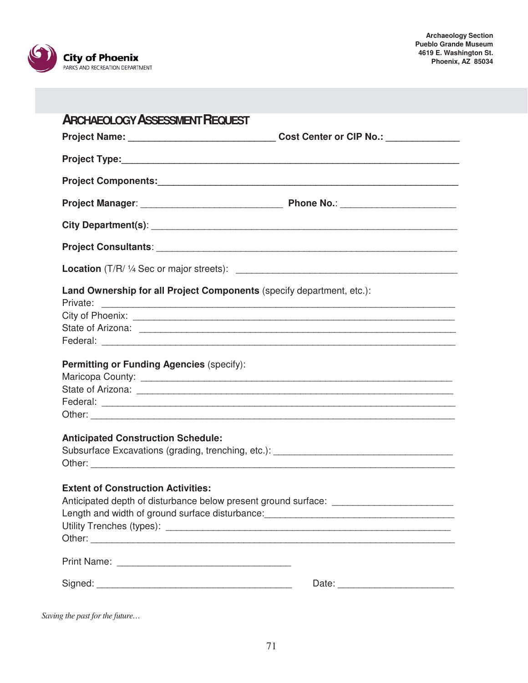

| <b>ARCHAEOLOGY ASSESSMENT REQUEST</b>                                                                                                                        |                                                                                         |
|--------------------------------------------------------------------------------------------------------------------------------------------------------------|-----------------------------------------------------------------------------------------|
|                                                                                                                                                              | Project Name: __________________________________Cost Center or CIP No.: _______________ |
|                                                                                                                                                              |                                                                                         |
|                                                                                                                                                              |                                                                                         |
|                                                                                                                                                              |                                                                                         |
|                                                                                                                                                              |                                                                                         |
|                                                                                                                                                              |                                                                                         |
|                                                                                                                                                              |                                                                                         |
| Land Ownership for all Project Components (specify department, etc.):                                                                                        |                                                                                         |
| City of Phoenix: <u>City of Phoenix:</u>                                                                                                                     |                                                                                         |
|                                                                                                                                                              |                                                                                         |
|                                                                                                                                                              |                                                                                         |
| <b>Permitting or Funding Agencies (specify):</b>                                                                                                             |                                                                                         |
|                                                                                                                                                              |                                                                                         |
|                                                                                                                                                              |                                                                                         |
|                                                                                                                                                              |                                                                                         |
|                                                                                                                                                              |                                                                                         |
| <b>Anticipated Construction Schedule:</b><br>Subsurface Excavations (grading, trenching, etc.): [14] Daniel Management Control Management Control Management |                                                                                         |
|                                                                                                                                                              |                                                                                         |
| <b>Extent of Construction Activities:</b>                                                                                                                    |                                                                                         |
| Anticipated depth of disturbance below present ground surface: __________________                                                                            |                                                                                         |
|                                                                                                                                                              |                                                                                         |
|                                                                                                                                                              |                                                                                         |
|                                                                                                                                                              |                                                                                         |
|                                                                                                                                                              |                                                                                         |
|                                                                                                                                                              | Date:                                                                                   |
|                                                                                                                                                              |                                                                                         |

*Saving the past for the future…*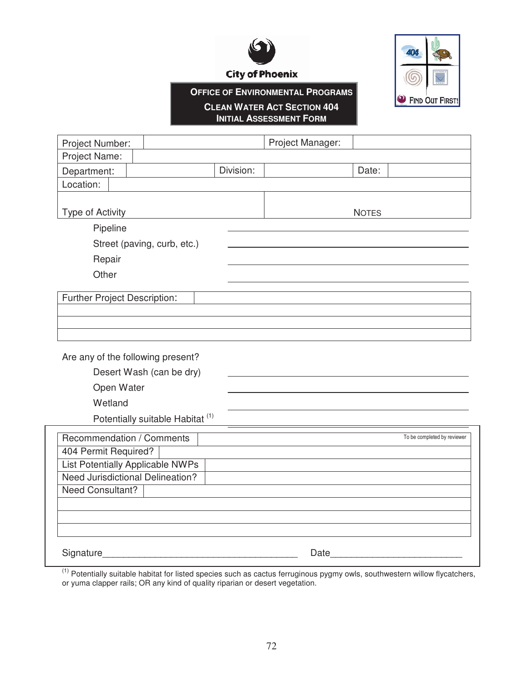

**City of Phoenix** 



# **OFFICE OF ENVIRONMENTAL PROGRAMS**

#### **CLEAN WATER ACT SECTION 404 INITIAL ASSESSMENT FORM**

| Project Number:                         |                                             |           | Project Manager: |              |                             |  |
|-----------------------------------------|---------------------------------------------|-----------|------------------|--------------|-----------------------------|--|
| Project Name:                           |                                             |           |                  |              |                             |  |
| Department:                             |                                             | Division: |                  | Date:        |                             |  |
| Location:                               |                                             |           |                  |              |                             |  |
|                                         |                                             |           |                  |              |                             |  |
| Type of Activity                        |                                             |           |                  | <b>NOTES</b> |                             |  |
| Pipeline                                |                                             |           |                  |              |                             |  |
|                                         | Street (paving, curb, etc.)                 |           |                  |              |                             |  |
| Repair                                  |                                             |           |                  |              |                             |  |
| Other                                   |                                             |           |                  |              |                             |  |
|                                         |                                             |           |                  |              |                             |  |
| Further Project Description:            |                                             |           |                  |              |                             |  |
|                                         |                                             |           |                  |              |                             |  |
|                                         |                                             |           |                  |              |                             |  |
|                                         |                                             |           |                  |              |                             |  |
| Are any of the following present?       |                                             |           |                  |              |                             |  |
|                                         | Desert Wash (can be dry)                    |           |                  |              |                             |  |
| Open Water                              |                                             |           |                  |              |                             |  |
| Wetland                                 |                                             |           |                  |              |                             |  |
|                                         | Potentially suitable Habitat <sup>(1)</sup> |           |                  |              |                             |  |
| Recommendation / Comments               |                                             |           |                  |              | To be completed by reviewer |  |
| 404 Permit Required?                    |                                             |           |                  |              |                             |  |
| <b>List Potentially Applicable NWPs</b> |                                             |           |                  |              |                             |  |
| <b>Need Jurisdictional Delineation?</b> |                                             |           |                  |              |                             |  |
| <b>Need Consultant?</b>                 |                                             |           |                  |              |                             |  |
|                                         |                                             |           |                  |              |                             |  |
|                                         |                                             |           |                  |              |                             |  |

Signature\_\_\_\_\_\_\_\_\_\_\_\_\_\_\_\_\_\_\_\_\_\_\_\_\_\_\_\_\_\_\_\_\_\_\_\_\_ Date\_\_\_\_\_\_\_\_\_\_\_\_\_\_\_\_\_\_\_\_\_\_\_\_\_

 $(1)$  Potentially suitable habitat for listed species such as cactus ferruginous pygmy owls, southwestern willow flycatchers, or yuma clapper rails; OR any kind of quality riparian or desert vegetation.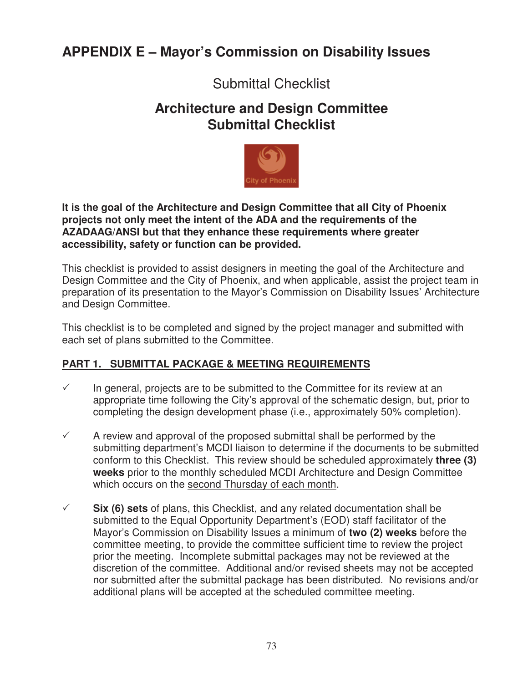# **APPENDIX E – Mayor's Commission on Disability Issues**

# Submittal Checklist

# **Architecture and Design Committee Submittal Checklist**



**It is the goal of the Architecture and Design Committee that all City of Phoenix projects not only meet the intent of the ADA and the requirements of the AZADAAG/ANSI but that they enhance these requirements where greater accessibility, safety or function can be provided.** 

This checklist is provided to assist designers in meeting the goal of the Architecture and Design Committee and the City of Phoenix, and when applicable, assist the project team in preparation of its presentation to the Mayor's Commission on Disability Issues' Architecture and Design Committee.

This checklist is to be completed and signed by the project manager and submitted with each set of plans submitted to the Committee.

# **PART 1. SUBMITTAL PACKAGE & MEETING REQUIREMENTS**

- $\checkmark$  In general, projects are to be submitted to the Committee for its review at an appropriate time following the City's approval of the schematic design, but, prior to completing the design development phase (i.e., approximately 50% completion).
- $\checkmark$  A review and approval of the proposed submittal shall be performed by the submitting department's MCDI liaison to determine if the documents to be submitted conform to this Checklist. This review should be scheduled approximately **three (3) weeks** prior to the monthly scheduled MCDI Architecture and Design Committee which occurs on the second Thursday of each month.
- $\checkmark$  **Six (6) sets** of plans, this Checklist, and any related documentation shall be submitted to the Equal Opportunity Department's (EOD) staff facilitator of the Mayor's Commission on Disability Issues a minimum of **two (2) weeks** before the committee meeting, to provide the committee sufficient time to review the project prior the meeting. Incomplete submittal packages may not be reviewed at the discretion of the committee. Additional and/or revised sheets may not be accepted nor submitted after the submittal package has been distributed. No revisions and/or additional plans will be accepted at the scheduled committee meeting.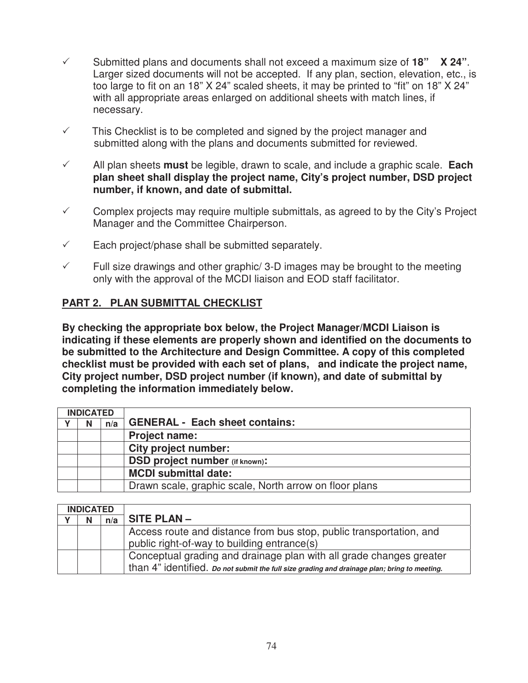- $\checkmark$  Submitted plans and documents shall not exceed a maximum size of **18"** X 24". Larger sized documents will not be accepted. If any plan, section, elevation, etc., is too large to fit on an 18" X 24" scaled sheets, it may be printed to "fit" on 18" X 24" with all appropriate areas enlarged on additional sheets with match lines, if necessary.
- $\checkmark$  This Checklist is to be completed and signed by the project manager and submitted along with the plans and documents submitted for reviewed.
- $\checkmark$  All plan sheets **must** be legible, drawn to scale, and include a graphic scale. **Each plan sheet shall display the project name, City's project number, DSD project number, if known, and date of submittal.**
- $\checkmark$  Complex projects may require multiple submittals, as agreed to by the City's Project Manager and the Committee Chairperson.
- $\checkmark$  Each project/phase shall be submitted separately.
- $\checkmark$  Full size drawings and other graphic/ 3-D images may be brought to the meeting only with the approval of the MCDI liaison and EOD staff facilitator.

# **PART 2. PLAN SUBMITTAL CHECKLIST**

**By checking the appropriate box below, the Project Manager/MCDI Liaison is indicating if these elements are properly shown and identified on the documents to be submitted to the Architecture and Design Committee. A copy of this completed checklist must be provided with each set of plans, and indicate the project name, City project number, DSD project number (if known), and date of submittal by completing the information immediately below.** 

| <b>INDICATED</b> |   |     |                                                        |  |  |  |
|------------------|---|-----|--------------------------------------------------------|--|--|--|
|                  | N | n/a | <b>GENERAL - Each sheet contains:</b>                  |  |  |  |
|                  |   |     | <b>Project name:</b>                                   |  |  |  |
|                  |   |     | <b>City project number:</b>                            |  |  |  |
|                  |   |     | <b>DSD project number (if known):</b>                  |  |  |  |
|                  |   |     | <b>MCDI submittal date:</b>                            |  |  |  |
|                  |   |     | Drawn scale, graphic scale, North arrow on floor plans |  |  |  |

| <b>INDICATED</b> |  |     |                                                                                                                                                                     |
|------------------|--|-----|---------------------------------------------------------------------------------------------------------------------------------------------------------------------|
|                  |  | n/a | $SITE PLAN -$                                                                                                                                                       |
|                  |  |     | Access route and distance from bus stop, public transportation, and<br>public right-of-way to building entrance(s)                                                  |
|                  |  |     | Conceptual grading and drainage plan with all grade changes greater<br>than 4" identified. Do not submit the full size grading and drainage plan; bring to meeting. |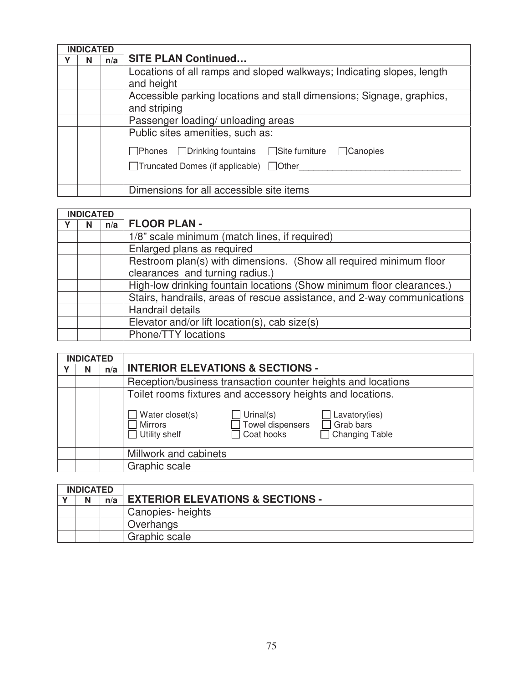| <b>INDICATED</b> |   |     |                                                                                                                                                               |  |  |  |  |
|------------------|---|-----|---------------------------------------------------------------------------------------------------------------------------------------------------------------|--|--|--|--|
|                  | N | n/a | <b>SITE PLAN Continued</b>                                                                                                                                    |  |  |  |  |
|                  |   |     | Locations of all ramps and sloped walkways; Indicating slopes, length<br>and height                                                                           |  |  |  |  |
|                  |   |     | Accessible parking locations and stall dimensions; Signage, graphics,<br>and striping                                                                         |  |  |  |  |
|                  |   |     | Passenger loading/ unloading areas                                                                                                                            |  |  |  |  |
|                  |   |     | Public sites amenities, such as:<br>$\Box$ Phones $\Box$ Drinking fountains $\Box$ Site furniture $\Box$ Canopies<br>□Truncated Domes (if applicable) □Other_ |  |  |  |  |
|                  |   |     | Dimensions for all accessible site items                                                                                                                      |  |  |  |  |

| <b>INDICATED</b> |   |     |                                                                         |  |  |  |
|------------------|---|-----|-------------------------------------------------------------------------|--|--|--|
|                  | N | n/a | <b>FLOOR PLAN -</b>                                                     |  |  |  |
|                  |   |     | 1/8" scale minimum (match lines, if required)                           |  |  |  |
|                  |   |     | Enlarged plans as required                                              |  |  |  |
|                  |   |     | Restroom plan(s) with dimensions. (Show all required minimum floor      |  |  |  |
|                  |   |     | clearances and turning radius.)                                         |  |  |  |
|                  |   |     | High-low drinking fountain locations (Show minimum floor clearances.)   |  |  |  |
|                  |   |     | Stairs, handrails, areas of rescue assistance, and 2-way communications |  |  |  |
|                  |   |     | Handrail details                                                        |  |  |  |
|                  |   |     | Elevator and/or lift location(s), cab size(s)                           |  |  |  |
|                  |   |     | Phone/TTY locations                                                     |  |  |  |

| <b>INDICATED</b> |   |     |                                                                                                                       |  |  |  |  |  |
|------------------|---|-----|-----------------------------------------------------------------------------------------------------------------------|--|--|--|--|--|
|                  | N | n/a | <b>INTERIOR ELEVATIONS &amp; SECTIONS -</b>                                                                           |  |  |  |  |  |
|                  |   |     | Reception/business transaction counter heights and locations                                                          |  |  |  |  |  |
|                  |   |     | Toilet rooms fixtures and accessory heights and locations.<br>Urinal(s)<br>Water closet(s)<br>$\Box$ Lavatory(ies)    |  |  |  |  |  |
|                  |   |     | $\Box$ Grab bars<br>$\Box$ Towel dispensers<br>Mirrors<br>Coat hooks<br>$\Box$ Utility shelf<br>$\Box$ Changing Table |  |  |  |  |  |
|                  |   |     | Millwork and cabinets                                                                                                 |  |  |  |  |  |
|                  |   |     | Graphic scale                                                                                                         |  |  |  |  |  |

| <b>INDICATED</b> |   |     |                                             |
|------------------|---|-----|---------------------------------------------|
|                  | N | n/a | <b>EXTERIOR ELEVATIONS &amp; SECTIONS -</b> |
|                  |   |     | Canopies-heights                            |
|                  |   |     | Overhangs                                   |
|                  |   |     | Graphic scale                               |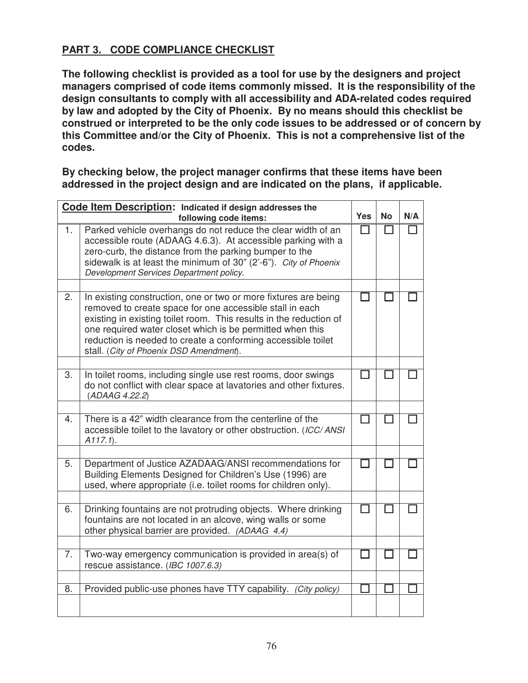# **PART 3. CODE COMPLIANCE CHECKLIST**

**The following checklist is provided as a tool for use by the designers and project managers comprised of code items commonly missed. It is the responsibility of the design consultants to comply with all accessibility and ADA-related codes required by law and adopted by the City of Phoenix. By no means should this checklist be construed or interpreted to be the only code issues to be addressed or of concern by this Committee and/or the City of Phoenix. This is not a comprehensive list of the codes.** 

**By checking below, the project manager confirms that these items have been addressed in the project design and are indicated on the plans, if applicable.** 

|    | Code Item Description: Indicated if design addresses the                                                                                                                                                                                                                                                                                                                  |            |           |     |
|----|---------------------------------------------------------------------------------------------------------------------------------------------------------------------------------------------------------------------------------------------------------------------------------------------------------------------------------------------------------------------------|------------|-----------|-----|
|    | following code items:                                                                                                                                                                                                                                                                                                                                                     | <b>Yes</b> | <b>No</b> | N/A |
| 1. | Parked vehicle overhangs do not reduce the clear width of an<br>accessible route (ADAAG 4.6.3). At accessible parking with a<br>zero-curb, the distance from the parking bumper to the<br>sidewalk is at least the minimum of 30" (2'-6"). City of Phoenix<br>Development Services Department policy.                                                                     | l 1        |           |     |
|    |                                                                                                                                                                                                                                                                                                                                                                           |            |           |     |
| 2. | In existing construction, one or two or more fixtures are being<br>removed to create space for one accessible stall in each<br>existing in existing toilet room. This results in the reduction of<br>one required water closet which is be permitted when this<br>reduction is needed to create a conforming accessible toilet<br>stall. (City of Phoenix DSD Amendment). |            |           |     |
|    |                                                                                                                                                                                                                                                                                                                                                                           |            |           |     |
| 3. | In toilet rooms, including single use rest rooms, door swings<br>do not conflict with clear space at lavatories and other fixtures.<br>(ADAAG 4.22.2)                                                                                                                                                                                                                     |            |           |     |
|    |                                                                                                                                                                                                                                                                                                                                                                           |            |           |     |
| 4. | There is a 42" width clearance from the centerline of the<br>accessible toilet to the lavatory or other obstruction. (ICC/ANSI<br>$A117.1$ ).                                                                                                                                                                                                                             |            |           |     |
|    |                                                                                                                                                                                                                                                                                                                                                                           |            |           |     |
| 5. | Department of Justice AZADAAG/ANSI recommendations for<br>Building Elements Designed for Children's Use (1996) are<br>used, where appropriate (i.e. toilet rooms for children only).                                                                                                                                                                                      |            |           |     |
|    |                                                                                                                                                                                                                                                                                                                                                                           |            |           |     |
| 6. | Drinking fountains are not protruding objects. Where drinking<br>fountains are not located in an alcove, wing walls or some<br>other physical barrier are provided. (ADAAG 4.4)                                                                                                                                                                                           |            |           |     |
|    |                                                                                                                                                                                                                                                                                                                                                                           |            |           |     |
| 7. | Two-way emergency communication is provided in area(s) of<br>rescue assistance. (IBC 1007.6.3)                                                                                                                                                                                                                                                                            |            |           |     |
|    |                                                                                                                                                                                                                                                                                                                                                                           |            |           |     |
| 8. | Provided public-use phones have TTY capability. (City policy)                                                                                                                                                                                                                                                                                                             |            |           |     |
|    |                                                                                                                                                                                                                                                                                                                                                                           |            |           |     |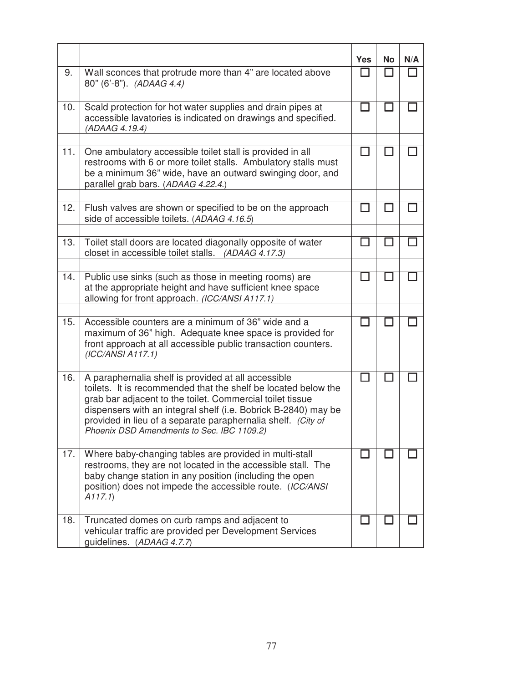|     |                                                                                                                                                                                                                                                                                                                                                                    | <b>Yes</b> | <b>No</b>    | N/A |
|-----|--------------------------------------------------------------------------------------------------------------------------------------------------------------------------------------------------------------------------------------------------------------------------------------------------------------------------------------------------------------------|------------|--------------|-----|
| 9.  | Wall sconces that protrude more than 4" are located above<br>80" (6'-8"). (ADAAG 4.4)                                                                                                                                                                                                                                                                              |            | $\mathbf{I}$ |     |
|     |                                                                                                                                                                                                                                                                                                                                                                    |            |              |     |
| 10. | Scald protection for hot water supplies and drain pipes at<br>accessible lavatories is indicated on drawings and specified.<br>(ADAAG 4.19.4)                                                                                                                                                                                                                      |            |              |     |
|     |                                                                                                                                                                                                                                                                                                                                                                    |            |              |     |
| 11. | One ambulatory accessible toilet stall is provided in all<br>restrooms with 6 or more toilet stalls. Ambulatory stalls must<br>be a minimum 36" wide, have an outward swinging door, and<br>parallel grab bars. (ADAAG 4.22.4.)                                                                                                                                    |            |              |     |
|     |                                                                                                                                                                                                                                                                                                                                                                    |            |              |     |
| 12. | Flush valves are shown or specified to be on the approach<br>side of accessible toilets. (ADAAG 4.16.5)                                                                                                                                                                                                                                                            |            |              |     |
|     |                                                                                                                                                                                                                                                                                                                                                                    |            |              |     |
| 13. | Toilet stall doors are located diagonally opposite of water<br>closet in accessible toilet stalls. (ADAAG 4.17.3)                                                                                                                                                                                                                                                  |            |              |     |
|     |                                                                                                                                                                                                                                                                                                                                                                    |            |              |     |
| 14. | Public use sinks (such as those in meeting rooms) are<br>at the appropriate height and have sufficient knee space<br>allowing for front approach. (ICC/ANSI A117.1)                                                                                                                                                                                                |            |              |     |
|     |                                                                                                                                                                                                                                                                                                                                                                    |            |              |     |
| 15. | Accessible counters are a minimum of 36" wide and a<br>maximum of 36" high. Adequate knee space is provided for<br>front approach at all accessible public transaction counters.<br>(ICC/ANSI A117.1)                                                                                                                                                              |            |              |     |
|     |                                                                                                                                                                                                                                                                                                                                                                    |            |              |     |
| 16. | A paraphernalia shelf is provided at all accessible<br>toilets. It is recommended that the shelf be located below the<br>grab bar adjacent to the toilet. Commercial toilet tissue<br>dispensers with an integral shelf (i.e. Bobrick B-2840) may be<br>provided in lieu of a separate paraphernalia shelf. (City of<br>Phoenix DSD Amendments to Sec. IBC 1109.2) |            |              |     |
|     |                                                                                                                                                                                                                                                                                                                                                                    |            |              |     |
| 17. | Where baby-changing tables are provided in multi-stall<br>restrooms, they are not located in the accessible stall. The<br>baby change station in any position (including the open<br>position) does not impede the accessible route. (ICC/ANSI<br>A117.1                                                                                                           |            |              |     |
|     |                                                                                                                                                                                                                                                                                                                                                                    |            |              |     |
| 18. | Truncated domes on curb ramps and adjacent to<br>vehicular traffic are provided per Development Services<br>guidelines. (ADAAG 4.7.7)                                                                                                                                                                                                                              |            |              |     |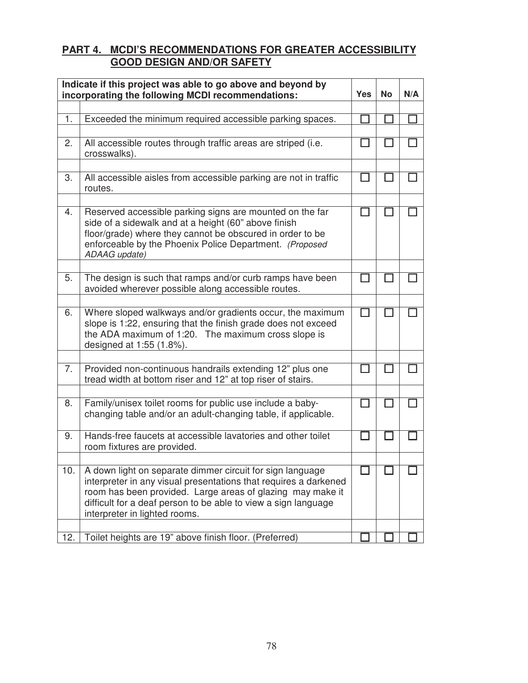#### **PART 4. MCDI'S RECOMMENDATIONS FOR GREATER ACCESSIBILITY GOOD DESIGN AND/OR SAFETY**

| Indicate if this project was able to go above and beyond by<br>incorporating the following MCDI recommendations: | Yes                                                                                                                                                                                                                                                                                            | <b>No</b> | N/A |  |
|------------------------------------------------------------------------------------------------------------------|------------------------------------------------------------------------------------------------------------------------------------------------------------------------------------------------------------------------------------------------------------------------------------------------|-----------|-----|--|
|                                                                                                                  |                                                                                                                                                                                                                                                                                                |           |     |  |
| 1.                                                                                                               | Exceeded the minimum required accessible parking spaces.                                                                                                                                                                                                                                       |           |     |  |
| 2.                                                                                                               | All accessible routes through traffic areas are striped (i.e.<br>crosswalks).                                                                                                                                                                                                                  |           |     |  |
| 3.                                                                                                               | All accessible aisles from accessible parking are not in traffic<br>routes.                                                                                                                                                                                                                    |           |     |  |
| 4.                                                                                                               | Reserved accessible parking signs are mounted on the far<br>side of a sidewalk and at a height (60" above finish<br>floor/grade) where they cannot be obscured in order to be<br>enforceable by the Phoenix Police Department. (Proposed<br>ADAAG update)                                      |           |     |  |
| 5.                                                                                                               | The design is such that ramps and/or curb ramps have been<br>avoided wherever possible along accessible routes.                                                                                                                                                                                |           |     |  |
| 6.                                                                                                               | Where sloped walkways and/or gradients occur, the maximum<br>slope is 1:22, ensuring that the finish grade does not exceed<br>the ADA maximum of 1:20. The maximum cross slope is<br>designed at 1:55 (1.8%).                                                                                  |           |     |  |
| 7.                                                                                                               | Provided non-continuous handrails extending 12" plus one<br>tread width at bottom riser and 12" at top riser of stairs.                                                                                                                                                                        |           |     |  |
| 8.                                                                                                               | Family/unisex toilet rooms for public use include a baby-<br>changing table and/or an adult-changing table, if applicable.                                                                                                                                                                     |           |     |  |
| 9.                                                                                                               | Hands-free faucets at accessible lavatories and other toilet<br>room fixtures are provided.                                                                                                                                                                                                    |           |     |  |
| 10.                                                                                                              | A down light on separate dimmer circuit for sign language<br>interpreter in any visual presentations that requires a darkened<br>room has been provided. Large areas of glazing may make it<br>difficult for a deaf person to be able to view a sign language<br>interpreter in lighted rooms. |           |     |  |
| 12.                                                                                                              | Toilet heights are 19" above finish floor. (Preferred)                                                                                                                                                                                                                                         |           |     |  |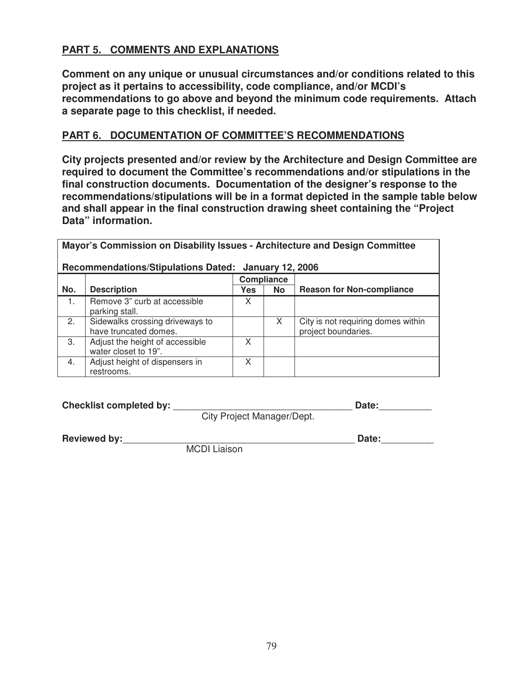# **PART 5. COMMENTS AND EXPLANATIONS**

**Comment on any unique or unusual circumstances and/or conditions related to this project as it pertains to accessibility, code compliance, and/or MCDI's recommendations to go above and beyond the minimum code requirements. Attach a separate page to this checklist, if needed.** 

### **PART 6. DOCUMENTATION OF COMMITTEE'S RECOMMENDATIONS**

**City projects presented and/or review by the Architecture and Design Committee are required to document the Committee's recommendations and/or stipulations in the final construction documents. Documentation of the designer's response to the recommendations/stipulations will be in a format depicted in the sample table below and shall appear in the final construction drawing sheet containing the "Project Data" information.** 

| Mayor's Commission on Disability Issues - Architecture and Design Committee<br><b>Recommendations/Stipulations Dated:</b> |                                                          |            |           |                                                           |  |  |  |  |
|---------------------------------------------------------------------------------------------------------------------------|----------------------------------------------------------|------------|-----------|-----------------------------------------------------------|--|--|--|--|
|                                                                                                                           | <b>January 12, 2006</b><br>Compliance                    |            |           |                                                           |  |  |  |  |
| No.                                                                                                                       | <b>Description</b>                                       | <b>Yes</b> | <b>No</b> | <b>Reason for Non-compliance</b>                          |  |  |  |  |
| $\mathbf{1}$ .                                                                                                            | Remove 3" curb at accessible<br>parking stall.           | X          |           |                                                           |  |  |  |  |
| 2.                                                                                                                        | Sidewalks crossing driveways to<br>have truncated domes. |            | X         | City is not requiring domes within<br>project boundaries. |  |  |  |  |
| 3.                                                                                                                        | Adjust the height of accessible<br>water closet to 19".  | X          |           |                                                           |  |  |  |  |
| 4.                                                                                                                        | Adjust height of dispensers in<br>restrooms.             | x          |           |                                                           |  |  |  |  |

| Checklist completed by: | Date:                      |  |  |  |
|-------------------------|----------------------------|--|--|--|
|                         | City Project Manager/Dept. |  |  |  |

**Reviewed by:**\_\_\_\_\_\_\_\_\_\_\_\_\_\_\_\_\_\_\_\_\_\_\_\_\_\_\_\_\_\_\_\_\_\_\_\_\_\_\_\_\_\_\_\_ **Date:**\_\_\_\_\_\_\_\_\_\_

MCDI Liaison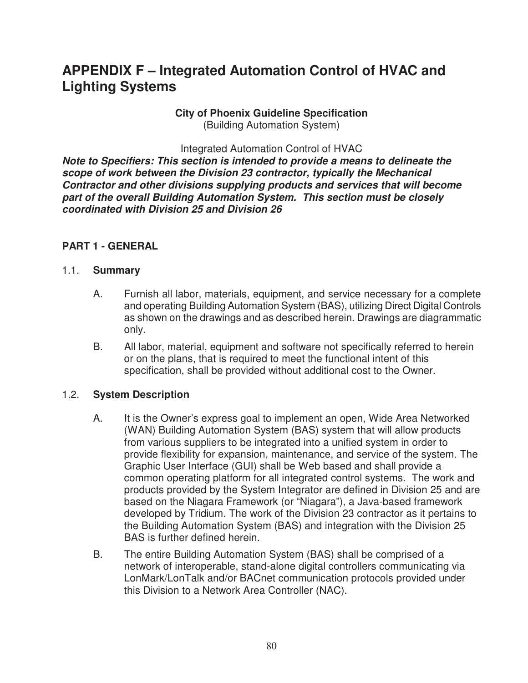# **APPENDIX F – Integrated Automation Control of HVAC and Lighting Systems**

#### **City of Phoenix Guideline Specification**  (Building Automation System)

Integrated Automation Control of HVAC

*Note to Specifiers: This section is intended to provide a means to delineate the scope of work between the Division 23 contractor, typically the Mechanical Contractor and other divisions supplying products and services that will become part of the overall Building Automation System. This section must be closely coordinated with Division 25 and Division 26* 

### **PART 1 - GENERAL**

#### 1.1. **Summary**

- A. Furnish all labor, materials, equipment, and service necessary for a complete and operating Building Automation System (BAS), utilizing Direct Digital Controls as shown on the drawings and as described herein. Drawings are diagrammatic only.
- B. All labor, material, equipment and software not specifically referred to herein or on the plans, that is required to meet the functional intent of this specification, shall be provided without additional cost to the Owner.

#### 1.2. **System Description**

- A. It is the Owner's express goal to implement an open, Wide Area Networked (WAN) Building Automation System (BAS) system that will allow products from various suppliers to be integrated into a unified system in order to provide flexibility for expansion, maintenance, and service of the system. The Graphic User Interface (GUI) shall be Web based and shall provide a common operating platform for all integrated control systems. The work and products provided by the System Integrator are defined in Division 25 and are based on the Niagara Framework (or "Niagara"), a Java-based framework developed by Tridium. The work of the Division 23 contractor as it pertains to the Building Automation System (BAS) and integration with the Division 25 BAS is further defined herein.
- B. The entire Building Automation System (BAS) shall be comprised of a network of interoperable, stand-alone digital controllers communicating via LonMark/LonTalk and/or BACnet communication protocols provided under this Division to a Network Area Controller (NAC).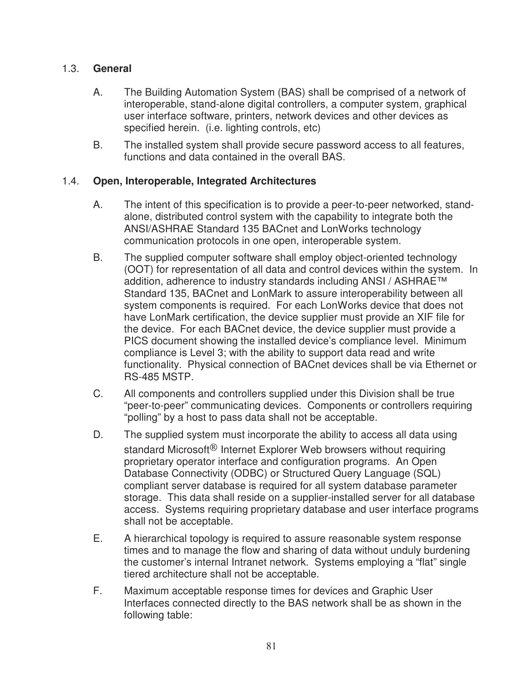## 1.3. **General**

- A. The Building Automation System (BAS) shall be comprised of a network of interoperable, stand-alone digital controllers, a computer system, graphical user interface software, printers, network devices and other devices as specified herein. (i.e. lighting controls, etc)
- B. The installed system shall provide secure password access to all features, functions and data contained in the overall BAS.

## 1.4. **Open, Interoperable, Integrated Architectures**

- A. The intent of this specification is to provide a peer-to-peer networked, standalone, distributed control system with the capability to integrate both the ANSI/ASHRAE Standard 135 BACnet and LonWorks technology communication protocols in one open, interoperable system.
- B. The supplied computer software shall employ object-oriented technology (OOT) for representation of all data and control devices within the system. In addition, adherence to industry standards including ANSI / ASHRAE™ Standard 135, BACnet and LonMark to assure interoperability between all system components is required. For each LonWorks device that does not have LonMark certification, the device supplier must provide an XIF file for the device. For each BACnet device, the device supplier must provide a PICS document showing the installed device's compliance level. Minimum compliance is Level 3; with the ability to support data read and write functionality. Physical connection of BACnet devices shall be via Ethernet or RS-485 MSTP.
- C. All components and controllers supplied under this Division shall be true "peer-to-peer" communicating devices. Components or controllers requiring "polling" by a host to pass data shall not be acceptable.
- D. The supplied system must incorporate the ability to access all data using standard Microsoft<sup>®</sup> Internet Explorer Web browsers without requiring proprietary operator interface and configuration programs. An Open Database Connectivity (ODBC) or Structured Query Language (SQL) compliant server database is required for all system database parameter storage. This data shall reside on a supplier-installed server for all database access. Systems requiring proprietary database and user interface programs shall not be acceptable.
- E. A hierarchical topology is required to assure reasonable system response times and to manage the flow and sharing of data without unduly burdening the customer's internal Intranet network. Systems employing a "flat" single tiered architecture shall not be acceptable.
- F. Maximum acceptable response times for devices and Graphic User Interfaces connected directly to the BAS network shall be as shown in the following table: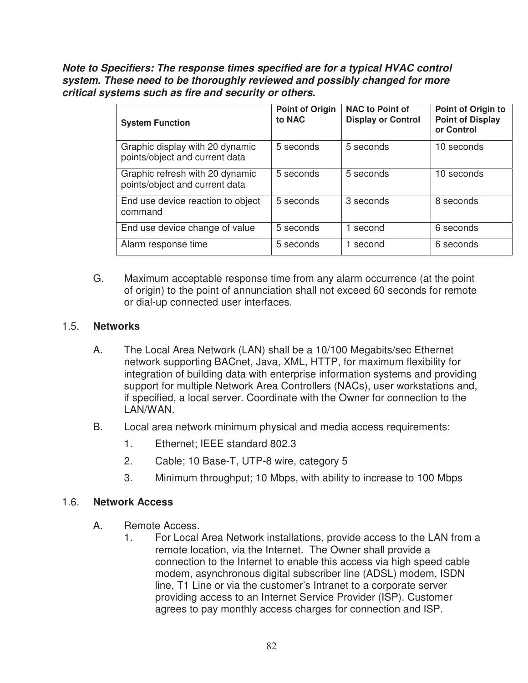*Note to Specifiers: The response times specified are for a typical HVAC control system. These need to be thoroughly reviewed and possibly changed for more critical systems such as fire and security or others.* 

| <b>System Function</b>                                            | <b>Point of Origin</b><br>to NAC | <b>NAC to Point of</b><br><b>Display or Control</b> | Point of Origin to<br><b>Point of Display</b><br>or Control |
|-------------------------------------------------------------------|----------------------------------|-----------------------------------------------------|-------------------------------------------------------------|
| Graphic display with 20 dynamic<br>points/object and current data | 5 seconds                        | 5 seconds                                           | 10 seconds                                                  |
| Graphic refresh with 20 dynamic<br>points/object and current data | 5 seconds                        | 5 seconds                                           | 10 seconds                                                  |
| End use device reaction to object<br>command                      | 5 seconds                        | 3 seconds                                           | 8 seconds                                                   |
| End use device change of value                                    | 5 seconds                        | 1 second                                            | 6 seconds                                                   |
| Alarm response time                                               | 5 seconds                        | second                                              | 6 seconds                                                   |

G. Maximum acceptable response time from any alarm occurrence (at the point of origin) to the point of annunciation shall not exceed 60 seconds for remote or dial-up connected user interfaces.

### 1.5. **Networks**

- A. The Local Area Network (LAN) shall be a 10/100 Megabits/sec Ethernet network supporting BACnet, Java, XML, HTTP, for maximum flexibility for integration of building data with enterprise information systems and providing support for multiple Network Area Controllers (NACs), user workstations and, if specified, a local server. Coordinate with the Owner for connection to the LAN/WAN.
- B. Local area network minimum physical and media access requirements:
	- 1. Ethernet; IEEE standard 802.3
	- 2. Cable; 10 Base-T, UTP-8 wire, category 5
	- 3. Minimum throughput; 10 Mbps, with ability to increase to 100 Mbps

#### 1.6. **Network Access**

- A. Remote Access.
	- 1. For Local Area Network installations, provide access to the LAN from a remote location, via the Internet. The Owner shall provide a connection to the Internet to enable this access via high speed cable modem, asynchronous digital subscriber line (ADSL) modem, ISDN line, T1 Line or via the customer's Intranet to a corporate server providing access to an Internet Service Provider (ISP). Customer agrees to pay monthly access charges for connection and ISP.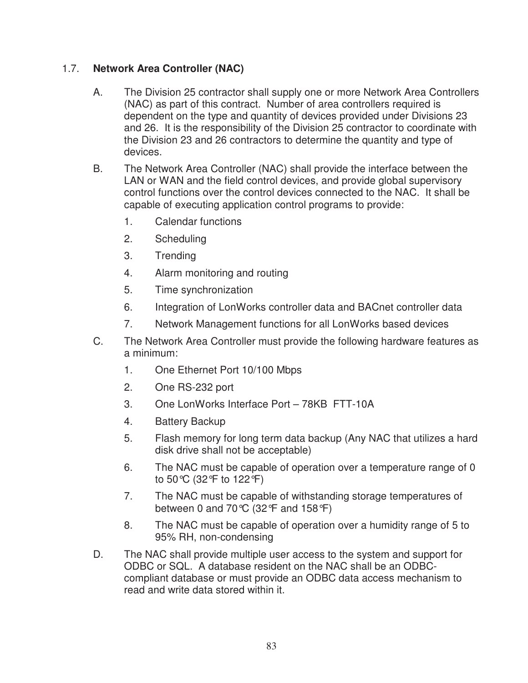# 1.7. **Network Area Controller (NAC)**

- A. The Division 25 contractor shall supply one or more Network Area Controllers (NAC) as part of this contract. Number of area controllers required is dependent on the type and quantity of devices provided under Divisions 23 and 26. It is the responsibility of the Division 25 contractor to coordinate with the Division 23 and 26 contractors to determine the quantity and type of devices.
- B. The Network Area Controller (NAC) shall provide the interface between the LAN or WAN and the field control devices, and provide global supervisory control functions over the control devices connected to the NAC. It shall be capable of executing application control programs to provide:
	- 1. Calendar functions
	- 2. Scheduling
	- 3. Trending
	- 4. Alarm monitoring and routing
	- 5. Time synchronization
	- 6. Integration of LonWorks controller data and BACnet controller data
	- 7. Network Management functions for all LonWorks based devices
- C. The Network Area Controller must provide the following hardware features as a minimum:
	- 1. One Ethernet Port 10/100 Mbps
	- 2. One RS-232 port
	- 3. One LonWorks Interface Port 78KB FTT-10A
	- 4. Battery Backup
	- 5. Flash memory for long term data backup (Any NAC that utilizes a hard disk drive shall not be acceptable)
	- 6. The NAC must be capable of operation over a temperature range of 0 to 50°C (32°F to 122°F)
	- 7. The NAC must be capable of withstanding storage temperatures of between 0 and 70 $\degree$ C (32 $\degree$ F and 158 $\degree$ F)
	- 8. The NAC must be capable of operation over a humidity range of 5 to 95% RH, non-condensing
- D. The NAC shall provide multiple user access to the system and support for ODBC or SQL. A database resident on the NAC shall be an ODBCcompliant database or must provide an ODBC data access mechanism to read and write data stored within it.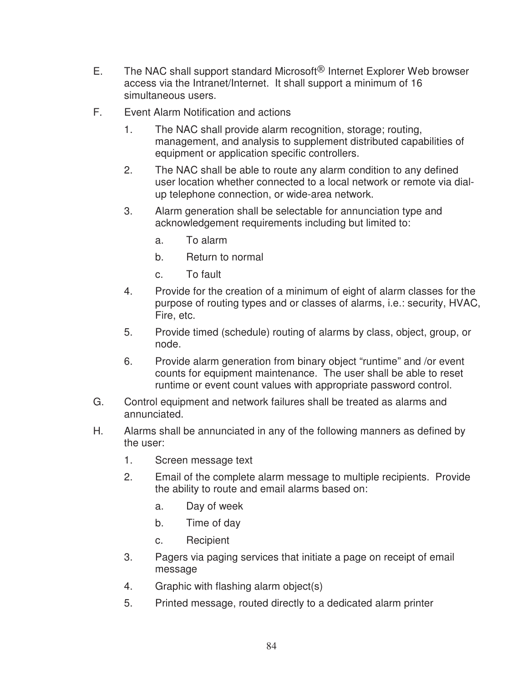- E. The NAC shall support standard Microsoft<sup>®</sup> Internet Explorer Web browser access via the Intranet/Internet. It shall support a minimum of 16 simultaneous users.
- F. Event Alarm Notification and actions
	- 1. The NAC shall provide alarm recognition, storage; routing, management, and analysis to supplement distributed capabilities of equipment or application specific controllers.
	- 2. The NAC shall be able to route any alarm condition to any defined user location whether connected to a local network or remote via dialup telephone connection, or wide-area network.
	- 3. Alarm generation shall be selectable for annunciation type and acknowledgement requirements including but limited to:
		- a. To alarm
		- b. Return to normal
		- c. To fault
	- 4. Provide for the creation of a minimum of eight of alarm classes for the purpose of routing types and or classes of alarms, i.e.: security, HVAC, Fire, etc.
	- 5. Provide timed (schedule) routing of alarms by class, object, group, or node.
	- 6. Provide alarm generation from binary object "runtime" and /or event counts for equipment maintenance. The user shall be able to reset runtime or event count values with appropriate password control.
- G. Control equipment and network failures shall be treated as alarms and annunciated.
- H. Alarms shall be annunciated in any of the following manners as defined by the user:
	- 1. Screen message text
	- 2. Email of the complete alarm message to multiple recipients. Provide the ability to route and email alarms based on:
		- a. Day of week
		- b. Time of day
		- c. Recipient
	- 3. Pagers via paging services that initiate a page on receipt of email message
	- 4. Graphic with flashing alarm object(s)
	- 5. Printed message, routed directly to a dedicated alarm printer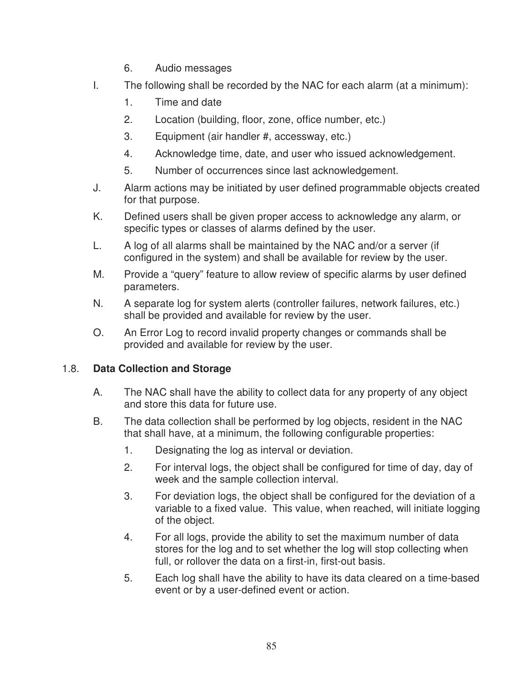- 6. Audio messages
- I. The following shall be recorded by the NAC for each alarm (at a minimum):
	- 1. Time and date
	- 2. Location (building, floor, zone, office number, etc.)
	- 3. Equipment (air handler #, accessway, etc.)
	- 4. Acknowledge time, date, and user who issued acknowledgement.
	- 5. Number of occurrences since last acknowledgement.
- J. Alarm actions may be initiated by user defined programmable objects created for that purpose.
- K. Defined users shall be given proper access to acknowledge any alarm, or specific types or classes of alarms defined by the user.
- L. A log of all alarms shall be maintained by the NAC and/or a server (if configured in the system) and shall be available for review by the user.
- M. Provide a "query" feature to allow review of specific alarms by user defined parameters.
- N. A separate log for system alerts (controller failures, network failures, etc.) shall be provided and available for review by the user.
- O. An Error Log to record invalid property changes or commands shall be provided and available for review by the user.

# 1.8. **Data Collection and Storage**

- A. The NAC shall have the ability to collect data for any property of any object and store this data for future use.
- B. The data collection shall be performed by log objects, resident in the NAC that shall have, at a minimum, the following configurable properties:
	- 1. Designating the log as interval or deviation.
	- 2. For interval logs, the object shall be configured for time of day, day of week and the sample collection interval.
	- 3. For deviation logs, the object shall be configured for the deviation of a variable to a fixed value. This value, when reached, will initiate logging of the object.
	- 4. For all logs, provide the ability to set the maximum number of data stores for the log and to set whether the log will stop collecting when full, or rollover the data on a first-in, first-out basis.
	- 5. Each log shall have the ability to have its data cleared on a time-based event or by a user-defined event or action.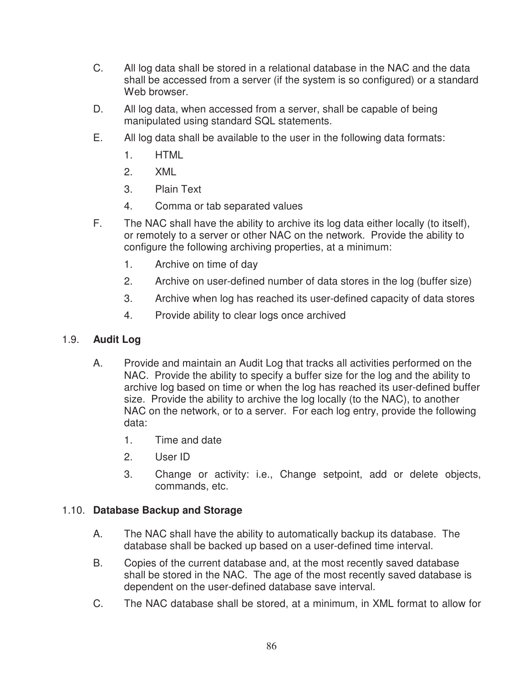- C. All log data shall be stored in a relational database in the NAC and the data shall be accessed from a server (if the system is so configured) or a standard Web browser.
- D. All log data, when accessed from a server, shall be capable of being manipulated using standard SQL statements.
- E. All log data shall be available to the user in the following data formats:
	- 1. HTML
	- 2. XML
	- 3. Plain Text
	- 4. Comma or tab separated values
- F. The NAC shall have the ability to archive its log data either locally (to itself), or remotely to a server or other NAC on the network. Provide the ability to configure the following archiving properties, at a minimum:
	- 1. Archive on time of day
	- 2. Archive on user-defined number of data stores in the log (buffer size)
	- 3. Archive when log has reached its user-defined capacity of data stores
	- 4. Provide ability to clear logs once archived

## 1.9. **Audit Log**

- A. Provide and maintain an Audit Log that tracks all activities performed on the NAC. Provide the ability to specify a buffer size for the log and the ability to archive log based on time or when the log has reached its user-defined buffer size. Provide the ability to archive the log locally (to the NAC), to another NAC on the network, or to a server. For each log entry, provide the following data:
	- 1. Time and date
	- 2. User ID
	- 3. Change or activity: i.e., Change setpoint, add or delete objects, commands, etc.

## 1.10. **Database Backup and Storage**

- A. The NAC shall have the ability to automatically backup its database. The database shall be backed up based on a user-defined time interval.
- B. Copies of the current database and, at the most recently saved database shall be stored in the NAC. The age of the most recently saved database is dependent on the user-defined database save interval.
- C. The NAC database shall be stored, at a minimum, in XML format to allow for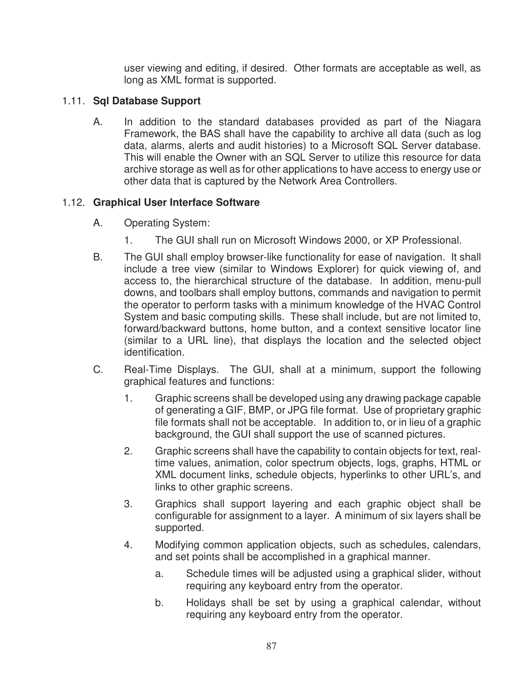user viewing and editing, if desired. Other formats are acceptable as well, as long as XML format is supported.

# 1.11. **Sql Database Support**

A. In addition to the standard databases provided as part of the Niagara Framework, the BAS shall have the capability to archive all data (such as log data, alarms, alerts and audit histories) to a Microsoft SQL Server database. This will enable the Owner with an SQL Server to utilize this resource for data archive storage as well as for other applications to have access to energy use or other data that is captured by the Network Area Controllers.

# 1.12. **Graphical User Interface Software**

- A. Operating System:
	- 1. The GUI shall run on Microsoft Windows 2000, or XP Professional.
- B. The GUI shall employ browser-like functionality for ease of navigation. It shall include a tree view (similar to Windows Explorer) for quick viewing of, and access to, the hierarchical structure of the database. In addition, menu-pull downs, and toolbars shall employ buttons, commands and navigation to permit the operator to perform tasks with a minimum knowledge of the HVAC Control System and basic computing skills. These shall include, but are not limited to, forward/backward buttons, home button, and a context sensitive locator line (similar to a URL line), that displays the location and the selected object identification.
- C. Real-Time Displays. The GUI, shall at a minimum, support the following graphical features and functions:
	- 1. Graphic screens shall be developed using any drawing package capable of generating a GIF, BMP, or JPG file format. Use of proprietary graphic file formats shall not be acceptable. In addition to, or in lieu of a graphic background, the GUI shall support the use of scanned pictures.
	- 2. Graphic screens shall have the capability to contain objects for text, realtime values, animation, color spectrum objects, logs, graphs, HTML or XML document links, schedule objects, hyperlinks to other URL's, and links to other graphic screens.
	- 3. Graphics shall support layering and each graphic object shall be configurable for assignment to a layer. A minimum of six layers shall be supported.
	- 4. Modifying common application objects, such as schedules, calendars, and set points shall be accomplished in a graphical manner.
		- a. Schedule times will be adjusted using a graphical slider, without requiring any keyboard entry from the operator.
		- b. Holidays shall be set by using a graphical calendar, without requiring any keyboard entry from the operator.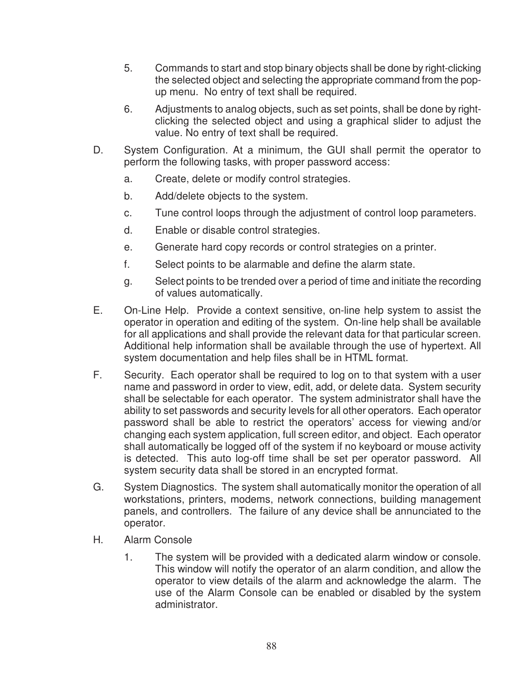- 5. Commands to start and stop binary objects shall be done by right-clicking the selected object and selecting the appropriate command from the popup menu. No entry of text shall be required.
- 6. Adjustments to analog objects, such as set points, shall be done by rightclicking the selected object and using a graphical slider to adjust the value. No entry of text shall be required.
- D. System Configuration. At a minimum, the GUI shall permit the operator to perform the following tasks, with proper password access:
	- a. Create, delete or modify control strategies.
	- b. Add/delete objects to the system.
	- c. Tune control loops through the adjustment of control loop parameters.
	- d. Enable or disable control strategies.
	- e. Generate hard copy records or control strategies on a printer.
	- f. Select points to be alarmable and define the alarm state.
	- g. Select points to be trended over a period of time and initiate the recording of values automatically.
- E. On-Line Help. Provide a context sensitive, on-line help system to assist the operator in operation and editing of the system. On-line help shall be available for all applications and shall provide the relevant data for that particular screen. Additional help information shall be available through the use of hypertext. All system documentation and help files shall be in HTML format.
- F. Security. Each operator shall be required to log on to that system with a user name and password in order to view, edit, add, or delete data. System security shall be selectable for each operator. The system administrator shall have the ability to set passwords and security levels for all other operators. Each operator password shall be able to restrict the operators' access for viewing and/or changing each system application, full screen editor, and object. Each operator shall automatically be logged off of the system if no keyboard or mouse activity is detected. This auto log-off time shall be set per operator password. All system security data shall be stored in an encrypted format.
- G. System Diagnostics. The system shall automatically monitor the operation of all workstations, printers, modems, network connections, building management panels, and controllers. The failure of any device shall be annunciated to the operator.
- H. Alarm Console
	- 1. The system will be provided with a dedicated alarm window or console. This window will notify the operator of an alarm condition, and allow the operator to view details of the alarm and acknowledge the alarm. The use of the Alarm Console can be enabled or disabled by the system administrator.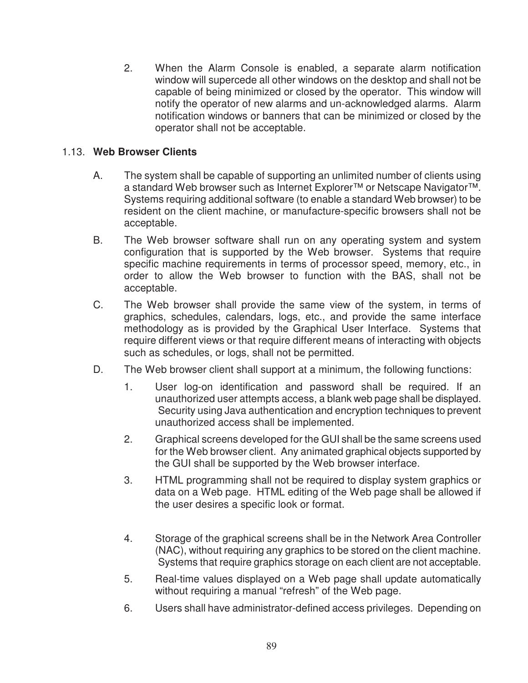2. When the Alarm Console is enabled, a separate alarm notification window will supercede all other windows on the desktop and shall not be capable of being minimized or closed by the operator. This window will notify the operator of new alarms and un-acknowledged alarms. Alarm notification windows or banners that can be minimized or closed by the operator shall not be acceptable.

## 1.13. **Web Browser Clients**

- A. The system shall be capable of supporting an unlimited number of clients using a standard Web browser such as Internet Explorer™ or Netscape Navigator™. Systems requiring additional software (to enable a standard Web browser) to be resident on the client machine, or manufacture-specific browsers shall not be acceptable.
- B. The Web browser software shall run on any operating system and system configuration that is supported by the Web browser. Systems that require specific machine requirements in terms of processor speed, memory, etc., in order to allow the Web browser to function with the BAS, shall not be acceptable.
- C. The Web browser shall provide the same view of the system, in terms of graphics, schedules, calendars, logs, etc., and provide the same interface methodology as is provided by the Graphical User Interface. Systems that require different views or that require different means of interacting with objects such as schedules, or logs, shall not be permitted.
- D. The Web browser client shall support at a minimum, the following functions:
	- 1. User log-on identification and password shall be required. If an unauthorized user attempts access, a blank web page shall be displayed. Security using Java authentication and encryption techniques to prevent unauthorized access shall be implemented.
	- 2. Graphical screens developed for the GUI shall be the same screens used for the Web browser client. Any animated graphical objects supported by the GUI shall be supported by the Web browser interface.
	- 3. HTML programming shall not be required to display system graphics or data on a Web page. HTML editing of the Web page shall be allowed if the user desires a specific look or format.
	- 4. Storage of the graphical screens shall be in the Network Area Controller (NAC), without requiring any graphics to be stored on the client machine. Systems that require graphics storage on each client are not acceptable.
	- 5. Real-time values displayed on a Web page shall update automatically without requiring a manual "refresh" of the Web page.
	- 6. Users shall have administrator-defined access privileges. Depending on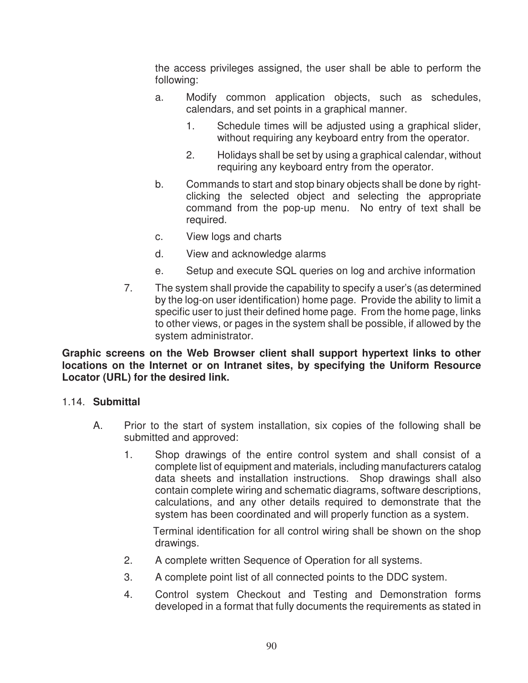the access privileges assigned, the user shall be able to perform the following:

- a. Modify common application objects, such as schedules, calendars, and set points in a graphical manner.
	- 1. Schedule times will be adjusted using a graphical slider, without requiring any keyboard entry from the operator.
	- 2. Holidays shall be set by using a graphical calendar, without requiring any keyboard entry from the operator.
- b. Commands to start and stop binary objects shall be done by rightclicking the selected object and selecting the appropriate command from the pop-up menu. No entry of text shall be required.
- c. View logs and charts
- d. View and acknowledge alarms
- e. Setup and execute SQL queries on log and archive information
- 7. The system shall provide the capability to specify a user's (as determined by the log-on user identification) home page. Provide the ability to limit a specific user to just their defined home page. From the home page, links to other views, or pages in the system shall be possible, if allowed by the system administrator.

**Graphic screens on the Web Browser client shall support hypertext links to other locations on the Internet or on Intranet sites, by specifying the Uniform Resource Locator (URL) for the desired link.** 

## 1.14. **Submittal**

- A. Prior to the start of system installation, six copies of the following shall be submitted and approved:
	- 1. Shop drawings of the entire control system and shall consist of a complete list of equipment and materials, including manufacturers catalog data sheets and installation instructions. Shop drawings shall also contain complete wiring and schematic diagrams, software descriptions, calculations, and any other details required to demonstrate that the system has been coordinated and will properly function as a system.

 Terminal identification for all control wiring shall be shown on the shop drawings.

- 2. A complete written Sequence of Operation for all systems.
- 3. A complete point list of all connected points to the DDC system.
- 4. Control system Checkout and Testing and Demonstration forms developed in a format that fully documents the requirements as stated in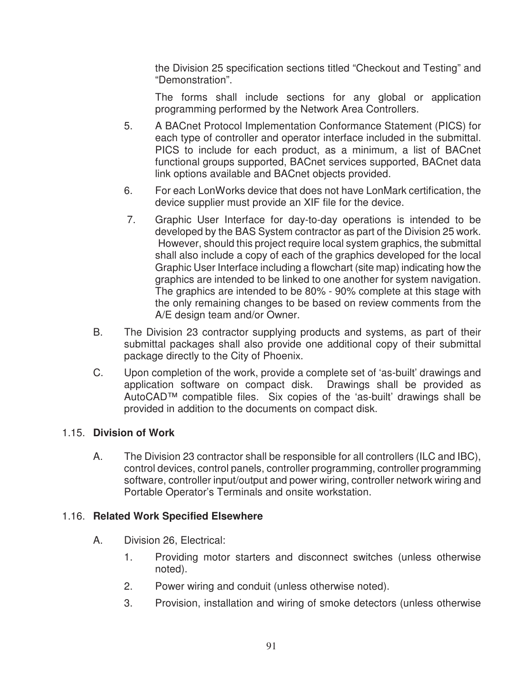the Division 25 specification sections titled "Checkout and Testing" and "Demonstration".

 The forms shall include sections for any global or application programming performed by the Network Area Controllers.

- 5. A BACnet Protocol Implementation Conformance Statement (PICS) for each type of controller and operator interface included in the submittal. PICS to include for each product, as a minimum, a list of BACnet functional groups supported, BACnet services supported, BACnet data link options available and BACnet objects provided.
- 6. For each LonWorks device that does not have LonMark certification, the device supplier must provide an XIF file for the device.
- 7. Graphic User Interface for day-to-day operations is intended to be developed by the BAS System contractor as part of the Division 25 work. However, should this project require local system graphics, the submittal shall also include a copy of each of the graphics developed for the local Graphic User Interface including a flowchart (site map) indicating how the graphics are intended to be linked to one another for system navigation. The graphics are intended to be 80% - 90% complete at this stage with the only remaining changes to be based on review comments from the A/E design team and/or Owner.
- B. The Division 23 contractor supplying products and systems, as part of their submittal packages shall also provide one additional copy of their submittal package directly to the City of Phoenix.
- C. Upon completion of the work, provide a complete set of 'as-built' drawings and application software on compact disk. Drawings shall be provided as AutoCAD™ compatible files. Six copies of the 'as-built' drawings shall be provided in addition to the documents on compact disk.

# 1.15. **Division of Work**

A. The Division 23 contractor shall be responsible for all controllers (ILC and IBC), control devices, control panels, controller programming, controller programming software, controller input/output and power wiring, controller network wiring and Portable Operator's Terminals and onsite workstation.

# 1.16. **Related Work Specified Elsewhere**

- A. Division 26, Electrical:
	- 1. Providing motor starters and disconnect switches (unless otherwise noted).
	- 2. Power wiring and conduit (unless otherwise noted).
	- 3. Provision, installation and wiring of smoke detectors (unless otherwise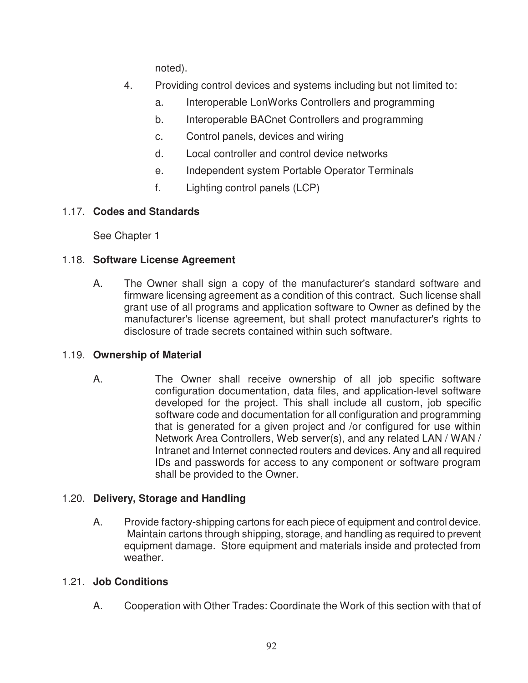noted).

- 4. Providing control devices and systems including but not limited to:
	- a. Interoperable LonWorks Controllers and programming
	- b. Interoperable BACnet Controllers and programming
	- c. Control panels, devices and wiring
	- d. Local controller and control device networks
	- e. Independent system Portable Operator Terminals
	- f. Lighting control panels (LCP)

# 1.17. **Codes and Standards**

See Chapter 1

# 1.18. **Software License Agreement**

A. The Owner shall sign a copy of the manufacturer's standard software and firmware licensing agreement as a condition of this contract. Such license shall grant use of all programs and application software to Owner as defined by the manufacturer's license agreement, but shall protect manufacturer's rights to disclosure of trade secrets contained within such software.

# 1.19. **Ownership of Material**

A. The Owner shall receive ownership of all job specific software configuration documentation, data files, and application-level software developed for the project. This shall include all custom, job specific software code and documentation for all configuration and programming that is generated for a given project and /or configured for use within Network Area Controllers, Web server(s), and any related LAN / WAN / Intranet and Internet connected routers and devices. Any and all required IDs and passwords for access to any component or software program shall be provided to the Owner.

# 1.20. **Delivery, Storage and Handling**

A. Provide factory-shipping cartons for each piece of equipment and control device. Maintain cartons through shipping, storage, and handling as required to prevent equipment damage. Store equipment and materials inside and protected from weather.

# 1.21. **Job Conditions**

A. Cooperation with Other Trades: Coordinate the Work of this section with that of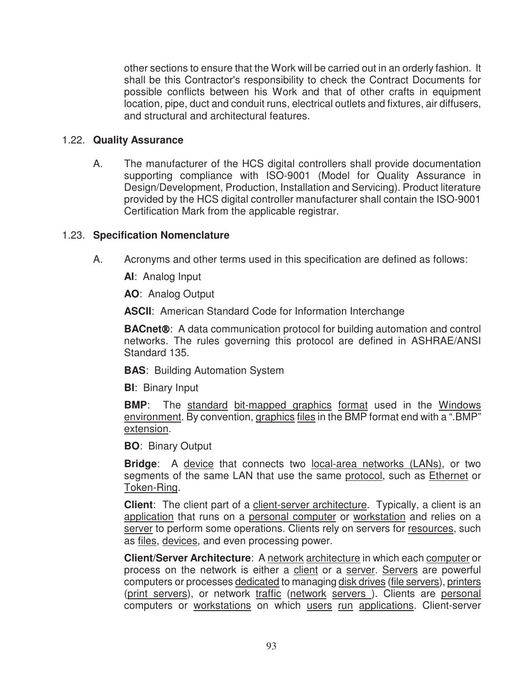other sections to ensure that the Work will be carried out in an orderly fashion. It shall be this Contractor's responsibility to check the Contract Documents for possible conflicts between his Work and that of other crafts in equipment location, pipe, duct and conduit runs, electrical outlets and fixtures, air diffusers, and structural and architectural features.

#### 1.22. **Quality Assurance**

A. The manufacturer of the HCS digital controllers shall provide documentation supporting compliance with ISO-9001 (Model for Quality Assurance in Design/Development, Production, Installation and Servicing). Product literature provided by the HCS digital controller manufacturer shall contain the ISO-9001 Certification Mark from the applicable registrar.

#### 1.23. **Specification Nomenclature**

A. Acronyms and other terms used in this specification are defined as follows:

**AI**: Analog Input

**AO**: Analog Output

**ASCII**: American Standard Code for Information Interchange

**BACnet**®: A data communication protocol for building automation and control networks. The rules governing this protocol are defined in ASHRAE/ANSI Standard 135.

**BAS**: Building Automation System

**BI**: Binary Input

**BMP**: The standard bit-mapped graphics format used in the Windows environment. By convention, graphics files in the BMP format end with a ".BMP" extension.

**BO**: Binary Output

**Bridge**: A device that connects two local-area networks (LANs), or two segments of the same LAN that use the same protocol, such as Ethernet or Token-Ring.

**Client**: The client part of a client-server architecture. Typically, a client is an application that runs on a personal computer or workstation and relies on a server to perform some operations. Clients rely on servers for resources, such as files, devices, and even processing power.

**Client/Server Architecture**: A network architecture in which each computer or process on the network is either a client or a server. Servers are powerful computers or processes dedicated to managing disk drives (file servers), printers (print servers), or network traffic (network servers ). Clients are personal computers or workstations on which users run applications. Client-server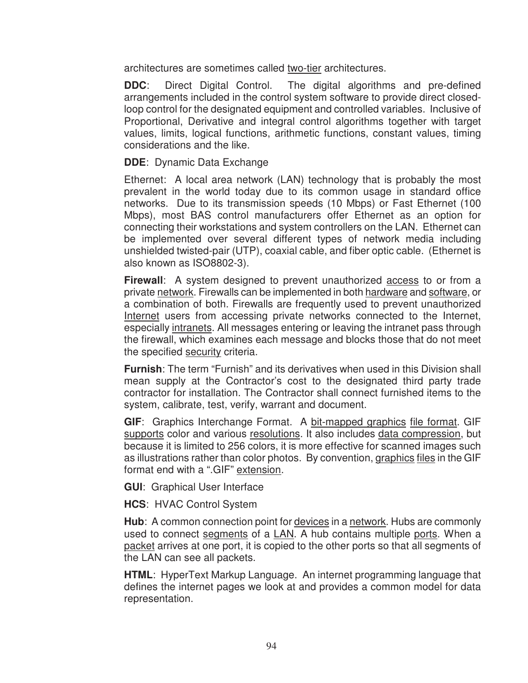architectures are sometimes called two-tier architectures.

**DDC**: Direct Digital Control. The digital algorithms and pre-defined arrangements included in the control system software to provide direct closedloop control for the designated equipment and controlled variables. Inclusive of Proportional, Derivative and integral control algorithms together with target values, limits, logical functions, arithmetic functions, constant values, timing considerations and the like.

#### **DDE**: Dynamic Data Exchange

Ethernet: A local area network (LAN) technology that is probably the most prevalent in the world today due to its common usage in standard office networks. Due to its transmission speeds (10 Mbps) or Fast Ethernet (100 Mbps), most BAS control manufacturers offer Ethernet as an option for connecting their workstations and system controllers on the LAN. Ethernet can be implemented over several different types of network media including unshielded twisted-pair (UTP), coaxial cable, and fiber optic cable. (Ethernet is also known as ISO8802-3).

**Firewall:** A system designed to prevent unauthorized access to or from a private network. Firewalls can be implemented in both hardware and software, or a combination of both. Firewalls are frequently used to prevent unauthorized Internet users from accessing private networks connected to the Internet, especially intranets. All messages entering or leaving the intranet pass through the firewall, which examines each message and blocks those that do not meet the specified security criteria.

**Furnish**: The term "Furnish" and its derivatives when used in this Division shall mean supply at the Contractor's cost to the designated third party trade contractor for installation. The Contractor shall connect furnished items to the system, calibrate, test, verify, warrant and document.

**GIF**: Graphics Interchange Format. A bit-mapped graphics file format. GIF supports color and various resolutions. It also includes data compression, but because it is limited to 256 colors, it is more effective for scanned images such as illustrations rather than color photos. By convention, graphics files in the GIF format end with a ".GIF" extension.

**GUI**: Graphical User Interface

**HCS**: HVAC Control System

**Hub**: A common connection point for devices in a network. Hubs are commonly used to connect segments of a LAN. A hub contains multiple ports. When a packet arrives at one port, it is copied to the other ports so that all segments of the LAN can see all packets.

**HTML**: HyperText Markup Language. An internet programming language that defines the internet pages we look at and provides a common model for data representation.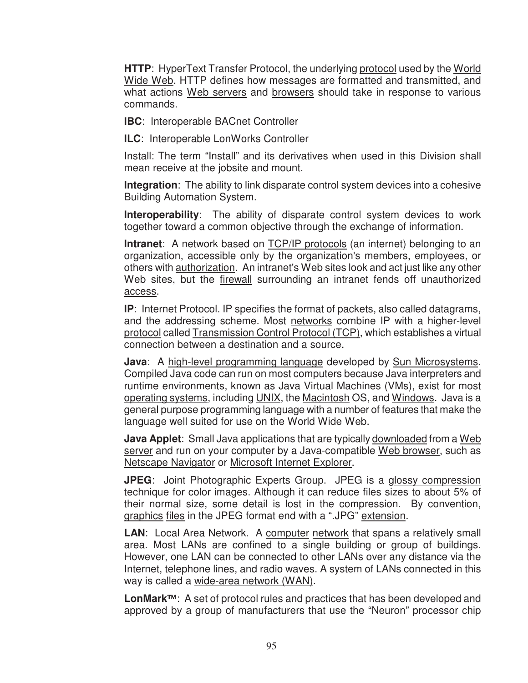**HTTP**: HyperText Transfer Protocol, the underlying protocol used by the World Wide Web. HTTP defines how messages are formatted and transmitted, and what actions Web servers and browsers should take in response to various commands.

**IBC**: Interoperable BACnet Controller

**ILC**: Interoperable LonWorks Controller

Install: The term "Install" and its derivatives when used in this Division shall mean receive at the jobsite and mount.

**Integration**: The ability to link disparate control system devices into a cohesive Building Automation System.

**Interoperability**: The ability of disparate control system devices to work together toward a common objective through the exchange of information.

**Intranet**: A network based on **TCP/IP** protocols (an internet) belonging to an organization, accessible only by the organization's members, employees, or others with authorization. An intranet's Web sites look and act just like any other Web sites, but the *firewall* surrounding an intranet fends off unauthorized access.

**IP**: Internet Protocol. IP specifies the format of packets, also called datagrams, and the addressing scheme. Most networks combine IP with a higher-level protocol called Transmission Control Protocol (TCP), which establishes a virtual connection between a destination and a source.

**Java**: A high-level programming language developed by Sun Microsystems. Compiled Java code can run on most computers because Java interpreters and runtime environments, known as Java Virtual Machines (VMs), exist for most operating systems, including UNIX, the Macintosh OS, and Windows. Java is a general purpose programming language with a number of features that make the language well suited for use on the World Wide Web.

**Java Applet**: Small Java applications that are typically downloaded from a Web server and run on your computer by a Java-compatible Web browser, such as Netscape Navigator or Microsoft Internet Explorer.

**JPEG**: Joint Photographic Experts Group. JPEG is a glossy compression technique for color images. Although it can reduce files sizes to about 5% of their normal size, some detail is lost in the compression. By convention, graphics files in the JPEG format end with a ".JPG" extension.

LAN: Local Area Network. A computer network that spans a relatively small area. Most LANs are confined to a single building or group of buildings. However, one LAN can be connected to other LANs over any distance via the Internet, telephone lines, and radio waves. A system of LANs connected in this way is called a wide-area network (WAN).

**LonMark**™: A set of protocol rules and practices that has been developed and approved by a group of manufacturers that use the "Neuron" processor chip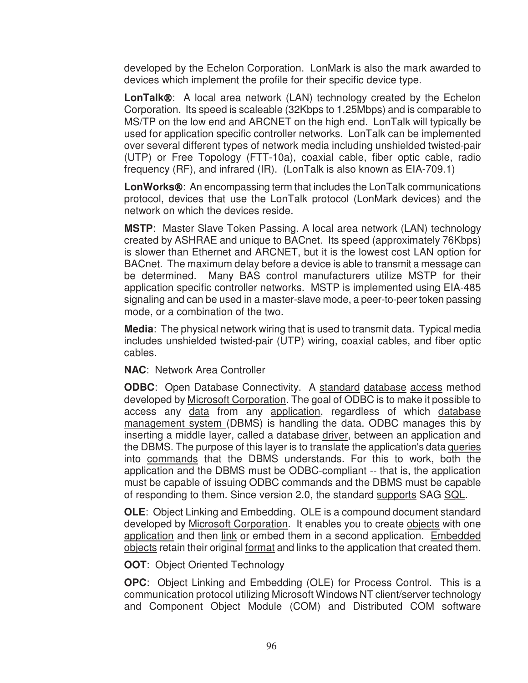developed by the Echelon Corporation. LonMark is also the mark awarded to devices which implement the profile for their specific device type.

**LonTalk**®: A local area network (LAN) technology created by the Echelon Corporation. Its speed is scaleable (32Kbps to 1.25Mbps) and is comparable to MS/TP on the low end and ARCNET on the high end. LonTalk will typically be used for application specific controller networks. LonTalk can be implemented over several different types of network media including unshielded twisted-pair (UTP) or Free Topology (FTT-10a), coaxial cable, fiber optic cable, radio frequency (RF), and infrared (IR). (LonTalk is also known as EIA-709.1)

**LonWorks**®: An encompassing term that includes the LonTalk communications protocol, devices that use the LonTalk protocol (LonMark devices) and the network on which the devices reside.

**MSTP**: Master Slave Token Passing. A local area network (LAN) technology created by ASHRAE and unique to BACnet. Its speed (approximately 76Kbps) is slower than Ethernet and ARCNET, but it is the lowest cost LAN option for BACnet. The maximum delay before a device is able to transmit a message can be determined. Many BAS control manufacturers utilize MSTP for their application specific controller networks. MSTP is implemented using EIA-485 signaling and can be used in a master-slave mode, a peer-to-peer token passing mode, or a combination of the two.

**Media**: The physical network wiring that is used to transmit data. Typical media includes unshielded twisted-pair (UTP) wiring, coaxial cables, and fiber optic cables.

**NAC**: Network Area Controller

**ODBC:** Open Database Connectivity. A standard database access method developed by Microsoft Corporation. The goal of ODBC is to make it possible to access any data from any application, regardless of which database management system (DBMS) is handling the data. ODBC manages this by inserting a middle layer, called a database driver, between an application and the DBMS. The purpose of this layer is to translate the application's data queries into commands that the DBMS understands. For this to work, both the application and the DBMS must be ODBC-compliant -- that is, the application must be capable of issuing ODBC commands and the DBMS must be capable of responding to them. Since version 2.0, the standard supports SAG SQL.

**OLE**: Object Linking and Embedding. OLE is a compound document standard developed by Microsoft Corporation. It enables you to create objects with one application and then link or embed them in a second application. Embedded objects retain their original format and links to the application that created them.

**OOT:** Object Oriented Technology

**OPC**: Object Linking and Embedding (OLE) for Process Control. This is a communication protocol utilizing Microsoft Windows NT client/server technology and Component Object Module (COM) and Distributed COM software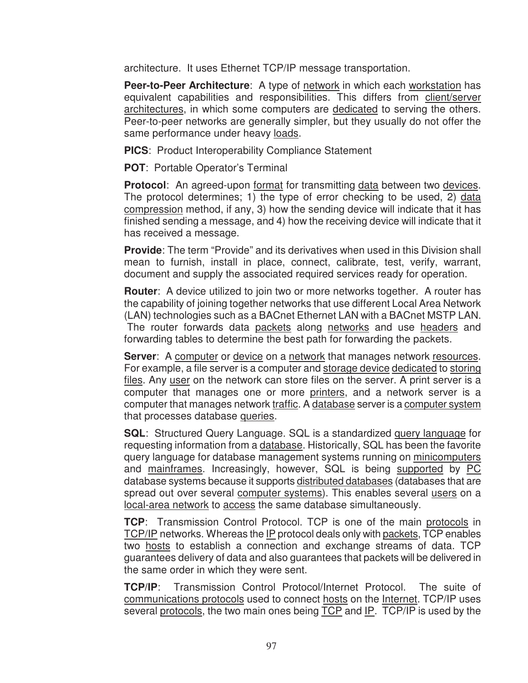architecture. It uses Ethernet TCP/IP message transportation.

**Peer-to-Peer Architecture**: A type of network in which each workstation has equivalent capabilities and responsibilities. This differs from client/server architectures, in which some computers are dedicated to serving the others. Peer-to-peer networks are generally simpler, but they usually do not offer the same performance under heavy loads.

**PICS**: Product Interoperability Compliance Statement

**POT**: Portable Operator's Terminal

**Protocol**: An agreed-upon format for transmitting data between two devices. The protocol determines; 1) the type of error checking to be used, 2) data compression method, if any, 3) how the sending device will indicate that it has finished sending a message, and 4) how the receiving device will indicate that it has received a message.

**Provide**: The term "Provide" and its derivatives when used in this Division shall mean to furnish, install in place, connect, calibrate, test, verify, warrant, document and supply the associated required services ready for operation.

**Router**: A device utilized to join two or more networks together. A router has the capability of joining together networks that use different Local Area Network (LAN) technologies such as a BACnet Ethernet LAN with a BACnet MSTP LAN. The router forwards data packets along networks and use headers and forwarding tables to determine the best path for forwarding the packets.

**Server**: A computer or device on a network that manages network resources. For example, a file server is a computer and storage device dedicated to storing files. Any user on the network can store files on the server. A print server is a computer that manages one or more printers, and a network server is a computer that manages network traffic. A database server is a computer system that processes database queries.

**SQL**: Structured Query Language. SQL is a standardized query language for requesting information from a database. Historically, SQL has been the favorite query language for database management systems running on minicomputers and mainframes. Increasingly, however, SQL is being supported by PC database systems because it supports distributed databases (databases that are spread out over several computer systems). This enables several users on a local-area network to access the same database simultaneously.

**TCP**: Transmission Control Protocol. TCP is one of the main protocols in TCP/IP networks. Whereas the IP protocol deals only with packets, TCP enables two hosts to establish a connection and exchange streams of data. TCP guarantees delivery of data and also guarantees that packets will be delivered in the same order in which they were sent.

**TCP/IP**: Transmission Control Protocol/Internet Protocol. The suite of communications protocols used to connect hosts on the Internet. TCP/IP uses several protocols, the two main ones being TCP and IP. TCP/IP is used by the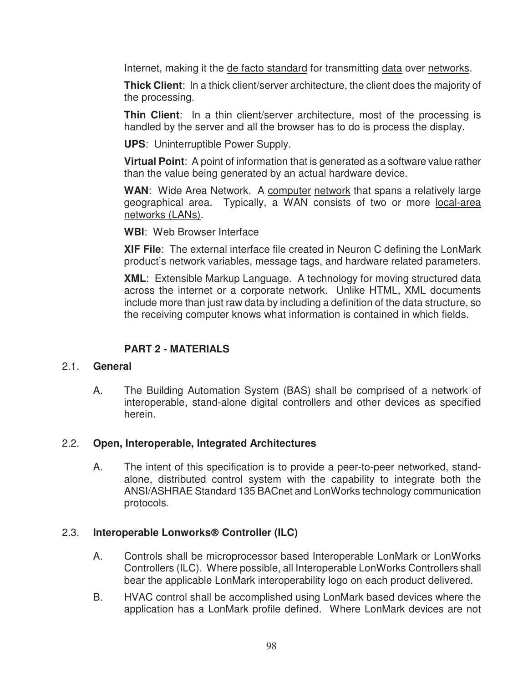Internet, making it the de facto standard for transmitting data over networks.

**Thick Client:** In a thick client/server architecture, the client does the majority of the processing.

**Thin Client**: In a thin client/server architecture, most of the processing is handled by the server and all the browser has to do is process the display.

**UPS**: Uninterruptible Power Supply.

**Virtual Point**: A point of information that is generated as a software value rather than the value being generated by an actual hardware device.

WAN: Wide Area Network. A computer network that spans a relatively large geographical area. Typically, a WAN consists of two or more local-area networks (LANs).

**WBI**: Web Browser Interface

**XIF File**: The external interface file created in Neuron C defining the LonMark product's network variables, message tags, and hardware related parameters.

**XML**: Extensible Markup Language. A technology for moving structured data across the internet or a corporate network. Unlike HTML, XML documents include more than just raw data by including a definition of the data structure, so the receiving computer knows what information is contained in which fields.

# **PART 2 - MATERIALS**

#### 2.1. **General**

A. The Building Automation System (BAS) shall be comprised of a network of interoperable, stand-alone digital controllers and other devices as specified herein.

## 2.2. **Open, Interoperable, Integrated Architectures**

A. The intent of this specification is to provide a peer-to-peer networked, standalone, distributed control system with the capability to integrate both the ANSI/ASHRAE Standard 135 BACnet and LonWorks technology communication protocols.

## 2.3. **Interoperable Lonworks**® **Controller (ILC)**

- A. Controls shall be microprocessor based Interoperable LonMark or LonWorks Controllers (ILC). Where possible, all Interoperable LonWorks Controllers shall bear the applicable LonMark interoperability logo on each product delivered.
- B. HVAC control shall be accomplished using LonMark based devices where the application has a LonMark profile defined. Where LonMark devices are not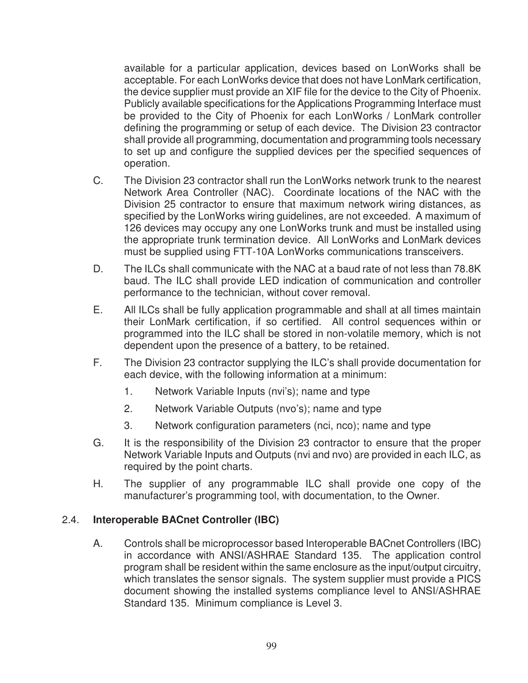available for a particular application, devices based on LonWorks shall be acceptable. For each LonWorks device that does not have LonMark certification, the device supplier must provide an XIF file for the device to the City of Phoenix. Publicly available specifications for the Applications Programming Interface must be provided to the City of Phoenix for each LonWorks / LonMark controller defining the programming or setup of each device. The Division 23 contractor shall provide all programming, documentation and programming tools necessary to set up and configure the supplied devices per the specified sequences of operation.

- C. The Division 23 contractor shall run the LonWorks network trunk to the nearest Network Area Controller (NAC). Coordinate locations of the NAC with the Division 25 contractor to ensure that maximum network wiring distances, as specified by the LonWorks wiring guidelines, are not exceeded. A maximum of 126 devices may occupy any one LonWorks trunk and must be installed using the appropriate trunk termination device. All LonWorks and LonMark devices must be supplied using FTT-10A LonWorks communications transceivers.
- D. The ILCs shall communicate with the NAC at a baud rate of not less than 78.8K baud. The ILC shall provide LED indication of communication and controller performance to the technician, without cover removal.
- E. All ILCs shall be fully application programmable and shall at all times maintain their LonMark certification, if so certified. All control sequences within or programmed into the ILC shall be stored in non-volatile memory, which is not dependent upon the presence of a battery, to be retained.
- F. The Division 23 contractor supplying the ILC's shall provide documentation for each device, with the following information at a minimum:
	- 1. Network Variable Inputs (nvi's); name and type
	- 2. Network Variable Outputs (nvo's); name and type
	- 3. Network configuration parameters (nci, nco); name and type
- G. It is the responsibility of the Division 23 contractor to ensure that the proper Network Variable Inputs and Outputs (nvi and nvo) are provided in each ILC, as required by the point charts.
- H. The supplier of any programmable ILC shall provide one copy of the manufacturer's programming tool, with documentation, to the Owner.

## 2.4. **Interoperable BACnet Controller (IBC)**

A. Controls shall be microprocessor based Interoperable BACnet Controllers (IBC) in accordance with ANSI/ASHRAE Standard 135. The application control program shall be resident within the same enclosure as the input/output circuitry, which translates the sensor signals. The system supplier must provide a PICS document showing the installed systems compliance level to ANSI/ASHRAE Standard 135. Minimum compliance is Level 3.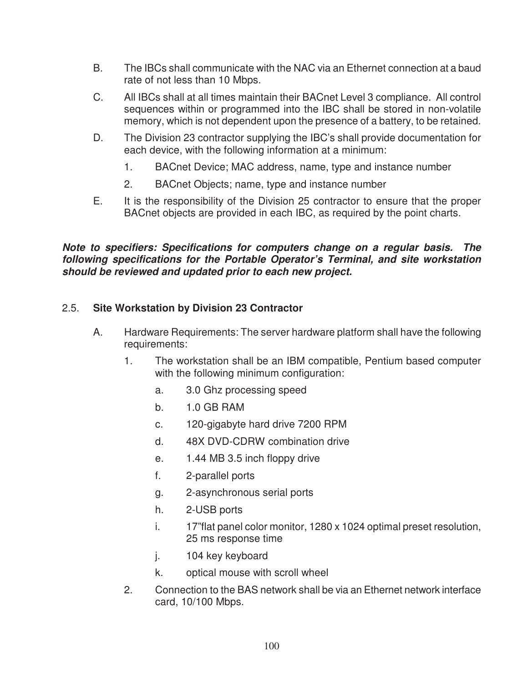- B. The IBCs shall communicate with the NAC via an Ethernet connection at a baud rate of not less than 10 Mbps.
- C. All IBCs shall at all times maintain their BACnet Level 3 compliance. All control sequences within or programmed into the IBC shall be stored in non-volatile memory, which is not dependent upon the presence of a battery, to be retained.
- D. The Division 23 contractor supplying the IBC's shall provide documentation for each device, with the following information at a minimum:
	- 1. BACnet Device; MAC address, name, type and instance number
	- 2. BACnet Objects; name, type and instance number
- E. It is the responsibility of the Division 25 contractor to ensure that the proper BACnet objects are provided in each IBC, as required by the point charts.

*Note to specifiers: Specifications for computers change on a regular basis. The following specifications for the Portable Operator's Terminal, and site workstation should be reviewed and updated prior to each new project.* 

# 2.5. **Site Workstation by Division 23 Contractor**

- A. Hardware Requirements: The server hardware platform shall have the following requirements:
	- 1. The workstation shall be an IBM compatible, Pentium based computer with the following minimum configuration:
		- a. 3.0 Ghz processing speed
		- b. 1.0 GB RAM
		- c. 120-gigabyte hard drive 7200 RPM
		- d. 48X DVD-CDRW combination drive
		- e. 1.44 MB 3.5 inch floppy drive
		- f. 2-parallel ports
		- g. 2-asynchronous serial ports
		- h. 2-USB ports
		- i. 17"flat panel color monitor, 1280 x 1024 optimal preset resolution, 25 ms response time
		- j. 104 key keyboard
		- k. optical mouse with scroll wheel
	- 2. Connection to the BAS network shall be via an Ethernet network interface card, 10/100 Mbps.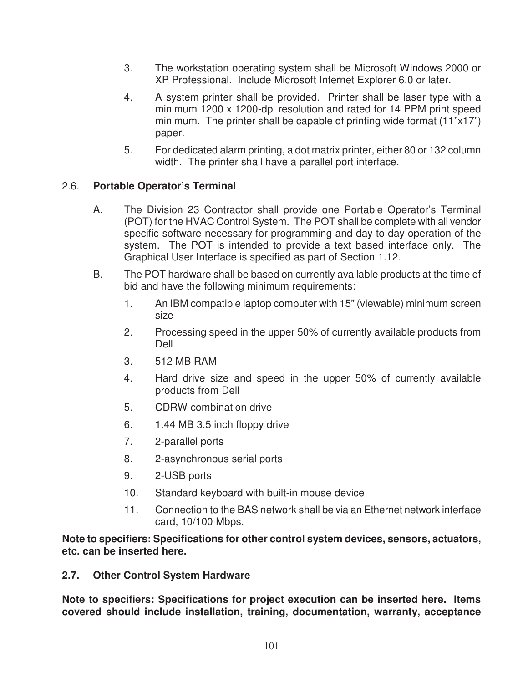- 3. The workstation operating system shall be Microsoft Windows 2000 or XP Professional. Include Microsoft Internet Explorer 6.0 or later.
- 4. A system printer shall be provided. Printer shall be laser type with a minimum 1200 x 1200-dpi resolution and rated for 14 PPM print speed minimum. The printer shall be capable of printing wide format (11"x17") paper.
- 5. For dedicated alarm printing, a dot matrix printer, either 80 or 132 column width. The printer shall have a parallel port interface.

# 2.6. **Portable Operator's Terminal**

- A. The Division 23 Contractor shall provide one Portable Operator's Terminal (POT) for the HVAC Control System. The POT shall be complete with all vendor specific software necessary for programming and day to day operation of the system. The POT is intended to provide a text based interface only. The Graphical User Interface is specified as part of Section 1.12.
- B. The POT hardware shall be based on currently available products at the time of bid and have the following minimum requirements:
	- 1. An IBM compatible laptop computer with 15" (viewable) minimum screen size
	- 2. Processing speed in the upper 50% of currently available products from Dell
	- 3. 512 MB RAM
	- 4. Hard drive size and speed in the upper 50% of currently available products from Dell
	- 5. CDRW combination drive
	- 6. 1.44 MB 3.5 inch floppy drive
	- 7. 2-parallel ports
	- 8. 2-asynchronous serial ports
	- 9. 2-USB ports
	- 10. Standard keyboard with built-in mouse device
	- 11. Connection to the BAS network shall be via an Ethernet network interface card, 10/100 Mbps.

**Note to specifiers: Specifications for other control system devices, sensors, actuators, etc. can be inserted here.** 

#### **2.7. Other Control System Hardware**

**Note to specifiers: Specifications for project execution can be inserted here. Items covered should include installation, training, documentation, warranty, acceptance**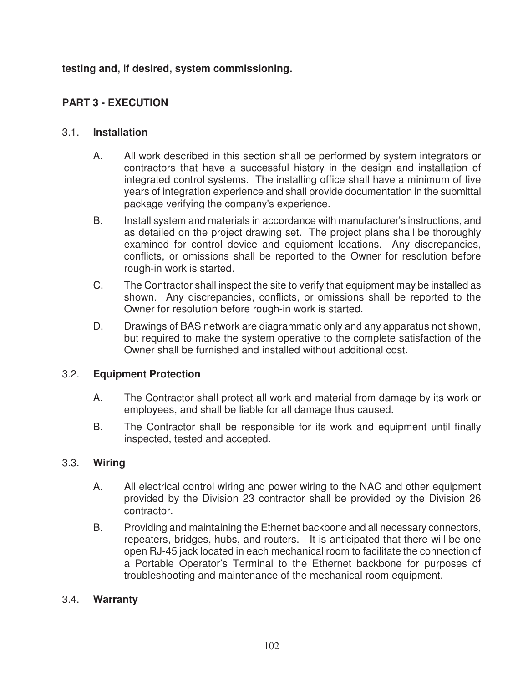# **testing and, if desired, system commissioning.**

# **PART 3 - EXECUTION**

### 3.1. **Installation**

- A. All work described in this section shall be performed by system integrators or contractors that have a successful history in the design and installation of integrated control systems. The installing office shall have a minimum of five years of integration experience and shall provide documentation in the submittal package verifying the company's experience.
- B. Install system and materials in accordance with manufacturer's instructions, and as detailed on the project drawing set. The project plans shall be thoroughly examined for control device and equipment locations. Any discrepancies, conflicts, or omissions shall be reported to the Owner for resolution before rough-in work is started.
- C. The Contractor shall inspect the site to verify that equipment may be installed as shown. Any discrepancies, conflicts, or omissions shall be reported to the Owner for resolution before rough-in work is started.
- D. Drawings of BAS network are diagrammatic only and any apparatus not shown, but required to make the system operative to the complete satisfaction of the Owner shall be furnished and installed without additional cost.

## 3.2. **Equipment Protection**

- A. The Contractor shall protect all work and material from damage by its work or employees, and shall be liable for all damage thus caused.
- B. The Contractor shall be responsible for its work and equipment until finally inspected, tested and accepted.

## 3.3. **Wiring**

- A. All electrical control wiring and power wiring to the NAC and other equipment provided by the Division 23 contractor shall be provided by the Division 26 contractor.
- B. Providing and maintaining the Ethernet backbone and all necessary connectors, repeaters, bridges, hubs, and routers. It is anticipated that there will be one open RJ-45 jack located in each mechanical room to facilitate the connection of a Portable Operator's Terminal to the Ethernet backbone for purposes of troubleshooting and maintenance of the mechanical room equipment.

## 3.4. **Warranty**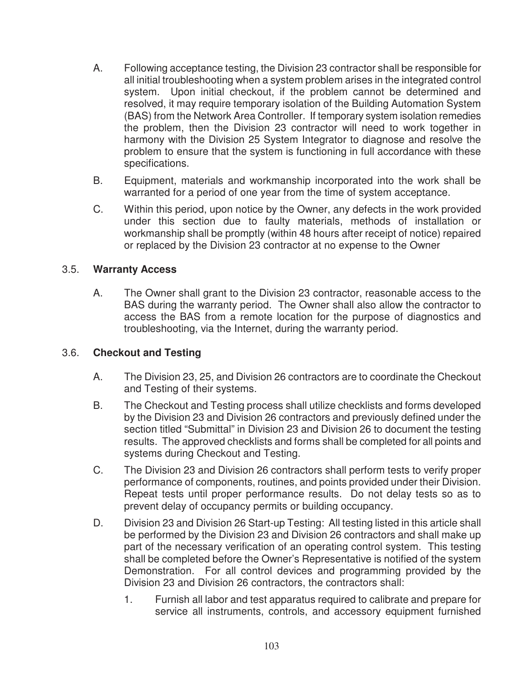- A. Following acceptance testing, the Division 23 contractor shall be responsible for all initial troubleshooting when a system problem arises in the integrated control system. Upon initial checkout, if the problem cannot be determined and resolved, it may require temporary isolation of the Building Automation System (BAS) from the Network Area Controller. If temporary system isolation remedies the problem, then the Division 23 contractor will need to work together in harmony with the Division 25 System Integrator to diagnose and resolve the problem to ensure that the system is functioning in full accordance with these specifications.
- B. Equipment, materials and workmanship incorporated into the work shall be warranted for a period of one year from the time of system acceptance.
- C. Within this period, upon notice by the Owner, any defects in the work provided under this section due to faulty materials, methods of installation or workmanship shall be promptly (within 48 hours after receipt of notice) repaired or replaced by the Division 23 contractor at no expense to the Owner

## 3.5. **Warranty Access**

A. The Owner shall grant to the Division 23 contractor, reasonable access to the BAS during the warranty period. The Owner shall also allow the contractor to access the BAS from a remote location for the purpose of diagnostics and troubleshooting, via the Internet, during the warranty period.

#### 3.6. **Checkout and Testing**

- A. The Division 23, 25, and Division 26 contractors are to coordinate the Checkout and Testing of their systems.
- B. The Checkout and Testing process shall utilize checklists and forms developed by the Division 23 and Division 26 contractors and previously defined under the section titled "Submittal" in Division 23 and Division 26 to document the testing results. The approved checklists and forms shall be completed for all points and systems during Checkout and Testing.
- C. The Division 23 and Division 26 contractors shall perform tests to verify proper performance of components, routines, and points provided under their Division. Repeat tests until proper performance results. Do not delay tests so as to prevent delay of occupancy permits or building occupancy.
- D. Division 23 and Division 26 Start-up Testing: All testing listed in this article shall be performed by the Division 23 and Division 26 contractors and shall make up part of the necessary verification of an operating control system. This testing shall be completed before the Owner's Representative is notified of the system Demonstration. For all control devices and programming provided by the Division 23 and Division 26 contractors, the contractors shall:
	- 1. Furnish all labor and test apparatus required to calibrate and prepare for service all instruments, controls, and accessory equipment furnished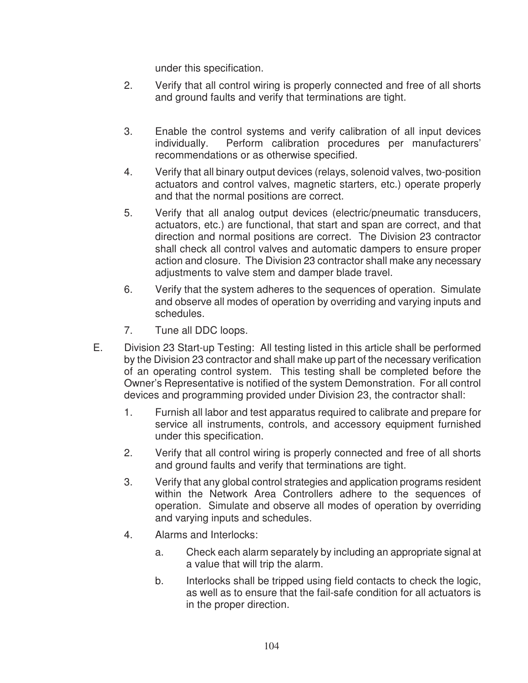under this specification.

- 2. Verify that all control wiring is properly connected and free of all shorts and ground faults and verify that terminations are tight.
- 3. Enable the control systems and verify calibration of all input devices individually. Perform calibration procedures per manufacturers' recommendations or as otherwise specified.
- 4. Verify that all binary output devices (relays, solenoid valves, two-position actuators and control valves, magnetic starters, etc.) operate properly and that the normal positions are correct.
- 5. Verify that all analog output devices (electric/pneumatic transducers, actuators, etc.) are functional, that start and span are correct, and that direction and normal positions are correct. The Division 23 contractor shall check all control valves and automatic dampers to ensure proper action and closure. The Division 23 contractor shall make any necessary adjustments to valve stem and damper blade travel.
- 6. Verify that the system adheres to the sequences of operation. Simulate and observe all modes of operation by overriding and varying inputs and schedules.
- 7. Tune all DDC loops.
- E. Division 23 Start-up Testing: All testing listed in this article shall be performed by the Division 23 contractor and shall make up part of the necessary verification of an operating control system. This testing shall be completed before the Owner's Representative is notified of the system Demonstration. For all control devices and programming provided under Division 23, the contractor shall:
	- 1. Furnish all labor and test apparatus required to calibrate and prepare for service all instruments, controls, and accessory equipment furnished under this specification.
	- 2. Verify that all control wiring is properly connected and free of all shorts and ground faults and verify that terminations are tight.
	- 3. Verify that any global control strategies and application programs resident within the Network Area Controllers adhere to the sequences of operation. Simulate and observe all modes of operation by overriding and varying inputs and schedules.
	- 4. Alarms and Interlocks:
		- a. Check each alarm separately by including an appropriate signal at a value that will trip the alarm.
		- b. Interlocks shall be tripped using field contacts to check the logic, as well as to ensure that the fail-safe condition for all actuators is in the proper direction.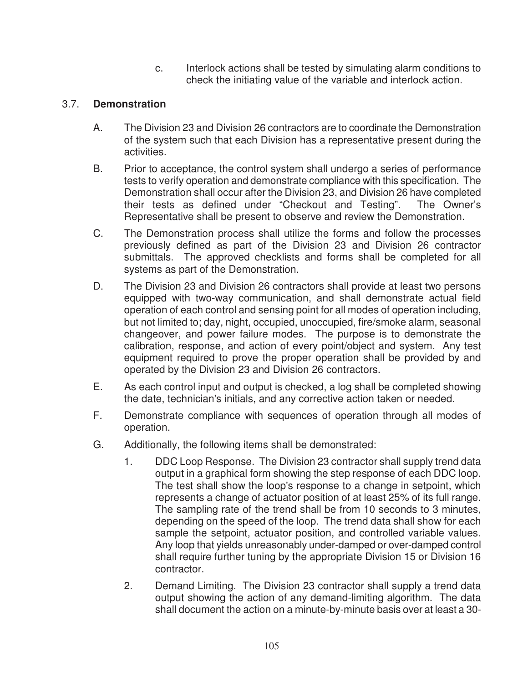c. Interlock actions shall be tested by simulating alarm conditions to check the initiating value of the variable and interlock action.

# 3.7. **Demonstration**

- A. The Division 23 and Division 26 contractors are to coordinate the Demonstration of the system such that each Division has a representative present during the activities.
- B. Prior to acceptance, the control system shall undergo a series of performance tests to verify operation and demonstrate compliance with this specification. The Demonstration shall occur after the Division 23, and Division 26 have completed their tests as defined under "Checkout and Testing". The Owner's Representative shall be present to observe and review the Demonstration.
- C. The Demonstration process shall utilize the forms and follow the processes previously defined as part of the Division 23 and Division 26 contractor submittals. The approved checklists and forms shall be completed for all systems as part of the Demonstration.
- D. The Division 23 and Division 26 contractors shall provide at least two persons equipped with two-way communication, and shall demonstrate actual field operation of each control and sensing point for all modes of operation including, but not limited to; day, night, occupied, unoccupied, fire/smoke alarm, seasonal changeover, and power failure modes. The purpose is to demonstrate the calibration, response, and action of every point/object and system. Any test equipment required to prove the proper operation shall be provided by and operated by the Division 23 and Division 26 contractors.
- E. As each control input and output is checked, a log shall be completed showing the date, technician's initials, and any corrective action taken or needed.
- F. Demonstrate compliance with sequences of operation through all modes of operation.
- G. Additionally, the following items shall be demonstrated:
	- 1. DDC Loop Response. The Division 23 contractor shall supply trend data output in a graphical form showing the step response of each DDC loop. The test shall show the loop's response to a change in setpoint, which represents a change of actuator position of at least 25% of its full range. The sampling rate of the trend shall be from 10 seconds to 3 minutes, depending on the speed of the loop. The trend data shall show for each sample the setpoint, actuator position, and controlled variable values. Any loop that yields unreasonably under-damped or over-damped control shall require further tuning by the appropriate Division 15 or Division 16 contractor.
	- 2. Demand Limiting. The Division 23 contractor shall supply a trend data output showing the action of any demand-limiting algorithm. The data shall document the action on a minute-by-minute basis over at least a 30-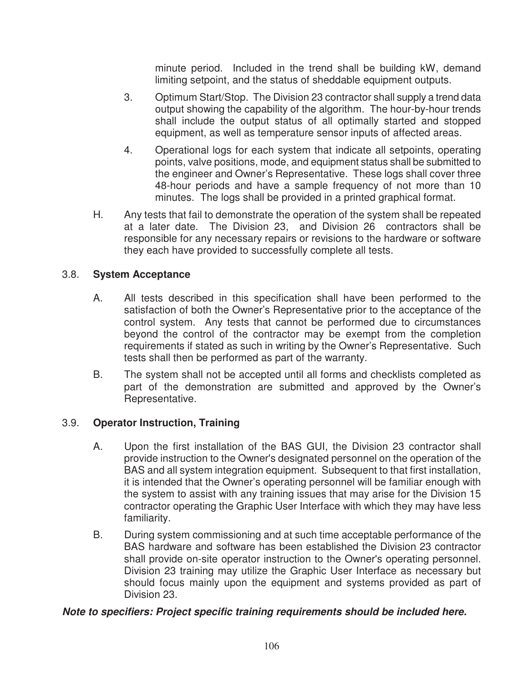minute period. Included in the trend shall be building kW, demand limiting setpoint, and the status of sheddable equipment outputs.

- 3. Optimum Start/Stop. The Division 23 contractor shall supply a trend data output showing the capability of the algorithm. The hour-by-hour trends shall include the output status of all optimally started and stopped equipment, as well as temperature sensor inputs of affected areas.
- 4. Operational logs for each system that indicate all setpoints, operating points, valve positions, mode, and equipment status shall be submitted to the engineer and Owner's Representative. These logs shall cover three 48-hour periods and have a sample frequency of not more than 10 minutes. The logs shall be provided in a printed graphical format.
- H. Any tests that fail to demonstrate the operation of the system shall be repeated at a later date. The Division 23, and Division 26 contractors shall be responsible for any necessary repairs or revisions to the hardware or software they each have provided to successfully complete all tests.

# 3.8. **System Acceptance**

- A. All tests described in this specification shall have been performed to the satisfaction of both the Owner's Representative prior to the acceptance of the control system. Any tests that cannot be performed due to circumstances beyond the control of the contractor may be exempt from the completion requirements if stated as such in writing by the Owner's Representative. Such tests shall then be performed as part of the warranty.
- B. The system shall not be accepted until all forms and checklists completed as part of the demonstration are submitted and approved by the Owner's Representative.

## 3.9. **Operator Instruction, Training**

- A. Upon the first installation of the BAS GUI, the Division 23 contractor shall provide instruction to the Owner's designated personnel on the operation of the BAS and all system integration equipment. Subsequent to that first installation, it is intended that the Owner's operating personnel will be familiar enough with the system to assist with any training issues that may arise for the Division 15 contractor operating the Graphic User Interface with which they may have less familiarity.
- B. During system commissioning and at such time acceptable performance of the BAS hardware and software has been established the Division 23 contractor shall provide on-site operator instruction to the Owner's operating personnel. Division 23 training may utilize the Graphic User Interface as necessary but should focus mainly upon the equipment and systems provided as part of Division 23.

## *Note to specifiers: Project specific training requirements should be included here.*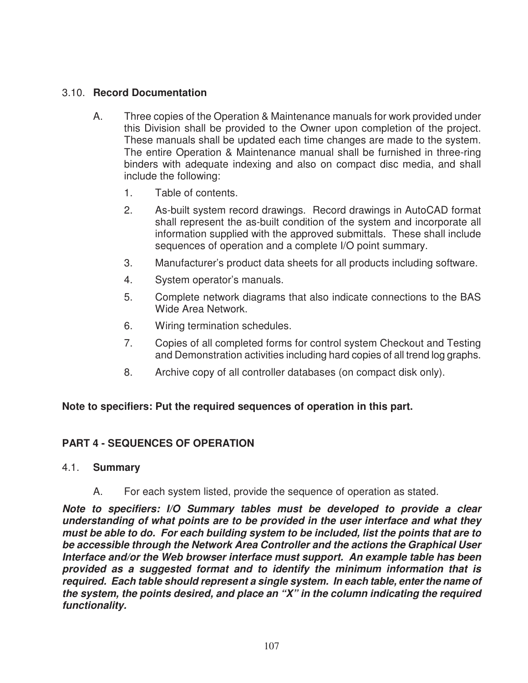# 3.10. **Record Documentation**

- A. Three copies of the Operation & Maintenance manuals for work provided under this Division shall be provided to the Owner upon completion of the project. These manuals shall be updated each time changes are made to the system. The entire Operation & Maintenance manual shall be furnished in three-ring binders with adequate indexing and also on compact disc media, and shall include the following:
	- 1. Table of contents.
	- 2. As-built system record drawings. Record drawings in AutoCAD format shall represent the as-built condition of the system and incorporate all information supplied with the approved submittals. These shall include sequences of operation and a complete I/O point summary.
	- 3. Manufacturer's product data sheets for all products including software.
	- 4. System operator's manuals.
	- 5. Complete network diagrams that also indicate connections to the BAS Wide Area Network.
	- 6. Wiring termination schedules.
	- 7. Copies of all completed forms for control system Checkout and Testing and Demonstration activities including hard copies of all trend log graphs.
	- 8. Archive copy of all controller databases (on compact disk only).

#### **Note to specifiers: Put the required sequences of operation in this part.**

## **PART 4 - SEQUENCES OF OPERATION**

#### 4.1. **Summary**

A. For each system listed, provide the sequence of operation as stated.

*Note to specifiers: I/O Summary tables must be developed to provide a clear understanding of what points are to be provided in the user interface and what they must be able to do. For each building system to be included, list the points that are to be accessible through the Network Area Controller and the actions the Graphical User Interface and/or the Web browser interface must support. An example table has been provided as a suggested format and to identify the minimum information that is required. Each table should represent a single system. In each table, enter the name of the system, the points desired, and place an "X" in the column indicating the required functionality.*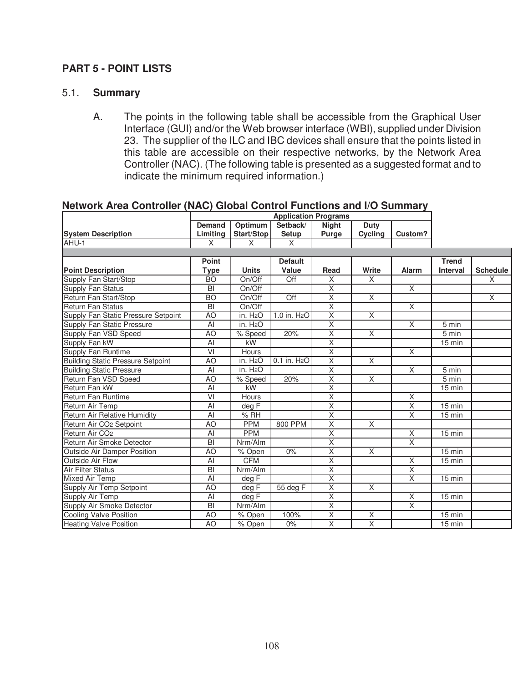## **PART 5 - POINT LISTS**

#### 5.1. **Summary**

A. The points in the following table shall be accessible from the Graphical User Interface (GUI) and/or the Web browser interface (WBI), supplied under Division 23. The supplier of the ILC and IBC devices shall ensure that the points listed in this table are accessible on their respective networks, by the Network Area Controller (NAC). (The following table is presented as a suggested format and to indicate the minimum required information.)

|                                          |                 | <b>Application Programs</b> |                          |                         |                         |                         |                 |                 |
|------------------------------------------|-----------------|-----------------------------|--------------------------|-------------------------|-------------------------|-------------------------|-----------------|-----------------|
|                                          | <b>Demand</b>   | Optimum                     | Setback/                 | <b>Night</b>            | <b>Duty</b>             |                         |                 |                 |
| <b>System Description</b>                | Limitina        | Start/Stop                  | <b>Setup</b>             | Purge                   | Cycling                 | Custom?                 |                 |                 |
| AHU-1                                    | X               | X                           | $\times$                 |                         |                         |                         |                 |                 |
|                                          |                 |                             |                          |                         |                         |                         |                 |                 |
|                                          | Point           |                             | <b>Default</b>           |                         |                         |                         | <b>Trend</b>    |                 |
| <b>Point Description</b>                 | <b>Type</b>     | <b>Units</b>                | Value                    | Read                    | Write                   | <b>Alarm</b>            | <b>Interval</b> | <b>Schedule</b> |
| Supply Fan Start/Stop                    | <b>BO</b>       | On/Off                      | Off                      | X                       | X                       |                         |                 | X               |
| <b>Supply Fan Status</b>                 | BI              | On/Off                      |                          | $\overline{\mathsf{x}}$ |                         | $\overline{X}$          |                 |                 |
| Return Fan Start/Stop                    | <b>BO</b>       | On/Off                      | Off                      | $\overline{\mathsf{x}}$ | $\overline{X}$          |                         |                 | $\overline{X}$  |
| Return Fan Status                        | BI              | On/Off                      |                          | $\overline{\mathsf{x}}$ |                         | $\overline{X}$          |                 |                 |
| Supply Fan Static Pressure Setpoint      | AO              | in. H <sub>2</sub> O        | 1.0 in. H <sub>2</sub> O | $\overline{\mathsf{x}}$ | $\overline{\mathsf{x}}$ |                         |                 |                 |
| Supply Fan Static Pressure               | AI              | in. H <sub>2</sub> O        |                          | $\overline{\mathsf{x}}$ |                         | $\overline{X}$          | 5 min           |                 |
| Supply Fan VSD Speed                     | A <sub>O</sub>  | % Speed                     | 20%                      | $\overline{\mathsf{x}}$ | $\overline{X}$          |                         | 5 min           |                 |
| Supply Fan kW                            | $\overline{AI}$ | kW                          |                          | $\overline{\mathsf{x}}$ |                         |                         | 15 min          |                 |
| <b>Supply Fan Runtime</b>                | $\overline{V}$  | Hours                       |                          | $\overline{\mathsf{x}}$ |                         | $\overline{\mathsf{x}}$ |                 |                 |
| <b>Building Static Pressure Setpoint</b> | A <sub>O</sub>  | in. H <sub>2</sub> O        | 0.1 in. H <sub>2</sub> O | $\overline{\mathsf{x}}$ | $\overline{\mathsf{x}}$ |                         |                 |                 |
| <b>Building Static Pressure</b>          | AI              | in. H <sub>2</sub> O        |                          | $\overline{\mathsf{x}}$ |                         | $\overline{\mathsf{x}}$ | 5 min           |                 |
| Return Fan VSD Speed                     | A <sub>O</sub>  | % Speed                     | 20%                      | $\overline{X}$          | X                       |                         | 5 min           |                 |
| Return Fan kW                            | AI              | kW                          |                          | $\overline{X}$          |                         |                         | $15$ min        |                 |
| Return Fan Runtime                       | $\overline{VI}$ | Hours                       |                          | $\overline{X}$          |                         | $\overline{\mathsf{x}}$ |                 |                 |
| Return Air Temp                          | Al              | deg F                       |                          | $\overline{\mathsf{x}}$ |                         | $\overline{\mathsf{x}}$ | 15 min          |                 |
| Return Air Relative Humidity             | Al              | % RH                        |                          | $\overline{X}$          |                         | $\overline{\mathsf{x}}$ | 15 min          |                 |
| Return Air CO <sub>2</sub> Setpoint      | A <sub>O</sub>  | <b>PPM</b>                  | 800 PPM                  | $\overline{\mathsf{x}}$ | X                       |                         |                 |                 |
| Return Air CO <sub>2</sub>               | Al              | <b>PPM</b>                  |                          | $\overline{\mathsf{x}}$ |                         | X                       | $15$ min        |                 |
| Return Air Smoke Detector                | BI              | Nrm/Alm                     |                          | $\overline{\mathsf{x}}$ |                         | $\overline{X}$          |                 |                 |
| Outside Air Damper Position              | A <sub>O</sub>  | % Open                      | 0%                       | $\overline{\mathsf{x}}$ | $\overline{X}$          |                         | $15$ min        |                 |
| Outside Air Flow                         | Al              | <b>CFM</b>                  |                          | $\overline{\mathsf{x}}$ |                         | $\overline{\mathsf{x}}$ | $15$ min        |                 |
| Air Filter Status                        | $\overline{BI}$ | Nrm/Alm                     |                          | $\overline{\mathsf{x}}$ |                         | $\overline{\mathsf{x}}$ |                 |                 |
| Mixed Air Temp                           | $\overline{AI}$ | deg F                       |                          | $\overline{\mathsf{x}}$ |                         | $\overline{\mathsf{x}}$ | $15$ min        |                 |
| Supply Air Temp Setpoint                 | A <sub>O</sub>  | deg F                       | 55 deg F                 | $\overline{\mathsf{x}}$ | X                       |                         |                 |                 |
| Supply Air Temp                          | Al              | deg F                       |                          | $\overline{\mathsf{x}}$ |                         | $\overline{X}$          | $15$ min        |                 |
| Supply Air Smoke Detector                | BI              | Nrm/Alm                     |                          | $\overline{\mathsf{x}}$ |                         | $\overline{X}$          |                 |                 |
| <b>Cooling Valve Position</b>            | A <sub>O</sub>  | $\overline{\%}$ Open        | 100%                     | $\overline{\mathsf{x}}$ | X                       |                         | $15$ min        |                 |
| <b>Heating Valve Position</b>            | A <sub>O</sub>  | $\overline{\%}$ Open        | 0%                       | $\overline{\mathsf{x}}$ | $\overline{X}$          |                         | $15$ min        |                 |

# **Network Area Controller (NAC) Global Control Functions and I/O Summary**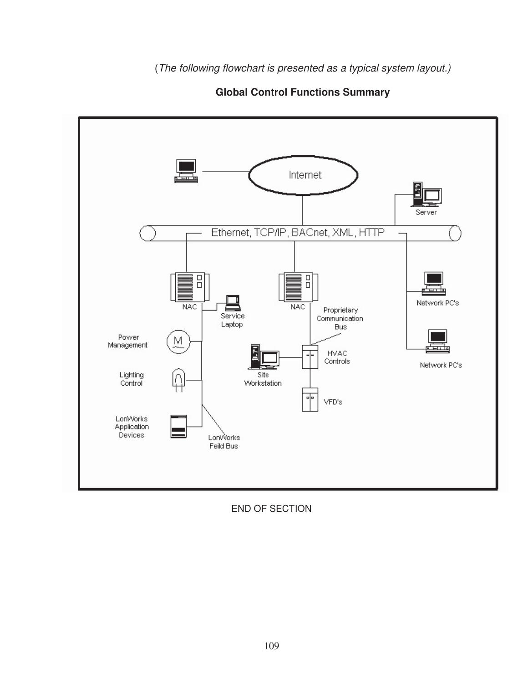

 **Global Control Functions Summary** 

END OF SECTION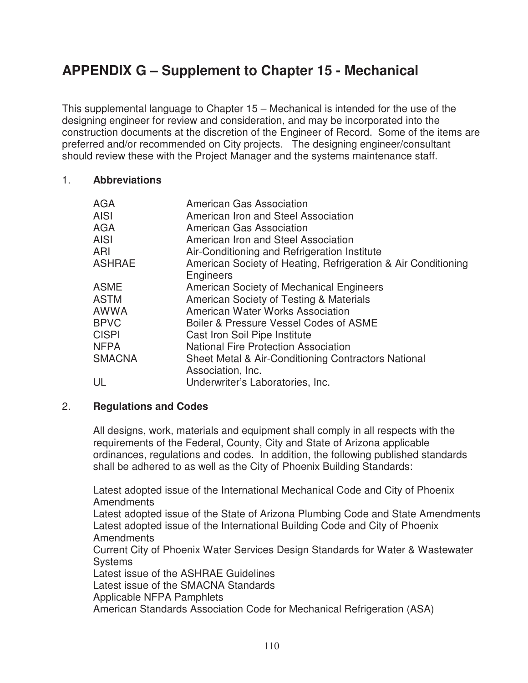# **APPENDIX G – Supplement to Chapter 15 - Mechanical**

This supplemental language to Chapter 15 – Mechanical is intended for the use of the designing engineer for review and consideration, and may be incorporated into the construction documents at the discretion of the Engineer of Record. Some of the items are preferred and/or recommended on City projects. The designing engineer/consultant should review these with the Project Manager and the systems maintenance staff.

#### 1. **Abbreviations**

| AGA           | American Gas Association                                                 |
|---------------|--------------------------------------------------------------------------|
| <b>AISI</b>   | American Iron and Steel Association                                      |
| <b>AGA</b>    | <b>American Gas Association</b>                                          |
| <b>AISI</b>   | American Iron and Steel Association                                      |
| ARI           | Air-Conditioning and Refrigeration Institute                             |
| <b>ASHRAE</b> | American Society of Heating, Refrigeration & Air Conditioning            |
|               | <b>Engineers</b>                                                         |
| <b>ASME</b>   | American Society of Mechanical Engineers                                 |
| <b>ASTM</b>   | American Society of Testing & Materials                                  |
| <b>AWWA</b>   | American Water Works Association                                         |
| <b>BPVC</b>   | Boiler & Pressure Vessel Codes of ASME                                   |
| <b>CISPI</b>  | Cast Iron Soil Pipe Institute                                            |
| <b>NFPA</b>   | <b>National Fire Protection Association</b>                              |
| <b>SMACNA</b> | Sheet Metal & Air-Conditioning Contractors National<br>Association, Inc. |
| UL            | Underwriter's Laboratories, Inc.                                         |

# 2. **Regulations and Codes**

All designs, work, materials and equipment shall comply in all respects with the requirements of the Federal, County, City and State of Arizona applicable ordinances, regulations and codes. In addition, the following published standards shall be adhered to as well as the City of Phoenix Building Standards:

Latest adopted issue of the International Mechanical Code and City of Phoenix Amendments

Latest adopted issue of the State of Arizona Plumbing Code and State Amendments Latest adopted issue of the International Building Code and City of Phoenix Amendments

Current City of Phoenix Water Services Design Standards for Water & Wastewater **Systems** 

Latest issue of the ASHRAE Guidelines

Latest issue of the SMACNA Standards

Applicable NFPA Pamphlets

American Standards Association Code for Mechanical Refrigeration (ASA)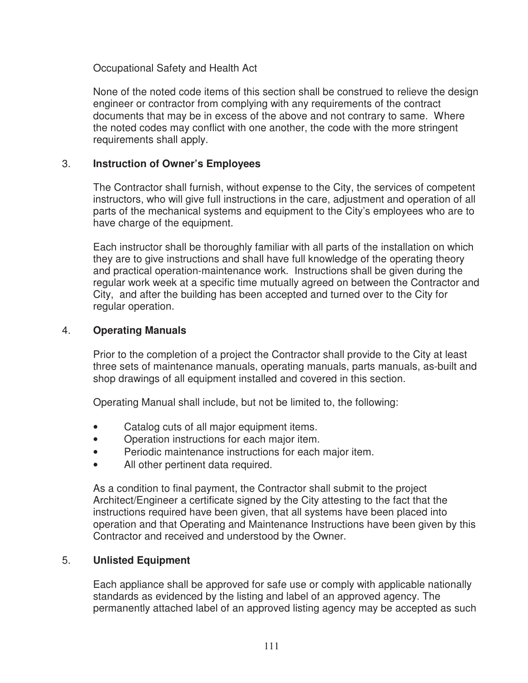Occupational Safety and Health Act

None of the noted code items of this section shall be construed to relieve the design engineer or contractor from complying with any requirements of the contract documents that may be in excess of the above and not contrary to same. Where the noted codes may conflict with one another, the code with the more stringent requirements shall apply.

# 3. **Instruction of Owner's Employees**

The Contractor shall furnish, without expense to the City, the services of competent instructors, who will give full instructions in the care, adjustment and operation of all parts of the mechanical systems and equipment to the City's employees who are to have charge of the equipment.

Each instructor shall be thoroughly familiar with all parts of the installation on which they are to give instructions and shall have full knowledge of the operating theory and practical operation-maintenance work. Instructions shall be given during the regular work week at a specific time mutually agreed on between the Contractor and City, and after the building has been accepted and turned over to the City for regular operation.

#### 4. **Operating Manuals**

Prior to the completion of a project the Contractor shall provide to the City at least three sets of maintenance manuals, operating manuals, parts manuals, as-built and shop drawings of all equipment installed and covered in this section.

Operating Manual shall include, but not be limited to, the following:

- Catalog cuts of all major equipment items.
- Operation instructions for each major item.
- Periodic maintenance instructions for each major item.
- All other pertinent data required.

As a condition to final payment, the Contractor shall submit to the project Architect/Engineer a certificate signed by the City attesting to the fact that the instructions required have been given, that all systems have been placed into operation and that Operating and Maintenance Instructions have been given by this Contractor and received and understood by the Owner.

## 5. **Unlisted Equipment**

Each appliance shall be approved for safe use or comply with applicable nationally standards as evidenced by the listing and label of an approved agency. The permanently attached label of an approved listing agency may be accepted as such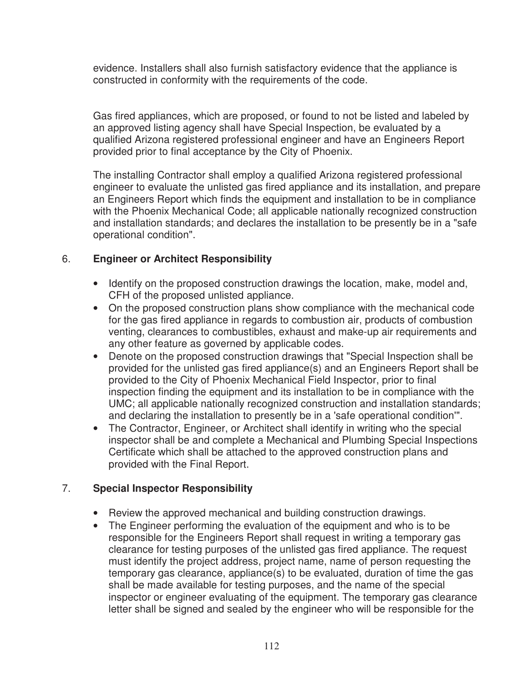evidence. Installers shall also furnish satisfactory evidence that the appliance is constructed in conformity with the requirements of the code.

Gas fired appliances, which are proposed, or found to not be listed and labeled by an approved listing agency shall have Special Inspection, be evaluated by a qualified Arizona registered professional engineer and have an Engineers Report provided prior to final acceptance by the City of Phoenix.

The installing Contractor shall employ a qualified Arizona registered professional engineer to evaluate the unlisted gas fired appliance and its installation, and prepare an Engineers Report which finds the equipment and installation to be in compliance with the Phoenix Mechanical Code; all applicable nationally recognized construction and installation standards; and declares the installation to be presently be in a "safe operational condition".

# 6. **Engineer or Architect Responsibility**

- Identify on the proposed construction drawings the location, make, model and, CFH of the proposed unlisted appliance.
- On the proposed construction plans show compliance with the mechanical code for the gas fired appliance in regards to combustion air, products of combustion venting, clearances to combustibles, exhaust and make-up air requirements and any other feature as governed by applicable codes.
- Denote on the proposed construction drawings that "Special Inspection shall be provided for the unlisted gas fired appliance(s) and an Engineers Report shall be provided to the City of Phoenix Mechanical Field Inspector, prior to final inspection finding the equipment and its installation to be in compliance with the UMC; all applicable nationally recognized construction and installation standards; and declaring the installation to presently be in a 'safe operational condition'".
- The Contractor, Engineer, or Architect shall identify in writing who the special inspector shall be and complete a Mechanical and Plumbing Special Inspections Certificate which shall be attached to the approved construction plans and provided with the Final Report.

# 7. **Special Inspector Responsibility**

- Review the approved mechanical and building construction drawings.
- The Engineer performing the evaluation of the equipment and who is to be responsible for the Engineers Report shall request in writing a temporary gas clearance for testing purposes of the unlisted gas fired appliance. The request must identify the project address, project name, name of person requesting the temporary gas clearance, appliance(s) to be evaluated, duration of time the gas shall be made available for testing purposes, and the name of the special inspector or engineer evaluating of the equipment. The temporary gas clearance letter shall be signed and sealed by the engineer who will be responsible for the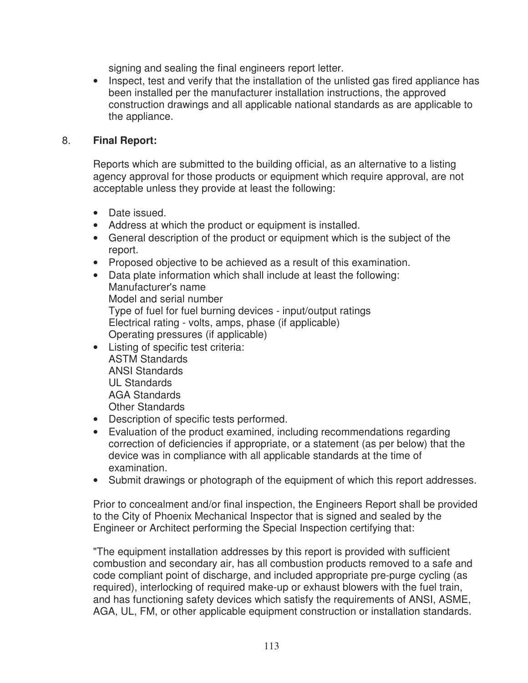signing and sealing the final engineers report letter.

• Inspect, test and verify that the installation of the unlisted gas fired appliance has been installed per the manufacturer installation instructions, the approved construction drawings and all applicable national standards as are applicable to the appliance.

## 8. **Final Report:**

Reports which are submitted to the building official, as an alternative to a listing agency approval for those products or equipment which require approval, are not acceptable unless they provide at least the following:

- Date issued.
- Address at which the product or equipment is installed.
- General description of the product or equipment which is the subject of the report.
- Proposed objective to be achieved as a result of this examination.
- Data plate information which shall include at least the following: Manufacturer's name Model and serial number Type of fuel for fuel burning devices - input/output ratings Electrical rating - volts, amps, phase (if applicable) Operating pressures (if applicable)
- Listing of specific test criteria: ASTM Standards ANSI Standards UL Standards AGA Standards Other Standards
- Description of specific tests performed.
- Evaluation of the product examined, including recommendations regarding correction of deficiencies if appropriate, or a statement (as per below) that the device was in compliance with all applicable standards at the time of examination.
- Submit drawings or photograph of the equipment of which this report addresses.

Prior to concealment and/or final inspection, the Engineers Report shall be provided to the City of Phoenix Mechanical Inspector that is signed and sealed by the Engineer or Architect performing the Special Inspection certifying that:

"The equipment installation addresses by this report is provided with sufficient combustion and secondary air, has all combustion products removed to a safe and code compliant point of discharge, and included appropriate pre-purge cycling (as required), interlocking of required make-up or exhaust blowers with the fuel train, and has functioning safety devices which satisfy the requirements of ANSI, ASME, AGA, UL, FM, or other applicable equipment construction or installation standards.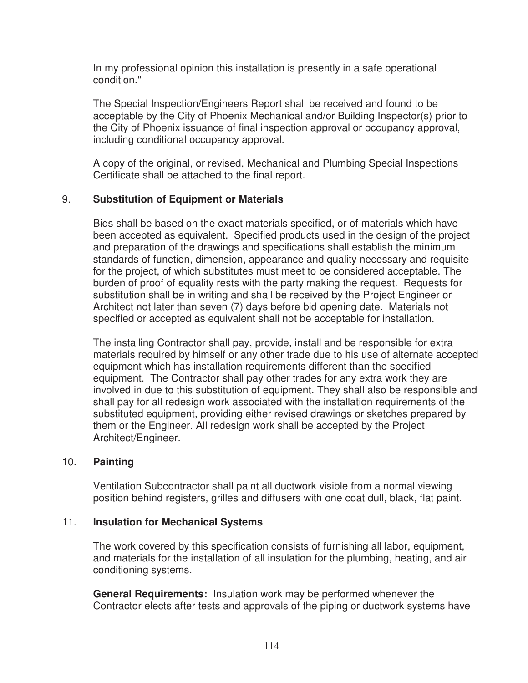In my professional opinion this installation is presently in a safe operational condition."

The Special Inspection/Engineers Report shall be received and found to be acceptable by the City of Phoenix Mechanical and/or Building Inspector(s) prior to the City of Phoenix issuance of final inspection approval or occupancy approval, including conditional occupancy approval.

A copy of the original, or revised, Mechanical and Plumbing Special Inspections Certificate shall be attached to the final report.

## 9. **Substitution of Equipment or Materials**

Bids shall be based on the exact materials specified, or of materials which have been accepted as equivalent. Specified products used in the design of the project and preparation of the drawings and specifications shall establish the minimum standards of function, dimension, appearance and quality necessary and requisite for the project, of which substitutes must meet to be considered acceptable. The burden of proof of equality rests with the party making the request. Requests for substitution shall be in writing and shall be received by the Project Engineer or Architect not later than seven (7) days before bid opening date. Materials not specified or accepted as equivalent shall not be acceptable for installation.

The installing Contractor shall pay, provide, install and be responsible for extra materials required by himself or any other trade due to his use of alternate accepted equipment which has installation requirements different than the specified equipment. The Contractor shall pay other trades for any extra work they are involved in due to this substitution of equipment. They shall also be responsible and shall pay for all redesign work associated with the installation requirements of the substituted equipment, providing either revised drawings or sketches prepared by them or the Engineer. All redesign work shall be accepted by the Project Architect/Engineer.

#### 10. **Painting**

Ventilation Subcontractor shall paint all ductwork visible from a normal viewing position behind registers, grilles and diffusers with one coat dull, black, flat paint.

#### 11. **Insulation for Mechanical Systems**

The work covered by this specification consists of furnishing all labor, equipment, and materials for the installation of all insulation for the plumbing, heating, and air conditioning systems.

**General Requirements:** Insulation work may be performed whenever the Contractor elects after tests and approvals of the piping or ductwork systems have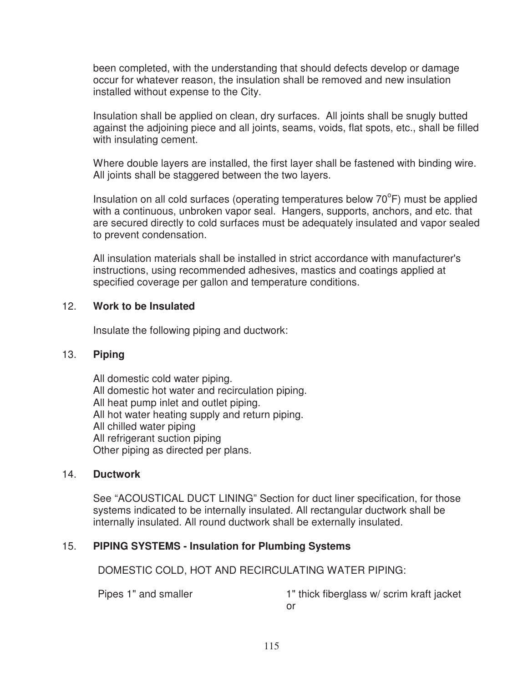been completed, with the understanding that should defects develop or damage occur for whatever reason, the insulation shall be removed and new insulation installed without expense to the City.

Insulation shall be applied on clean, dry surfaces. All joints shall be snugly butted against the adjoining piece and all joints, seams, voids, flat spots, etc., shall be filled with insulating cement.

Where double layers are installed, the first layer shall be fastened with binding wire. All joints shall be staggered between the two layers.

Insulation on all cold surfaces (operating temperatures below  $70^{\circ}$ F) must be applied with a continuous, unbroken vapor seal. Hangers, supports, anchors, and etc. that are secured directly to cold surfaces must be adequately insulated and vapor sealed to prevent condensation.

All insulation materials shall be installed in strict accordance with manufacturer's instructions, using recommended adhesives, mastics and coatings applied at specified coverage per gallon and temperature conditions.

## 12. **Work to be Insulated**

Insulate the following piping and ductwork:

#### 13. **Piping**

All domestic cold water piping. All domestic hot water and recirculation piping. All heat pump inlet and outlet piping. All hot water heating supply and return piping. All chilled water piping All refrigerant suction piping Other piping as directed per plans.

#### 14. **Ductwork**

See "ACOUSTICAL DUCT LINING" Section for duct liner specification, for those systems indicated to be internally insulated. All rectangular ductwork shall be internally insulated. All round ductwork shall be externally insulated.

# 15. **PIPING SYSTEMS - Insulation for Plumbing Systems**

DOMESTIC COLD, HOT AND RECIRCULATING WATER PIPING:

Pipes 1" and smaller 1" thick fiberglass w/ scrim kraft jacket or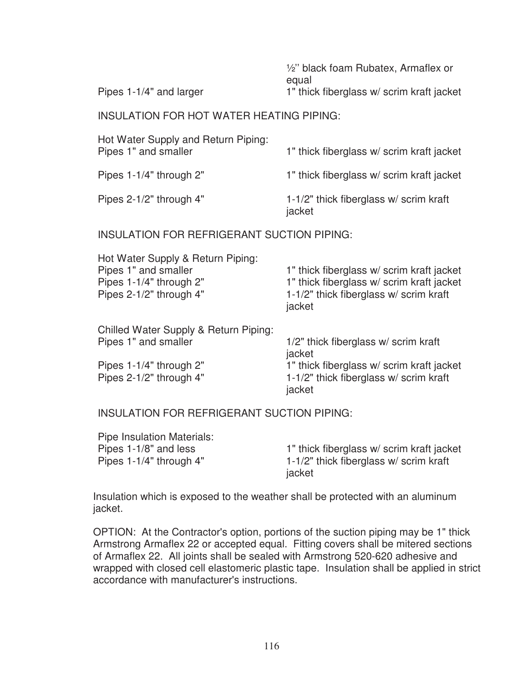½'' black foam Rubatex, Armaflex or equal

Pipes 1-1/4" and larger 1" thick fiberglass w/ scrim kraft jacket

#### INSULATION FOR HOT WATER HEATING PIPING:

| Hot Water Supply and Return Piping:<br>Pipes 1" and smaller | 1" thick fiberglass w/scrim kraft jacket         |  |  |
|-------------------------------------------------------------|--------------------------------------------------|--|--|
| Pipes 1-1/4" through 2"                                     | 1" thick fiberglass w/ scrim kraft jacket        |  |  |
| Pipes 2-1/2" through 4"                                     | 1-1/2" thick fiberglass w/ scrim kraft<br>jacket |  |  |

#### INSULATION FOR REFRIGERANT SUCTION PIPING:

| Hot Water Supply & Return Piping:        |                                           |
|------------------------------------------|-------------------------------------------|
| Pipes 1" and smaller                     | 1" thick fiberglass w/scrim kraft jacket  |
| Pipes 1-1/4" through 2"                  | 1" thick fiberglass w/ scrim kraft jacket |
| Pipes 2-1/2" through 4"                  | 1-1/2" thick fiberglass w/ scrim kraft    |
|                                          | jacket                                    |
| Obilled Wetch Orleaby O. Detries Distant |                                           |

| Chilled Water Supply & Return Piping: |                                          |
|---------------------------------------|------------------------------------------|
| Pipes 1" and smaller                  | 1/2" thick fiberglass w/ scrim kraft     |
|                                       | jacket                                   |
| Pipes 1-1/4" through 2"               | 1" thick fiberglass w/scrim kraft jacket |
| Pipes 2-1/2" through 4"               | 1-1/2" thick fiberglass w/ scrim kraft   |
|                                       | jacket                                   |

INSULATION FOR REFRIGERANT SUCTION PIPING:

| <b>Pipe Insulation Materials:</b> |                                           |
|-----------------------------------|-------------------------------------------|
| Pipes 1-1/8" and less             | 1" thick fiberglass w/ scrim kraft jacket |
| Pipes 1-1/4" through 4"           | 1-1/2" thick fiberglass w/ scrim kraft    |
|                                   | jacket                                    |

Insulation which is exposed to the weather shall be protected with an aluminum jacket.

OPTION: At the Contractor's option, portions of the suction piping may be 1" thick Armstrong Armaflex 22 or accepted equal. Fitting covers shall be mitered sections of Armaflex 22. All joints shall be sealed with Armstrong 520-620 adhesive and wrapped with closed cell elastomeric plastic tape. Insulation shall be applied in strict accordance with manufacturer's instructions.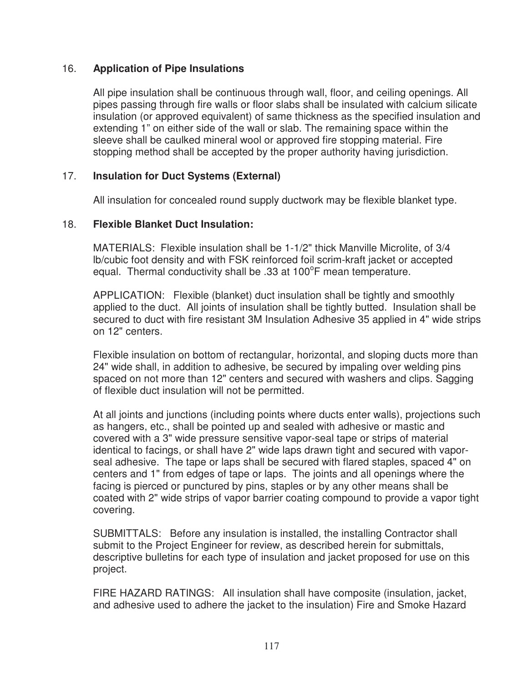# 16. **Application of Pipe Insulations**

All pipe insulation shall be continuous through wall, floor, and ceiling openings. All pipes passing through fire walls or floor slabs shall be insulated with calcium silicate insulation (or approved equivalent) of same thickness as the specified insulation and extending 1" on either side of the wall or slab. The remaining space within the sleeve shall be caulked mineral wool or approved fire stopping material. Fire stopping method shall be accepted by the proper authority having jurisdiction.

## 17. **Insulation for Duct Systems (External)**

All insulation for concealed round supply ductwork may be flexible blanket type.

## 18. **Flexible Blanket Duct Insulation:**

MATERIALS: Flexible insulation shall be 1-1/2" thick Manville Microlite, of 3/4 lb/cubic foot density and with FSK reinforced foil scrim-kraft jacket or accepted equal. Thermal conductivity shall be .33 at 100°F mean temperature.

APPLICATION: Flexible (blanket) duct insulation shall be tightly and smoothly applied to the duct. All joints of insulation shall be tightly butted. Insulation shall be secured to duct with fire resistant 3M Insulation Adhesive 35 applied in 4" wide strips on 12" centers.

Flexible insulation on bottom of rectangular, horizontal, and sloping ducts more than 24" wide shall, in addition to adhesive, be secured by impaling over welding pins spaced on not more than 12" centers and secured with washers and clips. Sagging of flexible duct insulation will not be permitted.

At all joints and junctions (including points where ducts enter walls), projections such as hangers, etc., shall be pointed up and sealed with adhesive or mastic and covered with a 3" wide pressure sensitive vapor-seal tape or strips of material identical to facings, or shall have 2" wide laps drawn tight and secured with vaporseal adhesive. The tape or laps shall be secured with flared staples, spaced 4" on centers and 1" from edges of tape or laps. The joints and all openings where the facing is pierced or punctured by pins, staples or by any other means shall be coated with 2" wide strips of vapor barrier coating compound to provide a vapor tight covering.

SUBMITTALS: Before any insulation is installed, the installing Contractor shall submit to the Project Engineer for review, as described herein for submittals, descriptive bulletins for each type of insulation and jacket proposed for use on this project.

FIRE HAZARD RATINGS: All insulation shall have composite (insulation, jacket, and adhesive used to adhere the jacket to the insulation) Fire and Smoke Hazard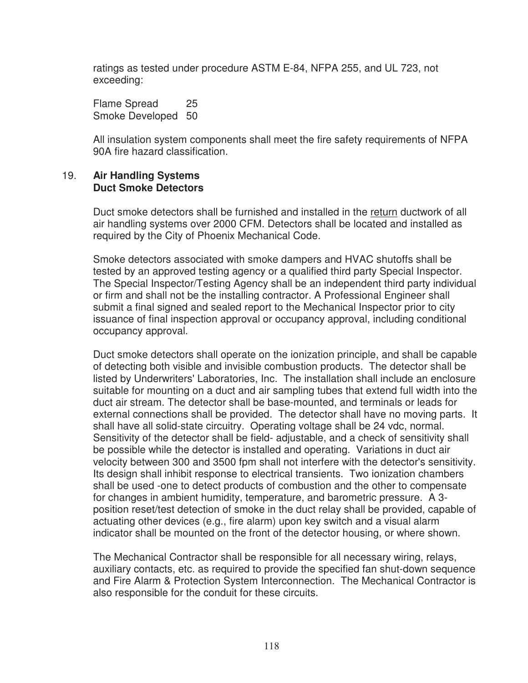ratings as tested under procedure ASTM E-84, NFPA 255, and UL 723, not exceeding:

Flame Spread 25 Smoke Developed 50

All insulation system components shall meet the fire safety requirements of NFPA 90A fire hazard classification.

#### 19. **Air Handling Systems Duct Smoke Detectors**

Duct smoke detectors shall be furnished and installed in the return ductwork of all air handling systems over 2000 CFM. Detectors shall be located and installed as required by the City of Phoenix Mechanical Code.

Smoke detectors associated with smoke dampers and HVAC shutoffs shall be tested by an approved testing agency or a qualified third party Special Inspector. The Special Inspector/Testing Agency shall be an independent third party individual or firm and shall not be the installing contractor. A Professional Engineer shall submit a final signed and sealed report to the Mechanical Inspector prior to city issuance of final inspection approval or occupancy approval, including conditional occupancy approval.

Duct smoke detectors shall operate on the ionization principle, and shall be capable of detecting both visible and invisible combustion products. The detector shall be listed by Underwriters' Laboratories, Inc. The installation shall include an enclosure suitable for mounting on a duct and air sampling tubes that extend full width into the duct air stream. The detector shall be base-mounted, and terminals or leads for external connections shall be provided. The detector shall have no moving parts. It shall have all solid-state circuitry. Operating voltage shall be 24 vdc, normal. Sensitivity of the detector shall be field- adjustable, and a check of sensitivity shall be possible while the detector is installed and operating. Variations in duct air velocity between 300 and 3500 fpm shall not interfere with the detector's sensitivity. Its design shall inhibit response to electrical transients. Two ionization chambers shall be used -one to detect products of combustion and the other to compensate for changes in ambient humidity, temperature, and barometric pressure. A 3 position reset/test detection of smoke in the duct relay shall be provided, capable of actuating other devices (e.g., fire alarm) upon key switch and a visual alarm indicator shall be mounted on the front of the detector housing, or where shown.

The Mechanical Contractor shall be responsible for all necessary wiring, relays, auxiliary contacts, etc. as required to provide the specified fan shut-down sequence and Fire Alarm & Protection System Interconnection. The Mechanical Contractor is also responsible for the conduit for these circuits.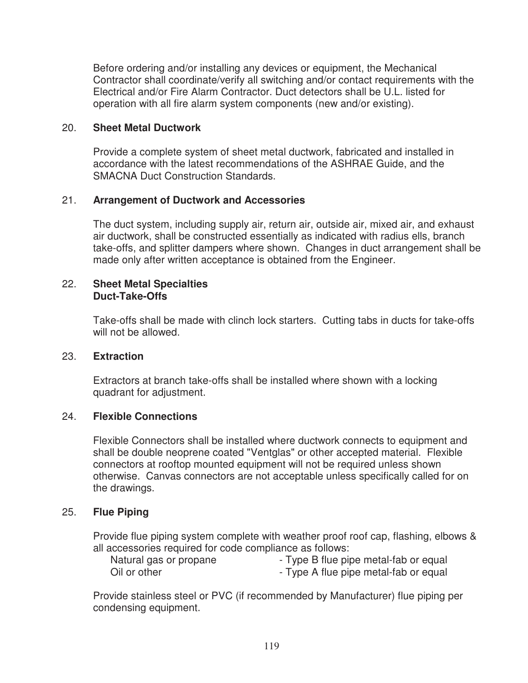Before ordering and/or installing any devices or equipment, the Mechanical Contractor shall coordinate/verify all switching and/or contact requirements with the Electrical and/or Fire Alarm Contractor. Duct detectors shall be U.L. listed for operation with all fire alarm system components (new and/or existing).

#### 20. **Sheet Metal Ductwork**

Provide a complete system of sheet metal ductwork, fabricated and installed in accordance with the latest recommendations of the ASHRAE Guide, and the SMACNA Duct Construction Standards.

## 21. **Arrangement of Ductwork and Accessories**

The duct system, including supply air, return air, outside air, mixed air, and exhaust air ductwork, shall be constructed essentially as indicated with radius ells, branch take-offs, and splitter dampers where shown. Changes in duct arrangement shall be made only after written acceptance is obtained from the Engineer.

#### 22. **Sheet Metal Specialties Duct-Take-Offs**

Take-offs shall be made with clinch lock starters. Cutting tabs in ducts for take-offs will not be allowed.

#### 23. **Extraction**

Extractors at branch take-offs shall be installed where shown with a locking quadrant for adjustment.

#### 24. **Flexible Connections**

Flexible Connectors shall be installed where ductwork connects to equipment and shall be double neoprene coated "Ventglas" or other accepted material. Flexible connectors at rooftop mounted equipment will not be required unless shown otherwise. Canvas connectors are not acceptable unless specifically called for on the drawings.

#### 25. **Flue Piping**

Provide flue piping system complete with weather proof roof cap, flashing, elbows & all accessories required for code compliance as follows:

| Natural gas or propane | - Type B flue pipe metal-fab or equal |
|------------------------|---------------------------------------|
| Oil or other           | - Type A flue pipe metal-fab or equal |

Provide stainless steel or PVC (if recommended by Manufacturer) flue piping per condensing equipment.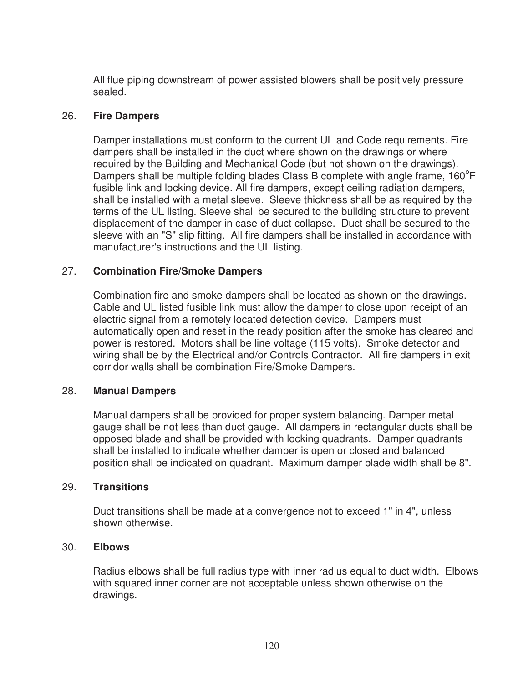All flue piping downstream of power assisted blowers shall be positively pressure sealed.

#### 26. **Fire Dampers**

Damper installations must conform to the current UL and Code requirements. Fire dampers shall be installed in the duct where shown on the drawings or where required by the Building and Mechanical Code (but not shown on the drawings). Dampers shall be multiple folding blades Class B complete with angle frame,  $160^{\circ}$ F fusible link and locking device. All fire dampers, except ceiling radiation dampers, shall be installed with a metal sleeve. Sleeve thickness shall be as required by the terms of the UL listing. Sleeve shall be secured to the building structure to prevent displacement of the damper in case of duct collapse. Duct shall be secured to the sleeve with an "S" slip fitting. All fire dampers shall be installed in accordance with manufacturer's instructions and the UL listing.

#### 27. **Combination Fire/Smoke Dampers**

Combination fire and smoke dampers shall be located as shown on the drawings. Cable and UL listed fusible link must allow the damper to close upon receipt of an electric signal from a remotely located detection device. Dampers must automatically open and reset in the ready position after the smoke has cleared and power is restored. Motors shall be line voltage (115 volts). Smoke detector and wiring shall be by the Electrical and/or Controls Contractor. All fire dampers in exit corridor walls shall be combination Fire/Smoke Dampers.

#### 28. **Manual Dampers**

Manual dampers shall be provided for proper system balancing. Damper metal gauge shall be not less than duct gauge. All dampers in rectangular ducts shall be opposed blade and shall be provided with locking quadrants. Damper quadrants shall be installed to indicate whether damper is open or closed and balanced position shall be indicated on quadrant. Maximum damper blade width shall be 8".

#### 29. **Transitions**

Duct transitions shall be made at a convergence not to exceed 1" in 4", unless shown otherwise.

#### 30. **Elbows**

Radius elbows shall be full radius type with inner radius equal to duct width. Elbows with squared inner corner are not acceptable unless shown otherwise on the drawings.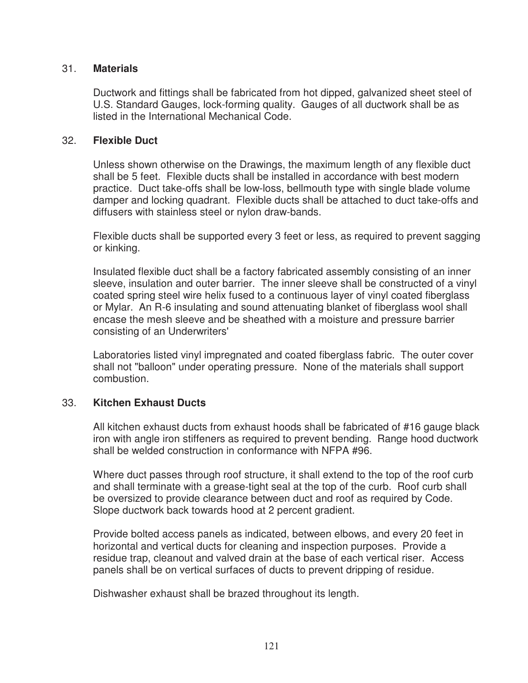#### 31. **Materials**

Ductwork and fittings shall be fabricated from hot dipped, galvanized sheet steel of U.S. Standard Gauges, lock-forming quality. Gauges of all ductwork shall be as listed in the International Mechanical Code.

#### 32. **Flexible Duct**

Unless shown otherwise on the Drawings, the maximum length of any flexible duct shall be 5 feet. Flexible ducts shall be installed in accordance with best modern practice. Duct take-offs shall be low-loss, bellmouth type with single blade volume damper and locking quadrant. Flexible ducts shall be attached to duct take-offs and diffusers with stainless steel or nylon draw-bands.

Flexible ducts shall be supported every 3 feet or less, as required to prevent sagging or kinking.

Insulated flexible duct shall be a factory fabricated assembly consisting of an inner sleeve, insulation and outer barrier. The inner sleeve shall be constructed of a vinyl coated spring steel wire helix fused to a continuous layer of vinyl coated fiberglass or Mylar. An R-6 insulating and sound attenuating blanket of fiberglass wool shall encase the mesh sleeve and be sheathed with a moisture and pressure barrier consisting of an Underwriters'

Laboratories listed vinyl impregnated and coated fiberglass fabric. The outer cover shall not "balloon" under operating pressure. None of the materials shall support combustion.

# 33. **Kitchen Exhaust Ducts**

All kitchen exhaust ducts from exhaust hoods shall be fabricated of #16 gauge black iron with angle iron stiffeners as required to prevent bending. Range hood ductwork shall be welded construction in conformance with NFPA #96.

Where duct passes through roof structure, it shall extend to the top of the roof curb and shall terminate with a grease-tight seal at the top of the curb. Roof curb shall be oversized to provide clearance between duct and roof as required by Code. Slope ductwork back towards hood at 2 percent gradient.

Provide bolted access panels as indicated, between elbows, and every 20 feet in horizontal and vertical ducts for cleaning and inspection purposes. Provide a residue trap, cleanout and valved drain at the base of each vertical riser. Access panels shall be on vertical surfaces of ducts to prevent dripping of residue.

Dishwasher exhaust shall be brazed throughout its length.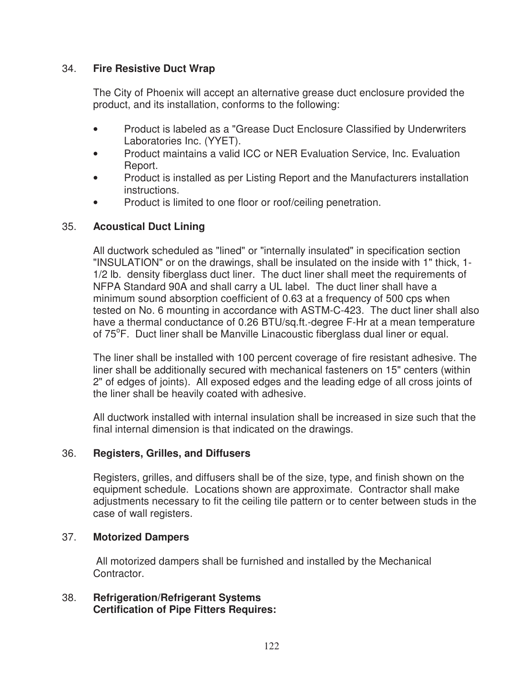# 34. **Fire Resistive Duct Wrap**

The City of Phoenix will accept an alternative grease duct enclosure provided the product, and its installation, conforms to the following:

- Product is labeled as a "Grease Duct Enclosure Classified by Underwriters Laboratories Inc. (YYET).
- Product maintains a valid ICC or NER Evaluation Service, Inc. Evaluation Report.
- Product is installed as per Listing Report and the Manufacturers installation instructions.
- Product is limited to one floor or roof/ceiling penetration.

## 35. **Acoustical Duct Lining**

All ductwork scheduled as "lined" or "internally insulated" in specification section "INSULATION" or on the drawings, shall be insulated on the inside with 1" thick, 1- 1/2 lb. density fiberglass duct liner. The duct liner shall meet the requirements of NFPA Standard 90A and shall carry a UL label. The duct liner shall have a minimum sound absorption coefficient of 0.63 at a frequency of 500 cps when tested on No. 6 mounting in accordance with ASTM-C-423. The duct liner shall also have a thermal conductance of 0.26 BTU/sq.ft.-degree F-Hr at a mean temperature of 75°F. Duct liner shall be Manville Linacoustic fiberglass dual liner or equal.

The liner shall be installed with 100 percent coverage of fire resistant adhesive. The liner shall be additionally secured with mechanical fasteners on 15" centers (within 2" of edges of joints). All exposed edges and the leading edge of all cross joints of the liner shall be heavily coated with adhesive.

All ductwork installed with internal insulation shall be increased in size such that the final internal dimension is that indicated on the drawings.

#### 36. **Registers, Grilles, and Diffusers**

Registers, grilles, and diffusers shall be of the size, type, and finish shown on the equipment schedule. Locations shown are approximate. Contractor shall make adjustments necessary to fit the ceiling tile pattern or to center between studs in the case of wall registers.

#### 37. **Motorized Dampers**

 All motorized dampers shall be furnished and installed by the Mechanical Contractor.

38. **Refrigeration/Refrigerant Systems Certification of Pipe Fitters Requires:**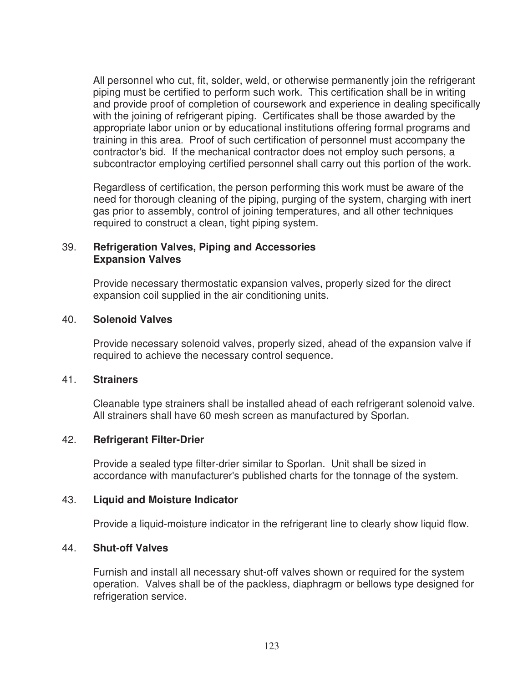All personnel who cut, fit, solder, weld, or otherwise permanently join the refrigerant piping must be certified to perform such work. This certification shall be in writing and provide proof of completion of coursework and experience in dealing specifically with the joining of refrigerant piping. Certificates shall be those awarded by the appropriate labor union or by educational institutions offering formal programs and training in this area. Proof of such certification of personnel must accompany the contractor's bid. If the mechanical contractor does not employ such persons, a subcontractor employing certified personnel shall carry out this portion of the work.

Regardless of certification, the person performing this work must be aware of the need for thorough cleaning of the piping, purging of the system, charging with inert gas prior to assembly, control of joining temperatures, and all other techniques required to construct a clean, tight piping system.

#### 39. **Refrigeration Valves, Piping and Accessories Expansion Valves**

Provide necessary thermostatic expansion valves, properly sized for the direct expansion coil supplied in the air conditioning units.

#### 40. **Solenoid Valves**

Provide necessary solenoid valves, properly sized, ahead of the expansion valve if required to achieve the necessary control sequence.

#### 41. **Strainers**

Cleanable type strainers shall be installed ahead of each refrigerant solenoid valve. All strainers shall have 60 mesh screen as manufactured by Sporlan.

#### 42. **Refrigerant Filter-Drier**

Provide a sealed type filter-drier similar to Sporlan. Unit shall be sized in accordance with manufacturer's published charts for the tonnage of the system.

#### 43. **Liquid and Moisture Indicator**

Provide a liquid-moisture indicator in the refrigerant line to clearly show liquid flow.

#### 44. **Shut-off Valves**

Furnish and install all necessary shut-off valves shown or required for the system operation. Valves shall be of the packless, diaphragm or bellows type designed for refrigeration service.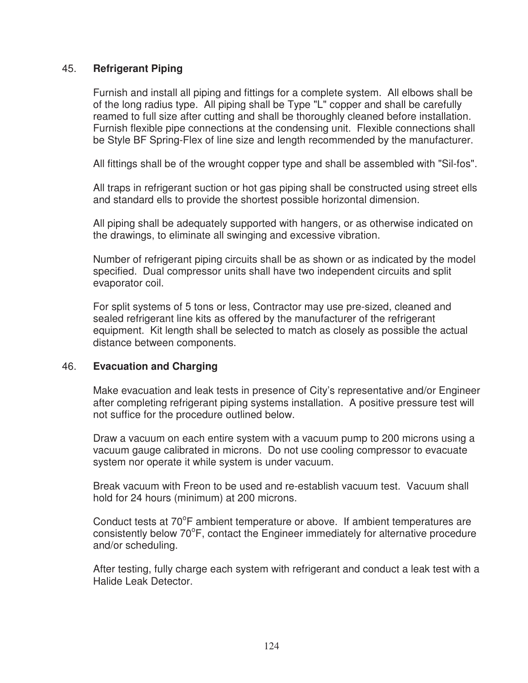#### 45. **Refrigerant Piping**

Furnish and install all piping and fittings for a complete system. All elbows shall be of the long radius type. All piping shall be Type "L" copper and shall be carefully reamed to full size after cutting and shall be thoroughly cleaned before installation. Furnish flexible pipe connections at the condensing unit. Flexible connections shall be Style BF Spring-Flex of line size and length recommended by the manufacturer.

All fittings shall be of the wrought copper type and shall be assembled with "Sil-fos".

All traps in refrigerant suction or hot gas piping shall be constructed using street ells and standard ells to provide the shortest possible horizontal dimension.

All piping shall be adequately supported with hangers, or as otherwise indicated on the drawings, to eliminate all swinging and excessive vibration.

Number of refrigerant piping circuits shall be as shown or as indicated by the model specified. Dual compressor units shall have two independent circuits and split evaporator coil.

For split systems of 5 tons or less, Contractor may use pre-sized, cleaned and sealed refrigerant line kits as offered by the manufacturer of the refrigerant equipment. Kit length shall be selected to match as closely as possible the actual distance between components.

#### 46. **Evacuation and Charging**

Make evacuation and leak tests in presence of City's representative and/or Engineer after completing refrigerant piping systems installation. A positive pressure test will not suffice for the procedure outlined below.

Draw a vacuum on each entire system with a vacuum pump to 200 microns using a vacuum gauge calibrated in microns. Do not use cooling compressor to evacuate system nor operate it while system is under vacuum.

Break vacuum with Freon to be used and re-establish vacuum test. Vacuum shall hold for 24 hours (minimum) at 200 microns.

Conduct tests at 70°F ambient temperature or above. If ambient temperatures are consistently below 70°F, contact the Engineer immediately for alternative procedure and/or scheduling.

After testing, fully charge each system with refrigerant and conduct a leak test with a Halide Leak Detector.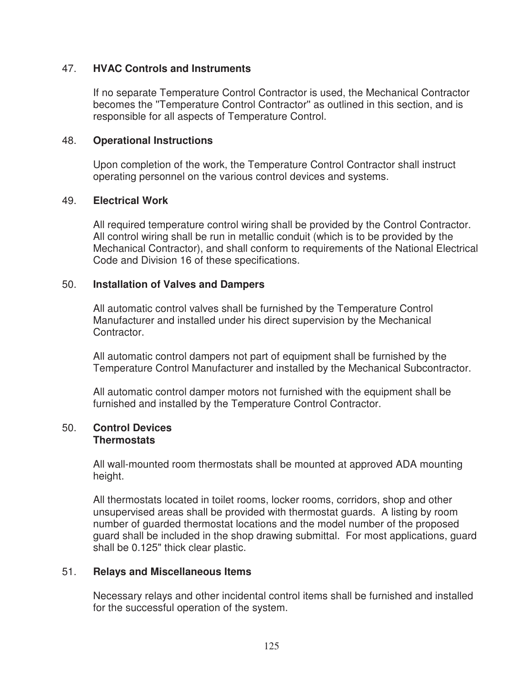#### 47. **HVAC Controls and Instruments**

If no separate Temperature Control Contractor is used, the Mechanical Contractor becomes the ''Temperature Control Contractor'' as outlined in this section, and is responsible for all aspects of Temperature Control.

#### 48. **Operational Instructions**

Upon completion of the work, the Temperature Control Contractor shall instruct operating personnel on the various control devices and systems.

#### 49. **Electrical Work**

All required temperature control wiring shall be provided by the Control Contractor. All control wiring shall be run in metallic conduit (which is to be provided by the Mechanical Contractor), and shall conform to requirements of the National Electrical Code and Division 16 of these specifications.

#### 50. **Installation of Valves and Dampers**

All automatic control valves shall be furnished by the Temperature Control Manufacturer and installed under his direct supervision by the Mechanical Contractor.

All automatic control dampers not part of equipment shall be furnished by the Temperature Control Manufacturer and installed by the Mechanical Subcontractor.

All automatic control damper motors not furnished with the equipment shall be furnished and installed by the Temperature Control Contractor.

#### 50. **Control Devices Thermostats**

All wall-mounted room thermostats shall be mounted at approved ADA mounting height.

All thermostats located in toilet rooms, locker rooms, corridors, shop and other unsupervised areas shall be provided with thermostat guards. A listing by room number of guarded thermostat locations and the model number of the proposed guard shall be included in the shop drawing submittal. For most applications, guard shall be 0.125" thick clear plastic.

#### 51. **Relays and Miscellaneous Items**

Necessary relays and other incidental control items shall be furnished and installed for the successful operation of the system.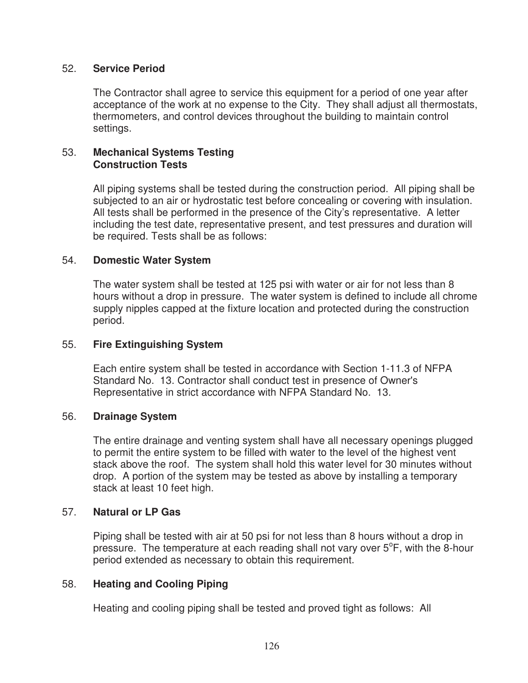#### 52. **Service Period**

The Contractor shall agree to service this equipment for a period of one year after acceptance of the work at no expense to the City. They shall adjust all thermostats, thermometers, and control devices throughout the building to maintain control settings.

#### 53. **Mechanical Systems Testing Construction Tests**

All piping systems shall be tested during the construction period. All piping shall be subjected to an air or hydrostatic test before concealing or covering with insulation. All tests shall be performed in the presence of the City's representative. A letter including the test date, representative present, and test pressures and duration will be required. Tests shall be as follows:

#### 54. **Domestic Water System**

The water system shall be tested at 125 psi with water or air for not less than 8 hours without a drop in pressure. The water system is defined to include all chrome supply nipples capped at the fixture location and protected during the construction period.

#### 55. **Fire Extinguishing System**

Each entire system shall be tested in accordance with Section 1-11.3 of NFPA Standard No. 13. Contractor shall conduct test in presence of Owner's Representative in strict accordance with NFPA Standard No. 13.

#### 56. **Drainage System**

The entire drainage and venting system shall have all necessary openings plugged to permit the entire system to be filled with water to the level of the highest vent stack above the roof. The system shall hold this water level for 30 minutes without drop. A portion of the system may be tested as above by installing a temporary stack at least 10 feet high.

#### 57. **Natural or LP Gas**

Piping shall be tested with air at 50 psi for not less than 8 hours without a drop in pressure. The temperature at each reading shall not vary over  $5^{\circ}$ F, with the 8-hour period extended as necessary to obtain this requirement.

#### 58. **Heating and Cooling Piping**

Heating and cooling piping shall be tested and proved tight as follows: All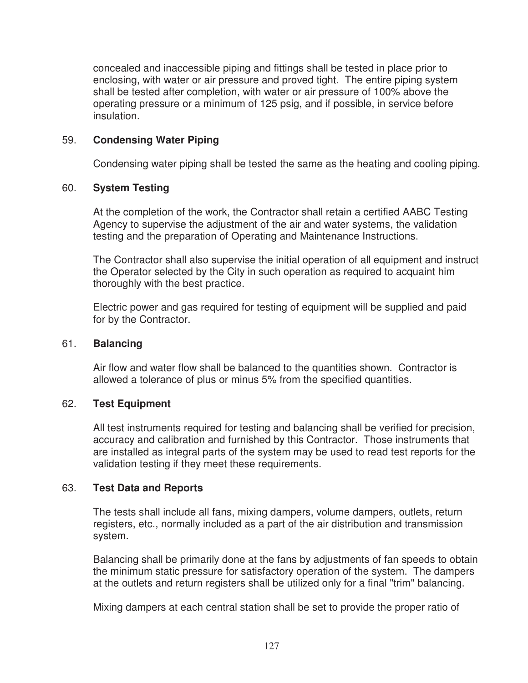concealed and inaccessible piping and fittings shall be tested in place prior to enclosing, with water or air pressure and proved tight. The entire piping system shall be tested after completion, with water or air pressure of 100% above the operating pressure or a minimum of 125 psig, and if possible, in service before insulation.

## 59. **Condensing Water Piping**

Condensing water piping shall be tested the same as the heating and cooling piping.

#### 60. **System Testing**

At the completion of the work, the Contractor shall retain a certified AABC Testing Agency to supervise the adjustment of the air and water systems, the validation testing and the preparation of Operating and Maintenance Instructions.

The Contractor shall also supervise the initial operation of all equipment and instruct the Operator selected by the City in such operation as required to acquaint him thoroughly with the best practice.

Electric power and gas required for testing of equipment will be supplied and paid for by the Contractor.

#### 61. **Balancing**

Air flow and water flow shall be balanced to the quantities shown. Contractor is allowed a tolerance of plus or minus 5% from the specified quantities.

#### 62. **Test Equipment**

All test instruments required for testing and balancing shall be verified for precision, accuracy and calibration and furnished by this Contractor. Those instruments that are installed as integral parts of the system may be used to read test reports for the validation testing if they meet these requirements.

#### 63. **Test Data and Reports**

The tests shall include all fans, mixing dampers, volume dampers, outlets, return registers, etc., normally included as a part of the air distribution and transmission system.

Balancing shall be primarily done at the fans by adjustments of fan speeds to obtain the minimum static pressure for satisfactory operation of the system. The dampers at the outlets and return registers shall be utilized only for a final "trim" balancing.

Mixing dampers at each central station shall be set to provide the proper ratio of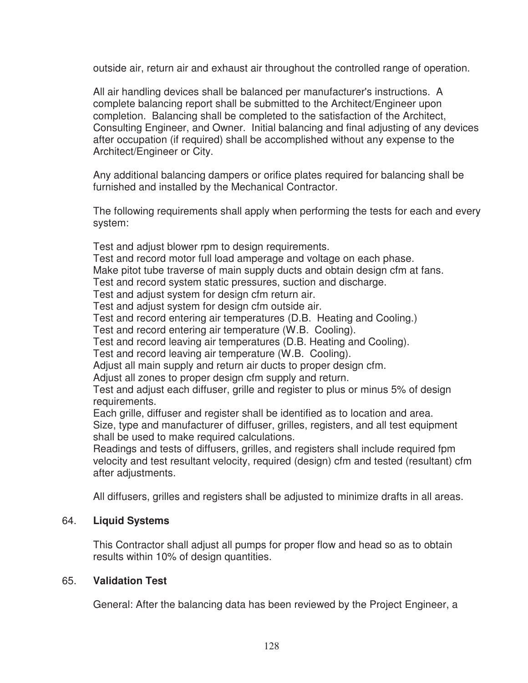outside air, return air and exhaust air throughout the controlled range of operation.

All air handling devices shall be balanced per manufacturer's instructions. A complete balancing report shall be submitted to the Architect/Engineer upon completion. Balancing shall be completed to the satisfaction of the Architect, Consulting Engineer, and Owner. Initial balancing and final adjusting of any devices after occupation (if required) shall be accomplished without any expense to the Architect/Engineer or City.

Any additional balancing dampers or orifice plates required for balancing shall be furnished and installed by the Mechanical Contractor.

The following requirements shall apply when performing the tests for each and every system:

Test and adjust blower rpm to design requirements.

Test and record motor full load amperage and voltage on each phase.

Make pitot tube traverse of main supply ducts and obtain design cfm at fans.

Test and record system static pressures, suction and discharge.

Test and adjust system for design cfm return air.

Test and adjust system for design cfm outside air.

Test and record entering air temperatures (D.B. Heating and Cooling.)

Test and record entering air temperature (W.B. Cooling).

Test and record leaving air temperatures (D.B. Heating and Cooling).

Test and record leaving air temperature (W.B. Cooling).

Adjust all main supply and return air ducts to proper design cfm.

Adjust all zones to proper design cfm supply and return.

Test and adjust each diffuser, grille and register to plus or minus 5% of design requirements.

Each grille, diffuser and register shall be identified as to location and area.

Size, type and manufacturer of diffuser, grilles, registers, and all test equipment shall be used to make required calculations.

Readings and tests of diffusers, grilles, and registers shall include required fpm velocity and test resultant velocity, required (design) cfm and tested (resultant) cfm after adjustments.

All diffusers, grilles and registers shall be adjusted to minimize drafts in all areas.

# 64. **Liquid Systems**

This Contractor shall adjust all pumps for proper flow and head so as to obtain results within 10% of design quantities.

# 65. **Validation Test**

General: After the balancing data has been reviewed by the Project Engineer, a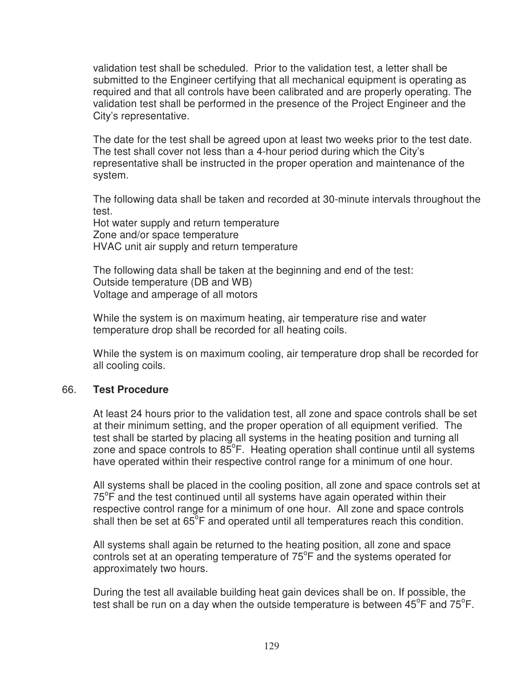validation test shall be scheduled. Prior to the validation test, a letter shall be submitted to the Engineer certifying that all mechanical equipment is operating as required and that all controls have been calibrated and are properly operating. The validation test shall be performed in the presence of the Project Engineer and the City's representative.

The date for the test shall be agreed upon at least two weeks prior to the test date. The test shall cover not less than a 4-hour period during which the City's representative shall be instructed in the proper operation and maintenance of the system.

The following data shall be taken and recorded at 30-minute intervals throughout the test.

Hot water supply and return temperature Zone and/or space temperature HVAC unit air supply and return temperature

The following data shall be taken at the beginning and end of the test: Outside temperature (DB and WB) Voltage and amperage of all motors

While the system is on maximum heating, air temperature rise and water temperature drop shall be recorded for all heating coils.

While the system is on maximum cooling, air temperature drop shall be recorded for all cooling coils.

#### 66. **Test Procedure**

At least 24 hours prior to the validation test, all zone and space controls shall be set at their minimum setting, and the proper operation of all equipment verified. The test shall be started by placing all systems in the heating position and turning all zone and space controls to  $85^{\circ}$ F. Heating operation shall continue until all systems have operated within their respective control range for a minimum of one hour.

All systems shall be placed in the cooling position, all zone and space controls set at  $75^{\circ}$ F and the test continued until all systems have again operated within their respective control range for a minimum of one hour. All zone and space controls shall then be set at  $65^{\circ}$ F and operated until all temperatures reach this condition.

All systems shall again be returned to the heating position, all zone and space controls set at an operating temperature of  $75^{\circ}$ F and the systems operated for approximately two hours.

During the test all available building heat gain devices shall be on. If possible, the test shall be run on a day when the outside temperature is between  $45^{\circ}$ F and 75 $^{\circ}$ F.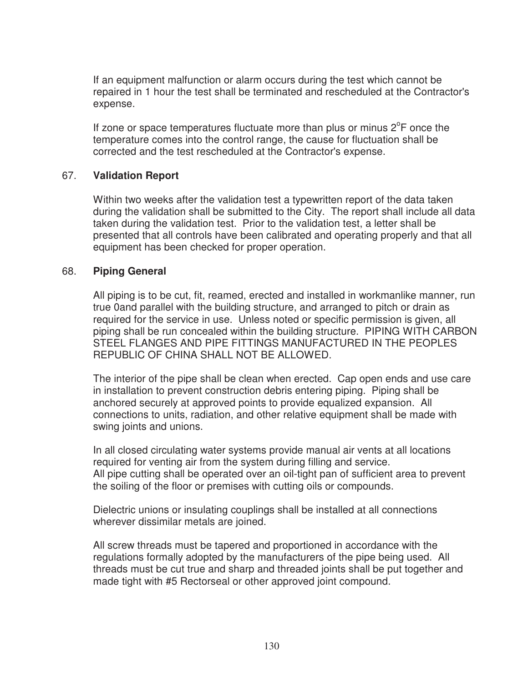If an equipment malfunction or alarm occurs during the test which cannot be repaired in 1 hour the test shall be terminated and rescheduled at the Contractor's expense.

If zone or space temperatures fluctuate more than plus or minus  $2^{\circ}$ F once the temperature comes into the control range, the cause for fluctuation shall be corrected and the test rescheduled at the Contractor's expense.

#### 67. **Validation Report**

Within two weeks after the validation test a typewritten report of the data taken during the validation shall be submitted to the City. The report shall include all data taken during the validation test. Prior to the validation test, a letter shall be presented that all controls have been calibrated and operating properly and that all equipment has been checked for proper operation.

#### 68. **Piping General**

All piping is to be cut, fit, reamed, erected and installed in workmanlike manner, run true 0and parallel with the building structure, and arranged to pitch or drain as required for the service in use. Unless noted or specific permission is given, all piping shall be run concealed within the building structure. PIPING WITH CARBON STEEL FLANGES AND PIPE FITTINGS MANUFACTURED IN THE PEOPLES REPUBLIC OF CHINA SHALL NOT BE ALLOWED.

The interior of the pipe shall be clean when erected. Cap open ends and use care in installation to prevent construction debris entering piping. Piping shall be anchored securely at approved points to provide equalized expansion. All connections to units, radiation, and other relative equipment shall be made with swing joints and unions.

In all closed circulating water systems provide manual air vents at all locations required for venting air from the system during filling and service. All pipe cutting shall be operated over an oil-tight pan of sufficient area to prevent the soiling of the floor or premises with cutting oils or compounds.

Dielectric unions or insulating couplings shall be installed at all connections wherever dissimilar metals are joined.

All screw threads must be tapered and proportioned in accordance with the regulations formally adopted by the manufacturers of the pipe being used. All threads must be cut true and sharp and threaded joints shall be put together and made tight with #5 Rectorseal or other approved joint compound.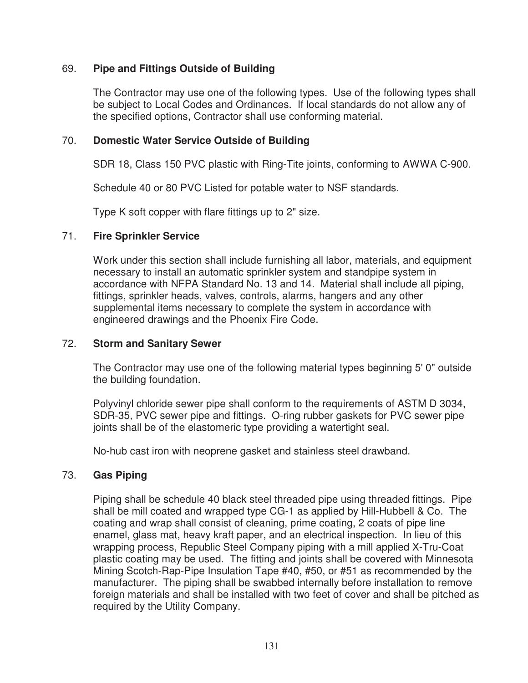## 69. **Pipe and Fittings Outside of Building**

The Contractor may use one of the following types. Use of the following types shall be subject to Local Codes and Ordinances. If local standards do not allow any of the specified options, Contractor shall use conforming material.

#### 70. **Domestic Water Service Outside of Building**

SDR 18, Class 150 PVC plastic with Ring-Tite joints, conforming to AWWA C-900.

Schedule 40 or 80 PVC Listed for potable water to NSF standards.

Type K soft copper with flare fittings up to 2" size.

## 71. **Fire Sprinkler Service**

Work under this section shall include furnishing all labor, materials, and equipment necessary to install an automatic sprinkler system and standpipe system in accordance with NFPA Standard No. 13 and 14. Material shall include all piping, fittings, sprinkler heads, valves, controls, alarms, hangers and any other supplemental items necessary to complete the system in accordance with engineered drawings and the Phoenix Fire Code.

#### 72. **Storm and Sanitary Sewer**

The Contractor may use one of the following material types beginning 5' 0" outside the building foundation.

Polyvinyl chloride sewer pipe shall conform to the requirements of ASTM D 3034, SDR-35, PVC sewer pipe and fittings. O-ring rubber gaskets for PVC sewer pipe joints shall be of the elastomeric type providing a watertight seal.

No-hub cast iron with neoprene gasket and stainless steel drawband.

#### 73. **Gas Piping**

Piping shall be schedule 40 black steel threaded pipe using threaded fittings. Pipe shall be mill coated and wrapped type CG-1 as applied by Hill-Hubbell & Co. The coating and wrap shall consist of cleaning, prime coating, 2 coats of pipe line enamel, glass mat, heavy kraft paper, and an electrical inspection. In lieu of this wrapping process, Republic Steel Company piping with a mill applied X-Tru-Coat plastic coating may be used. The fitting and joints shall be covered with Minnesota Mining Scotch-Rap-Pipe Insulation Tape #40, #50, or #51 as recommended by the manufacturer. The piping shall be swabbed internally before installation to remove foreign materials and shall be installed with two feet of cover and shall be pitched as required by the Utility Company.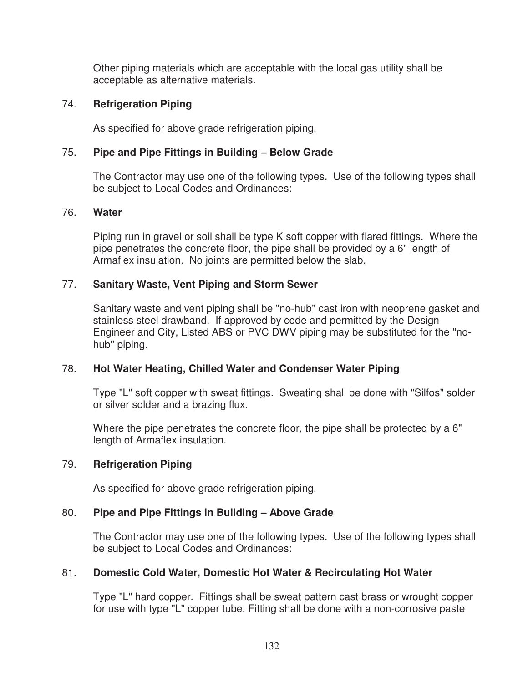Other piping materials which are acceptable with the local gas utility shall be acceptable as alternative materials.

#### 74. **Refrigeration Piping**

As specified for above grade refrigeration piping.

## 75. **Pipe and Pipe Fittings in Building – Below Grade**

The Contractor may use one of the following types. Use of the following types shall be subject to Local Codes and Ordinances:

#### 76. **Water**

Piping run in gravel or soil shall be type K soft copper with flared fittings. Where the pipe penetrates the concrete floor, the pipe shall be provided by a 6" length of Armaflex insulation. No joints are permitted below the slab.

## 77. **Sanitary Waste, Vent Piping and Storm Sewer**

Sanitary waste and vent piping shall be "no-hub" cast iron with neoprene gasket and stainless steel drawband. If approved by code and permitted by the Design Engineer and City, Listed ABS or PVC DWV piping may be substituted for the ''nohub'' piping.

#### 78. **Hot Water Heating, Chilled Water and Condenser Water Piping**

Type "L" soft copper with sweat fittings. Sweating shall be done with "Silfos" solder or silver solder and a brazing flux.

Where the pipe penetrates the concrete floor, the pipe shall be protected by a 6" length of Armaflex insulation.

# 79. **Refrigeration Piping**

As specified for above grade refrigeration piping.

# 80. **Pipe and Pipe Fittings in Building – Above Grade**

The Contractor may use one of the following types. Use of the following types shall be subject to Local Codes and Ordinances:

# 81. **Domestic Cold Water, Domestic Hot Water & Recirculating Hot Water**

Type "L" hard copper. Fittings shall be sweat pattern cast brass or wrought copper for use with type "L" copper tube. Fitting shall be done with a non-corrosive paste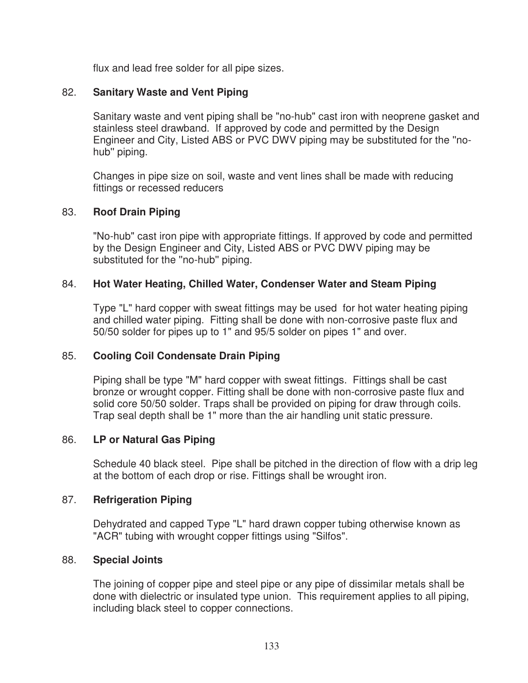flux and lead free solder for all pipe sizes.

# 82. **Sanitary Waste and Vent Piping**

Sanitary waste and vent piping shall be "no-hub" cast iron with neoprene gasket and stainless steel drawband. If approved by code and permitted by the Design Engineer and City, Listed ABS or PVC DWV piping may be substituted for the ''nohub'' piping.

Changes in pipe size on soil, waste and vent lines shall be made with reducing fittings or recessed reducers

# 83. **Roof Drain Piping**

"No-hub" cast iron pipe with appropriate fittings. If approved by code and permitted by the Design Engineer and City, Listed ABS or PVC DWV piping may be substituted for the ''no-hub'' piping.

# 84. **Hot Water Heating, Chilled Water, Condenser Water and Steam Piping**

Type "L" hard copper with sweat fittings may be used for hot water heating piping and chilled water piping. Fitting shall be done with non-corrosive paste flux and 50/50 solder for pipes up to 1" and 95/5 solder on pipes 1" and over.

# 85. **Cooling Coil Condensate Drain Piping**

Piping shall be type "M" hard copper with sweat fittings. Fittings shall be cast bronze or wrought copper. Fitting shall be done with non-corrosive paste flux and solid core 50/50 solder. Traps shall be provided on piping for draw through coils. Trap seal depth shall be 1" more than the air handling unit static pressure.

# 86. **LP or Natural Gas Piping**

Schedule 40 black steel. Pipe shall be pitched in the direction of flow with a drip leg at the bottom of each drop or rise. Fittings shall be wrought iron.

# 87. **Refrigeration Piping**

Dehydrated and capped Type "L" hard drawn copper tubing otherwise known as "ACR" tubing with wrought copper fittings using "Silfos".

# 88. **Special Joints**

The joining of copper pipe and steel pipe or any pipe of dissimilar metals shall be done with dielectric or insulated type union. This requirement applies to all piping, including black steel to copper connections.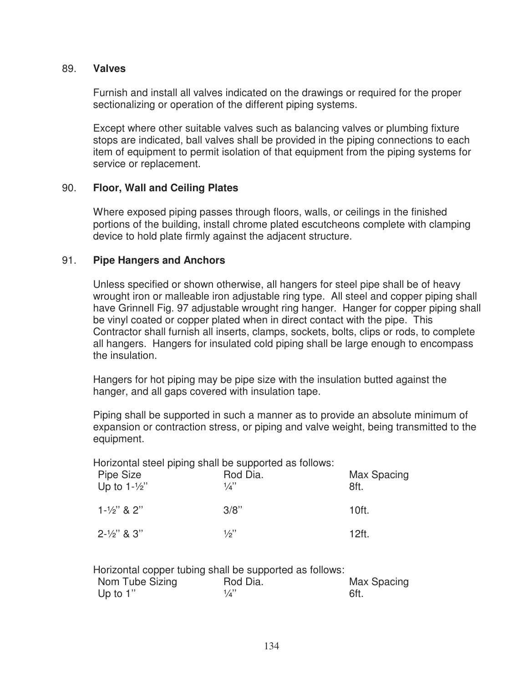#### 89. **Valves**

Furnish and install all valves indicated on the drawings or required for the proper sectionalizing or operation of the different piping systems.

Except where other suitable valves such as balancing valves or plumbing fixture stops are indicated, ball valves shall be provided in the piping connections to each item of equipment to permit isolation of that equipment from the piping systems for service or replacement.

#### 90. **Floor, Wall and Ceiling Plates**

Where exposed piping passes through floors, walls, or ceilings in the finished portions of the building, install chrome plated escutcheons complete with clamping device to hold plate firmly against the adjacent structure.

#### 91. **Pipe Hangers and Anchors**

Unless specified or shown otherwise, all hangers for steel pipe shall be of heavy wrought iron or malleable iron adjustable ring type. All steel and copper piping shall have Grinnell Fig. 97 adjustable wrought ring hanger. Hanger for copper piping shall be vinyl coated or copper plated when in direct contact with the pipe. This Contractor shall furnish all inserts, clamps, sockets, bolts, clips or rods, to complete all hangers. Hangers for insulated cold piping shall be large enough to encompass the insulation.

Hangers for hot piping may be pipe size with the insulation butted against the hanger, and all gaps covered with insulation tape.

Piping shall be supported in such a manner as to provide an absolute minimum of expansion or contraction stress, or piping and valve weight, being transmitted to the equipment.

Horizontal steel piping shall be supported as follows:

| Pipe Size<br>Up to $1-\frac{1}{2}$ " | Rod Dia.<br>1/4" | Max Spacing<br>8ft. |  |  |
|--------------------------------------|------------------|---------------------|--|--|
| $1 - \frac{1}{2}$ & 2"               | 3/8"             | 10ft.               |  |  |
| $2 - \frac{1}{2}$ & 3"               | 1/2"             | 12ft.               |  |  |

| Horizontal copper tubing shall be supported as follows: |          |             |
|---------------------------------------------------------|----------|-------------|
| Nom Tube Sizing                                         | Rod Dia. | Max Spacing |
| Up to $1$ "                                             | 1/a''    | 6ft.        |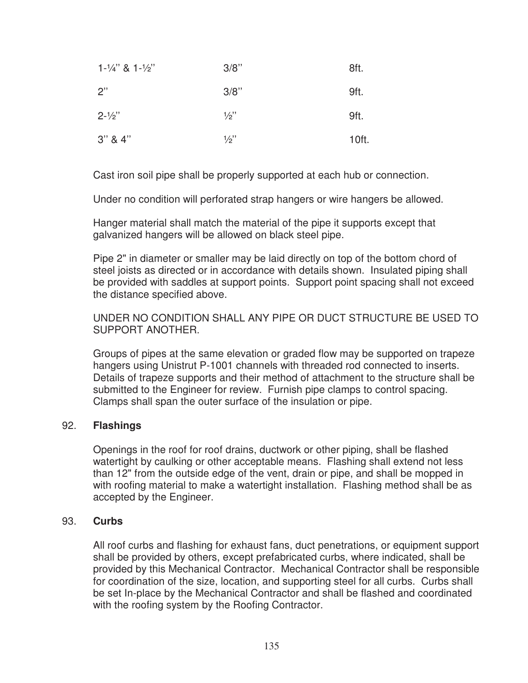| $1 - \frac{1}{4}$ & $1 - \frac{1}{2}$ | 3/8"            | 8ft.  |
|---------------------------------------|-----------------|-------|
| 2"                                    | 3/8"            | 9ft.  |
| $2 - \frac{1}{2}$                     | $\frac{1}{2}$ " | 9ft.  |
| $3''$ & $4''$                         | $\frac{1}{2}$ " | 10ft. |

Cast iron soil pipe shall be properly supported at each hub or connection.

Under no condition will perforated strap hangers or wire hangers be allowed.

Hanger material shall match the material of the pipe it supports except that galvanized hangers will be allowed on black steel pipe.

Pipe 2" in diameter or smaller may be laid directly on top of the bottom chord of steel joists as directed or in accordance with details shown. Insulated piping shall be provided with saddles at support points. Support point spacing shall not exceed the distance specified above.

UNDER NO CONDITION SHALL ANY PIPE OR DUCT STRUCTURE BE USED TO SUPPORT ANOTHER.

Groups of pipes at the same elevation or graded flow may be supported on trapeze hangers using Unistrut P-1001 channels with threaded rod connected to inserts. Details of trapeze supports and their method of attachment to the structure shall be submitted to the Engineer for review. Furnish pipe clamps to control spacing. Clamps shall span the outer surface of the insulation or pipe.

#### 92. **Flashings**

Openings in the roof for roof drains, ductwork or other piping, shall be flashed watertight by caulking or other acceptable means. Flashing shall extend not less than 12" from the outside edge of the vent, drain or pipe, and shall be mopped in with roofing material to make a watertight installation. Flashing method shall be as accepted by the Engineer.

#### 93. **Curbs**

All roof curbs and flashing for exhaust fans, duct penetrations, or equipment support shall be provided by others, except prefabricated curbs, where indicated, shall be provided by this Mechanical Contractor. Mechanical Contractor shall be responsible for coordination of the size, location, and supporting steel for all curbs. Curbs shall be set In-place by the Mechanical Contractor and shall be flashed and coordinated with the roofing system by the Roofing Contractor.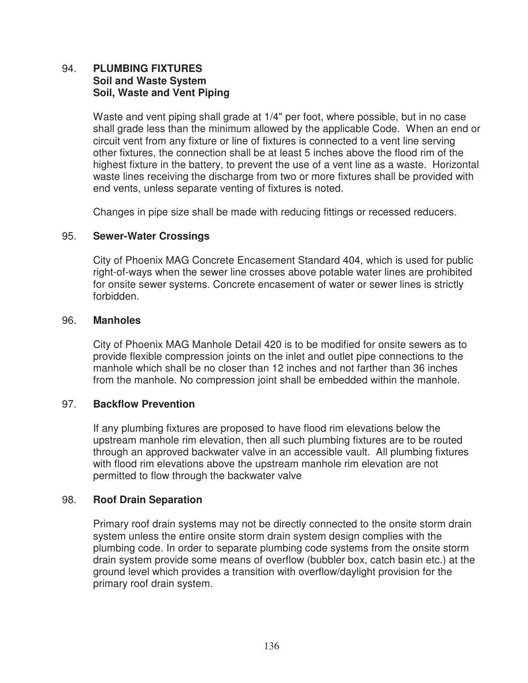## 94. **PLUMBING FIXTURES Soil and Waste System Soil, Waste and Vent Piping**

Waste and vent piping shall grade at 1/4" per foot, where possible, but in no case shall grade less than the minimum allowed by the applicable Code. When an end or circuit vent from any fixture or line of fixtures is connected to a vent line serving other fixtures, the connection shall be at least 5 inches above the flood rim of the highest fixture in the battery, to prevent the use of a vent line as a waste. Horizontal waste lines receiving the discharge from two or more fixtures shall be provided with end vents, unless separate venting of fixtures is noted.

Changes in pipe size shall be made with reducing fittings or recessed reducers.

#### 95. **Sewer-Water Crossings**

City of Phoenix MAG Concrete Encasement Standard 404, which is used for public right-of-ways when the sewer line crosses above potable water lines are prohibited for onsite sewer systems. Concrete encasement of water or sewer lines is strictly forbidden.

#### 96. **Manholes**

City of Phoenix MAG Manhole Detail 420 is to be modified for onsite sewers as to provide flexible compression joints on the inlet and outlet pipe connections to the manhole which shall be no closer than 12 inches and not farther than 36 inches from the manhole. No compression joint shall be embedded within the manhole.

#### 97. **Backflow Prevention**

If any plumbing fixtures are proposed to have flood rim elevations below the upstream manhole rim elevation, then all such plumbing fixtures are to be routed through an approved backwater valve in an accessible vault. All plumbing fixtures with flood rim elevations above the upstream manhole rim elevation are not permitted to flow through the backwater valve

#### 98. **Roof Drain Separation**

Primary roof drain systems may not be directly connected to the onsite storm drain system unless the entire onsite storm drain system design complies with the plumbing code. In order to separate plumbing code systems from the onsite storm drain system provide some means of overflow (bubbler box, catch basin etc.) at the ground level which provides a transition with overflow/daylight provision for the primary roof drain system.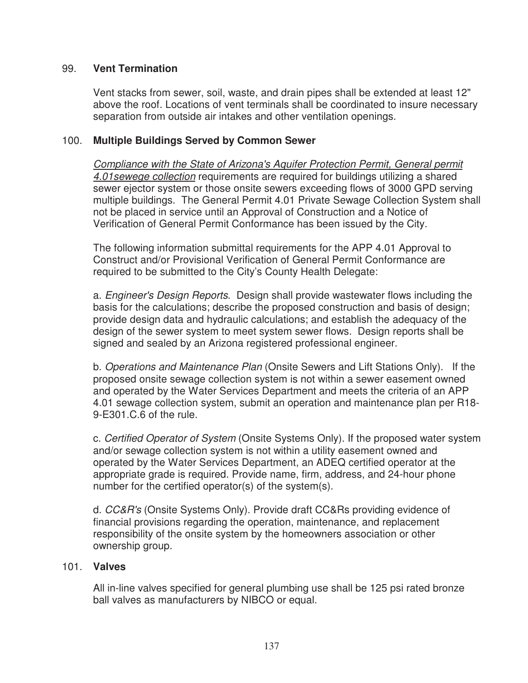## 99. **Vent Termination**

Vent stacks from sewer, soil, waste, and drain pipes shall be extended at least 12" above the roof. Locations of vent terminals shall be coordinated to insure necessary separation from outside air intakes and other ventilation openings.

#### 100. **Multiple Buildings Served by Common Sewer**

Compliance with the State of Arizona's Aquifer Protection Permit, General permit 4.01sewege collection requirements are required for buildings utilizing a shared sewer ejector system or those onsite sewers exceeding flows of 3000 GPD serving multiple buildings. The General Permit 4.01 Private Sewage Collection System shall not be placed in service until an Approval of Construction and a Notice of Verification of General Permit Conformance has been issued by the City.

The following information submittal requirements for the APP 4.01 Approval to Construct and/or Provisional Verification of General Permit Conformance are required to be submitted to the City's County Health Delegate:

a. Engineer's Design Reports. Design shall provide wastewater flows including the basis for the calculations; describe the proposed construction and basis of design; provide design data and hydraulic calculations; and establish the adequacy of the design of the sewer system to meet system sewer flows. Design reports shall be signed and sealed by an Arizona registered professional engineer.

b. Operations and Maintenance Plan (Onsite Sewers and Lift Stations Only). If the proposed onsite sewage collection system is not within a sewer easement owned and operated by the Water Services Department and meets the criteria of an APP 4.01 sewage collection system, submit an operation and maintenance plan per R18- 9-E301.C.6 of the rule.

c. Certified Operator of System (Onsite Systems Only). If the proposed water system and/or sewage collection system is not within a utility easement owned and operated by the Water Services Department, an ADEQ certified operator at the appropriate grade is required. Provide name, firm, address, and 24-hour phone number for the certified operator(s) of the system(s).

d. CC&R's (Onsite Systems Only). Provide draft CC&Rs providing evidence of financial provisions regarding the operation, maintenance, and replacement responsibility of the onsite system by the homeowners association or other ownership group.

#### 101. **Valves**

All in-line valves specified for general plumbing use shall be 125 psi rated bronze ball valves as manufacturers by NIBCO or equal.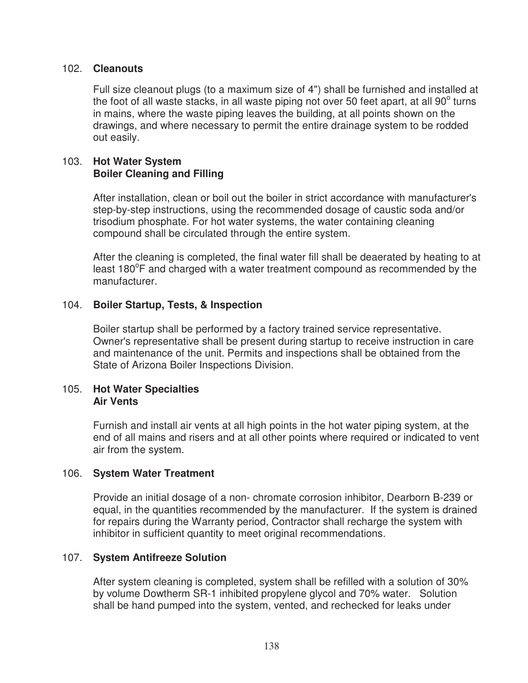#### 102. **Cleanouts**

Full size cleanout plugs (to a maximum size of 4") shall be furnished and installed at the foot of all waste stacks, in all waste piping not over 50 feet apart, at all 90 $^{\circ}$  turns in mains, where the waste piping leaves the building, at all points shown on the drawings, and where necessary to permit the entire drainage system to be rodded out easily.

#### 103. **Hot Water System Boiler Cleaning and Filling**

After installation, clean or boil out the boiler in strict accordance with manufacturer's step-by-step instructions, using the recommended dosage of caustic soda and/or trisodium phosphate. For hot water systems, the water containing cleaning compound shall be circulated through the entire system.

After the cleaning is completed, the final water fill shall be deaerated by heating to at least 180°F and charged with a water treatment compound as recommended by the manufacturer.

#### 104. **Boiler Startup, Tests, & Inspection**

Boiler startup shall be performed by a factory trained service representative. Owner's representative shall be present during startup to receive instruction in care and maintenance of the unit. Permits and inspections shall be obtained from the State of Arizona Boiler Inspections Division.

#### 105. **Hot Water Specialties Air Vents**

Furnish and install air vents at all high points in the hot water piping system, at the end of all mains and risers and at all other points where required or indicated to vent air from the system.

#### 106. **System Water Treatment**

Provide an initial dosage of a non- chromate corrosion inhibitor, Dearborn B-239 or equal, in the quantities recommended by the manufacturer. If the system is drained for repairs during the Warranty period, Contractor shall recharge the system with inhibitor in sufficient quantity to meet original recommendations.

#### 107. **System Antifreeze Solution**

After system cleaning is completed, system shall be refilled with a solution of 30% by volume Dowtherm SR-1 inhibited propylene glycol and 70% water. Solution shall be hand pumped into the system, vented, and rechecked for leaks under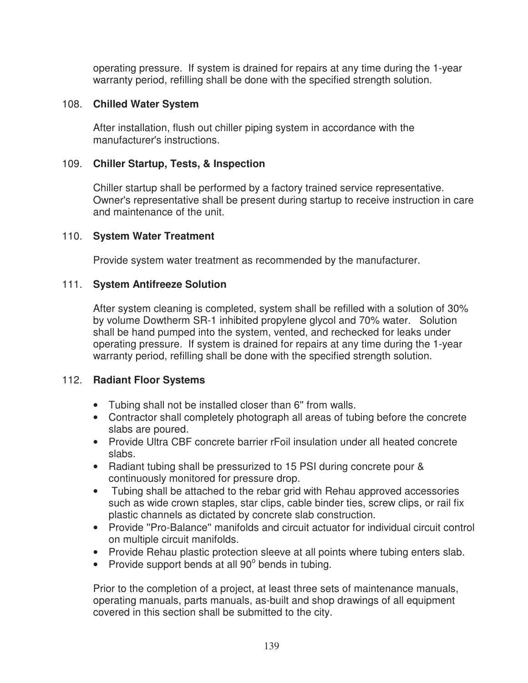operating pressure. If system is drained for repairs at any time during the 1-year warranty period, refilling shall be done with the specified strength solution.

#### 108. **Chilled Water System**

After installation, flush out chiller piping system in accordance with the manufacturer's instructions.

#### 109. **Chiller Startup, Tests, & Inspection**

Chiller startup shall be performed by a factory trained service representative. Owner's representative shall be present during startup to receive instruction in care and maintenance of the unit.

#### 110. **System Water Treatment**

Provide system water treatment as recommended by the manufacturer.

#### 111. **System Antifreeze Solution**

After system cleaning is completed, system shall be refilled with a solution of 30% by volume Dowtherm SR-1 inhibited propylene glycol and 70% water. Solution shall be hand pumped into the system, vented, and rechecked for leaks under operating pressure. If system is drained for repairs at any time during the 1-year warranty period, refilling shall be done with the specified strength solution.

#### 112. **Radiant Floor Systems**

- Tubing shall not be installed closer than 6'' from walls.
- Contractor shall completely photograph all areas of tubing before the concrete slabs are poured.
- Provide Ultra CBF concrete barrier rFoil insulation under all heated concrete slabs.
- Radiant tubing shall be pressurized to 15 PSI during concrete pour & continuously monitored for pressure drop.
- Tubing shall be attached to the rebar grid with Rehau approved accessories such as wide crown staples, star clips, cable binder ties, screw clips, or rail fix plastic channels as dictated by concrete slab construction.
- Provide ''Pro-Balance'' manifolds and circuit actuator for individual circuit control on multiple circuit manifolds.
- Provide Rehau plastic protection sleeve at all points where tubing enters slab.
- Provide support bends at all  $90^\circ$  bends in tubing.

Prior to the completion of a project, at least three sets of maintenance manuals, operating manuals, parts manuals, as-built and shop drawings of all equipment covered in this section shall be submitted to the city.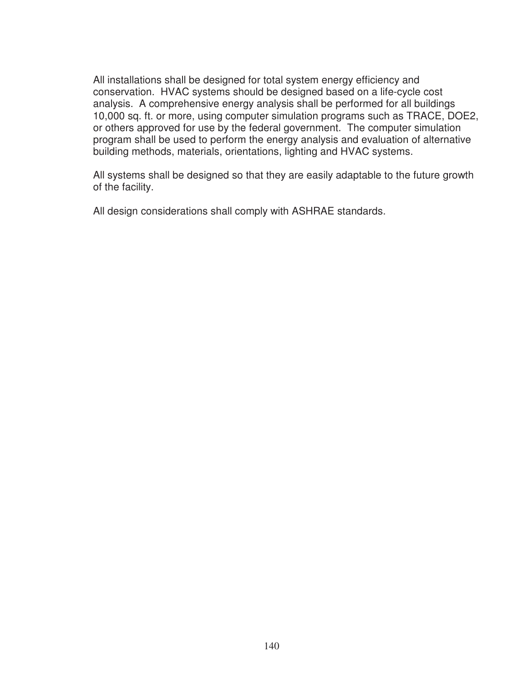All installations shall be designed for total system energy efficiency and conservation. HVAC systems should be designed based on a life-cycle cost analysis. A comprehensive energy analysis shall be performed for all buildings 10,000 sq. ft. or more, using computer simulation programs such as TRACE, DOE2, or others approved for use by the federal government. The computer simulation program shall be used to perform the energy analysis and evaluation of alternative building methods, materials, orientations, lighting and HVAC systems.

All systems shall be designed so that they are easily adaptable to the future growth of the facility.

All design considerations shall comply with ASHRAE standards.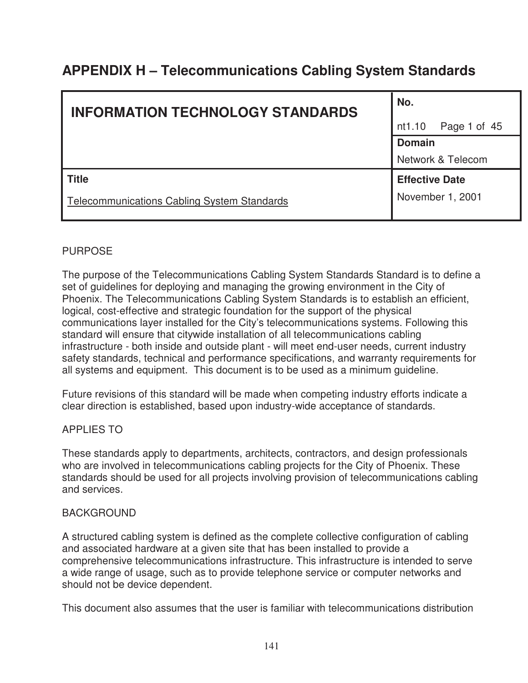# **APPENDIX H – Telecommunications Cabling System Standards**

| <b>INFORMATION TECHNOLOGY STANDARDS</b>            | No.                    |  |
|----------------------------------------------------|------------------------|--|
|                                                    | nt1.10<br>Page 1 of 45 |  |
|                                                    | <b>Domain</b>          |  |
|                                                    | Network & Telecom      |  |
| <b>Title</b>                                       | <b>Effective Date</b>  |  |
| <b>Telecommunications Cabling System Standards</b> | November 1, 2001       |  |

# PURPOSE

The purpose of the Telecommunications Cabling System Standards Standard is to define a set of guidelines for deploying and managing the growing environment in the City of Phoenix. The Telecommunications Cabling System Standards is to establish an efficient, logical, cost-effective and strategic foundation for the support of the physical communications layer installed for the City's telecommunications systems. Following this standard will ensure that citywide installation of all telecommunications cabling infrastructure - both inside and outside plant - will meet end-user needs, current industry safety standards, technical and performance specifications, and warranty requirements for all systems and equipment. This document is to be used as a minimum guideline.

Future revisions of this standard will be made when competing industry efforts indicate a clear direction is established, based upon industry-wide acceptance of standards.

# APPLIES TO

These standards apply to departments, architects, contractors, and design professionals who are involved in telecommunications cabling projects for the City of Phoenix. These standards should be used for all projects involving provision of telecommunications cabling and services.

#### BACKGROUND

A structured cabling system is defined as the complete collective configuration of cabling and associated hardware at a given site that has been installed to provide a comprehensive telecommunications infrastructure. This infrastructure is intended to serve a wide range of usage, such as to provide telephone service or computer networks and should not be device dependent.

This document also assumes that the user is familiar with telecommunications distribution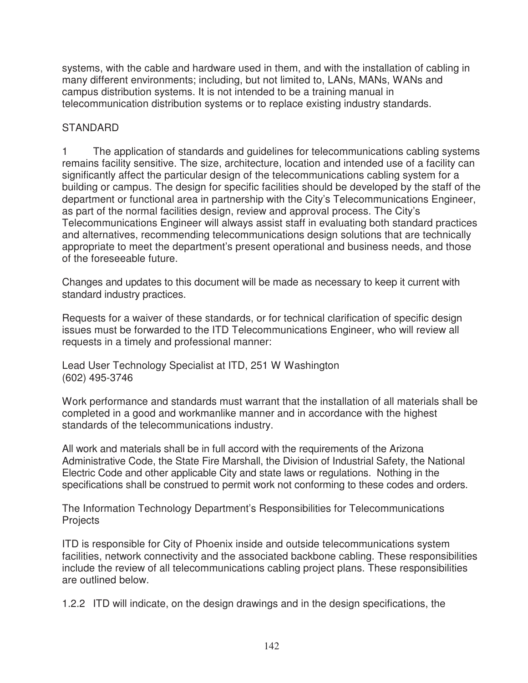systems, with the cable and hardware used in them, and with the installation of cabling in many different environments; including, but not limited to, LANs, MANs, WANs and campus distribution systems. It is not intended to be a training manual in telecommunication distribution systems or to replace existing industry standards.

# **STANDARD**

1 The application of standards and guidelines for telecommunications cabling systems remains facility sensitive. The size, architecture, location and intended use of a facility can significantly affect the particular design of the telecommunications cabling system for a building or campus. The design for specific facilities should be developed by the staff of the department or functional area in partnership with the City's Telecommunications Engineer, as part of the normal facilities design, review and approval process. The City's Telecommunications Engineer will always assist staff in evaluating both standard practices and alternatives, recommending telecommunications design solutions that are technically appropriate to meet the department's present operational and business needs, and those of the foreseeable future.

Changes and updates to this document will be made as necessary to keep it current with standard industry practices.

Requests for a waiver of these standards, or for technical clarification of specific design issues must be forwarded to the ITD Telecommunications Engineer, who will review all requests in a timely and professional manner:

Lead User Technology Specialist at ITD, 251 W Washington (602) 495-3746

Work performance and standards must warrant that the installation of all materials shall be completed in a good and workmanlike manner and in accordance with the highest standards of the telecommunications industry.

All work and materials shall be in full accord with the requirements of the Arizona Administrative Code, the State Fire Marshall, the Division of Industrial Safety, the National Electric Code and other applicable City and state laws or regulations. Nothing in the specifications shall be construed to permit work not conforming to these codes and orders.

The Information Technology Department's Responsibilities for Telecommunications **Projects** 

ITD is responsible for City of Phoenix inside and outside telecommunications system facilities, network connectivity and the associated backbone cabling. These responsibilities include the review of all telecommunications cabling project plans. These responsibilities are outlined below.

1.2.2 ITD will indicate, on the design drawings and in the design specifications, the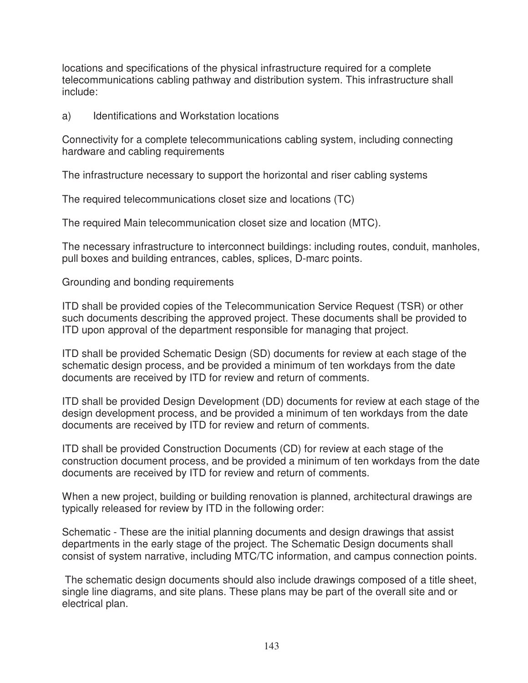locations and specifications of the physical infrastructure required for a complete telecommunications cabling pathway and distribution system. This infrastructure shall include:

a) Identifications and Workstation locations

Connectivity for a complete telecommunications cabling system, including connecting hardware and cabling requirements

The infrastructure necessary to support the horizontal and riser cabling systems

The required telecommunications closet size and locations (TC)

The required Main telecommunication closet size and location (MTC).

The necessary infrastructure to interconnect buildings: including routes, conduit, manholes, pull boxes and building entrances, cables, splices, D-marc points.

Grounding and bonding requirements

ITD shall be provided copies of the Telecommunication Service Request (TSR) or other such documents describing the approved project. These documents shall be provided to ITD upon approval of the department responsible for managing that project.

ITD shall be provided Schematic Design (SD) documents for review at each stage of the schematic design process, and be provided a minimum of ten workdays from the date documents are received by ITD for review and return of comments.

ITD shall be provided Design Development (DD) documents for review at each stage of the design development process, and be provided a minimum of ten workdays from the date documents are received by ITD for review and return of comments.

ITD shall be provided Construction Documents (CD) for review at each stage of the construction document process, and be provided a minimum of ten workdays from the date documents are received by ITD for review and return of comments.

When a new project, building or building renovation is planned, architectural drawings are typically released for review by ITD in the following order:

Schematic - These are the initial planning documents and design drawings that assist departments in the early stage of the project. The Schematic Design documents shall consist of system narrative, including MTC/TC information, and campus connection points.

 The schematic design documents should also include drawings composed of a title sheet, single line diagrams, and site plans. These plans may be part of the overall site and or electrical plan.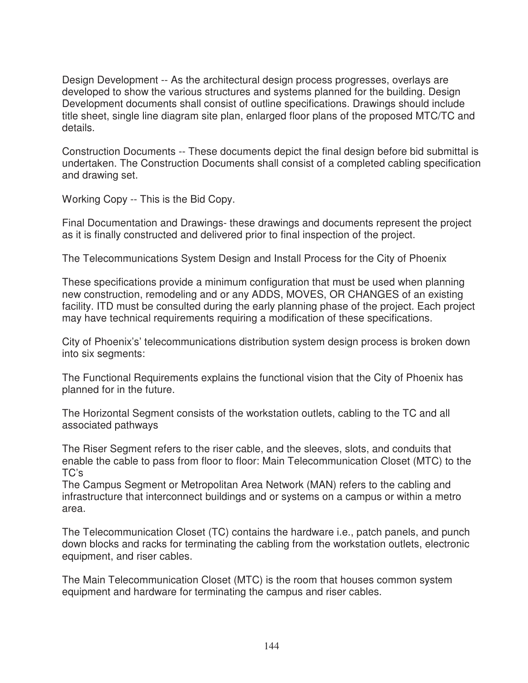Design Development -- As the architectural design process progresses, overlays are developed to show the various structures and systems planned for the building. Design Development documents shall consist of outline specifications. Drawings should include title sheet, single line diagram site plan, enlarged floor plans of the proposed MTC/TC and details.

Construction Documents -- These documents depict the final design before bid submittal is undertaken. The Construction Documents shall consist of a completed cabling specification and drawing set.

Working Copy -- This is the Bid Copy.

Final Documentation and Drawings- these drawings and documents represent the project as it is finally constructed and delivered prior to final inspection of the project.

The Telecommunications System Design and Install Process for the City of Phoenix

These specifications provide a minimum configuration that must be used when planning new construction, remodeling and or any ADDS, MOVES, OR CHANGES of an existing facility. ITD must be consulted during the early planning phase of the project. Each project may have technical requirements requiring a modification of these specifications.

City of Phoenix's' telecommunications distribution system design process is broken down into six segments:

The Functional Requirements explains the functional vision that the City of Phoenix has planned for in the future.

The Horizontal Segment consists of the workstation outlets, cabling to the TC and all associated pathways

The Riser Segment refers to the riser cable, and the sleeves, slots, and conduits that enable the cable to pass from floor to floor: Main Telecommunication Closet (MTC) to the TC's

The Campus Segment or Metropolitan Area Network (MAN) refers to the cabling and infrastructure that interconnect buildings and or systems on a campus or within a metro area.

The Telecommunication Closet (TC) contains the hardware i.e., patch panels, and punch down blocks and racks for terminating the cabling from the workstation outlets, electronic equipment, and riser cables.

The Main Telecommunication Closet (MTC) is the room that houses common system equipment and hardware for terminating the campus and riser cables.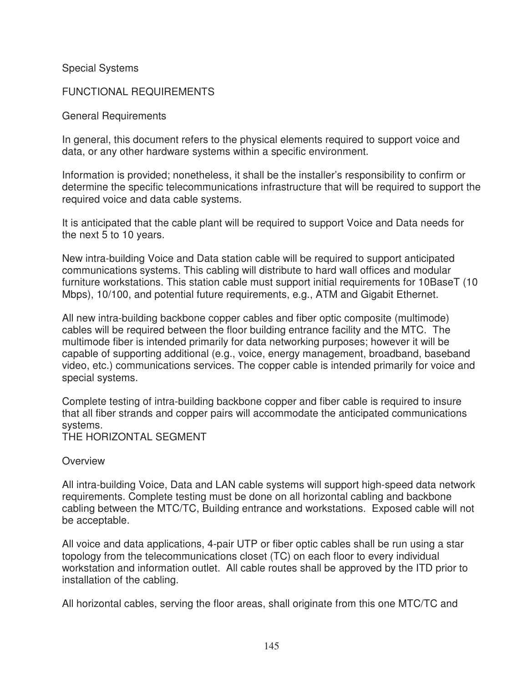Special Systems

FUNCTIONAL REQUIREMENTS

General Requirements

In general, this document refers to the physical elements required to support voice and data, or any other hardware systems within a specific environment.

Information is provided; nonetheless, it shall be the installer's responsibility to confirm or determine the specific telecommunications infrastructure that will be required to support the required voice and data cable systems.

It is anticipated that the cable plant will be required to support Voice and Data needs for the next 5 to 10 years.

New intra-building Voice and Data station cable will be required to support anticipated communications systems. This cabling will distribute to hard wall offices and modular furniture workstations. This station cable must support initial requirements for 10BaseT (10 Mbps), 10/100, and potential future requirements, e.g., ATM and Gigabit Ethernet.

All new intra-building backbone copper cables and fiber optic composite (multimode) cables will be required between the floor building entrance facility and the MTC. The multimode fiber is intended primarily for data networking purposes; however it will be capable of supporting additional (e.g., voice, energy management, broadband, baseband video, etc.) communications services. The copper cable is intended primarily for voice and special systems.

Complete testing of intra-building backbone copper and fiber cable is required to insure that all fiber strands and copper pairs will accommodate the anticipated communications systems.

THE HORIZONTAL SEGMENT

**Overview** 

All intra-building Voice, Data and LAN cable systems will support high-speed data network requirements. Complete testing must be done on all horizontal cabling and backbone cabling between the MTC/TC, Building entrance and workstations. Exposed cable will not be acceptable.

All voice and data applications, 4-pair UTP or fiber optic cables shall be run using a star topology from the telecommunications closet (TC) on each floor to every individual workstation and information outlet. All cable routes shall be approved by the ITD prior to installation of the cabling.

All horizontal cables, serving the floor areas, shall originate from this one MTC/TC and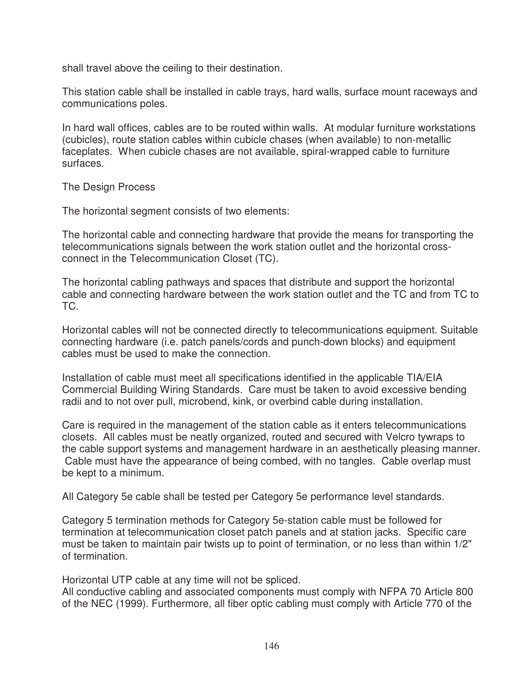shall travel above the ceiling to their destination.

This station cable shall be installed in cable trays, hard walls, surface mount raceways and communications poles.

In hard wall offices, cables are to be routed within walls. At modular furniture workstations (cubicles), route station cables within cubicle chases (when available) to non-metallic faceplates. When cubicle chases are not available, spiral-wrapped cable to furniture surfaces.

The Design Process

The horizontal segment consists of two elements:

The horizontal cable and connecting hardware that provide the means for transporting the telecommunications signals between the work station outlet and the horizontal crossconnect in the Telecommunication Closet (TC).

The horizontal cabling pathways and spaces that distribute and support the horizontal cable and connecting hardware between the work station outlet and the TC and from TC to TC.

Horizontal cables will not be connected directly to telecommunications equipment. Suitable connecting hardware (i.e. patch panels/cords and punch-down blocks) and equipment cables must be used to make the connection.

Installation of cable must meet all specifications identified in the applicable TIA/EIA Commercial Building Wiring Standards. Care must be taken to avoid excessive bending radii and to not over pull, microbend, kink, or overbind cable during installation.

Care is required in the management of the station cable as it enters telecommunications closets. All cables must be neatly organized, routed and secured with Velcro tywraps to the cable support systems and management hardware in an aesthetically pleasing manner. Cable must have the appearance of being combed, with no tangles. Cable overlap must be kept to a minimum.

All Category 5e cable shall be tested per Category 5e performance level standards.

Category 5 termination methods for Category 5e-station cable must be followed for termination at telecommunication closet patch panels and at station jacks. Specific care must be taken to maintain pair twists up to point of termination, or no less than within 1/2" of termination.

Horizontal UTP cable at any time will not be spliced.

All conductive cabling and associated components must comply with NFPA 70 Article 800 of the NEC (1999). Furthermore, all fiber optic cabling must comply with Article 770 of the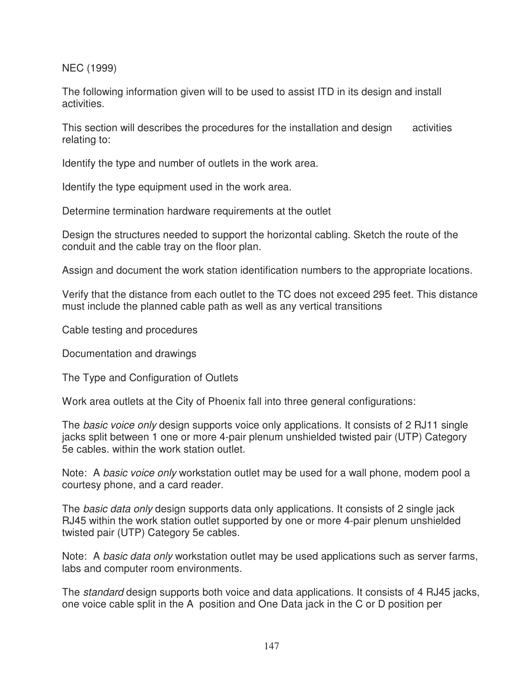NEC (1999)

The following information given will to be used to assist ITD in its design and install activities.

This section will describes the procedures for the installation and design activities relating to:

Identify the type and number of outlets in the work area.

Identify the type equipment used in the work area.

Determine termination hardware requirements at the outlet

Design the structures needed to support the horizontal cabling. Sketch the route of the conduit and the cable tray on the floor plan.

Assign and document the work station identification numbers to the appropriate locations.

Verify that the distance from each outlet to the TC does not exceed 295 feet. This distance must include the planned cable path as well as any vertical transitions

Cable testing and procedures

Documentation and drawings

The Type and Configuration of Outlets

Work area outlets at the City of Phoenix fall into three general configurations:

The *basic voice only* design supports voice only applications. It consists of 2 RJ11 single jacks split between 1 one or more 4-pair plenum unshielded twisted pair (UTP) Category 5e cables. within the work station outlet.

Note: A basic voice only workstation outlet may be used for a wall phone, modem pool a courtesy phone, and a card reader.

The *basic data only* design supports data only applications. It consists of 2 single jack RJ45 within the work station outlet supported by one or more 4-pair plenum unshielded twisted pair (UTP) Category 5e cables.

Note: A basic data only workstation outlet may be used applications such as server farms, labs and computer room environments.

The *standard* design supports both voice and data applications. It consists of 4 RJ45 jacks, one voice cable split in the A position and One Data jack in the C or D position per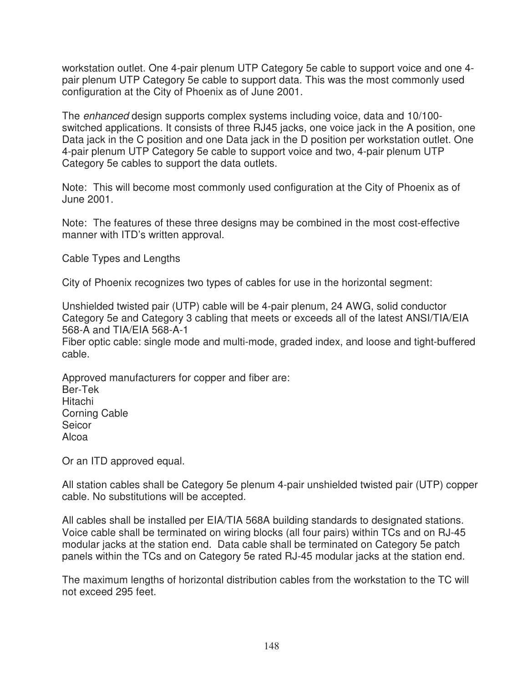workstation outlet. One 4-pair plenum UTP Category 5e cable to support voice and one 4 pair plenum UTP Category 5e cable to support data. This was the most commonly used configuration at the City of Phoenix as of June 2001.

The enhanced design supports complex systems including voice, data and 10/100 switched applications. It consists of three RJ45 jacks, one voice jack in the A position, one Data jack in the C position and one Data jack in the D position per workstation outlet. One 4-pair plenum UTP Category 5e cable to support voice and two, 4-pair plenum UTP Category 5e cables to support the data outlets.

Note: This will become most commonly used configuration at the City of Phoenix as of June 2001.

Note: The features of these three designs may be combined in the most cost-effective manner with ITD's written approval.

Cable Types and Lengths

City of Phoenix recognizes two types of cables for use in the horizontal segment:

Unshielded twisted pair (UTP) cable will be 4-pair plenum, 24 AWG, solid conductor Category 5e and Category 3 cabling that meets or exceeds all of the latest ANSI/TIA/EIA 568-A and TIA/EIA 568-A-1

Fiber optic cable: single mode and multi-mode, graded index, and loose and tight-buffered cable.

Approved manufacturers for copper and fiber are: Ber-Tek Hitachi Corning Cable Seicor Alcoa

Or an ITD approved equal.

All station cables shall be Category 5e plenum 4-pair unshielded twisted pair (UTP) copper cable. No substitutions will be accepted.

All cables shall be installed per EIA/TIA 568A building standards to designated stations. Voice cable shall be terminated on wiring blocks (all four pairs) within TCs and on RJ-45 modular jacks at the station end. Data cable shall be terminated on Category 5e patch panels within the TCs and on Category 5e rated RJ-45 modular jacks at the station end.

The maximum lengths of horizontal distribution cables from the workstation to the TC will not exceed 295 feet.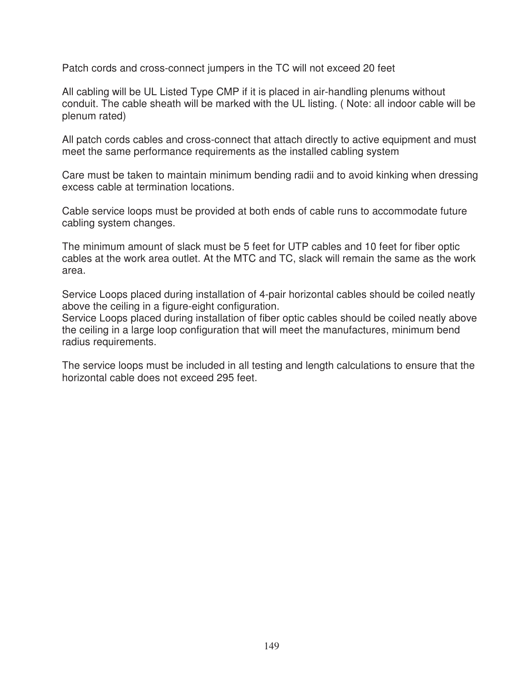Patch cords and cross-connect jumpers in the TC will not exceed 20 feet

All cabling will be UL Listed Type CMP if it is placed in air-handling plenums without conduit. The cable sheath will be marked with the UL listing. ( Note: all indoor cable will be plenum rated)

All patch cords cables and cross-connect that attach directly to active equipment and must meet the same performance requirements as the installed cabling system

Care must be taken to maintain minimum bending radii and to avoid kinking when dressing excess cable at termination locations.

Cable service loops must be provided at both ends of cable runs to accommodate future cabling system changes.

The minimum amount of slack must be 5 feet for UTP cables and 10 feet for fiber optic cables at the work area outlet. At the MTC and TC, slack will remain the same as the work area.

Service Loops placed during installation of 4-pair horizontal cables should be coiled neatly above the ceiling in a figure-eight configuration.

Service Loops placed during installation of fiber optic cables should be coiled neatly above the ceiling in a large loop configuration that will meet the manufactures, minimum bend radius requirements.

The service loops must be included in all testing and length calculations to ensure that the horizontal cable does not exceed 295 feet.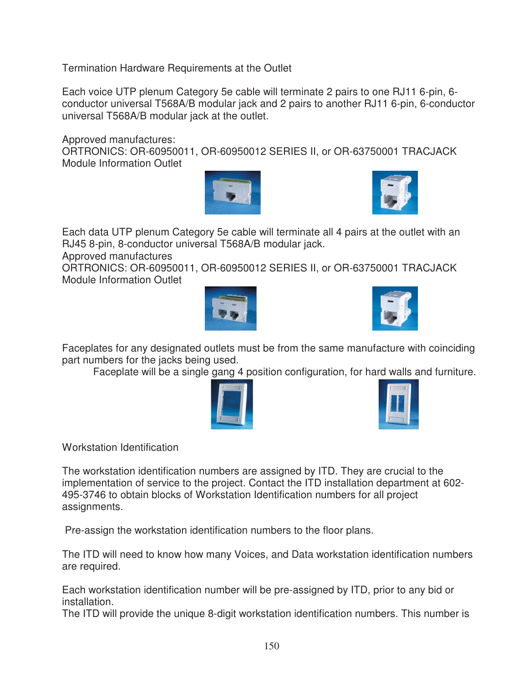Termination Hardware Requirements at the Outlet

Each voice UTP plenum Category 5e cable will terminate 2 pairs to one RJ11 6-pin, 6 conductor universal T568A/B modular jack and 2 pairs to another RJ11 6-pin, 6-conductor universal T568A/B modular jack at the outlet.

Approved manufactures:

ORTRONICS: OR-60950011, OR-60950012 SERIES II, or OR-63750001 TRACJACK Module Information Outlet





Each data UTP plenum Category 5e cable will terminate all 4 pairs at the outlet with an RJ45 8-pin, 8-conductor universal T568A/B modular jack.

Approved manufactures

ORTRONICS: OR-60950011, OR-60950012 SERIES II, or OR-63750001 TRACJACK Module Information Outlet





Faceplates for any designated outlets must be from the same manufacture with coinciding part numbers for the jacks being used.

Faceplate will be a single gang 4 position configuration, for hard walls and furniture.





Workstation Identification

The workstation identification numbers are assigned by ITD. They are crucial to the implementation of service to the project. Contact the ITD installation department at 602- 495-3746 to obtain blocks of Workstation Identification numbers for all project assignments.

Pre-assign the workstation identification numbers to the floor plans.

The ITD will need to know how many Voices, and Data workstation identification numbers are required.

Each workstation identification number will be pre-assigned by ITD, prior to any bid or installation.

The ITD will provide the unique 8-digit workstation identification numbers. This number is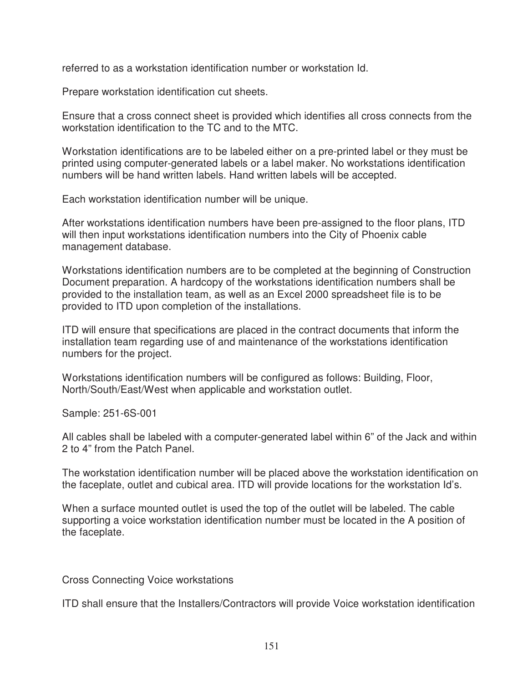referred to as a workstation identification number or workstation Id.

Prepare workstation identification cut sheets.

Ensure that a cross connect sheet is provided which identifies all cross connects from the workstation identification to the TC and to the MTC.

Workstation identifications are to be labeled either on a pre-printed label or they must be printed using computer-generated labels or a label maker. No workstations identification numbers will be hand written labels. Hand written labels will be accepted.

Each workstation identification number will be unique.

After workstations identification numbers have been pre-assigned to the floor plans, ITD will then input workstations identification numbers into the City of Phoenix cable management database.

Workstations identification numbers are to be completed at the beginning of Construction Document preparation. A hardcopy of the workstations identification numbers shall be provided to the installation team, as well as an Excel 2000 spreadsheet file is to be provided to ITD upon completion of the installations.

ITD will ensure that specifications are placed in the contract documents that inform the installation team regarding use of and maintenance of the workstations identification numbers for the project.

Workstations identification numbers will be configured as follows: Building, Floor, North/South/East/West when applicable and workstation outlet.

Sample: 251-6S-001

All cables shall be labeled with a computer-generated label within 6" of the Jack and within 2 to 4" from the Patch Panel.

The workstation identification number will be placed above the workstation identification on the faceplate, outlet and cubical area. ITD will provide locations for the workstation Id's.

When a surface mounted outlet is used the top of the outlet will be labeled. The cable supporting a voice workstation identification number must be located in the A position of the faceplate.

Cross Connecting Voice workstations

ITD shall ensure that the Installers/Contractors will provide Voice workstation identification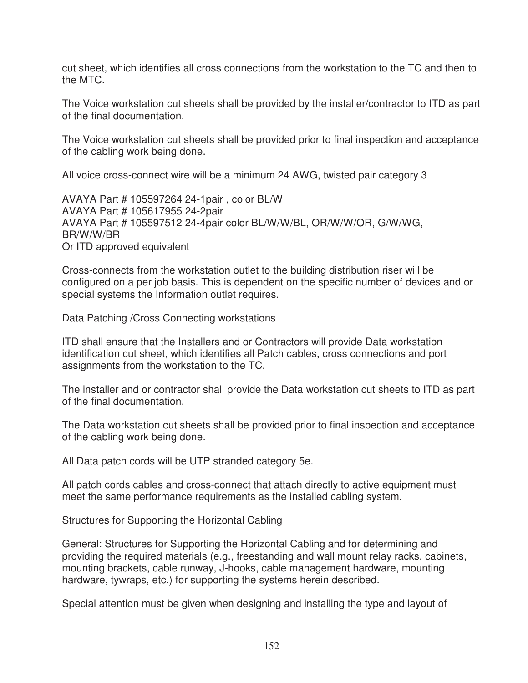cut sheet, which identifies all cross connections from the workstation to the TC and then to the MTC.

The Voice workstation cut sheets shall be provided by the installer/contractor to ITD as part of the final documentation.

The Voice workstation cut sheets shall be provided prior to final inspection and acceptance of the cabling work being done.

All voice cross-connect wire will be a minimum 24 AWG, twisted pair category 3

AVAYA Part # 105597264 24-1pair , color BL/W AVAYA Part # 105617955 24-2pair AVAYA Part # 105597512 24-4pair color BL/W/W/BL, OR/W/W/OR, G/W/WG, BR/W/W/BR Or ITD approved equivalent

Cross-connects from the workstation outlet to the building distribution riser will be configured on a per job basis. This is dependent on the specific number of devices and or special systems the Information outlet requires.

Data Patching /Cross Connecting workstations

ITD shall ensure that the Installers and or Contractors will provide Data workstation identification cut sheet, which identifies all Patch cables, cross connections and port assignments from the workstation to the TC.

The installer and or contractor shall provide the Data workstation cut sheets to ITD as part of the final documentation.

The Data workstation cut sheets shall be provided prior to final inspection and acceptance of the cabling work being done.

All Data patch cords will be UTP stranded category 5e.

All patch cords cables and cross-connect that attach directly to active equipment must meet the same performance requirements as the installed cabling system.

Structures for Supporting the Horizontal Cabling

General: Structures for Supporting the Horizontal Cabling and for determining and providing the required materials (e.g., freestanding and wall mount relay racks, cabinets, mounting brackets, cable runway, J-hooks, cable management hardware, mounting hardware, tywraps, etc.) for supporting the systems herein described.

Special attention must be given when designing and installing the type and layout of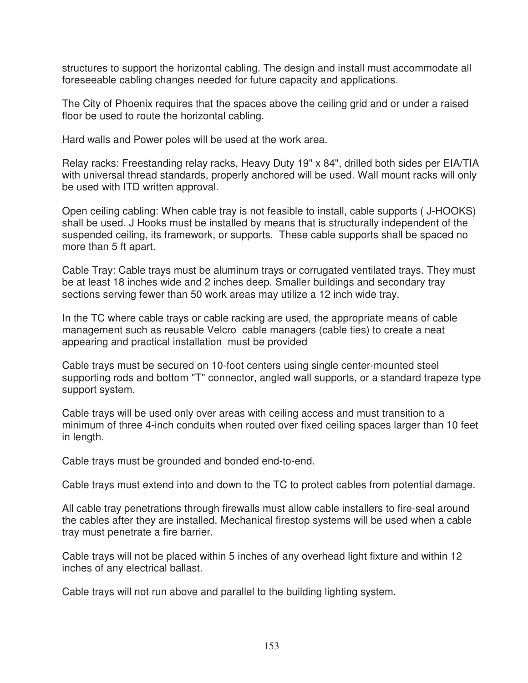structures to support the horizontal cabling. The design and install must accommodate all foreseeable cabling changes needed for future capacity and applications.

The City of Phoenix requires that the spaces above the ceiling grid and or under a raised floor be used to route the horizontal cabling.

Hard walls and Power poles will be used at the work area.

Relay racks: Freestanding relay racks, Heavy Duty 19" x 84", drilled both sides per EIA/TIA with universal thread standards, properly anchored will be used. Wall mount racks will only be used with ITD written approval.

Open ceiling cabling: When cable tray is not feasible to install, cable supports ( J-HOOKS) shall be used. J Hooks must be installed by means that is structurally independent of the suspended ceiling, its framework, or supports. These cable supports shall be spaced no more than 5 ft apart.

Cable Tray: Cable trays must be aluminum trays or corrugated ventilated trays. They must be at least 18 inches wide and 2 inches deep. Smaller buildings and secondary tray sections serving fewer than 50 work areas may utilize a 12 inch wide tray.

In the TC where cable trays or cable racking are used, the appropriate means of cable management such as reusable Velcro cable managers (cable ties) to create a neat appearing and practical installation must be provided

Cable trays must be secured on 10-foot centers using single center-mounted steel supporting rods and bottom "T" connector, angled wall supports, or a standard trapeze type support system.

Cable trays will be used only over areas with ceiling access and must transition to a minimum of three 4-inch conduits when routed over fixed ceiling spaces larger than 10 feet in length.

Cable trays must be grounded and bonded end-to-end.

Cable trays must extend into and down to the TC to protect cables from potential damage.

All cable tray penetrations through firewalls must allow cable installers to fire-seal around the cables after they are installed. Mechanical firestop systems will be used when a cable tray must penetrate a fire barrier.

Cable trays will not be placed within 5 inches of any overhead light fixture and within 12 inches of any electrical ballast.

Cable trays will not run above and parallel to the building lighting system.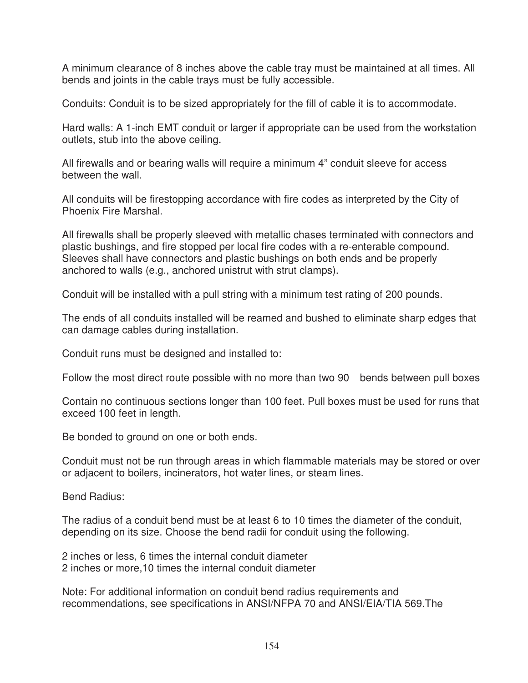A minimum clearance of 8 inches above the cable tray must be maintained at all times. All bends and joints in the cable trays must be fully accessible.

Conduits: Conduit is to be sized appropriately for the fill of cable it is to accommodate.

Hard walls: A 1-inch EMT conduit or larger if appropriate can be used from the workstation outlets, stub into the above ceiling.

All firewalls and or bearing walls will require a minimum 4" conduit sleeve for access between the wall.

All conduits will be firestopping accordance with fire codes as interpreted by the City of Phoenix Fire Marshal.

All firewalls shall be properly sleeved with metallic chases terminated with connectors and plastic bushings, and fire stopped per local fire codes with a re-enterable compound. Sleeves shall have connectors and plastic bushings on both ends and be properly anchored to walls (e.g., anchored unistrut with strut clamps).

Conduit will be installed with a pull string with a minimum test rating of 200 pounds.

The ends of all conduits installed will be reamed and bushed to eliminate sharp edges that can damage cables during installation.

Conduit runs must be designed and installed to:

Follow the most direct route possible with no more than two 90 bends between pull boxes

Contain no continuous sections longer than 100 feet. Pull boxes must be used for runs that exceed 100 feet in length.

Be bonded to ground on one or both ends.

Conduit must not be run through areas in which flammable materials may be stored or over or adjacent to boilers, incinerators, hot water lines, or steam lines.

Bend Radius:

The radius of a conduit bend must be at least 6 to 10 times the diameter of the conduit, depending on its size. Choose the bend radii for conduit using the following.

2 inches or less, 6 times the internal conduit diameter 2 inches or more,10 times the internal conduit diameter

Note: For additional information on conduit bend radius requirements and recommendations, see specifications in ANSI/NFPA 70 and ANSI/EIA/TIA 569.The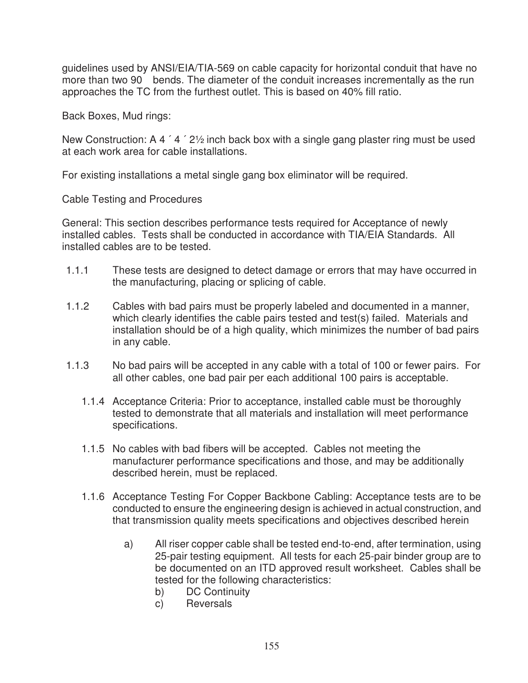guidelines used by ANSI/EIA/TIA-569 on cable capacity for horizontal conduit that have no more than two 90 bends. The diameter of the conduit increases incrementally as the run approaches the TC from the furthest outlet. This is based on 40% fill ratio.

Back Boxes, Mud rings:

New Construction: A 4 ' 4 ' 21/2 inch back box with a single gang plaster ring must be used at each work area for cable installations.

For existing installations a metal single gang box eliminator will be required.

Cable Testing and Procedures

General: This section describes performance tests required for Acceptance of newly installed cables. Tests shall be conducted in accordance with TIA/EIA Standards. All installed cables are to be tested.

- 1.1.1 These tests are designed to detect damage or errors that may have occurred in the manufacturing, placing or splicing of cable.
- 1.1.2 Cables with bad pairs must be properly labeled and documented in a manner, which clearly identifies the cable pairs tested and test(s) failed. Materials and installation should be of a high quality, which minimizes the number of bad pairs in any cable.
- 1.1.3 No bad pairs will be accepted in any cable with a total of 100 or fewer pairs. For all other cables, one bad pair per each additional 100 pairs is acceptable.
	- 1.1.4 Acceptance Criteria: Prior to acceptance, installed cable must be thoroughly tested to demonstrate that all materials and installation will meet performance specifications.
	- 1.1.5 No cables with bad fibers will be accepted. Cables not meeting the manufacturer performance specifications and those, and may be additionally described herein, must be replaced.
	- 1.1.6 Acceptance Testing For Copper Backbone Cabling: Acceptance tests are to be conducted to ensure the engineering design is achieved in actual construction, and that transmission quality meets specifications and objectives described herein
		- a) All riser copper cable shall be tested end-to-end, after termination, using 25-pair testing equipment. All tests for each 25-pair binder group are to be documented on an ITD approved result worksheet. Cables shall be tested for the following characteristics:
			- b) DC Continuity
			- c) Reversals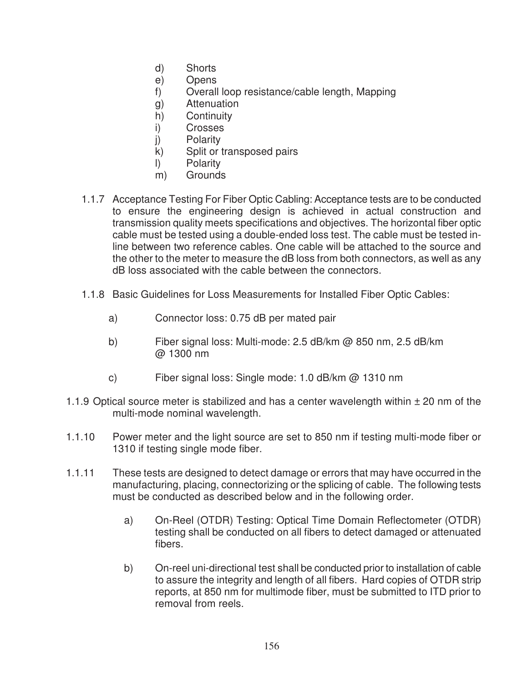- d) Shorts
- e) Opens
- f) Overall loop resistance/cable length, Mapping
- g) Attenuation
- h) Continuity
- i) Crosses
- j) Polarity
- k) Split or transposed pairs
- l) Polarity
- m) Grounds
- 1.1.7 Acceptance Testing For Fiber Optic Cabling: Acceptance tests are to be conducted to ensure the engineering design is achieved in actual construction and transmission quality meets specifications and objectives. The horizontal fiber optic cable must be tested using a double-ended loss test. The cable must be tested inline between two reference cables. One cable will be attached to the source and the other to the meter to measure the dB loss from both connectors, as well as any dB loss associated with the cable between the connectors.
- 1.1.8 Basic Guidelines for Loss Measurements for Installed Fiber Optic Cables:
	- a) Connector loss: 0.75 dB per mated pair
	- b) Fiber signal loss: Multi-mode: 2.5 dB/km @ 850 nm, 2.5 dB/km @ 1300 nm
	- c) Fiber signal loss: Single mode: 1.0 dB/km @ 1310 nm
- 1.1.9 Optical source meter is stabilized and has a center wavelength within  $\pm$  20 nm of the multi-mode nominal wavelength.
- 1.1.10 Power meter and the light source are set to 850 nm if testing multi-mode fiber or 1310 if testing single mode fiber.
- 1.1.11 These tests are designed to detect damage or errors that may have occurred in the manufacturing, placing, connectorizing or the splicing of cable. The following tests must be conducted as described below and in the following order.
	- a) On-Reel (OTDR) Testing: Optical Time Domain Reflectometer (OTDR) testing shall be conducted on all fibers to detect damaged or attenuated fibers.
	- b) On-reel uni-directional test shall be conducted prior to installation of cable to assure the integrity and length of all fibers. Hard copies of OTDR strip reports, at 850 nm for multimode fiber, must be submitted to ITD prior to removal from reels.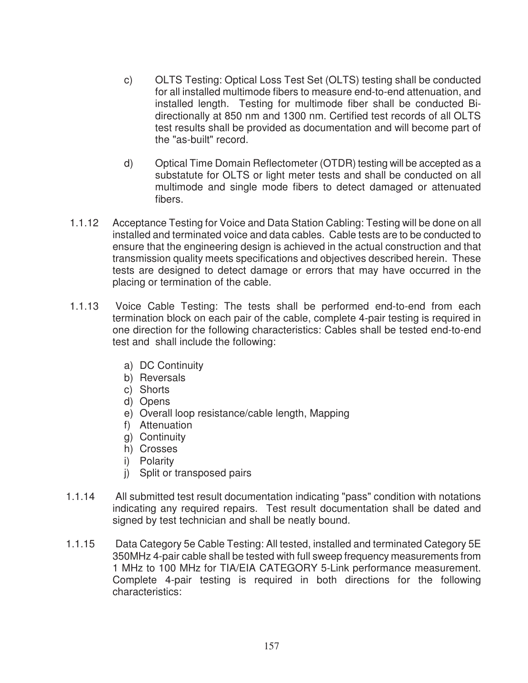- c) OLTS Testing: Optical Loss Test Set (OLTS) testing shall be conducted for all installed multimode fibers to measure end-to-end attenuation, and installed length. Testing for multimode fiber shall be conducted Bidirectionally at 850 nm and 1300 nm. Certified test records of all OLTS test results shall be provided as documentation and will become part of the "as-built" record.
- d) Optical Time Domain Reflectometer (OTDR) testing will be accepted as a substatute for OLTS or light meter tests and shall be conducted on all multimode and single mode fibers to detect damaged or attenuated fibers.
- 1.1.12 Acceptance Testing for Voice and Data Station Cabling: Testing will be done on all installed and terminated voice and data cables. Cable tests are to be conducted to ensure that the engineering design is achieved in the actual construction and that transmission quality meets specifications and objectives described herein. These tests are designed to detect damage or errors that may have occurred in the placing or termination of the cable.
- 1.1.13 Voice Cable Testing: The tests shall be performed end-to-end from each termination block on each pair of the cable, complete 4-pair testing is required in one direction for the following characteristics: Cables shall be tested end-to-end test and shall include the following:
	- a) DC Continuity
	- b) Reversals
	- c) Shorts
	- d) Opens
	- e) Overall loop resistance/cable length, Mapping
	- f) Attenuation
	- g) Continuity
	- h) Crosses
	- i) Polarity
	- j) Split or transposed pairs
- 1.1.14 All submitted test result documentation indicating "pass" condition with notations indicating any required repairs. Test result documentation shall be dated and signed by test technician and shall be neatly bound.
- 1.1.15 Data Category 5e Cable Testing: All tested, installed and terminated Category 5E 350MHz 4-pair cable shall be tested with full sweep frequency measurements from 1 MHz to 100 MHz for TIA/EIA CATEGORY 5-Link performance measurement. Complete 4-pair testing is required in both directions for the following characteristics: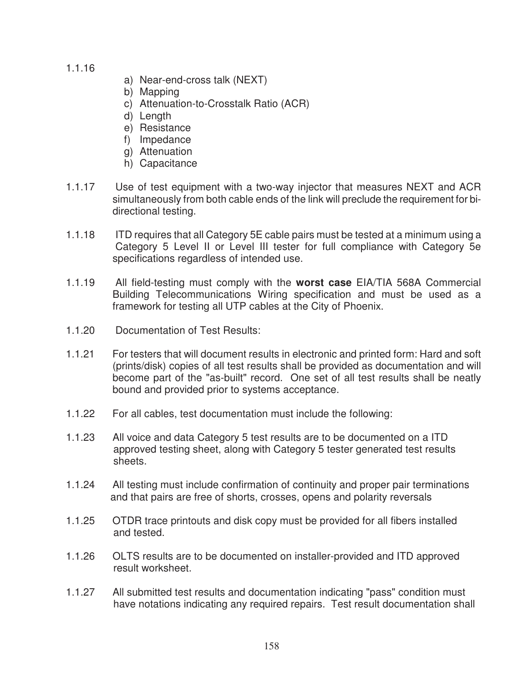1.1.16

- a) Near-end-cross talk (NEXT)
- b) Mapping
- c) Attenuation-to-Crosstalk Ratio (ACR)
- d) Length
- e) Resistance
- f) Impedance
- g) Attenuation
- h) Capacitance
- 1.1.17 Use of test equipment with a two-way injector that measures NEXT and ACR simultaneously from both cable ends of the link will preclude the requirement for bidirectional testing.
- 1.1.18 ITD requires that all Category 5E cable pairs must be tested at a minimum using a Category 5 Level II or Level III tester for full compliance with Category 5e specifications regardless of intended use.
- 1.1.19 All field-testing must comply with the **worst case** EIA/TIA 568A Commercial Building Telecommunications Wiring specification and must be used as a framework for testing all UTP cables at the City of Phoenix.
- 1.1.20 Documentation of Test Results:
- 1.1.21 For testers that will document results in electronic and printed form: Hard and soft (prints/disk) copies of all test results shall be provided as documentation and will become part of the "as-built" record. One set of all test results shall be neatly bound and provided prior to systems acceptance.
- 1.1.22 For all cables, test documentation must include the following:
- 1.1.23 All voice and data Category 5 test results are to be documented on a ITD approved testing sheet, along with Category 5 tester generated test results sheets.
- 1.1.24 All testing must include confirmation of continuity and proper pair terminations and that pairs are free of shorts, crosses, opens and polarity reversals
- 1.1.25 OTDR trace printouts and disk copy must be provided for all fibers installed and tested.
- 1.1.26 OLTS results are to be documented on installer-provided and ITD approved result worksheet.
- 1.1.27 All submitted test results and documentation indicating "pass" condition must have notations indicating any required repairs. Test result documentation shall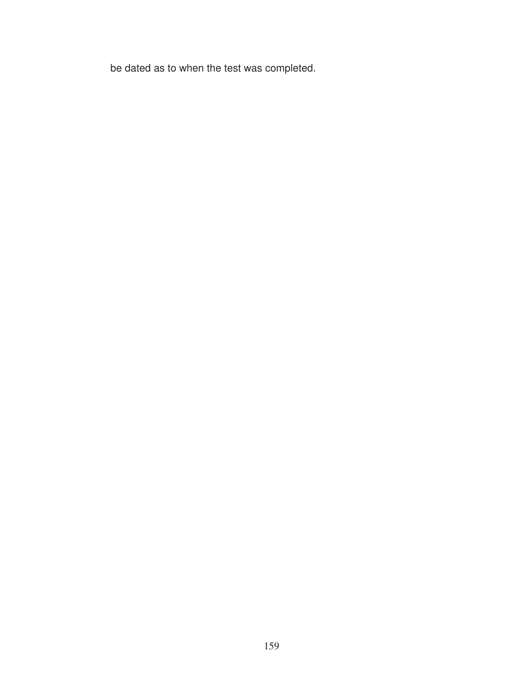be dated as to when the test was completed.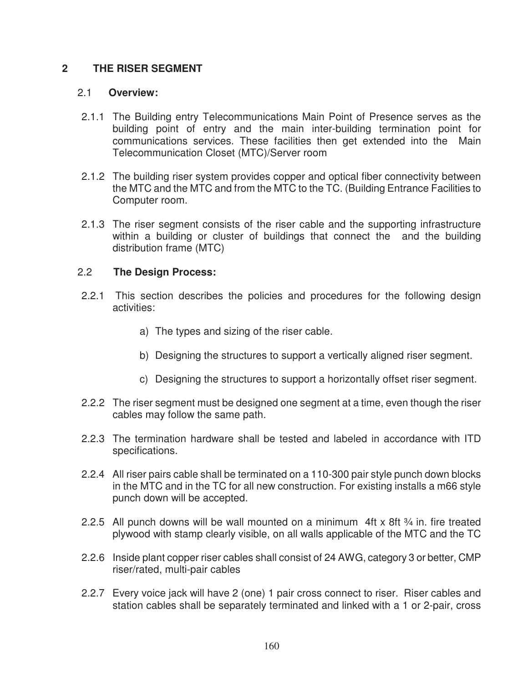# **2 THE RISER SEGMENT**

#### 2.1 **Overview:**

- 2.1.1 The Building entry Telecommunications Main Point of Presence serves as the building point of entry and the main inter-building termination point for communications services. These facilities then get extended into the Main Telecommunication Closet (MTC)/Server room
- 2.1.2 The building riser system provides copper and optical fiber connectivity between the MTC and the MTC and from the MTC to the TC. (Building Entrance Facilities to Computer room.
- 2.1.3 The riser segment consists of the riser cable and the supporting infrastructure within a building or cluster of buildings that connect the and the building distribution frame (MTC)

### 2.2 **The Design Process:**

- 2.2.1 This section describes the policies and procedures for the following design activities:
	- a) The types and sizing of the riser cable.
	- b) Designing the structures to support a vertically aligned riser segment.
	- c) Designing the structures to support a horizontally offset riser segment.
- 2.2.2 The riser segment must be designed one segment at a time, even though the riser cables may follow the same path.
- 2.2.3 The termination hardware shall be tested and labeled in accordance with ITD specifications.
- 2.2.4 All riser pairs cable shall be terminated on a 110-300 pair style punch down blocks in the MTC and in the TC for all new construction. For existing installs a m66 style punch down will be accepted.
- 2.2.5 All punch downs will be wall mounted on a minimum 4ft x 8ft  $\frac{3}{4}$  in. fire treated plywood with stamp clearly visible, on all walls applicable of the MTC and the TC
- 2.2.6 Inside plant copper riser cables shall consist of 24 AWG, category 3 or better, CMP riser/rated, multi-pair cables
- 2.2.7 Every voice jack will have 2 (one) 1 pair cross connect to riser. Riser cables and station cables shall be separately terminated and linked with a 1 or 2-pair, cross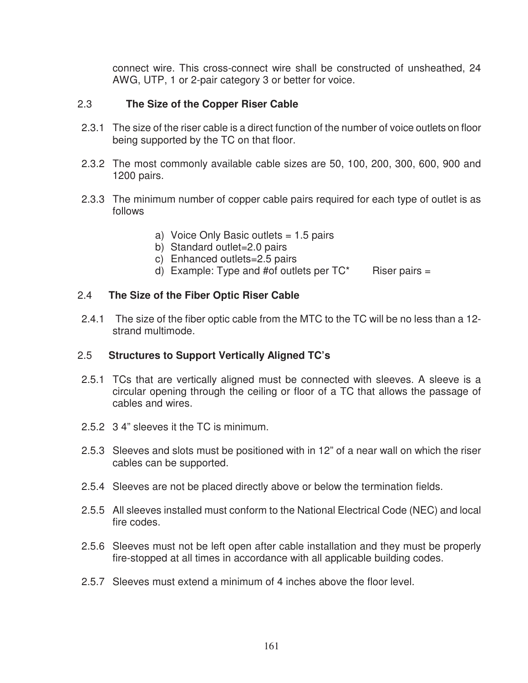connect wire. This cross-connect wire shall be constructed of unsheathed, 24 AWG, UTP, 1 or 2-pair category 3 or better for voice.

### 2.3 **The Size of the Copper Riser Cable**

- 2.3.1 The size of the riser cable is a direct function of the number of voice outlets on floor being supported by the TC on that floor.
- 2.3.2 The most commonly available cable sizes are 50, 100, 200, 300, 600, 900 and 1200 pairs.
- 2.3.3 The minimum number of copper cable pairs required for each type of outlet is as follows
	- a) Voice Only Basic outlets = 1.5 pairs
	- b) Standard outlet=2.0 pairs
	- c) Enhanced outlets=2.5 pairs
	- d) Example: Type and #of outlets per  $TC^*$  Riser pairs =

### 2.4 **The Size of the Fiber Optic Riser Cable**

2.4.1 The size of the fiber optic cable from the MTC to the TC will be no less than a 12 strand multimode.

### 2.5 **Structures to Support Vertically Aligned TC's**

- 2.5.1 TCs that are vertically aligned must be connected with sleeves. A sleeve is a circular opening through the ceiling or floor of a TC that allows the passage of cables and wires.
- 2.5.2 3 4" sleeves it the TC is minimum.
- 2.5.3 Sleeves and slots must be positioned with in 12" of a near wall on which the riser cables can be supported.
- 2.5.4 Sleeves are not be placed directly above or below the termination fields.
- 2.5.5 All sleeves installed must conform to the National Electrical Code (NEC) and local fire codes.
- 2.5.6 Sleeves must not be left open after cable installation and they must be properly fire-stopped at all times in accordance with all applicable building codes.
- 2.5.7 Sleeves must extend a minimum of 4 inches above the floor level.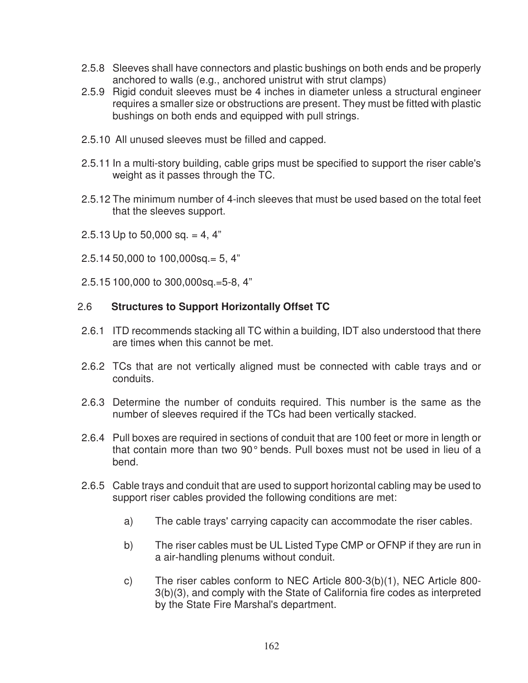- 2.5.8 Sleeves shall have connectors and plastic bushings on both ends and be properly anchored to walls (e.g., anchored unistrut with strut clamps)
- 2.5.9 Rigid conduit sleeves must be 4 inches in diameter unless a structural engineer requires a smaller size or obstructions are present. They must be fitted with plastic bushings on both ends and equipped with pull strings.
- 2.5.10 All unused sleeves must be filled and capped.
- 2.5.11 In a multi-story building, cable grips must be specified to support the riser cable's weight as it passes through the TC.
- 2.5.12 The minimum number of 4-inch sleeves that must be used based on the total feet that the sleeves support.
- 2.5.13 Up to 50,000 sq. = 4, 4"
- 2.5.14 50,000 to 100,000sq.= 5, 4"
- 2.5.15 100,000 to 300,000sq.=5-8, 4"

# 2.6 **Structures to Support Horizontally Offset TC**

- 2.6.1 ITD recommends stacking all TC within a building, IDT also understood that there are times when this cannot be met.
- 2.6.2 TCs that are not vertically aligned must be connected with cable trays and or conduits.
- 2.6.3 Determine the number of conduits required. This number is the same as the number of sleeves required if the TCs had been vertically stacked.
- 2.6.4 Pull boxes are required in sections of conduit that are 100 feet or more in length or that contain more than two 90° bends. Pull boxes must not be used in lieu of a bend.
- 2.6.5 Cable trays and conduit that are used to support horizontal cabling may be used to support riser cables provided the following conditions are met:
	- a) The cable trays' carrying capacity can accommodate the riser cables.
	- b) The riser cables must be UL Listed Type CMP or OFNP if they are run in a air-handling plenums without conduit.
	- c) The riser cables conform to NEC Article 800-3(b)(1), NEC Article 800- 3(b)(3), and comply with the State of California fire codes as interpreted by the State Fire Marshal's department.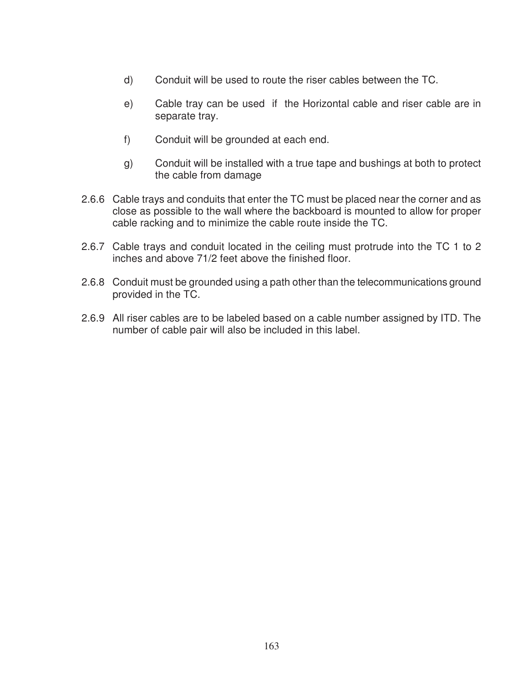- d) Conduit will be used to route the riser cables between the TC.
- e) Cable tray can be used if the Horizontal cable and riser cable are in separate tray.
- f) Conduit will be grounded at each end.
- g) Conduit will be installed with a true tape and bushings at both to protect the cable from damage
- 2.6.6 Cable trays and conduits that enter the TC must be placed near the corner and as close as possible to the wall where the backboard is mounted to allow for proper cable racking and to minimize the cable route inside the TC.
- 2.6.7 Cable trays and conduit located in the ceiling must protrude into the TC 1 to 2 inches and above 71/2 feet above the finished floor.
- 2.6.8 Conduit must be grounded using a path other than the telecommunications ground provided in the TC.
- 2.6.9 All riser cables are to be labeled based on a cable number assigned by ITD. The number of cable pair will also be included in this label.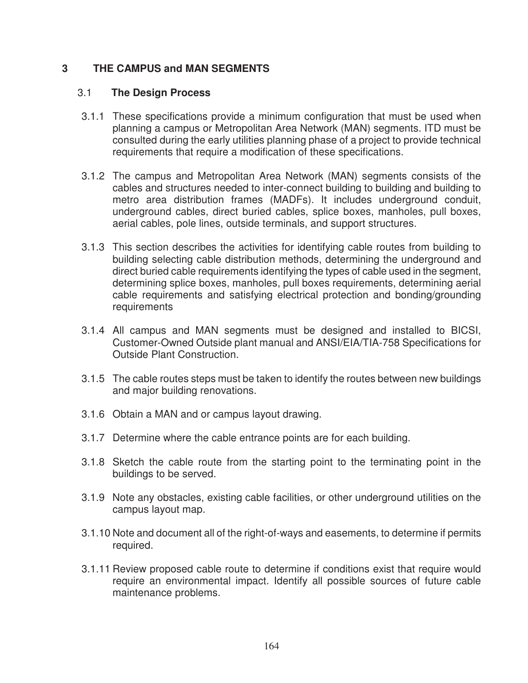# **3 THE CAMPUS and MAN SEGMENTS**

### 3.1 **The Design Process**

- 3.1.1 These specifications provide a minimum configuration that must be used when planning a campus or Metropolitan Area Network (MAN) segments. ITD must be consulted during the early utilities planning phase of a project to provide technical requirements that require a modification of these specifications.
- 3.1.2 The campus and Metropolitan Area Network (MAN) segments consists of the cables and structures needed to inter-connect building to building and building to metro area distribution frames (MADFs). It includes underground conduit, underground cables, direct buried cables, splice boxes, manholes, pull boxes, aerial cables, pole lines, outside terminals, and support structures.
- 3.1.3 This section describes the activities for identifying cable routes from building to building selecting cable distribution methods, determining the underground and direct buried cable requirements identifying the types of cable used in the segment, determining splice boxes, manholes, pull boxes requirements, determining aerial cable requirements and satisfying electrical protection and bonding/grounding requirements
- 3.1.4 All campus and MAN segments must be designed and installed to BICSI, Customer-Owned Outside plant manual and ANSI/EIA/TIA-758 Specifications for Outside Plant Construction.
- 3.1.5 The cable routes steps must be taken to identify the routes between new buildings and major building renovations.
- 3.1.6 Obtain a MAN and or campus layout drawing.
- 3.1.7 Determine where the cable entrance points are for each building.
- 3.1.8 Sketch the cable route from the starting point to the terminating point in the buildings to be served.
- 3.1.9 Note any obstacles, existing cable facilities, or other underground utilities on the campus layout map.
- 3.1.10 Note and document all of the right-of-ways and easements, to determine if permits required.
- 3.1.11 Review proposed cable route to determine if conditions exist that require would require an environmental impact. Identify all possible sources of future cable maintenance problems.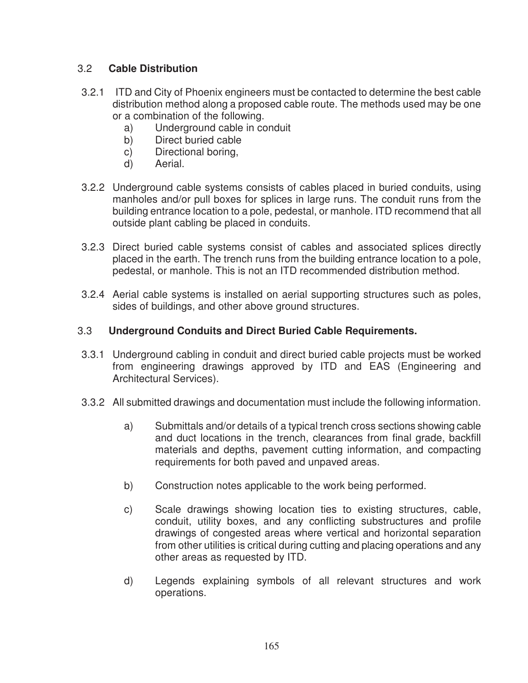# 3.2 **Cable Distribution**

- 3.2.1 ITD and City of Phoenix engineers must be contacted to determine the best cable distribution method along a proposed cable route. The methods used may be one or a combination of the following.
	- a) Underground cable in conduit
	- b) Direct buried cable
	- c) Directional boring,
	- d) Aerial.
- 3.2.2 Underground cable systems consists of cables placed in buried conduits, using manholes and/or pull boxes for splices in large runs. The conduit runs from the building entrance location to a pole, pedestal, or manhole. ITD recommend that all outside plant cabling be placed in conduits.
- 3.2.3 Direct buried cable systems consist of cables and associated splices directly placed in the earth. The trench runs from the building entrance location to a pole, pedestal, or manhole. This is not an ITD recommended distribution method.
- 3.2.4 Aerial cable systems is installed on aerial supporting structures such as poles, sides of buildings, and other above ground structures.

# 3.3 **Underground Conduits and Direct Buried Cable Requirements.**

- 3.3.1 Underground cabling in conduit and direct buried cable projects must be worked from engineering drawings approved by ITD and EAS (Engineering and Architectural Services).
- 3.3.2 All submitted drawings and documentation must include the following information.
	- a) Submittals and/or details of a typical trench cross sections showing cable and duct locations in the trench, clearances from final grade, backfill materials and depths, pavement cutting information, and compacting requirements for both paved and unpaved areas.
	- b) Construction notes applicable to the work being performed.
	- c) Scale drawings showing location ties to existing structures, cable, conduit, utility boxes, and any conflicting substructures and profile drawings of congested areas where vertical and horizontal separation from other utilities is critical during cutting and placing operations and any other areas as requested by ITD.
	- d) Legends explaining symbols of all relevant structures and work operations.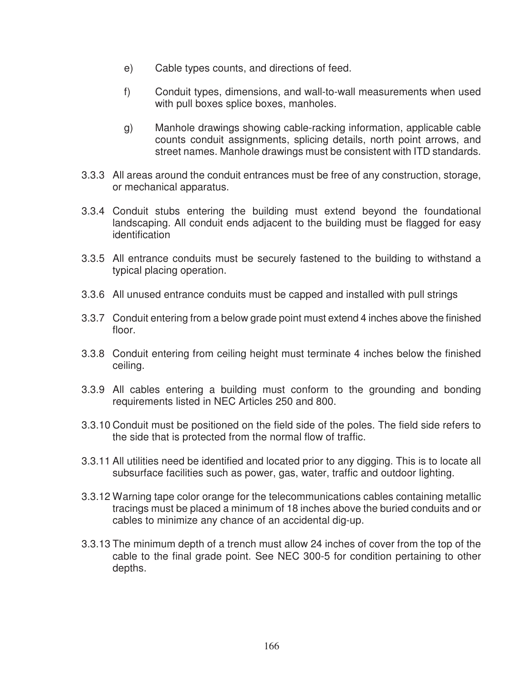- e) Cable types counts, and directions of feed.
- f) Conduit types, dimensions, and wall-to-wall measurements when used with pull boxes splice boxes, manholes.
- g) Manhole drawings showing cable-racking information, applicable cable counts conduit assignments, splicing details, north point arrows, and street names. Manhole drawings must be consistent with ITD standards.
- 3.3.3 All areas around the conduit entrances must be free of any construction, storage, or mechanical apparatus.
- 3.3.4 Conduit stubs entering the building must extend beyond the foundational landscaping. All conduit ends adjacent to the building must be flagged for easy identification
- 3.3.5 All entrance conduits must be securely fastened to the building to withstand a typical placing operation.
- 3.3.6 All unused entrance conduits must be capped and installed with pull strings
- 3.3.7 Conduit entering from a below grade point must extend 4 inches above the finished floor.
- 3.3.8 Conduit entering from ceiling height must terminate 4 inches below the finished ceiling.
- 3.3.9 All cables entering a building must conform to the grounding and bonding requirements listed in NEC Articles 250 and 800.
- 3.3.10 Conduit must be positioned on the field side of the poles. The field side refers to the side that is protected from the normal flow of traffic.
- 3.3.11 All utilities need be identified and located prior to any digging. This is to locate all subsurface facilities such as power, gas, water, traffic and outdoor lighting.
- 3.3.12 Warning tape color orange for the telecommunications cables containing metallic tracings must be placed a minimum of 18 inches above the buried conduits and or cables to minimize any chance of an accidental dig-up.
- 3.3.13 The minimum depth of a trench must allow 24 inches of cover from the top of the cable to the final grade point. See NEC 300-5 for condition pertaining to other depths.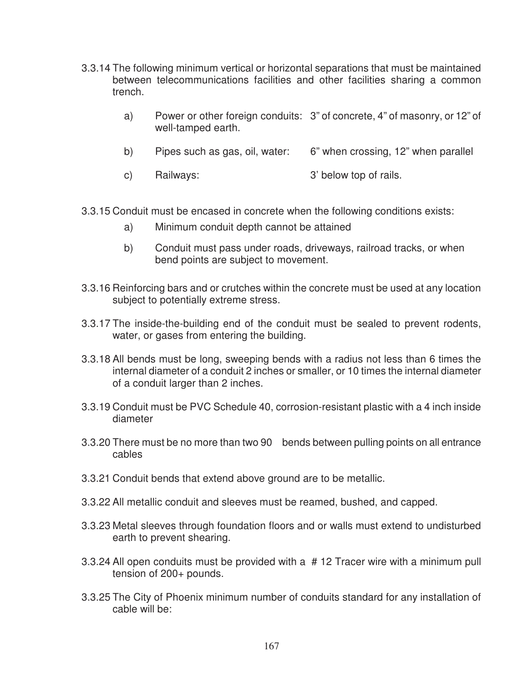- 3.3.14 The following minimum vertical or horizontal separations that must be maintained between telecommunications facilities and other facilities sharing a common trench.
	- a) Power or other foreign conduits: 3" of concrete, 4" of masonry, or 12" of well-tamped earth.
	- b) Pipes such as gas, oil, water: 6" when crossing, 12" when parallel
	- c) Railways: 3' below top of rails.
- 3.3.15 Conduit must be encased in concrete when the following conditions exists:
	- a) Minimum conduit depth cannot be attained
	- b) Conduit must pass under roads, driveways, railroad tracks, or when bend points are subject to movement.
- 3.3.16 Reinforcing bars and or crutches within the concrete must be used at any location subject to potentially extreme stress.
- 3.3.17 The inside-the-building end of the conduit must be sealed to prevent rodents, water, or gases from entering the building.
- 3.3.18 All bends must be long, sweeping bends with a radius not less than 6 times the internal diameter of a conduit 2 inches or smaller, or 10 times the internal diameter of a conduit larger than 2 inches.
- 3.3.19 Conduit must be PVC Schedule 40, corrosion-resistant plastic with a 4 inch inside diameter
- 3.3.20 There must be no more than two 90 bends between pulling points on all entrance cables
- 3.3.21 Conduit bends that extend above ground are to be metallic.
- 3.3.22 All metallic conduit and sleeves must be reamed, bushed, and capped.
- 3.3.23 Metal sleeves through foundation floors and or walls must extend to undisturbed earth to prevent shearing.
- 3.3.24 All open conduits must be provided with a # 12 Tracer wire with a minimum pull tension of 200+ pounds.
- 3.3.25 The City of Phoenix minimum number of conduits standard for any installation of cable will be: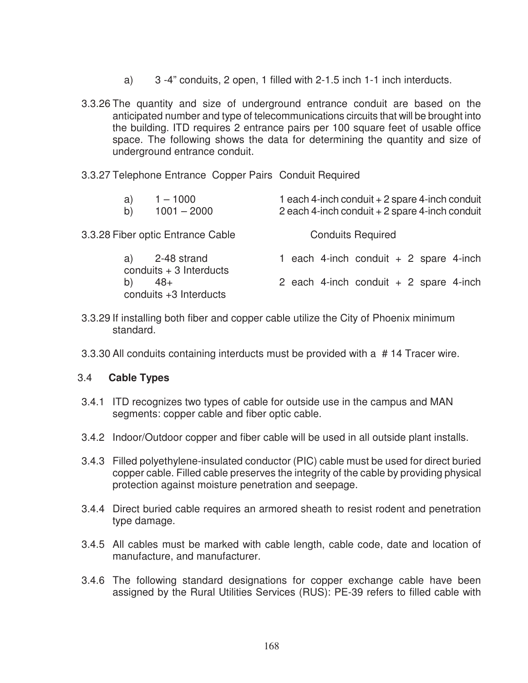- a) 3 -4" conduits, 2 open, 1 filled with 2-1.5 inch 1-1 inch interducts.
- 3.3.26 The quantity and size of underground entrance conduit are based on the anticipated number and type of telecommunications circuits that will be brought into the building. ITD requires 2 entrance pairs per 100 square feet of usable office space. The following shows the data for determining the quantity and size of underground entrance conduit.
- 3.3.27 Telephone Entrance Copper Pairs Conduit Required

| $1 - 1000$<br>a)<br>$1001 - 2000$<br>b)       | 1 each 4-inch conduit + 2 spare 4-inch conduit<br>2 each 4-inch conduit + 2 spare 4-inch conduit |
|-----------------------------------------------|--------------------------------------------------------------------------------------------------|
| 3.3.28 Fiber optic Entrance Cable             | <b>Conduits Required</b>                                                                         |
| 2-48 strand<br>a)<br>conduits $+3$ Interducts | 1 each 4-inch conduit $+ 2$ spare 4-inch                                                         |
| $48+$<br>b)<br>conduits +3 Interducts         | 2 each 4-inch conduit $+$ 2 spare 4-inch                                                         |

- 3.3.29 If installing both fiber and copper cable utilize the City of Phoenix minimum standard.
- 3.3.30 All conduits containing interducts must be provided with a # 14 Tracer wire.

### 3.4 **Cable Types**

- 3.4.1 ITD recognizes two types of cable for outside use in the campus and MAN segments: copper cable and fiber optic cable.
- 3.4.2 Indoor/Outdoor copper and fiber cable will be used in all outside plant installs.
- 3.4.3 Filled polyethylene-insulated conductor (PIC) cable must be used for direct buried copper cable. Filled cable preserves the integrity of the cable by providing physical protection against moisture penetration and seepage.
- 3.4.4 Direct buried cable requires an armored sheath to resist rodent and penetration type damage.
- 3.4.5 All cables must be marked with cable length, cable code, date and location of manufacture, and manufacturer.
- 3.4.6 The following standard designations for copper exchange cable have been assigned by the Rural Utilities Services (RUS): PE-39 refers to filled cable with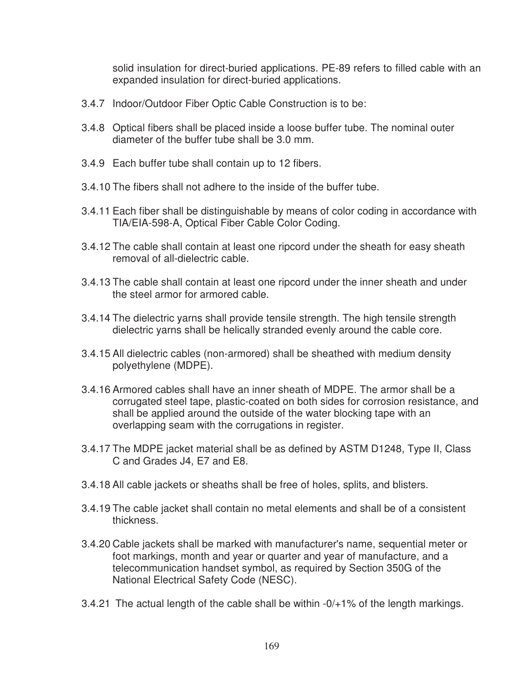solid insulation for direct-buried applications. PE-89 refers to filled cable with an expanded insulation for direct-buried applications.

- 3.4.7 Indoor/Outdoor Fiber Optic Cable Construction is to be:
- 3.4.8 Optical fibers shall be placed inside a loose buffer tube. The nominal outer diameter of the buffer tube shall be 3.0 mm.
- 3.4.9 Each buffer tube shall contain up to 12 fibers.
- 3.4.10 The fibers shall not adhere to the inside of the buffer tube.
- 3.4.11 Each fiber shall be distinguishable by means of color coding in accordance with TIA/EIA-598-A, Optical Fiber Cable Color Coding.
- 3.4.12 The cable shall contain at least one ripcord under the sheath for easy sheath removal of all-dielectric cable.
- 3.4.13 The cable shall contain at least one ripcord under the inner sheath and under the steel armor for armored cable.
- 3.4.14 The dielectric yarns shall provide tensile strength. The high tensile strength dielectric yarns shall be helically stranded evenly around the cable core.
- 3.4.15 All dielectric cables (non-armored) shall be sheathed with medium density polyethylene (MDPE).
- 3.4.16 Armored cables shall have an inner sheath of MDPE. The armor shall be a corrugated steel tape, plastic-coated on both sides for corrosion resistance, and shall be applied around the outside of the water blocking tape with an overlapping seam with the corrugations in register.
- 3.4.17 The MDPE jacket material shall be as defined by ASTM D1248, Type II, Class C and Grades J4, E7 and E8.
- 3.4.18 All cable jackets or sheaths shall be free of holes, splits, and blisters.
- 3.4.19 The cable jacket shall contain no metal elements and shall be of a consistent thickness.
- 3.4.20 Cable jackets shall be marked with manufacturer's name, sequential meter or foot markings, month and year or quarter and year of manufacture, and a telecommunication handset symbol, as required by Section 350G of the National Electrical Safety Code (NESC).
- 3.4.21 The actual length of the cable shall be within -0/+1% of the length markings.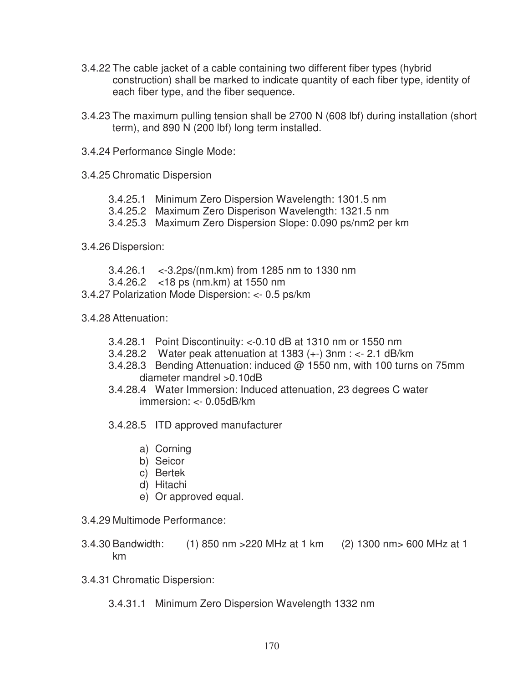- 3.4.22 The cable jacket of a cable containing two different fiber types (hybrid construction) shall be marked to indicate quantity of each fiber type, identity of each fiber type, and the fiber sequence.
- 3.4.23 The maximum pulling tension shall be 2700 N (608 lbf) during installation (short term), and 890 N (200 lbf) long term installed.
- 3.4.24 Performance Single Mode:
- 3.4.25 Chromatic Dispersion
	- 3.4.25.1 Minimum Zero Dispersion Wavelength: 1301.5 nm
	- 3.4.25.2 Maximum Zero Disperison Wavelength: 1321.5 nm
	- 3.4.25.3 Maximum Zero Dispersion Slope: 0.090 ps/nm2 per km
- 3.4.26 Dispersion:
	- 3.4.26.1 <-3.2ps/(nm.km) from 1285 nm to 1330 nm
	- 3.4.26.2 <18 ps (nm.km) at 1550 nm
- 3.4.27 Polarization Mode Dispersion: <- 0.5 ps/km
- 3.4.28 Attenuation:
	- 3.4.28.1 Point Discontinuity: <-0.10 dB at 1310 nm or 1550 nm
	- 3.4.28.2 Water peak attenuation at 1383 (+-) 3nm : <- 2.1 dB/km
	- 3.4.28.3 Bending Attenuation: induced @ 1550 nm, with 100 turns on 75mm diameter mandrel >0.10dB
	- 3.4.28.4 Water Immersion: Induced attenuation, 23 degrees C water immersion: <- 0.05dB/km
	- 3.4.28.5 ITD approved manufacturer
		- a) Corning
		- b) Seicor
		- c) Bertek
		- d) Hitachi
		- e) Or approved equal.

### 3.4.29 Multimode Performance:

- 3.4.30 Bandwidth: (1) 850 nm >220 MHz at 1 km (2) 1300 nm> 600 MHz at 1 km
- 3.4.31 Chromatic Dispersion:
	- 3.4.31.1 Minimum Zero Dispersion Wavelength 1332 nm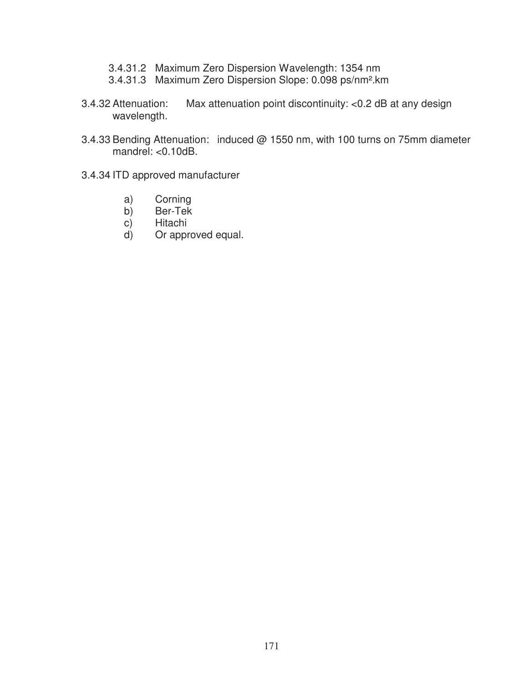- 3.4.31.2 Maximum Zero Dispersion Wavelength: 1354 nm
- 3.4.31.3 Maximum Zero Dispersion Slope: 0.098 ps/nm².km
- 3.4.32 Attenuation: Max attenuation point discontinuity: <0.2 dB at any design wavelength.
- 3.4.33 Bending Attenuation: induced @ 1550 nm, with 100 turns on 75mm diameter mandrel: <0.10dB.
- 3.4.34 ITD approved manufacturer
	- a) Corning<br>b) Ber-Tek
	- b) Ber-Tek<br>c) Hitachi
	- c) Hitachi<br>d) Or appr
	- Or approved equal.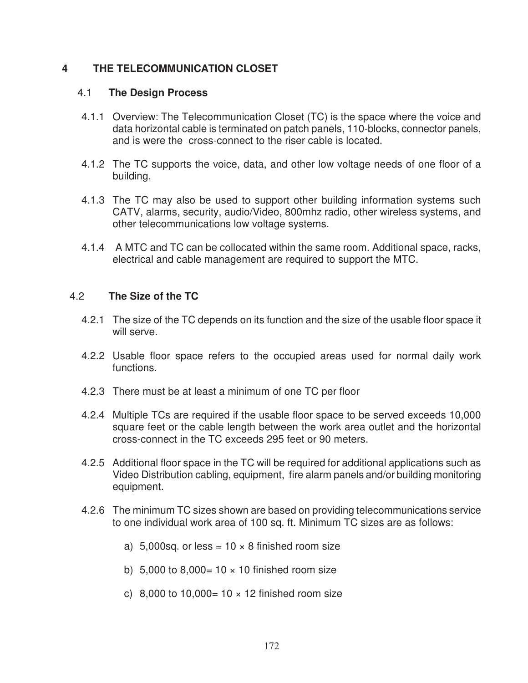### **4 THE TELECOMMUNICATION CLOSET**

#### 4.1 **The Design Process**

- 4.1.1 Overview: The Telecommunication Closet (TC) is the space where the voice and data horizontal cable is terminated on patch panels, 110-blocks, connector panels, and is were the cross-connect to the riser cable is located.
- 4.1.2 The TC supports the voice, data, and other low voltage needs of one floor of a building.
- 4.1.3 The TC may also be used to support other building information systems such CATV, alarms, security, audio/Video, 800mhz radio, other wireless systems, and other telecommunications low voltage systems.
- 4.1.4 A MTC and TC can be collocated within the same room. Additional space, racks, electrical and cable management are required to support the MTC.

### 4.2 **The Size of the TC**

- 4.2.1 The size of the TC depends on its function and the size of the usable floor space it will serve.
- 4.2.2 Usable floor space refers to the occupied areas used for normal daily work functions.
- 4.2.3 There must be at least a minimum of one TC per floor
- 4.2.4 Multiple TCs are required if the usable floor space to be served exceeds 10,000 square feet or the cable length between the work area outlet and the horizontal cross-connect in the TC exceeds 295 feet or 90 meters.
- 4.2.5 Additional floor space in the TC will be required for additional applications such as Video Distribution cabling, equipment, fire alarm panels and/or building monitoring equipment.
- 4.2.6 The minimum TC sizes shown are based on providing telecommunications service to one individual work area of 100 sq. ft. Minimum TC sizes are as follows:
	- a) 5,000sq. or less =  $10 \times 8$  finished room size
	- b) 5,000 to 8,000=  $10 \times 10$  finished room size
	- c) 8,000 to 10,000=  $10 \times 12$  finished room size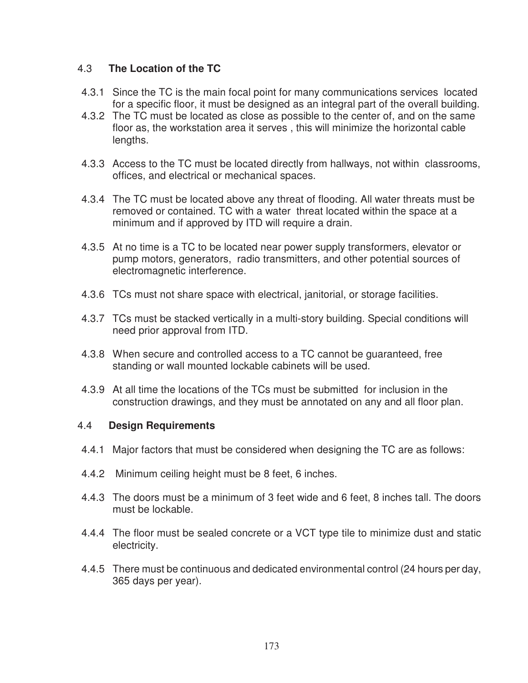## 4.3 **The Location of the TC**

- 4.3.1 Since the TC is the main focal point for many communications services located for a specific floor, it must be designed as an integral part of the overall building.
- 4.3.2 The TC must be located as close as possible to the center of, and on the same floor as, the workstation area it serves , this will minimize the horizontal cable lengths.
- 4.3.3 Access to the TC must be located directly from hallways, not within classrooms, offices, and electrical or mechanical spaces.
- 4.3.4 The TC must be located above any threat of flooding. All water threats must be removed or contained. TC with a water threat located within the space at a minimum and if approved by ITD will require a drain.
- 4.3.5 At no time is a TC to be located near power supply transformers, elevator or pump motors, generators, radio transmitters, and other potential sources of electromagnetic interference.
- 4.3.6 TCs must not share space with electrical, janitorial, or storage facilities.
- 4.3.7 TCs must be stacked vertically in a multi-story building. Special conditions will need prior approval from ITD.
- 4.3.8 When secure and controlled access to a TC cannot be guaranteed, free standing or wall mounted lockable cabinets will be used.
- 4.3.9 At all time the locations of the TCs must be submitted for inclusion in the construction drawings, and they must be annotated on any and all floor plan.

### 4.4 **Design Requirements**

- 4.4.1 Major factors that must be considered when designing the TC are as follows:
- 4.4.2 Minimum ceiling height must be 8 feet, 6 inches.
- 4.4.3 The doors must be a minimum of 3 feet wide and 6 feet, 8 inches tall. The doors must be lockable.
- 4.4.4 The floor must be sealed concrete or a VCT type tile to minimize dust and static electricity.
- 4.4.5 There must be continuous and dedicated environmental control (24 hours per day, 365 days per year).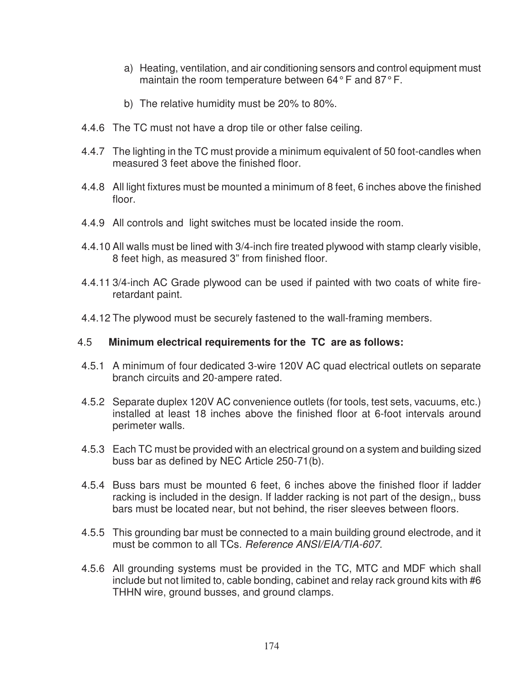- a) Heating, ventilation, and air conditioning sensors and control equipment must maintain the room temperature between 64° F and 87° F.
- b) The relative humidity must be 20% to 80%.
- 4.4.6 The TC must not have a drop tile or other false ceiling.
- 4.4.7 The lighting in the TC must provide a minimum equivalent of 50 foot-candles when measured 3 feet above the finished floor.
- 4.4.8 All light fixtures must be mounted a minimum of 8 feet, 6 inches above the finished floor.
- 4.4.9 All controls and light switches must be located inside the room.
- 4.4.10 All walls must be lined with 3/4-inch fire treated plywood with stamp clearly visible, 8 feet high, as measured 3" from finished floor.
- 4.4.11 3/4-inch AC Grade plywood can be used if painted with two coats of white fireretardant paint.
- 4.4.12 The plywood must be securely fastened to the wall-framing members.

### 4.5 **Minimum electrical requirements for the TC are as follows:**

- 4.5.1 A minimum of four dedicated 3-wire 120V AC quad electrical outlets on separate branch circuits and 20-ampere rated.
- 4.5.2 Separate duplex 120V AC convenience outlets (for tools, test sets, vacuums, etc.) installed at least 18 inches above the finished floor at 6-foot intervals around perimeter walls.
- 4.5.3 Each TC must be provided with an electrical ground on a system and building sized buss bar as defined by NEC Article 250-71(b).
- 4.5.4 Buss bars must be mounted 6 feet, 6 inches above the finished floor if ladder racking is included in the design. If ladder racking is not part of the design,, buss bars must be located near, but not behind, the riser sleeves between floors.
- 4.5.5 This grounding bar must be connected to a main building ground electrode, and it must be common to all TCs. Reference ANSI/EIA/TIA-607.
- 4.5.6 All grounding systems must be provided in the TC, MTC and MDF which shall include but not limited to, cable bonding, cabinet and relay rack ground kits with #6 THHN wire, ground busses, and ground clamps.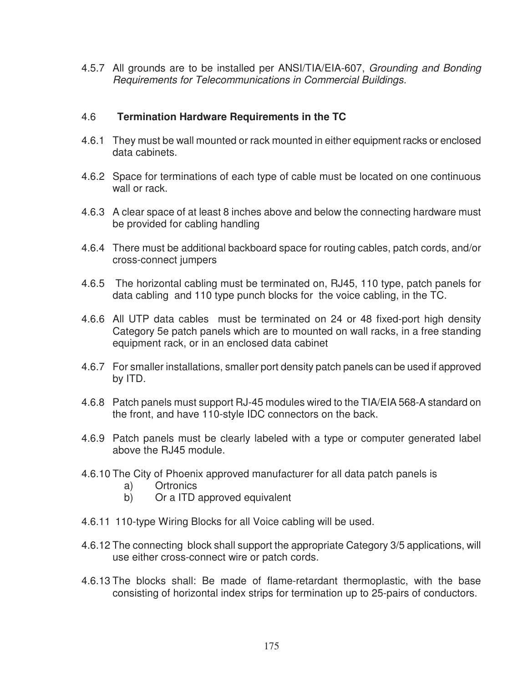4.5.7 All grounds are to be installed per ANSI/TIA/EIA-607, Grounding and Bonding Requirements for Telecommunications in Commercial Buildings.

### 4.6 **Termination Hardware Requirements in the TC**

- 4.6.1 They must be wall mounted or rack mounted in either equipment racks or enclosed data cabinets.
- 4.6.2 Space for terminations of each type of cable must be located on one continuous wall or rack.
- 4.6.3 A clear space of at least 8 inches above and below the connecting hardware must be provided for cabling handling
- 4.6.4 There must be additional backboard space for routing cables, patch cords, and/or cross-connect jumpers
- 4.6.5 The horizontal cabling must be terminated on, RJ45, 110 type, patch panels for data cabling and 110 type punch blocks for the voice cabling, in the TC.
- 4.6.6 All UTP data cables must be terminated on 24 or 48 fixed-port high density Category 5e patch panels which are to mounted on wall racks, in a free standing equipment rack, or in an enclosed data cabinet
- 4.6.7 For smaller installations, smaller port density patch panels can be used if approved by ITD.
- 4.6.8 Patch panels must support RJ-45 modules wired to the TIA/EIA 568-A standard on the front, and have 110-style IDC connectors on the back.
- 4.6.9 Patch panels must be clearly labeled with a type or computer generated label above the RJ45 module.
- 4.6.10 The City of Phoenix approved manufacturer for all data patch panels is
	- a) Ortronics
	- b) Or a ITD approved equivalent
- 4.6.11 110-type Wiring Blocks for all Voice cabling will be used.
- 4.6.12 The connecting block shall support the appropriate Category 3/5 applications, will use either cross-connect wire or patch cords.
- 4.6.13 The blocks shall: Be made of flame-retardant thermoplastic, with the base consisting of horizontal index strips for termination up to 25-pairs of conductors.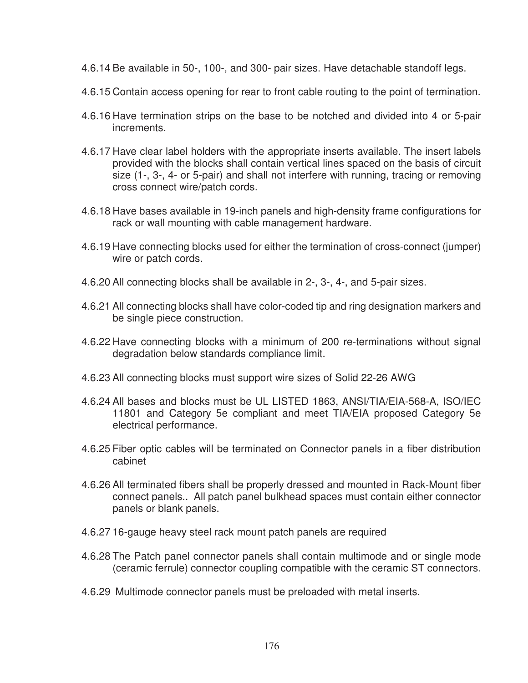- 4.6.14 Be available in 50-, 100-, and 300- pair sizes. Have detachable standoff legs.
- 4.6.15 Contain access opening for rear to front cable routing to the point of termination.
- 4.6.16 Have termination strips on the base to be notched and divided into 4 or 5-pair increments.
- 4.6.17 Have clear label holders with the appropriate inserts available. The insert labels provided with the blocks shall contain vertical lines spaced on the basis of circuit size (1-, 3-, 4- or 5-pair) and shall not interfere with running, tracing or removing cross connect wire/patch cords.
- 4.6.18 Have bases available in 19-inch panels and high-density frame configurations for rack or wall mounting with cable management hardware.
- 4.6.19 Have connecting blocks used for either the termination of cross-connect (jumper) wire or patch cords.
- 4.6.20 All connecting blocks shall be available in 2-, 3-, 4-, and 5-pair sizes.
- 4.6.21 All connecting blocks shall have color-coded tip and ring designation markers and be single piece construction.
- 4.6.22 Have connecting blocks with a minimum of 200 re-terminations without signal degradation below standards compliance limit.
- 4.6.23 All connecting blocks must support wire sizes of Solid 22-26 AWG
- 4.6.24 All bases and blocks must be UL LISTED 1863, ANSI/TIA/EIA-568-A, ISO/IEC 11801 and Category 5e compliant and meet TIA/EIA proposed Category 5e electrical performance.
- 4.6.25 Fiber optic cables will be terminated on Connector panels in a fiber distribution cabinet
- 4.6.26 All terminated fibers shall be properly dressed and mounted in Rack-Mount fiber connect panels.. All patch panel bulkhead spaces must contain either connector panels or blank panels.
- 4.6.27 16-gauge heavy steel rack mount patch panels are required
- 4.6.28 The Patch panel connector panels shall contain multimode and or single mode (ceramic ferrule) connector coupling compatible with the ceramic ST connectors.
- 4.6.29 Multimode connector panels must be preloaded with metal inserts.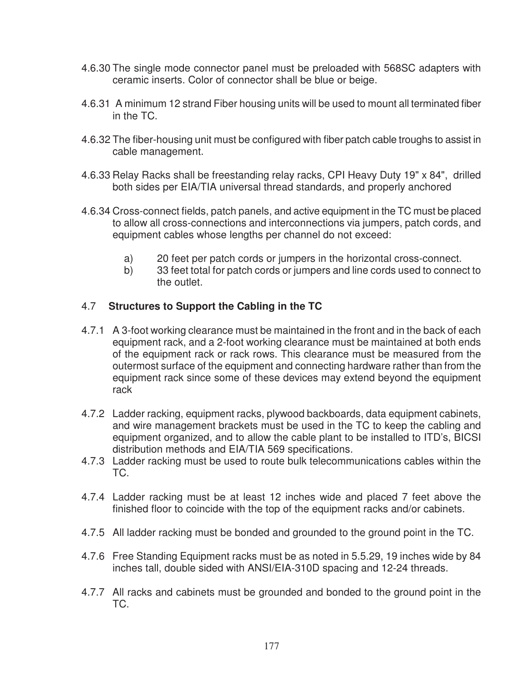- 4.6.30 The single mode connector panel must be preloaded with 568SC adapters with ceramic inserts. Color of connector shall be blue or beige.
- 4.6.31 A minimum 12 strand Fiber housing units will be used to mount all terminated fiber in the TC.
- 4.6.32 The fiber-housing unit must be configured with fiber patch cable troughs to assist in cable management.
- 4.6.33 Relay Racks shall be freestanding relay racks, CPI Heavy Duty 19" x 84", drilled both sides per EIA/TIA universal thread standards, and properly anchored
- 4.6.34 Cross-connect fields, patch panels, and active equipment in the TC must be placed to allow all cross-connections and interconnections via jumpers, patch cords, and equipment cables whose lengths per channel do not exceed:
	- a) 20 feet per patch cords or jumpers in the horizontal cross-connect.
	- b) 33 feet total for patch cords or jumpers and line cords used to connect to the outlet.

# 4.7 **Structures to Support the Cabling in the TC**

- 4.7.1 A 3-foot working clearance must be maintained in the front and in the back of each equipment rack, and a 2-foot working clearance must be maintained at both ends of the equipment rack or rack rows. This clearance must be measured from the outermost surface of the equipment and connecting hardware rather than from the equipment rack since some of these devices may extend beyond the equipment rack
- 4.7.2 Ladder racking, equipment racks, plywood backboards, data equipment cabinets, and wire management brackets must be used in the TC to keep the cabling and equipment organized, and to allow the cable plant to be installed to ITD's, BICSI distribution methods and EIA/TIA 569 specifications.
- 4.7.3 Ladder racking must be used to route bulk telecommunications cables within the TC.
- 4.7.4 Ladder racking must be at least 12 inches wide and placed 7 feet above the finished floor to coincide with the top of the equipment racks and/or cabinets.
- 4.7.5 All ladder racking must be bonded and grounded to the ground point in the TC.
- 4.7.6 Free Standing Equipment racks must be as noted in 5.5.29, 19 inches wide by 84 inches tall, double sided with ANSI/EIA-310D spacing and 12-24 threads.
- 4.7.7 All racks and cabinets must be grounded and bonded to the ground point in the TC.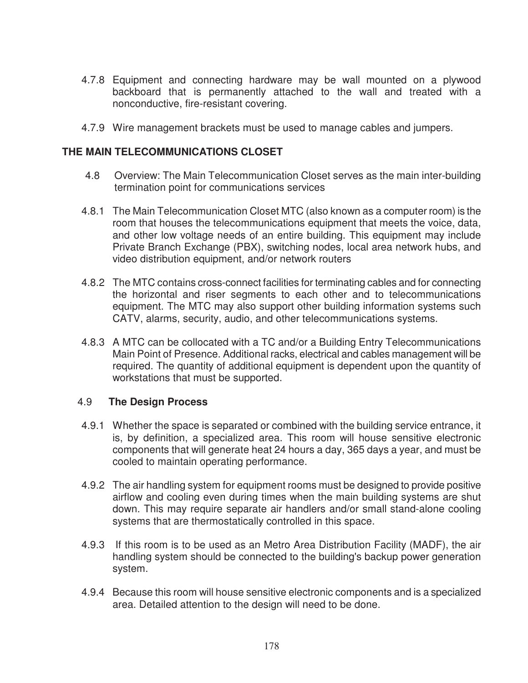- 4.7.8 Equipment and connecting hardware may be wall mounted on a plywood backboard that is permanently attached to the wall and treated with a nonconductive, fire-resistant covering.
- 4.7.9 Wire management brackets must be used to manage cables and jumpers.

### **THE MAIN TELECOMMUNICATIONS CLOSET**

- 4.8 Overview: The Main Telecommunication Closet serves as the main inter-building termination point for communications services
- 4.8.1 The Main Telecommunication Closet MTC (also known as a computer room) is the room that houses the telecommunications equipment that meets the voice, data, and other low voltage needs of an entire building. This equipment may include Private Branch Exchange (PBX), switching nodes, local area network hubs, and video distribution equipment, and/or network routers
- 4.8.2 The MTC contains cross-connect facilities for terminating cables and for connecting the horizontal and riser segments to each other and to telecommunications equipment. The MTC may also support other building information systems such CATV, alarms, security, audio, and other telecommunications systems.
- 4.8.3 A MTC can be collocated with a TC and/or a Building Entry Telecommunications Main Point of Presence. Additional racks, electrical and cables management will be required. The quantity of additional equipment is dependent upon the quantity of workstations that must be supported.

### 4.9 **The Design Process**

- 4.9.1 Whether the space is separated or combined with the building service entrance, it is, by definition, a specialized area. This room will house sensitive electronic components that will generate heat 24 hours a day, 365 days a year, and must be cooled to maintain operating performance.
- 4.9.2 The air handling system for equipment rooms must be designed to provide positive airflow and cooling even during times when the main building systems are shut down. This may require separate air handlers and/or small stand-alone cooling systems that are thermostatically controlled in this space.
- 4.9.3 If this room is to be used as an Metro Area Distribution Facility (MADF), the air handling system should be connected to the building's backup power generation system.
- 4.9.4 Because this room will house sensitive electronic components and is a specialized area. Detailed attention to the design will need to be done.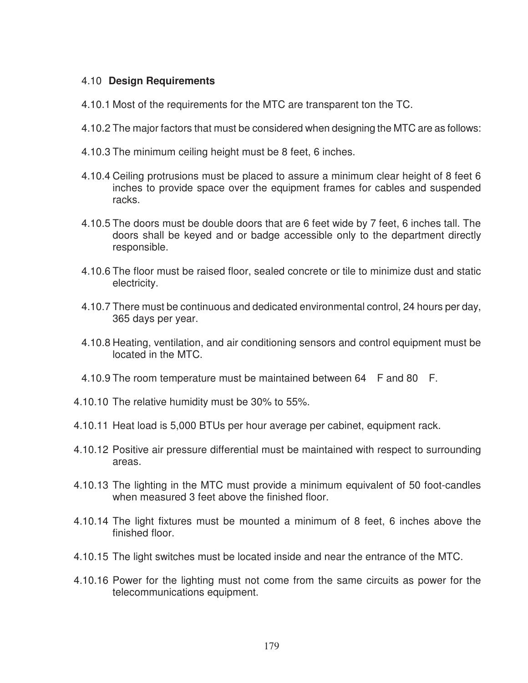### 4.10 **Design Requirements**

- 4.10.1 Most of the requirements for the MTC are transparent ton the TC.
- 4.10.2 The major factors that must be considered when designing the MTC are as follows:
- 4.10.3 The minimum ceiling height must be 8 feet, 6 inches.
- 4.10.4 Ceiling protrusions must be placed to assure a minimum clear height of 8 feet 6 inches to provide space over the equipment frames for cables and suspended racks.
- 4.10.5 The doors must be double doors that are 6 feet wide by 7 feet, 6 inches tall. The doors shall be keyed and or badge accessible only to the department directly responsible.
- 4.10.6 The floor must be raised floor, sealed concrete or tile to minimize dust and static electricity.
- 4.10.7 There must be continuous and dedicated environmental control, 24 hours per day, 365 days per year.
- 4.10.8 Heating, ventilation, and air conditioning sensors and control equipment must be located in the MTC.
- 4.10.9 The room temperature must be maintained between 64 F and 80 F.
- 4.10.10 The relative humidity must be 30% to 55%.
- 4.10.11 Heat load is 5,000 BTUs per hour average per cabinet, equipment rack.
- 4.10.12 Positive air pressure differential must be maintained with respect to surrounding areas.
- 4.10.13 The lighting in the MTC must provide a minimum equivalent of 50 foot-candles when measured 3 feet above the finished floor.
- 4.10.14 The light fixtures must be mounted a minimum of 8 feet, 6 inches above the finished floor.
- 4.10.15 The light switches must be located inside and near the entrance of the MTC.
- 4.10.16 Power for the lighting must not come from the same circuits as power for the telecommunications equipment.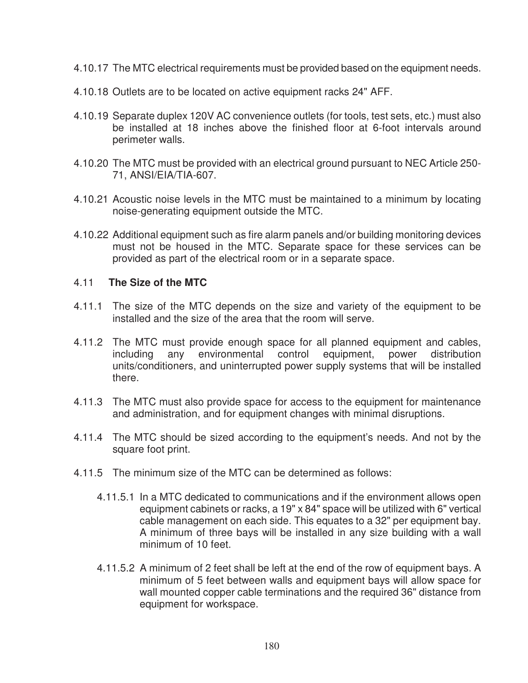- 4.10.17 The MTC electrical requirements must be provided based on the equipment needs.
- 4.10.18 Outlets are to be located on active equipment racks 24" AFF.
- 4.10.19 Separate duplex 120V AC convenience outlets (for tools, test sets, etc.) must also be installed at 18 inches above the finished floor at 6-foot intervals around perimeter walls.
- 4.10.20 The MTC must be provided with an electrical ground pursuant to NEC Article 250- 71, ANSI/EIA/TIA-607.
- 4.10.21 Acoustic noise levels in the MTC must be maintained to a minimum by locating noise-generating equipment outside the MTC.
- 4.10.22 Additional equipment such as fire alarm panels and/or building monitoring devices must not be housed in the MTC. Separate space for these services can be provided as part of the electrical room or in a separate space.

#### 4.11 **The Size of the MTC**

- 4.11.1 The size of the MTC depends on the size and variety of the equipment to be installed and the size of the area that the room will serve.
- 4.11.2 The MTC must provide enough space for all planned equipment and cables, including any environmental control equipment, power distribution units/conditioners, and uninterrupted power supply systems that will be installed there.
- 4.11.3 The MTC must also provide space for access to the equipment for maintenance and administration, and for equipment changes with minimal disruptions.
- 4.11.4 The MTC should be sized according to the equipment's needs. And not by the square foot print.
- 4.11.5 The minimum size of the MTC can be determined as follows:
	- 4.11.5.1 In a MTC dedicated to communications and if the environment allows open equipment cabinets or racks, a 19" x 84" space will be utilized with 6" vertical cable management on each side. This equates to a 32" per equipment bay. A minimum of three bays will be installed in any size building with a wall minimum of 10 feet.
	- 4.11.5.2 A minimum of 2 feet shall be left at the end of the row of equipment bays. A minimum of 5 feet between walls and equipment bays will allow space for wall mounted copper cable terminations and the required 36" distance from equipment for workspace.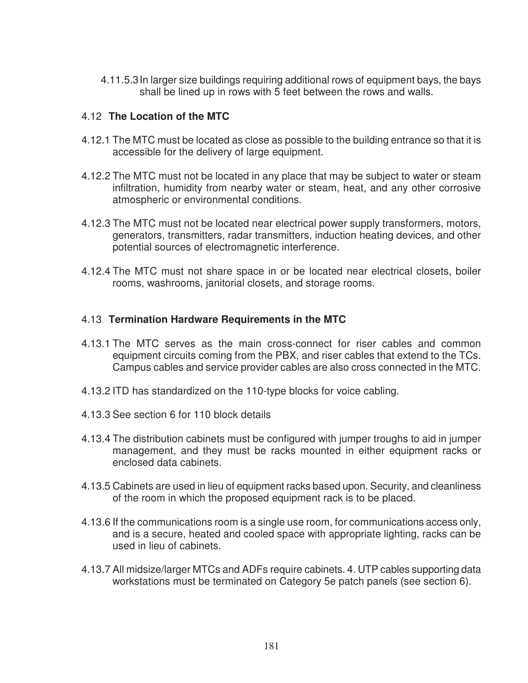4.11.5.3 In larger size buildings requiring additional rows of equipment bays, the bays shall be lined up in rows with 5 feet between the rows and walls.

#### 4.12 **The Location of the MTC**

- 4.12.1 The MTC must be located as close as possible to the building entrance so that it is accessible for the delivery of large equipment.
- 4.12.2 The MTC must not be located in any place that may be subject to water or steam infiltration, humidity from nearby water or steam, heat, and any other corrosive atmospheric or environmental conditions.
- 4.12.3 The MTC must not be located near electrical power supply transformers, motors, generators, transmitters, radar transmitters, induction heating devices, and other potential sources of electromagnetic interference.
- 4.12.4 The MTC must not share space in or be located near electrical closets, boiler rooms, washrooms, janitorial closets, and storage rooms.

#### 4.13 **Termination Hardware Requirements in the MTC**

- 4.13.1 The MTC serves as the main cross-connect for riser cables and common equipment circuits coming from the PBX, and riser cables that extend to the TCs. Campus cables and service provider cables are also cross connected in the MTC.
- 4.13.2 ITD has standardized on the 110-type blocks for voice cabling.
- 4.13.3 See section 6 for 110 block details
- 4.13.4 The distribution cabinets must be configured with jumper troughs to aid in jumper management, and they must be racks mounted in either equipment racks or enclosed data cabinets.
- 4.13.5 Cabinets are used in lieu of equipment racks based upon. Security, and cleanliness of the room in which the proposed equipment rack is to be placed.
- 4.13.6 If the communications room is a single use room, for communications access only, and is a secure, heated and cooled space with appropriate lighting, racks can be used in lieu of cabinets.
- 4.13.7 All midsize/larger MTCs and ADFs require cabinets. 4. UTP cables supporting data workstations must be terminated on Category 5e patch panels (see section 6).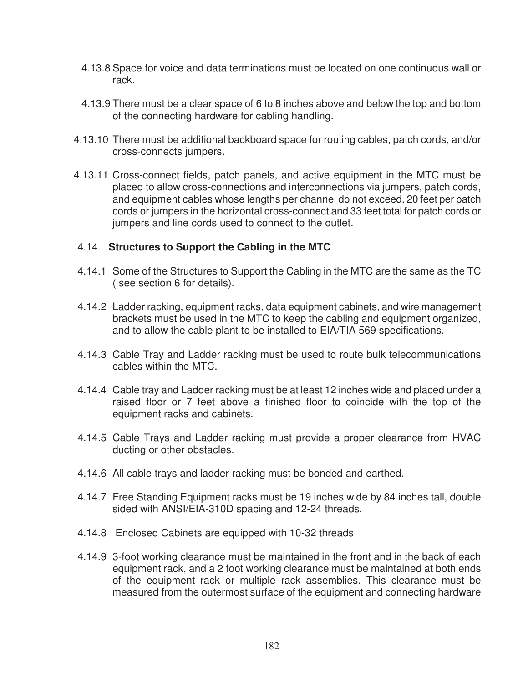- 4.13.8 Space for voice and data terminations must be located on one continuous wall or rack.
- 4.13.9 There must be a clear space of 6 to 8 inches above and below the top and bottom of the connecting hardware for cabling handling.
- 4.13.10 There must be additional backboard space for routing cables, patch cords, and/or cross-connects jumpers.
- 4.13.11 Cross-connect fields, patch panels, and active equipment in the MTC must be placed to allow cross-connections and interconnections via jumpers, patch cords, and equipment cables whose lengths per channel do not exceed. 20 feet per patch cords or jumpers in the horizontal cross-connect and 33 feet total for patch cords or jumpers and line cords used to connect to the outlet.

#### 4.14 **Structures to Support the Cabling in the MTC**

- 4.14.1 Some of the Structures to Support the Cabling in the MTC are the same as the TC ( see section 6 for details).
- 4.14.2 Ladder racking, equipment racks, data equipment cabinets, and wire management brackets must be used in the MTC to keep the cabling and equipment organized, and to allow the cable plant to be installed to EIA/TIA 569 specifications.
- 4.14.3 Cable Tray and Ladder racking must be used to route bulk telecommunications cables within the MTC.
- 4.14.4 Cable tray and Ladder racking must be at least 12 inches wide and placed under a raised floor or 7 feet above a finished floor to coincide with the top of the equipment racks and cabinets.
- 4.14.5 Cable Trays and Ladder racking must provide a proper clearance from HVAC ducting or other obstacles.
- 4.14.6 All cable trays and ladder racking must be bonded and earthed.
- 4.14.7 Free Standing Equipment racks must be 19 inches wide by 84 inches tall, double sided with ANSI/EIA-310D spacing and 12-24 threads.
- 4.14.8 Enclosed Cabinets are equipped with 10-32 threads
- 4.14.9 3-foot working clearance must be maintained in the front and in the back of each equipment rack, and a 2 foot working clearance must be maintained at both ends of the equipment rack or multiple rack assemblies. This clearance must be measured from the outermost surface of the equipment and connecting hardware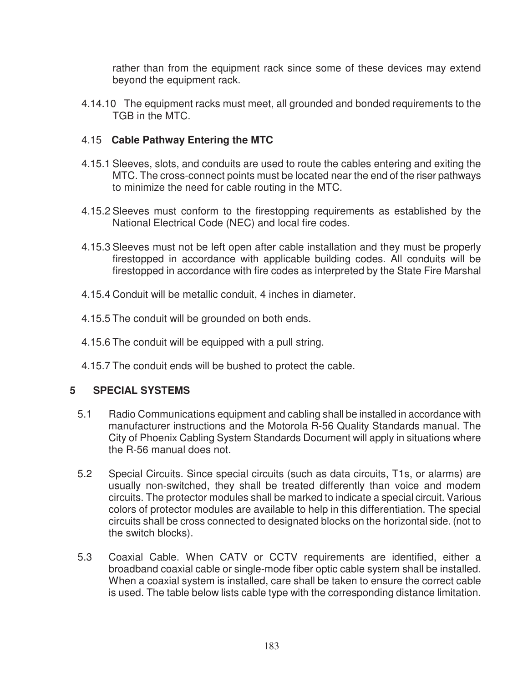rather than from the equipment rack since some of these devices may extend beyond the equipment rack.

4.14.10 The equipment racks must meet, all grounded and bonded requirements to the TGB in the MTC.

## 4.15 **Cable Pathway Entering the MTC**

- 4.15.1 Sleeves, slots, and conduits are used to route the cables entering and exiting the MTC. The cross-connect points must be located near the end of the riser pathways to minimize the need for cable routing in the MTC.
- 4.15.2 Sleeves must conform to the firestopping requirements as established by the National Electrical Code (NEC) and local fire codes.
- 4.15.3 Sleeves must not be left open after cable installation and they must be properly firestopped in accordance with applicable building codes. All conduits will be firestopped in accordance with fire codes as interpreted by the State Fire Marshal
- 4.15.4 Conduit will be metallic conduit, 4 inches in diameter.
- 4.15.5 The conduit will be grounded on both ends.
- 4.15.6 The conduit will be equipped with a pull string.
- 4.15.7 The conduit ends will be bushed to protect the cable.

### **5 SPECIAL SYSTEMS**

- 5.1 Radio Communications equipment and cabling shall be installed in accordance with manufacturer instructions and the Motorola R-56 Quality Standards manual. The City of Phoenix Cabling System Standards Document will apply in situations where the R-56 manual does not.
- 5.2 Special Circuits. Since special circuits (such as data circuits, T1s, or alarms) are usually non-switched, they shall be treated differently than voice and modem circuits. The protector modules shall be marked to indicate a special circuit. Various colors of protector modules are available to help in this differentiation. The special circuits shall be cross connected to designated blocks on the horizontal side. (not to the switch blocks).
- 5.3 Coaxial Cable. When CATV or CCTV requirements are identified, either a broadband coaxial cable or single-mode fiber optic cable system shall be installed. When a coaxial system is installed, care shall be taken to ensure the correct cable is used. The table below lists cable type with the corresponding distance limitation.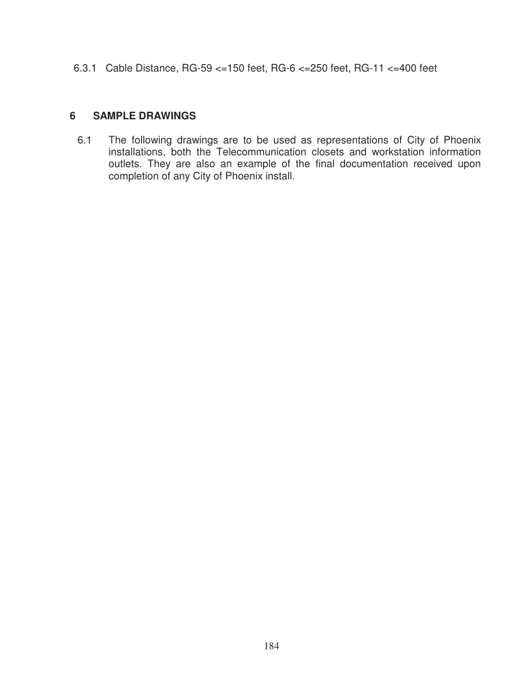6.3.1 Cable Distance, RG-59 <=150 feet, RG-6 <=250 feet, RG-11 <=400 feet

#### **6 SAMPLE DRAWINGS**

6.1 The following drawings are to be used as representations of City of Phoenix installations, both the Telecommunication closets and workstation information outlets. They are also an example of the final documentation received upon completion of any City of Phoenix install.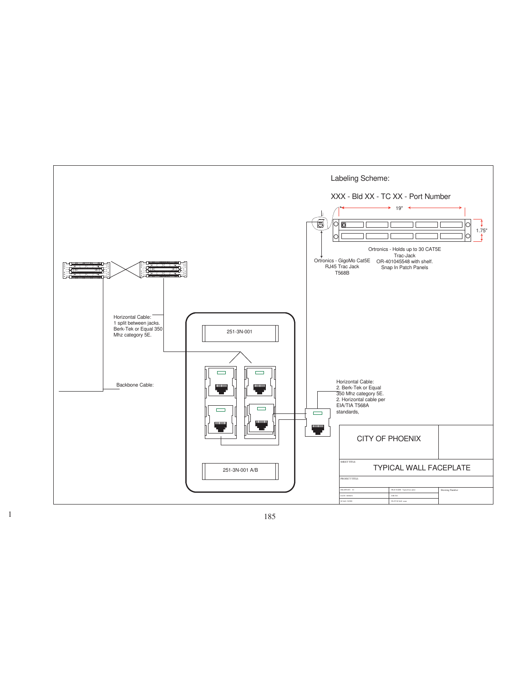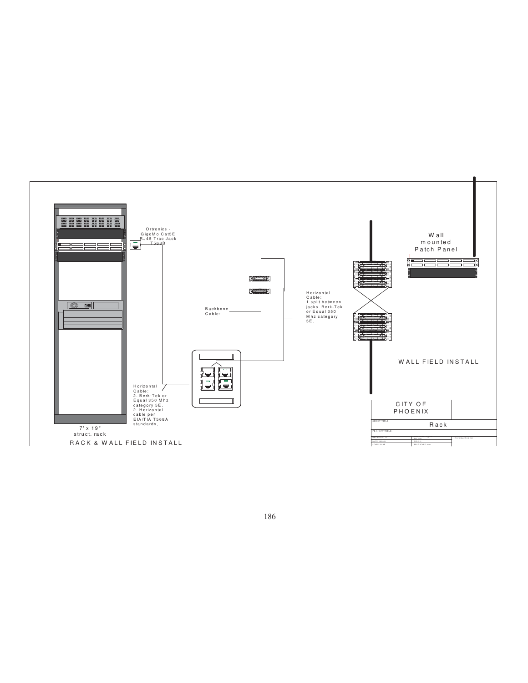

186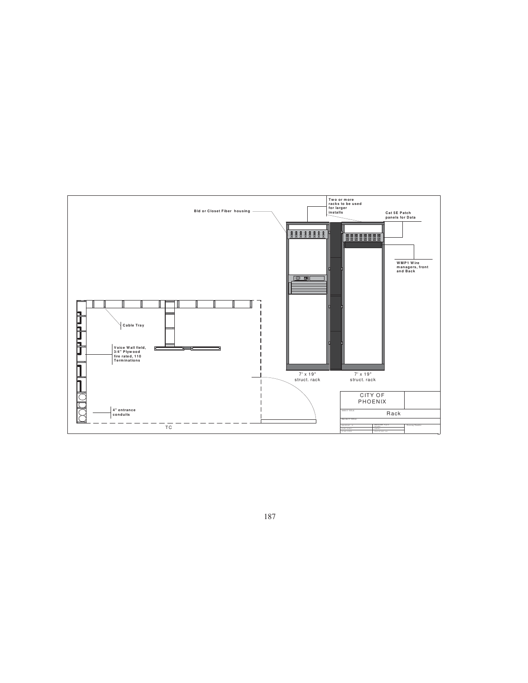

187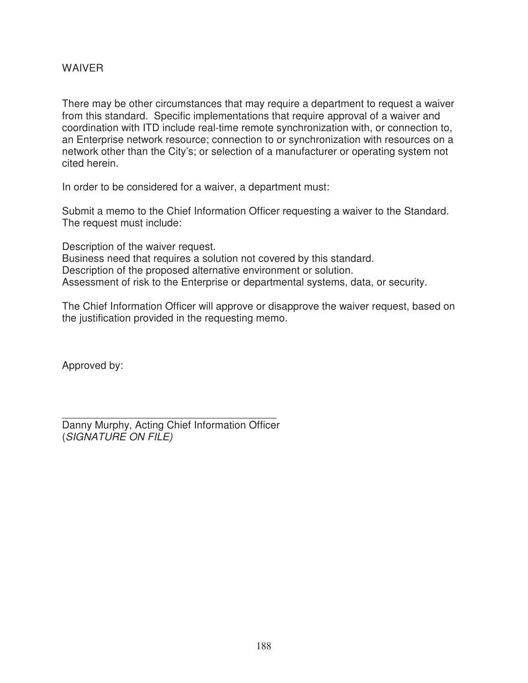#### WAIVER

There may be other circumstances that may require a department to request a waiver from this standard. Specific implementations that require approval of a waiver and coordination with ITD include real-time remote synchronization with, or connection to, an Enterprise network resource; connection to or synchronization with resources on a network other than the City's; or selection of a manufacturer or operating system not cited herein.

In order to be considered for a waiver, a department must:

Submit a memo to the Chief Information Officer requesting a waiver to the Standard. The request must include:

Description of the waiver request.

Business need that requires a solution not covered by this standard. Description of the proposed alternative environment or solution. Assessment of risk to the Enterprise or departmental systems, data, or security.

The Chief Information Officer will approve or disapprove the waiver request, based on the justification provided in the requesting memo.

Approved by:

\_\_\_\_\_\_\_\_\_\_\_\_\_\_\_\_\_\_\_\_\_\_\_\_\_\_\_\_\_\_\_\_\_\_\_\_\_ Danny Murphy, Acting Chief Information Officer (SIGNATURE ON FILE)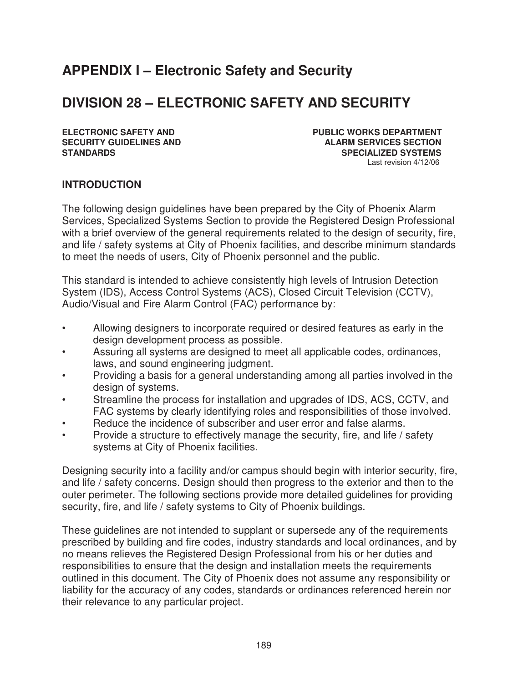# **APPENDIX I – Electronic Safety and Security**

# **DIVISION 28 – ELECTRONIC SAFETY AND SECURITY**

**ELECTRONIC SAFETY AND PUBLIC WORKS DEPARTMENT SECURITY GUIDELINES AND ALARM SERVICES SECTION STANDARDS SPECIALIZED SYSTEMS** Last revision 4/12/06

#### **INTRODUCTION**

The following design guidelines have been prepared by the City of Phoenix Alarm Services, Specialized Systems Section to provide the Registered Design Professional with a brief overview of the general requirements related to the design of security, fire, and life / safety systems at City of Phoenix facilities, and describe minimum standards to meet the needs of users, City of Phoenix personnel and the public.

This standard is intended to achieve consistently high levels of Intrusion Detection System (IDS), Access Control Systems (ACS), Closed Circuit Television (CCTV), Audio/Visual and Fire Alarm Control (FAC) performance by:

- Allowing designers to incorporate required or desired features as early in the design development process as possible.
- Assuring all systems are designed to meet all applicable codes, ordinances, laws, and sound engineering judgment.
- Providing a basis for a general understanding among all parties involved in the design of systems.
- Streamline the process for installation and upgrades of IDS, ACS, CCTV, and FAC systems by clearly identifying roles and responsibilities of those involved.
- Reduce the incidence of subscriber and user error and false alarms.
- Provide a structure to effectively manage the security, fire, and life / safety systems at City of Phoenix facilities.

Designing security into a facility and/or campus should begin with interior security, fire, and life / safety concerns. Design should then progress to the exterior and then to the outer perimeter. The following sections provide more detailed guidelines for providing security, fire, and life / safety systems to City of Phoenix buildings.

These guidelines are not intended to supplant or supersede any of the requirements prescribed by building and fire codes, industry standards and local ordinances, and by no means relieves the Registered Design Professional from his or her duties and responsibilities to ensure that the design and installation meets the requirements outlined in this document. The City of Phoenix does not assume any responsibility or liability for the accuracy of any codes, standards or ordinances referenced herein nor their relevance to any particular project.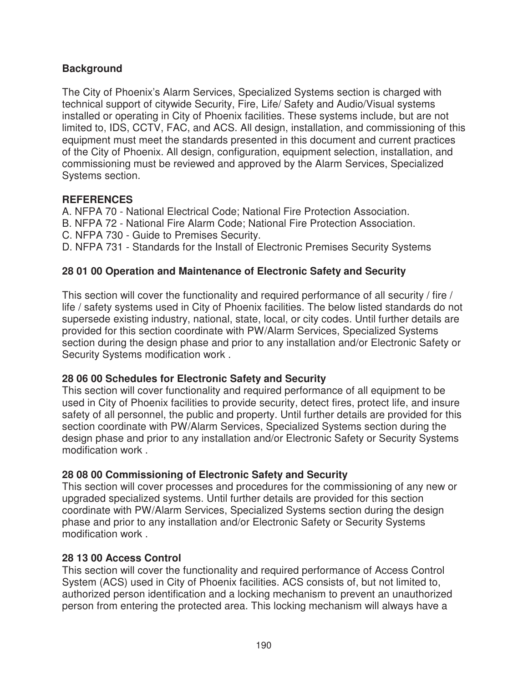## **Background**

The City of Phoenix's Alarm Services, Specialized Systems section is charged with technical support of citywide Security, Fire, Life/ Safety and Audio/Visual systems installed or operating in City of Phoenix facilities. These systems include, but are not limited to, IDS, CCTV, FAC, and ACS. All design, installation, and commissioning of this equipment must meet the standards presented in this document and current practices of the City of Phoenix. All design, configuration, equipment selection, installation, and commissioning must be reviewed and approved by the Alarm Services, Specialized Systems section.

### **REFERENCES**

A. NFPA 70 - National Electrical Code; National Fire Protection Association.

- B. NFPA 72 National Fire Alarm Code; National Fire Protection Association.
- C. NFPA 730 Guide to Premises Security.
- D. NFPA 731 Standards for the Install of Electronic Premises Security Systems

# **28 01 00 Operation and Maintenance of Electronic Safety and Security**

This section will cover the functionality and required performance of all security / fire / life / safety systems used in City of Phoenix facilities. The below listed standards do not supersede existing industry, national, state, local, or city codes. Until further details are provided for this section coordinate with PW/Alarm Services, Specialized Systems section during the design phase and prior to any installation and/or Electronic Safety or Security Systems modification work .

### **28 06 00 Schedules for Electronic Safety and Security**

This section will cover functionality and required performance of all equipment to be used in City of Phoenix facilities to provide security, detect fires, protect life, and insure safety of all personnel, the public and property. Until further details are provided for this section coordinate with PW/Alarm Services, Specialized Systems section during the design phase and prior to any installation and/or Electronic Safety or Security Systems modification work .

# **28 08 00 Commissioning of Electronic Safety and Security**

This section will cover processes and procedures for the commissioning of any new or upgraded specialized systems. Until further details are provided for this section coordinate with PW/Alarm Services, Specialized Systems section during the design phase and prior to any installation and/or Electronic Safety or Security Systems modification work .

### **28 13 00 Access Control**

This section will cover the functionality and required performance of Access Control System (ACS) used in City of Phoenix facilities. ACS consists of, but not limited to, authorized person identification and a locking mechanism to prevent an unauthorized person from entering the protected area. This locking mechanism will always have a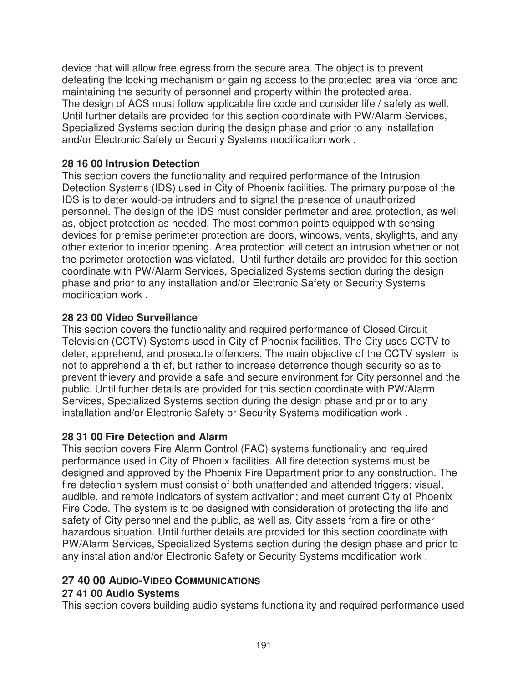device that will allow free egress from the secure area. The object is to prevent defeating the locking mechanism or gaining access to the protected area via force and maintaining the security of personnel and property within the protected area. The design of ACS must follow applicable fire code and consider life / safety as well. Until further details are provided for this section coordinate with PW/Alarm Services, Specialized Systems section during the design phase and prior to any installation and/or Electronic Safety or Security Systems modification work .

## **28 16 00 Intrusion Detection**

This section covers the functionality and required performance of the Intrusion Detection Systems (IDS) used in City of Phoenix facilities. The primary purpose of the IDS is to deter would-be intruders and to signal the presence of unauthorized personnel. The design of the IDS must consider perimeter and area protection, as well as, object protection as needed. The most common points equipped with sensing devices for premise perimeter protection are doors, windows, vents, skylights, and any other exterior to interior opening. Area protection will detect an intrusion whether or not the perimeter protection was violated. Until further details are provided for this section coordinate with PW/Alarm Services, Specialized Systems section during the design phase and prior to any installation and/or Electronic Safety or Security Systems modification work .

## **28 23 00 Video Surveillance**

This section covers the functionality and required performance of Closed Circuit Television (CCTV) Systems used in City of Phoenix facilities. The City uses CCTV to deter, apprehend, and prosecute offenders. The main objective of the CCTV system is not to apprehend a thief, but rather to increase deterrence though security so as to prevent thievery and provide a safe and secure environment for City personnel and the public. Until further details are provided for this section coordinate with PW/Alarm Services, Specialized Systems section during the design phase and prior to any installation and/or Electronic Safety or Security Systems modification work .

# **28 31 00 Fire Detection and Alarm**

This section covers Fire Alarm Control (FAC) systems functionality and required performance used in City of Phoenix facilities. All fire detection systems must be designed and approved by the Phoenix Fire Department prior to any construction. The fire detection system must consist of both unattended and attended triggers; visual, audible, and remote indicators of system activation; and meet current City of Phoenix Fire Code. The system is to be designed with consideration of protecting the life and safety of City personnel and the public, as well as, City assets from a fire or other hazardous situation. Until further details are provided for this section coordinate with PW/Alarm Services, Specialized Systems section during the design phase and prior to any installation and/or Electronic Safety or Security Systems modification work .

# **27 40 00 AUDIO-VIDEO COMMUNICATIONS**

### **27 41 00 Audio Systems**

This section covers building audio systems functionality and required performance used